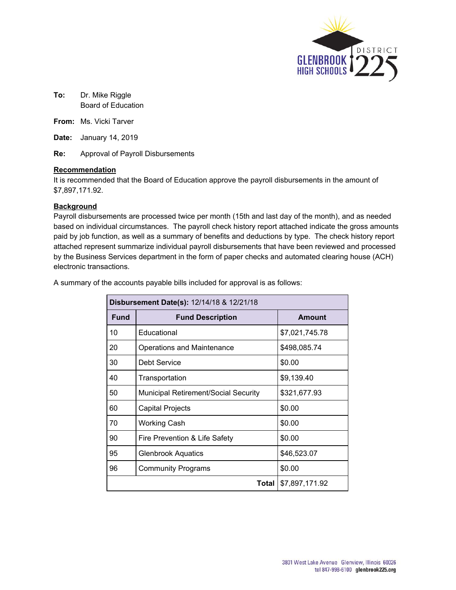

- **To:** Dr. Mike Riggle Board of Education
- **From:** Ms. Vicki Tarver
- **Date:** January 14, 2019
- **Re:** Approval of Payroll Disbursements

#### **Recommendation**

It is recommended that the Board of Education approve the payroll disbursements in the amount of \$7,897,171.92.

#### **Background**

Payroll disbursements are processed twice per month (15th and last day of the month), and as needed based on individual circumstances. The payroll check history report attached indicate the gross amounts paid by job function, as well as a summary of benefits and deductions by type. The check history report attached represent summarize individual payroll disbursements that have been reviewed and processed by the Business Services department in the form of paper checks and automated clearing house (ACH) electronic transactions.

A summary of the accounts payable bills included for approval is as follows:

| Disbursement Date(s): 12/14/18 & 12/21/18 |                                             |                |  |  |  |  |
|-------------------------------------------|---------------------------------------------|----------------|--|--|--|--|
| <b>Fund</b>                               | <b>Fund Description</b>                     | Amount         |  |  |  |  |
| 10                                        | Educational                                 | \$7,021,745.78 |  |  |  |  |
| 20                                        | <b>Operations and Maintenance</b>           | \$498,085.74   |  |  |  |  |
| 30                                        | Debt Service                                | \$0.00         |  |  |  |  |
| 40                                        | Transportation                              | \$9,139.40     |  |  |  |  |
| 50                                        | <b>Municipal Retirement/Social Security</b> | \$321,677.93   |  |  |  |  |
| 60                                        | Capital Projects                            | \$0.00         |  |  |  |  |
| 70                                        | <b>Working Cash</b>                         | \$0.00         |  |  |  |  |
| 90                                        | Fire Prevention & Life Safety               | \$0.00         |  |  |  |  |
| 95                                        | <b>Glenbrook Aquatics</b>                   | \$46,523.07    |  |  |  |  |
| 96                                        | <b>Community Programs</b>                   | \$0.00         |  |  |  |  |
|                                           | \$7,897,171.92<br>Total                     |                |  |  |  |  |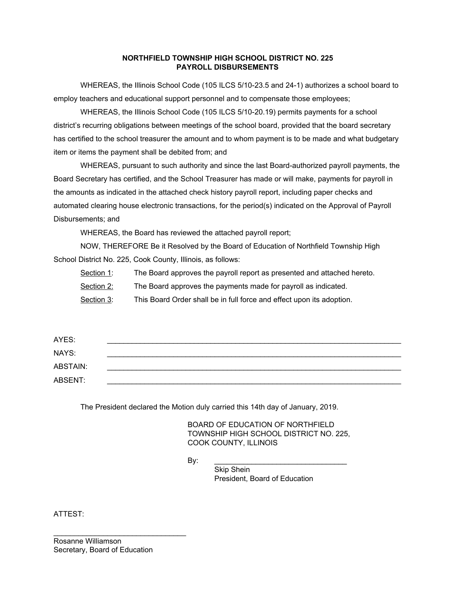#### **NORTHFIELD TOWNSHIP HIGH SCHOOL DISTRICT NO. 225 PAYROLL DISBURSEMENTS**

WHEREAS, the Illinois School Code (105 ILCS 5/10-23.5 and 24-1) authorizes a school board to employ teachers and educational support personnel and to compensate those employees;

WHEREAS, the Illinois School Code (105 ILCS 5/10-20.19) permits payments for a school district's recurring obligations between meetings of the school board, provided that the board secretary has certified to the school treasurer the amount and to whom payment is to be made and what budgetary item or items the payment shall be debited from; and

WHEREAS, pursuant to such authority and since the last Board-authorized payroll payments, the Board Secretary has certified, and the School Treasurer has made or will make, payments for payroll in the amounts as indicated in the attached check history payroll report, including paper checks and automated clearing house electronic transactions, for the period(s) indicated on the Approval of Payroll Disbursements; and

WHEREAS, the Board has reviewed the attached payroll report;

NOW, THEREFORE Be it Resolved by the Board of Education of Northfield Township High School District No. 225, Cook County, Illinois, as follows:

Section 1: The Board approves the payroll report as presented and attached hereto.

Section 2: The Board approves the payments made for payroll as indicated.

Section 3: This Board Order shall be in full force and effect upon its adoption.

| AYES:    |  |
|----------|--|
| NAYS:    |  |
| ABSTAIN: |  |
| ABSENT:  |  |

The President declared the Motion duly carried this 14th day of January, 2019.

BOARD OF EDUCATION OF NORTHFIELD TOWNSHIP HIGH SCHOOL DISTRICT NO. 225, COOK COUNTY, ILLINOIS

By: \_\_\_\_\_\_\_\_\_\_\_\_\_\_\_\_\_\_\_\_\_\_\_\_\_\_\_\_\_\_\_\_

Skip Shein President, Board of Education

ATTEST:

\_\_\_\_\_\_\_\_\_\_\_\_\_\_\_\_\_\_\_\_\_\_\_\_\_\_\_\_\_\_\_\_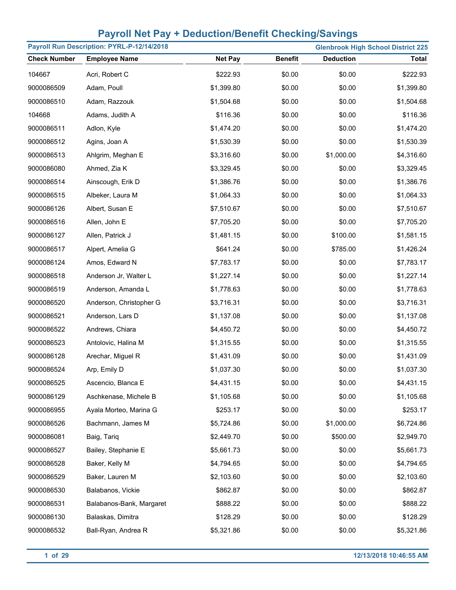| Payroll Run Description: PYRL-P-12/14/2018<br><b>Glenbrook High School District 225</b> |                          |                |                |                  |              |
|-----------------------------------------------------------------------------------------|--------------------------|----------------|----------------|------------------|--------------|
| <b>Check Number</b>                                                                     | <b>Employee Name</b>     | <b>Net Pay</b> | <b>Benefit</b> | <b>Deduction</b> | <b>Total</b> |
| 104667                                                                                  | Acri, Robert C           | \$222.93       | \$0.00         | \$0.00           | \$222.93     |
| 9000086509                                                                              | Adam, Poull              | \$1,399.80     | \$0.00         | \$0.00           | \$1,399.80   |
| 9000086510                                                                              | Adam, Razzouk            | \$1,504.68     | \$0.00         | \$0.00           | \$1,504.68   |
| 104668                                                                                  | Adams, Judith A          | \$116.36       | \$0.00         | \$0.00           | \$116.36     |
| 9000086511                                                                              | Adlon, Kyle              | \$1,474.20     | \$0.00         | \$0.00           | \$1,474.20   |
| 9000086512                                                                              | Agins, Joan A            | \$1,530.39     | \$0.00         | \$0.00           | \$1,530.39   |
| 9000086513                                                                              | Ahlgrim, Meghan E        | \$3,316.60     | \$0.00         | \$1,000.00       | \$4,316.60   |
| 9000086080                                                                              | Ahmed, Zia K             | \$3,329.45     | \$0.00         | \$0.00           | \$3,329.45   |
| 9000086514                                                                              | Ainscough, Erik D        | \$1,386.76     | \$0.00         | \$0.00           | \$1,386.76   |
| 9000086515                                                                              | Albeker, Laura M         | \$1,064.33     | \$0.00         | \$0.00           | \$1,064.33   |
| 9000086126                                                                              | Albert, Susan E          | \$7,510.67     | \$0.00         | \$0.00           | \$7,510.67   |
| 9000086516                                                                              | Allen, John E            | \$7,705.20     | \$0.00         | \$0.00           | \$7,705.20   |
| 9000086127                                                                              | Allen, Patrick J         | \$1,481.15     | \$0.00         | \$100.00         | \$1,581.15   |
| 9000086517                                                                              | Alpert, Amelia G         | \$641.24       | \$0.00         | \$785.00         | \$1,426.24   |
| 9000086124                                                                              | Amos, Edward N           | \$7,783.17     | \$0.00         | \$0.00           | \$7,783.17   |
| 9000086518                                                                              | Anderson Jr, Walter L    | \$1,227.14     | \$0.00         | \$0.00           | \$1,227.14   |
| 9000086519                                                                              | Anderson, Amanda L       | \$1,778.63     | \$0.00         | \$0.00           | \$1,778.63   |
| 9000086520                                                                              | Anderson, Christopher G  | \$3,716.31     | \$0.00         | \$0.00           | \$3,716.31   |
| 9000086521                                                                              | Anderson, Lars D         | \$1,137.08     | \$0.00         | \$0.00           | \$1,137.08   |
| 9000086522                                                                              | Andrews, Chiara          | \$4,450.72     | \$0.00         | \$0.00           | \$4,450.72   |
| 9000086523                                                                              | Antolovic, Halina M      | \$1,315.55     | \$0.00         | \$0.00           | \$1,315.55   |
| 9000086128                                                                              | Arechar, Miguel R        | \$1,431.09     | \$0.00         | \$0.00           | \$1,431.09   |
| 9000086524                                                                              | Arp, Emily D             | \$1,037.30     | \$0.00         | \$0.00           | \$1,037.30   |
| 9000086525                                                                              | Ascencio, Blanca E       | \$4,431.15     | \$0.00         | \$0.00           | \$4,431.15   |
| 9000086129                                                                              | Aschkenase, Michele B    | \$1,105.68     | \$0.00         | \$0.00           | \$1,105.68   |
| 9000086955                                                                              | Ayala Morteo, Marina G   | \$253.17       | \$0.00         | \$0.00           | \$253.17     |
| 9000086526                                                                              | Bachmann, James M        | \$5,724.86     | \$0.00         | \$1,000.00       | \$6,724.86   |
| 9000086081                                                                              | Baig, Tariq              | \$2,449.70     | \$0.00         | \$500.00         | \$2,949.70   |
| 9000086527                                                                              | Bailey, Stephanie E      | \$5,661.73     | \$0.00         | \$0.00           | \$5,661.73   |
| 9000086528                                                                              | Baker, Kelly M           | \$4,794.65     | \$0.00         | \$0.00           | \$4,794.65   |
| 9000086529                                                                              | Baker, Lauren M          | \$2,103.60     | \$0.00         | \$0.00           | \$2,103.60   |
| 9000086530                                                                              | Balabanos, Vickie        | \$862.87       | \$0.00         | \$0.00           | \$862.87     |
| 9000086531                                                                              | Balabanos-Bank, Margaret | \$888.22       | \$0.00         | \$0.00           | \$888.22     |
| 9000086130                                                                              | Balaskas, Dimitra        | \$128.29       | \$0.00         | \$0.00           | \$128.29     |
| 9000086532                                                                              | Ball-Ryan, Andrea R      | \$5,321.86     | \$0.00         | \$0.00           | \$5,321.86   |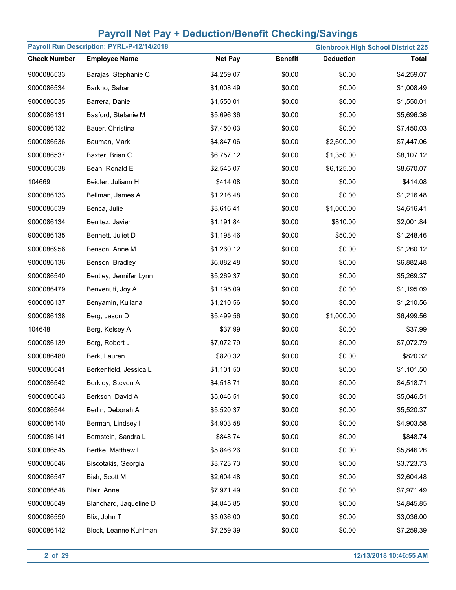| Payroll Run Description: PYRL-P-12/14/2018 |                        |                |                |                  | <b>Glenbrook High School District 225</b> |
|--------------------------------------------|------------------------|----------------|----------------|------------------|-------------------------------------------|
| <b>Check Number</b>                        | <b>Employee Name</b>   | <b>Net Pay</b> | <b>Benefit</b> | <b>Deduction</b> | <b>Total</b>                              |
| 9000086533                                 | Barajas, Stephanie C   | \$4,259.07     | \$0.00         | \$0.00           | \$4,259.07                                |
| 9000086534                                 | Barkho, Sahar          | \$1,008.49     | \$0.00         | \$0.00           | \$1,008.49                                |
| 9000086535                                 | Barrera, Daniel        | \$1,550.01     | \$0.00         | \$0.00           | \$1,550.01                                |
| 9000086131                                 | Basford, Stefanie M    | \$5,696.36     | \$0.00         | \$0.00           | \$5,696.36                                |
| 9000086132                                 | Bauer, Christina       | \$7,450.03     | \$0.00         | \$0.00           | \$7,450.03                                |
| 9000086536                                 | Bauman, Mark           | \$4,847.06     | \$0.00         | \$2,600.00       | \$7,447.06                                |
| 9000086537                                 | Baxter, Brian C        | \$6,757.12     | \$0.00         | \$1,350.00       | \$8,107.12                                |
| 9000086538                                 | Bean, Ronald E         | \$2,545.07     | \$0.00         | \$6,125.00       | \$8,670.07                                |
| 104669                                     | Beidler, Juliann H     | \$414.08       | \$0.00         | \$0.00           | \$414.08                                  |
| 9000086133                                 | Bellman, James A       | \$1,216.48     | \$0.00         | \$0.00           | \$1,216.48                                |
| 9000086539                                 | Benca, Julie           | \$3,616.41     | \$0.00         | \$1,000.00       | \$4,616.41                                |
| 9000086134                                 | Benitez, Javier        | \$1,191.84     | \$0.00         | \$810.00         | \$2,001.84                                |
| 9000086135                                 | Bennett, Juliet D      | \$1,198.46     | \$0.00         | \$50.00          | \$1,248.46                                |
| 9000086956                                 | Benson, Anne M         | \$1,260.12     | \$0.00         | \$0.00           | \$1,260.12                                |
| 9000086136                                 | Benson, Bradley        | \$6,882.48     | \$0.00         | \$0.00           | \$6,882.48                                |
| 9000086540                                 | Bentley, Jennifer Lynn | \$5,269.37     | \$0.00         | \$0.00           | \$5,269.37                                |
| 9000086479                                 | Benvenuti, Joy A       | \$1,195.09     | \$0.00         | \$0.00           | \$1,195.09                                |
| 9000086137                                 | Benyamin, Kuliana      | \$1,210.56     | \$0.00         | \$0.00           | \$1,210.56                                |
| 9000086138                                 | Berg, Jason D          | \$5,499.56     | \$0.00         | \$1,000.00       | \$6,499.56                                |
| 104648                                     | Berg, Kelsey A         | \$37.99        | \$0.00         | \$0.00           | \$37.99                                   |
| 9000086139                                 | Berg, Robert J         | \$7,072.79     | \$0.00         | \$0.00           | \$7,072.79                                |
| 9000086480                                 | Berk, Lauren           | \$820.32       | \$0.00         | \$0.00           | \$820.32                                  |
| 9000086541                                 | Berkenfield, Jessica L | \$1,101.50     | \$0.00         | \$0.00           | \$1,101.50                                |
| 9000086542                                 | Berkley, Steven A      | \$4,518.71     | \$0.00         | \$0.00           | \$4,518.71                                |
| 9000086543                                 | Berkson, David A       | \$5,046.51     | \$0.00         | \$0.00           | \$5,046.51                                |
| 9000086544                                 | Berlin, Deborah A      | \$5,520.37     | \$0.00         | \$0.00           | \$5,520.37                                |
| 9000086140                                 | Berman, Lindsey I      | \$4,903.58     | \$0.00         | \$0.00           | \$4,903.58                                |
| 9000086141                                 | Bernstein, Sandra L    | \$848.74       | \$0.00         | \$0.00           | \$848.74                                  |
| 9000086545                                 | Bertke, Matthew I      | \$5,846.26     | \$0.00         | \$0.00           | \$5,846.26                                |
| 9000086546                                 | Biscotakis, Georgia    | \$3,723.73     | \$0.00         | \$0.00           | \$3,723.73                                |
| 9000086547                                 | Bish, Scott M          | \$2,604.48     | \$0.00         | \$0.00           | \$2,604.48                                |
| 9000086548                                 | Blair, Anne            | \$7,971.49     | \$0.00         | \$0.00           | \$7,971.49                                |
| 9000086549                                 | Blanchard, Jaqueline D | \$4,845.85     | \$0.00         | \$0.00           | \$4,845.85                                |
| 9000086550                                 | Blix, John T           | \$3,036.00     | \$0.00         | \$0.00           | \$3,036.00                                |
| 9000086142                                 | Block, Leanne Kuhlman  | \$7,259.39     | \$0.00         | \$0.00           | \$7,259.39                                |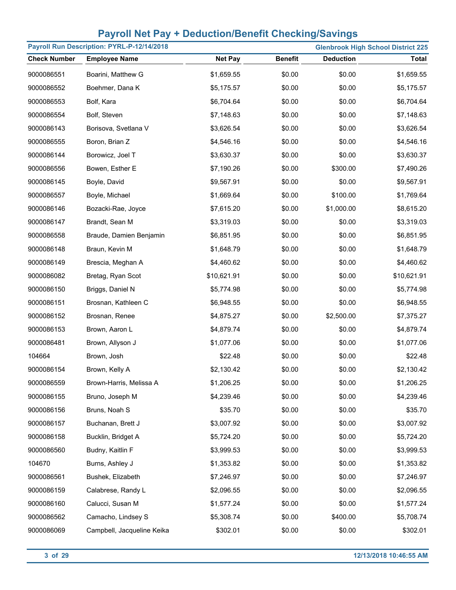| Payroll Run Description: PYRL-P-12/14/2018<br><b>Glenbrook High School District 225</b> |                            |                |                |                  |              |
|-----------------------------------------------------------------------------------------|----------------------------|----------------|----------------|------------------|--------------|
| <b>Check Number</b>                                                                     | <b>Employee Name</b>       | <b>Net Pay</b> | <b>Benefit</b> | <b>Deduction</b> | <b>Total</b> |
| 9000086551                                                                              | Boarini, Matthew G         | \$1,659.55     | \$0.00         | \$0.00           | \$1,659.55   |
| 9000086552                                                                              | Boehmer, Dana K            | \$5,175.57     | \$0.00         | \$0.00           | \$5,175.57   |
| 9000086553                                                                              | Bolf, Kara                 | \$6,704.64     | \$0.00         | \$0.00           | \$6,704.64   |
| 9000086554                                                                              | Bolf, Steven               | \$7,148.63     | \$0.00         | \$0.00           | \$7,148.63   |
| 9000086143                                                                              | Borisova, Svetlana V       | \$3,626.54     | \$0.00         | \$0.00           | \$3,626.54   |
| 9000086555                                                                              | Boron, Brian Z             | \$4,546.16     | \$0.00         | \$0.00           | \$4,546.16   |
| 9000086144                                                                              | Borowicz, Joel T           | \$3,630.37     | \$0.00         | \$0.00           | \$3,630.37   |
| 9000086556                                                                              | Bowen, Esther E            | \$7,190.26     | \$0.00         | \$300.00         | \$7,490.26   |
| 9000086145                                                                              | Boyle, David               | \$9,567.91     | \$0.00         | \$0.00           | \$9,567.91   |
| 9000086557                                                                              | Boyle, Michael             | \$1,669.64     | \$0.00         | \$100.00         | \$1,769.64   |
| 9000086146                                                                              | Bozacki-Rae, Joyce         | \$7,615.20     | \$0.00         | \$1,000.00       | \$8,615.20   |
| 9000086147                                                                              | Brandt, Sean M             | \$3,319.03     | \$0.00         | \$0.00           | \$3,319.03   |
| 9000086558                                                                              | Braude, Damien Benjamin    | \$6,851.95     | \$0.00         | \$0.00           | \$6,851.95   |
| 9000086148                                                                              | Braun, Kevin M             | \$1,648.79     | \$0.00         | \$0.00           | \$1,648.79   |
| 9000086149                                                                              | Brescia, Meghan A          | \$4,460.62     | \$0.00         | \$0.00           | \$4,460.62   |
| 9000086082                                                                              | Bretag, Ryan Scot          | \$10,621.91    | \$0.00         | \$0.00           | \$10,621.91  |
| 9000086150                                                                              | Briggs, Daniel N           | \$5,774.98     | \$0.00         | \$0.00           | \$5,774.98   |
| 9000086151                                                                              | Brosnan, Kathleen C        | \$6,948.55     | \$0.00         | \$0.00           | \$6,948.55   |
| 9000086152                                                                              | Brosnan, Renee             | \$4,875.27     | \$0.00         | \$2,500.00       | \$7,375.27   |
| 9000086153                                                                              | Brown, Aaron L             | \$4,879.74     | \$0.00         | \$0.00           | \$4,879.74   |
| 9000086481                                                                              | Brown, Allyson J           | \$1,077.06     | \$0.00         | \$0.00           | \$1,077.06   |
| 104664                                                                                  | Brown, Josh                | \$22.48        | \$0.00         | \$0.00           | \$22.48      |
| 9000086154                                                                              | Brown, Kelly A             | \$2,130.42     | \$0.00         | \$0.00           | \$2,130.42   |
| 9000086559                                                                              | Brown-Harris, Melissa A    | \$1,206.25     | \$0.00         | \$0.00           | \$1,206.25   |
| 9000086155                                                                              | Bruno, Joseph M            | \$4,239.46     | \$0.00         | \$0.00           | \$4,239.46   |
| 9000086156                                                                              | Bruns, Noah S              | \$35.70        | \$0.00         | \$0.00           | \$35.70      |
| 9000086157                                                                              | Buchanan, Brett J          | \$3,007.92     | \$0.00         | \$0.00           | \$3,007.92   |
| 9000086158                                                                              | Bucklin, Bridget A         | \$5,724.20     | \$0.00         | \$0.00           | \$5,724.20   |
| 9000086560                                                                              | Budny, Kaitlin F           | \$3,999.53     | \$0.00         | \$0.00           | \$3,999.53   |
| 104670                                                                                  | Burns, Ashley J            | \$1,353.82     | \$0.00         | \$0.00           | \$1,353.82   |
| 9000086561                                                                              | Bushek, Elizabeth          | \$7,246.97     | \$0.00         | \$0.00           | \$7,246.97   |
| 9000086159                                                                              | Calabrese, Randy L         | \$2,096.55     | \$0.00         | \$0.00           | \$2,096.55   |
| 9000086160                                                                              | Calucci, Susan M           | \$1,577.24     | \$0.00         | \$0.00           | \$1,577.24   |
| 9000086562                                                                              | Camacho, Lindsey S         | \$5,308.74     | \$0.00         | \$400.00         | \$5,708.74   |
| 9000086069                                                                              | Campbell, Jacqueline Keika | \$302.01       | \$0.00         | \$0.00           | \$302.01     |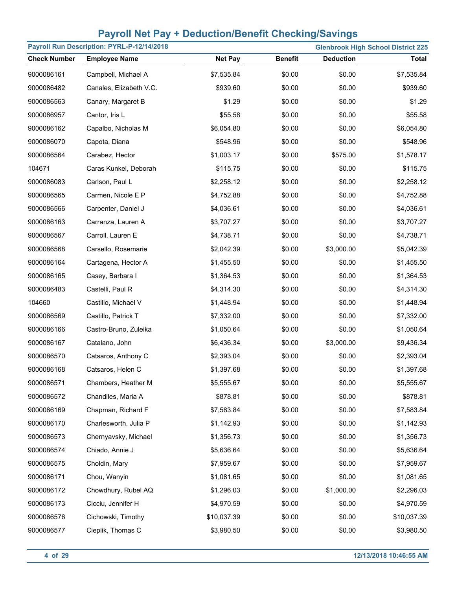| Payroll Run Description: PYRL-P-12/14/2018<br><b>Glenbrook High School District 225</b> |                         |                |                |                  |              |
|-----------------------------------------------------------------------------------------|-------------------------|----------------|----------------|------------------|--------------|
| <b>Check Number</b>                                                                     | <b>Employee Name</b>    | <b>Net Pay</b> | <b>Benefit</b> | <b>Deduction</b> | <b>Total</b> |
| 9000086161                                                                              | Campbell, Michael A     | \$7,535.84     | \$0.00         | \$0.00           | \$7,535.84   |
| 9000086482                                                                              | Canales, Elizabeth V.C. | \$939.60       | \$0.00         | \$0.00           | \$939.60     |
| 9000086563                                                                              | Canary, Margaret B      | \$1.29         | \$0.00         | \$0.00           | \$1.29       |
| 9000086957                                                                              | Cantor, Iris L          | \$55.58        | \$0.00         | \$0.00           | \$55.58      |
| 9000086162                                                                              | Capalbo, Nicholas M     | \$6,054.80     | \$0.00         | \$0.00           | \$6,054.80   |
| 9000086070                                                                              | Capota, Diana           | \$548.96       | \$0.00         | \$0.00           | \$548.96     |
| 9000086564                                                                              | Carabez, Hector         | \$1,003.17     | \$0.00         | \$575.00         | \$1,578.17   |
| 104671                                                                                  | Caras Kunkel, Deborah   | \$115.75       | \$0.00         | \$0.00           | \$115.75     |
| 9000086083                                                                              | Carlson, Paul L         | \$2,258.12     | \$0.00         | \$0.00           | \$2,258.12   |
| 9000086565                                                                              | Carmen, Nicole E P      | \$4,752.88     | \$0.00         | \$0.00           | \$4,752.88   |
| 9000086566                                                                              | Carpenter, Daniel J     | \$4,036.61     | \$0.00         | \$0.00           | \$4,036.61   |
| 9000086163                                                                              | Carranza, Lauren A      | \$3,707.27     | \$0.00         | \$0.00           | \$3,707.27   |
| 9000086567                                                                              | Carroll, Lauren E       | \$4,738.71     | \$0.00         | \$0.00           | \$4,738.71   |
| 9000086568                                                                              | Carsello, Rosemarie     | \$2,042.39     | \$0.00         | \$3,000.00       | \$5,042.39   |
| 9000086164                                                                              | Cartagena, Hector A     | \$1,455.50     | \$0.00         | \$0.00           | \$1,455.50   |
| 9000086165                                                                              | Casey, Barbara I        | \$1,364.53     | \$0.00         | \$0.00           | \$1,364.53   |
| 9000086483                                                                              | Castelli, Paul R        | \$4,314.30     | \$0.00         | \$0.00           | \$4,314.30   |
| 104660                                                                                  | Castillo, Michael V     | \$1,448.94     | \$0.00         | \$0.00           | \$1,448.94   |
| 9000086569                                                                              | Castillo, Patrick T     | \$7,332.00     | \$0.00         | \$0.00           | \$7,332.00   |
| 9000086166                                                                              | Castro-Bruno, Zuleika   | \$1,050.64     | \$0.00         | \$0.00           | \$1,050.64   |
| 9000086167                                                                              | Catalano, John          | \$6,436.34     | \$0.00         | \$3,000.00       | \$9,436.34   |
| 9000086570                                                                              | Catsaros, Anthony C     | \$2,393.04     | \$0.00         | \$0.00           | \$2,393.04   |
| 9000086168                                                                              | Catsaros, Helen C       | \$1,397.68     | \$0.00         | \$0.00           | \$1,397.68   |
| 9000086571                                                                              | Chambers, Heather M     | \$5,555.67     | \$0.00         | \$0.00           | \$5,555.67   |
| 9000086572                                                                              | Chandiles, Maria A      | \$878.81       | \$0.00         | \$0.00           | \$878.81     |
| 9000086169                                                                              | Chapman, Richard F      | \$7,583.84     | \$0.00         | \$0.00           | \$7,583.84   |
| 9000086170                                                                              | Charlesworth, Julia P   | \$1,142.93     | \$0.00         | \$0.00           | \$1,142.93   |
| 9000086573                                                                              | Chernyavsky, Michael    | \$1,356.73     | \$0.00         | \$0.00           | \$1,356.73   |
| 9000086574                                                                              | Chiado, Annie J         | \$5,636.64     | \$0.00         | \$0.00           | \$5,636.64   |
| 9000086575                                                                              | Choldin, Mary           | \$7,959.67     | \$0.00         | \$0.00           | \$7,959.67   |
| 9000086171                                                                              | Chou, Wanyin            | \$1,081.65     | \$0.00         | \$0.00           | \$1,081.65   |
| 9000086172                                                                              | Chowdhury, Rubel AQ     | \$1,296.03     | \$0.00         | \$1,000.00       | \$2,296.03   |
| 9000086173                                                                              | Cicciu, Jennifer H      | \$4,970.59     | \$0.00         | \$0.00           | \$4,970.59   |
| 9000086576                                                                              | Cichowski, Timothy      | \$10,037.39    | \$0.00         | \$0.00           | \$10,037.39  |
| 9000086577                                                                              | Cieplik, Thomas C       | \$3,980.50     | \$0.00         | \$0.00           | \$3,980.50   |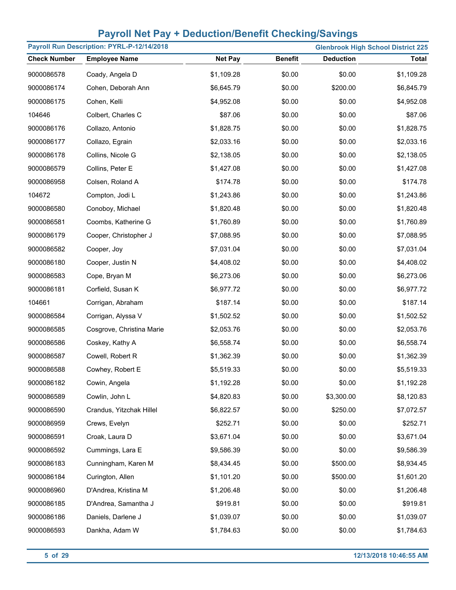| Payroll Run Description: PYRL-P-12/14/2018 |                           |                |                |                  | <b>Glenbrook High School District 225</b> |
|--------------------------------------------|---------------------------|----------------|----------------|------------------|-------------------------------------------|
| <b>Check Number</b>                        | <b>Employee Name</b>      | <b>Net Pay</b> | <b>Benefit</b> | <b>Deduction</b> | <b>Total</b>                              |
| 9000086578                                 | Coady, Angela D           | \$1,109.28     | \$0.00         | \$0.00           | \$1,109.28                                |
| 9000086174                                 | Cohen, Deborah Ann        | \$6,645.79     | \$0.00         | \$200.00         | \$6,845.79                                |
| 9000086175                                 | Cohen, Kelli              | \$4,952.08     | \$0.00         | \$0.00           | \$4,952.08                                |
| 104646                                     | Colbert, Charles C        | \$87.06        | \$0.00         | \$0.00           | \$87.06                                   |
| 9000086176                                 | Collazo, Antonio          | \$1,828.75     | \$0.00         | \$0.00           | \$1,828.75                                |
| 9000086177                                 | Collazo, Egrain           | \$2,033.16     | \$0.00         | \$0.00           | \$2,033.16                                |
| 9000086178                                 | Collins, Nicole G         | \$2,138.05     | \$0.00         | \$0.00           | \$2,138.05                                |
| 9000086579                                 | Collins, Peter E          | \$1,427.08     | \$0.00         | \$0.00           | \$1,427.08                                |
| 9000086958                                 | Colsen, Roland A          | \$174.78       | \$0.00         | \$0.00           | \$174.78                                  |
| 104672                                     | Compton, Jodi L           | \$1,243.86     | \$0.00         | \$0.00           | \$1,243.86                                |
| 9000086580                                 | Conoboy, Michael          | \$1,820.48     | \$0.00         | \$0.00           | \$1,820.48                                |
| 9000086581                                 | Coombs, Katherine G       | \$1,760.89     | \$0.00         | \$0.00           | \$1,760.89                                |
| 9000086179                                 | Cooper, Christopher J     | \$7,088.95     | \$0.00         | \$0.00           | \$7,088.95                                |
| 9000086582                                 | Cooper, Joy               | \$7,031.04     | \$0.00         | \$0.00           | \$7,031.04                                |
| 9000086180                                 | Cooper, Justin N          | \$4,408.02     | \$0.00         | \$0.00           | \$4,408.02                                |
| 9000086583                                 | Cope, Bryan M             | \$6,273.06     | \$0.00         | \$0.00           | \$6,273.06                                |
| 9000086181                                 | Corfield, Susan K         | \$6,977.72     | \$0.00         | \$0.00           | \$6,977.72                                |
| 104661                                     | Corrigan, Abraham         | \$187.14       | \$0.00         | \$0.00           | \$187.14                                  |
| 9000086584                                 | Corrigan, Alyssa V        | \$1,502.52     | \$0.00         | \$0.00           | \$1,502.52                                |
| 9000086585                                 | Cosgrove, Christina Marie | \$2,053.76     | \$0.00         | \$0.00           | \$2,053.76                                |
| 9000086586                                 | Coskey, Kathy A           | \$6,558.74     | \$0.00         | \$0.00           | \$6,558.74                                |
| 9000086587                                 | Cowell, Robert R          | \$1,362.39     | \$0.00         | \$0.00           | \$1,362.39                                |
| 9000086588                                 | Cowhey, Robert E          | \$5,519.33     | \$0.00         | \$0.00           | \$5,519.33                                |
| 9000086182                                 | Cowin, Angela             | \$1,192.28     | \$0.00         | \$0.00           | \$1,192.28                                |
| 9000086589                                 | Cowlin, John L            | \$4,820.83     | \$0.00         | \$3,300.00       | \$8,120.83                                |
| 9000086590                                 | Crandus, Yitzchak Hillel  | \$6,822.57     | \$0.00         | \$250.00         | \$7,072.57                                |
| 9000086959                                 | Crews, Evelyn             | \$252.71       | \$0.00         | \$0.00           | \$252.71                                  |
| 9000086591                                 | Croak, Laura D            | \$3,671.04     | \$0.00         | \$0.00           | \$3,671.04                                |
| 9000086592                                 | Cummings, Lara E          | \$9,586.39     | \$0.00         | \$0.00           | \$9,586.39                                |
| 9000086183                                 | Cunningham, Karen M       | \$8,434.45     | \$0.00         | \$500.00         | \$8,934.45                                |
| 9000086184                                 | Curington, Allen          | \$1,101.20     | \$0.00         | \$500.00         | \$1,601.20                                |
| 9000086960                                 | D'Andrea, Kristina M      | \$1,206.48     | \$0.00         | \$0.00           | \$1,206.48                                |
| 9000086185                                 | D'Andrea, Samantha J      | \$919.81       | \$0.00         | \$0.00           | \$919.81                                  |
| 9000086186                                 | Daniels, Darlene J        | \$1,039.07     | \$0.00         | \$0.00           | \$1,039.07                                |
| 9000086593                                 | Dankha, Adam W            | \$1,784.63     | \$0.00         | \$0.00           | \$1,784.63                                |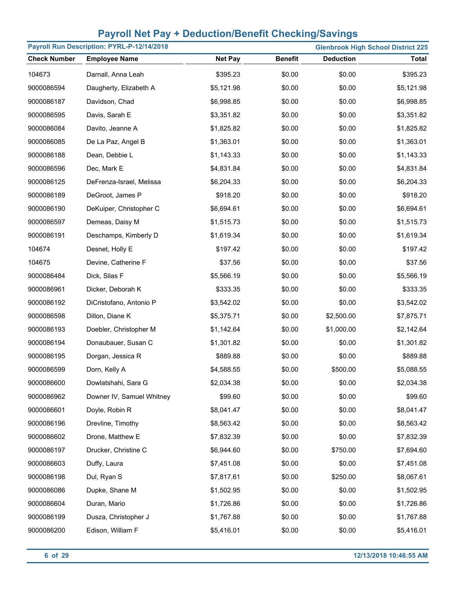| Payroll Run Description: PYRL-P-12/14/2018<br><b>Glenbrook High School District 225</b> |                           |                |                |                  |              |
|-----------------------------------------------------------------------------------------|---------------------------|----------------|----------------|------------------|--------------|
| <b>Check Number</b>                                                                     | <b>Employee Name</b>      | <b>Net Pay</b> | <b>Benefit</b> | <b>Deduction</b> | <b>Total</b> |
| 104673                                                                                  | Darnall, Anna Leah        | \$395.23       | \$0.00         | \$0.00           | \$395.23     |
| 9000086594                                                                              | Daugherty, Elizabeth A    | \$5,121.98     | \$0.00         | \$0.00           | \$5,121.98   |
| 9000086187                                                                              | Davidson, Chad            | \$6,998.85     | \$0.00         | \$0.00           | \$6,998.85   |
| 9000086595                                                                              | Davis, Sarah E            | \$3,351.82     | \$0.00         | \$0.00           | \$3,351.82   |
| 9000086084                                                                              | Davito, Jeanne A          | \$1,825.82     | \$0.00         | \$0.00           | \$1,825.82   |
| 9000086085                                                                              | De La Paz, Angel B        | \$1,363.01     | \$0.00         | \$0.00           | \$1,363.01   |
| 9000086188                                                                              | Dean, Debbie L            | \$1,143.33     | \$0.00         | \$0.00           | \$1,143.33   |
| 9000086596                                                                              | Dec, Mark E               | \$4,831.84     | \$0.00         | \$0.00           | \$4,831.84   |
| 9000086125                                                                              | DeFrenza-Israel, Melissa  | \$6,204.33     | \$0.00         | \$0.00           | \$6,204.33   |
| 9000086189                                                                              | DeGroot, James P          | \$918.20       | \$0.00         | \$0.00           | \$918.20     |
| 9000086190                                                                              | DeKuiper, Christopher C   | \$6,694.61     | \$0.00         | \$0.00           | \$6,694.61   |
| 9000086597                                                                              | Demeas, Daisy M           | \$1,515.73     | \$0.00         | \$0.00           | \$1,515.73   |
| 9000086191                                                                              | Deschamps, Kimberly D     | \$1,619.34     | \$0.00         | \$0.00           | \$1,619.34   |
| 104674                                                                                  | Desnet, Holly E           | \$197.42       | \$0.00         | \$0.00           | \$197.42     |
| 104675                                                                                  | Devine, Catherine F       | \$37.56        | \$0.00         | \$0.00           | \$37.56      |
| 9000086484                                                                              | Dick, Silas F             | \$5,566.19     | \$0.00         | \$0.00           | \$5,566.19   |
| 9000086961                                                                              | Dicker, Deborah K         | \$333.35       | \$0.00         | \$0.00           | \$333.35     |
| 9000086192                                                                              | DiCristofano, Antonio P   | \$3,542.02     | \$0.00         | \$0.00           | \$3,542.02   |
| 9000086598                                                                              | Dillon, Diane K           | \$5,375.71     | \$0.00         | \$2,500.00       | \$7,875.71   |
| 9000086193                                                                              | Doebler, Christopher M    | \$1,142.64     | \$0.00         | \$1,000.00       | \$2,142.64   |
| 9000086194                                                                              | Donaubauer, Susan C       | \$1,301.82     | \$0.00         | \$0.00           | \$1,301.82   |
| 9000086195                                                                              | Dorgan, Jessica R         | \$889.88       | \$0.00         | \$0.00           | \$889.88     |
| 9000086599                                                                              | Dorn, Kelly A             | \$4,588.55     | \$0.00         | \$500.00         | \$5,088.55   |
| 9000086600                                                                              | Dowlatshahi, Sara G       | \$2,034.38     | \$0.00         | \$0.00           | \$2,034.38   |
| 9000086962                                                                              | Downer IV, Samuel Whitney | \$99.60        | \$0.00         | \$0.00           | \$99.60      |
| 9000086601                                                                              | Doyle, Robin R            | \$8,041.47     | \$0.00         | \$0.00           | \$8,041.47   |
| 9000086196                                                                              | Drevline, Timothy         | \$8,563.42     | \$0.00         | \$0.00           | \$8,563.42   |
| 9000086602                                                                              | Drone, Matthew E          | \$7,832.39     | \$0.00         | \$0.00           | \$7,832.39   |
| 9000086197                                                                              | Drucker, Christine C      | \$6,944.60     | \$0.00         | \$750.00         | \$7,694.60   |
| 9000086603                                                                              | Duffy, Laura              | \$7,451.08     | \$0.00         | \$0.00           | \$7,451.08   |
| 9000086198                                                                              | Dul, Ryan S               | \$7,817.61     | \$0.00         | \$250.00         | \$8,067.61   |
| 9000086086                                                                              | Dupke, Shane M            | \$1,502.95     | \$0.00         | \$0.00           | \$1,502.95   |
| 9000086604                                                                              | Duran, Mario              | \$1,726.86     | \$0.00         | \$0.00           | \$1,726.86   |
| 9000086199                                                                              | Dusza, Christopher J      | \$1,767.88     | \$0.00         | \$0.00           | \$1,767.88   |
| 9000086200                                                                              | Edison, William F         | \$5,416.01     | \$0.00         | \$0.00           | \$5,416.01   |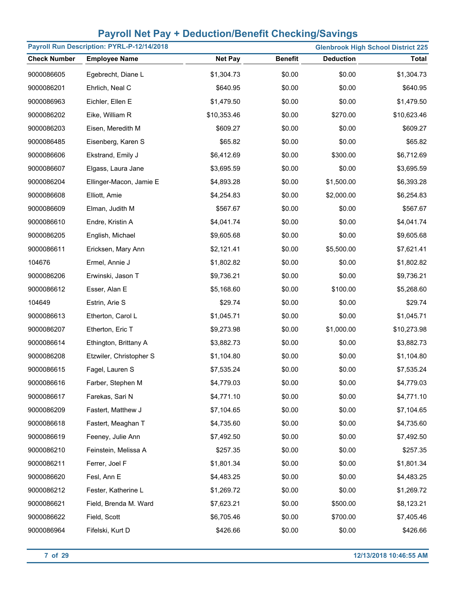| Payroll Run Description: PYRL-P-12/14/2018<br><b>Glenbrook High School District 225</b> |                         |                |                |                  |              |
|-----------------------------------------------------------------------------------------|-------------------------|----------------|----------------|------------------|--------------|
| <b>Check Number</b>                                                                     | <b>Employee Name</b>    | <b>Net Pay</b> | <b>Benefit</b> | <b>Deduction</b> | <b>Total</b> |
| 9000086605                                                                              | Egebrecht, Diane L      | \$1,304.73     | \$0.00         | \$0.00           | \$1,304.73   |
| 9000086201                                                                              | Ehrlich, Neal C         | \$640.95       | \$0.00         | \$0.00           | \$640.95     |
| 9000086963                                                                              | Eichler, Ellen E        | \$1,479.50     | \$0.00         | \$0.00           | \$1,479.50   |
| 9000086202                                                                              | Eike, William R         | \$10,353.46    | \$0.00         | \$270.00         | \$10,623.46  |
| 9000086203                                                                              | Eisen, Meredith M       | \$609.27       | \$0.00         | \$0.00           | \$609.27     |
| 9000086485                                                                              | Eisenberg, Karen S      | \$65.82        | \$0.00         | \$0.00           | \$65.82      |
| 9000086606                                                                              | Ekstrand, Emily J       | \$6,412.69     | \$0.00         | \$300.00         | \$6,712.69   |
| 9000086607                                                                              | Elgass, Laura Jane      | \$3,695.59     | \$0.00         | \$0.00           | \$3,695.59   |
| 9000086204                                                                              | Ellinger-Macon, Jamie E | \$4,893.28     | \$0.00         | \$1,500.00       | \$6,393.28   |
| 9000086608                                                                              | Elliott, Amie           | \$4,254.83     | \$0.00         | \$2,000.00       | \$6,254.83   |
| 9000086609                                                                              | Elman, Judith M         | \$567.67       | \$0.00         | \$0.00           | \$567.67     |
| 9000086610                                                                              | Endre, Kristin A        | \$4,041.74     | \$0.00         | \$0.00           | \$4,041.74   |
| 9000086205                                                                              | English, Michael        | \$9,605.68     | \$0.00         | \$0.00           | \$9,605.68   |
| 9000086611                                                                              | Ericksen, Mary Ann      | \$2,121.41     | \$0.00         | \$5,500.00       | \$7,621.41   |
| 104676                                                                                  | Ermel, Annie J          | \$1,802.82     | \$0.00         | \$0.00           | \$1,802.82   |
| 9000086206                                                                              | Erwinski, Jason T       | \$9,736.21     | \$0.00         | \$0.00           | \$9,736.21   |
| 9000086612                                                                              | Esser, Alan E           | \$5,168.60     | \$0.00         | \$100.00         | \$5,268.60   |
| 104649                                                                                  | Estrin, Arie S          | \$29.74        | \$0.00         | \$0.00           | \$29.74      |
| 9000086613                                                                              | Etherton, Carol L       | \$1,045.71     | \$0.00         | \$0.00           | \$1,045.71   |
| 9000086207                                                                              | Etherton, Eric T        | \$9,273.98     | \$0.00         | \$1,000.00       | \$10,273.98  |
| 9000086614                                                                              | Ethington, Brittany A   | \$3,882.73     | \$0.00         | \$0.00           | \$3,882.73   |
| 9000086208                                                                              | Etzwiler, Christopher S | \$1,104.80     | \$0.00         | \$0.00           | \$1,104.80   |
| 9000086615                                                                              | Fagel, Lauren S         | \$7,535.24     | \$0.00         | \$0.00           | \$7,535.24   |
| 9000086616                                                                              | Farber, Stephen M       | \$4,779.03     | \$0.00         | \$0.00           | \$4,779.03   |
| 9000086617                                                                              | Farekas, Sari N         | \$4,771.10     | \$0.00         | \$0.00           | \$4,771.10   |
| 9000086209                                                                              | Fastert, Matthew J      | \$7,104.65     | \$0.00         | \$0.00           | \$7,104.65   |
| 9000086618                                                                              | Fastert, Meaghan T      | \$4,735.60     | \$0.00         | \$0.00           | \$4,735.60   |
| 9000086619                                                                              | Feeney, Julie Ann       | \$7,492.50     | \$0.00         | \$0.00           | \$7,492.50   |
| 9000086210                                                                              | Feinstein, Melissa A    | \$257.35       | \$0.00         | \$0.00           | \$257.35     |
| 9000086211                                                                              | Ferrer, Joel F          | \$1,801.34     | \$0.00         | \$0.00           | \$1,801.34   |
| 9000086620                                                                              | Fesl, Ann E             | \$4,483.25     | \$0.00         | \$0.00           | \$4,483.25   |
| 9000086212                                                                              | Fester, Katherine L     | \$1,269.72     | \$0.00         | \$0.00           | \$1,269.72   |
| 9000086621                                                                              | Field, Brenda M. Ward   | \$7,623.21     | \$0.00         | \$500.00         | \$8,123.21   |
| 9000086622                                                                              | Field, Scott            | \$6,705.46     | \$0.00         | \$700.00         | \$7,405.46   |
| 9000086964                                                                              | Fifelski, Kurt D        | \$426.66       | \$0.00         | \$0.00           | \$426.66     |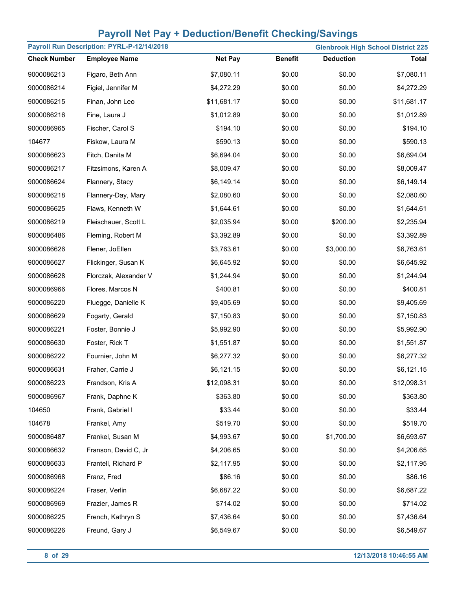| Payroll Run Description: PYRL-P-12/14/2018<br><b>Glenbrook High School District 225</b> |                       |                |                |                  |              |
|-----------------------------------------------------------------------------------------|-----------------------|----------------|----------------|------------------|--------------|
| <b>Check Number</b>                                                                     | <b>Employee Name</b>  | <b>Net Pay</b> | <b>Benefit</b> | <b>Deduction</b> | <b>Total</b> |
| 9000086213                                                                              | Figaro, Beth Ann      | \$7,080.11     | \$0.00         | \$0.00           | \$7,080.11   |
| 9000086214                                                                              | Figiel, Jennifer M    | \$4,272.29     | \$0.00         | \$0.00           | \$4,272.29   |
| 9000086215                                                                              | Finan, John Leo       | \$11,681.17    | \$0.00         | \$0.00           | \$11,681.17  |
| 9000086216                                                                              | Fine, Laura J         | \$1,012.89     | \$0.00         | \$0.00           | \$1,012.89   |
| 9000086965                                                                              | Fischer, Carol S      | \$194.10       | \$0.00         | \$0.00           | \$194.10     |
| 104677                                                                                  | Fiskow, Laura M       | \$590.13       | \$0.00         | \$0.00           | \$590.13     |
| 9000086623                                                                              | Fitch, Danita M       | \$6,694.04     | \$0.00         | \$0.00           | \$6,694.04   |
| 9000086217                                                                              | Fitzsimons, Karen A   | \$8,009.47     | \$0.00         | \$0.00           | \$8,009.47   |
| 9000086624                                                                              | Flannery, Stacy       | \$6,149.14     | \$0.00         | \$0.00           | \$6,149.14   |
| 9000086218                                                                              | Flannery-Day, Mary    | \$2,080.60     | \$0.00         | \$0.00           | \$2,080.60   |
| 9000086625                                                                              | Flaws, Kenneth W      | \$1,644.61     | \$0.00         | \$0.00           | \$1,644.61   |
| 9000086219                                                                              | Fleischauer, Scott L  | \$2,035.94     | \$0.00         | \$200.00         | \$2,235.94   |
| 9000086486                                                                              | Fleming, Robert M     | \$3,392.89     | \$0.00         | \$0.00           | \$3,392.89   |
| 9000086626                                                                              | Flener, JoEllen       | \$3,763.61     | \$0.00         | \$3,000.00       | \$6,763.61   |
| 9000086627                                                                              | Flickinger, Susan K   | \$6,645.92     | \$0.00         | \$0.00           | \$6,645.92   |
| 9000086628                                                                              | Florczak, Alexander V | \$1,244.94     | \$0.00         | \$0.00           | \$1,244.94   |
| 9000086966                                                                              | Flores, Marcos N      | \$400.81       | \$0.00         | \$0.00           | \$400.81     |
| 9000086220                                                                              | Fluegge, Danielle K   | \$9,405.69     | \$0.00         | \$0.00           | \$9,405.69   |
| 9000086629                                                                              | Fogarty, Gerald       | \$7,150.83     | \$0.00         | \$0.00           | \$7,150.83   |
| 9000086221                                                                              | Foster, Bonnie J      | \$5,992.90     | \$0.00         | \$0.00           | \$5,992.90   |
| 9000086630                                                                              | Foster, Rick T        | \$1,551.87     | \$0.00         | \$0.00           | \$1,551.87   |
| 9000086222                                                                              | Fournier, John M      | \$6,277.32     | \$0.00         | \$0.00           | \$6,277.32   |
| 9000086631                                                                              | Fraher, Carrie J      | \$6,121.15     | \$0.00         | \$0.00           | \$6,121.15   |
| 9000086223                                                                              | Frandson, Kris A      | \$12,098.31    | \$0.00         | \$0.00           | \$12,098.31  |
| 9000086967                                                                              | Frank, Daphne K       | \$363.80       | \$0.00         | \$0.00           | \$363.80     |
| 104650                                                                                  | Frank, Gabriel I      | \$33.44        | \$0.00         | \$0.00           | \$33.44      |
| 104678                                                                                  | Frankel, Amy          | \$519.70       | \$0.00         | \$0.00           | \$519.70     |
| 9000086487                                                                              | Frankel, Susan M      | \$4,993.67     | \$0.00         | \$1,700.00       | \$6,693.67   |
| 9000086632                                                                              | Franson, David C, Jr  | \$4,206.65     | \$0.00         | \$0.00           | \$4,206.65   |
| 9000086633                                                                              | Frantell, Richard P   | \$2,117.95     | \$0.00         | \$0.00           | \$2,117.95   |
| 9000086968                                                                              | Franz, Fred           | \$86.16        | \$0.00         | \$0.00           | \$86.16      |
| 9000086224                                                                              | Fraser, Verlin        | \$6,687.22     | \$0.00         | \$0.00           | \$6,687.22   |
| 9000086969                                                                              | Frazier, James R      | \$714.02       | \$0.00         | \$0.00           | \$714.02     |
| 9000086225                                                                              | French, Kathryn S     | \$7,436.64     | \$0.00         | \$0.00           | \$7,436.64   |
| 9000086226                                                                              | Freund, Gary J        | \$6,549.67     | \$0.00         | \$0.00           | \$6,549.67   |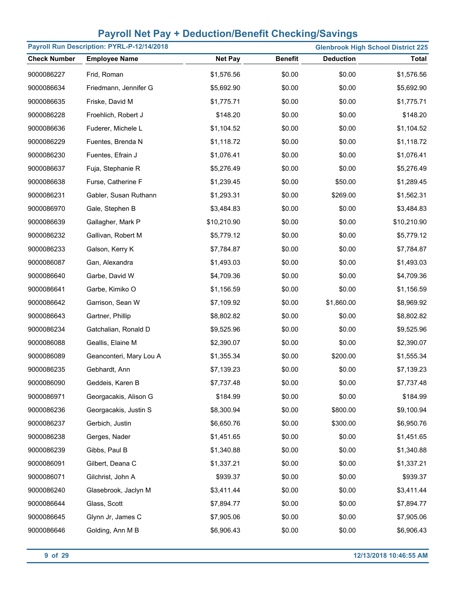| Payroll Run Description: PYRL-P-12/14/2018<br><b>Glenbrook High School District 225</b> |                         |                |                |                  |              |
|-----------------------------------------------------------------------------------------|-------------------------|----------------|----------------|------------------|--------------|
| <b>Check Number</b>                                                                     | <b>Employee Name</b>    | <b>Net Pay</b> | <b>Benefit</b> | <b>Deduction</b> | <b>Total</b> |
| 9000086227                                                                              | Frid, Roman             | \$1,576.56     | \$0.00         | \$0.00           | \$1,576.56   |
| 9000086634                                                                              | Friedmann, Jennifer G   | \$5,692.90     | \$0.00         | \$0.00           | \$5,692.90   |
| 9000086635                                                                              | Friske, David M         | \$1,775.71     | \$0.00         | \$0.00           | \$1,775.71   |
| 9000086228                                                                              | Froehlich, Robert J     | \$148.20       | \$0.00         | \$0.00           | \$148.20     |
| 9000086636                                                                              | Fuderer, Michele L      | \$1,104.52     | \$0.00         | \$0.00           | \$1,104.52   |
| 9000086229                                                                              | Fuentes, Brenda N       | \$1,118.72     | \$0.00         | \$0.00           | \$1,118.72   |
| 9000086230                                                                              | Fuentes, Efrain J       | \$1,076.41     | \$0.00         | \$0.00           | \$1,076.41   |
| 9000086637                                                                              | Fuja, Stephanie R       | \$5,276.49     | \$0.00         | \$0.00           | \$5,276.49   |
| 9000086638                                                                              | Furse, Catherine F      | \$1,239.45     | \$0.00         | \$50.00          | \$1,289.45   |
| 9000086231                                                                              | Gabler, Susan Ruthann   | \$1,293.31     | \$0.00         | \$269.00         | \$1,562.31   |
| 9000086970                                                                              | Gale, Stephen B         | \$3,484.83     | \$0.00         | \$0.00           | \$3,484.83   |
| 9000086639                                                                              | Gallagher, Mark P       | \$10,210.90    | \$0.00         | \$0.00           | \$10,210.90  |
| 9000086232                                                                              | Gallivan, Robert M      | \$5,779.12     | \$0.00         | \$0.00           | \$5,779.12   |
| 9000086233                                                                              | Galson, Kerry K         | \$7,784.87     | \$0.00         | \$0.00           | \$7,784.87   |
| 9000086087                                                                              | Gan, Alexandra          | \$1,493.03     | \$0.00         | \$0.00           | \$1,493.03   |
| 9000086640                                                                              | Garbe, David W          | \$4,709.36     | \$0.00         | \$0.00           | \$4,709.36   |
| 9000086641                                                                              | Garbe, Kimiko O         | \$1,156.59     | \$0.00         | \$0.00           | \$1,156.59   |
| 9000086642                                                                              | Garrison, Sean W        | \$7,109.92     | \$0.00         | \$1,860.00       | \$8,969.92   |
| 9000086643                                                                              | Gartner, Phillip        | \$8,802.82     | \$0.00         | \$0.00           | \$8,802.82   |
| 9000086234                                                                              | Gatchalian, Ronald D    | \$9,525.96     | \$0.00         | \$0.00           | \$9,525.96   |
| 9000086088                                                                              | Geallis, Elaine M       | \$2,390.07     | \$0.00         | \$0.00           | \$2,390.07   |
| 9000086089                                                                              | Geanconteri, Mary Lou A | \$1,355.34     | \$0.00         | \$200.00         | \$1,555.34   |
| 9000086235                                                                              | Gebhardt, Ann           | \$7,139.23     | \$0.00         | \$0.00           | \$7,139.23   |
| 9000086090                                                                              | Geddeis, Karen B        | \$7,737.48     | \$0.00         | \$0.00           | \$7,737.48   |
| 9000086971                                                                              | Georgacakis, Alison G   | \$184.99       | \$0.00         | \$0.00           | \$184.99     |
| 9000086236                                                                              | Georgacakis, Justin S   | \$8,300.94     | \$0.00         | \$800.00         | \$9,100.94   |
| 9000086237                                                                              | Gerbich, Justin         | \$6,650.76     | \$0.00         | \$300.00         | \$6,950.76   |
| 9000086238                                                                              | Gerges, Nader           | \$1,451.65     | \$0.00         | \$0.00           | \$1,451.65   |
| 9000086239                                                                              | Gibbs, Paul B           | \$1,340.88     | \$0.00         | \$0.00           | \$1,340.88   |
| 9000086091                                                                              | Gilbert, Deana C        | \$1,337.21     | \$0.00         | \$0.00           | \$1,337.21   |
| 9000086071                                                                              | Gilchrist, John A       | \$939.37       | \$0.00         | \$0.00           | \$939.37     |
| 9000086240                                                                              | Glasebrook, Jaclyn M    | \$3,411.44     | \$0.00         | \$0.00           | \$3,411.44   |
| 9000086644                                                                              | Glass, Scott            | \$7,894.77     | \$0.00         | \$0.00           | \$7,894.77   |
| 9000086645                                                                              | Glynn Jr, James C       | \$7,905.06     | \$0.00         | \$0.00           | \$7,905.06   |
| 9000086646                                                                              | Golding, Ann M B        | \$6,906.43     | \$0.00         | \$0.00           | \$6,906.43   |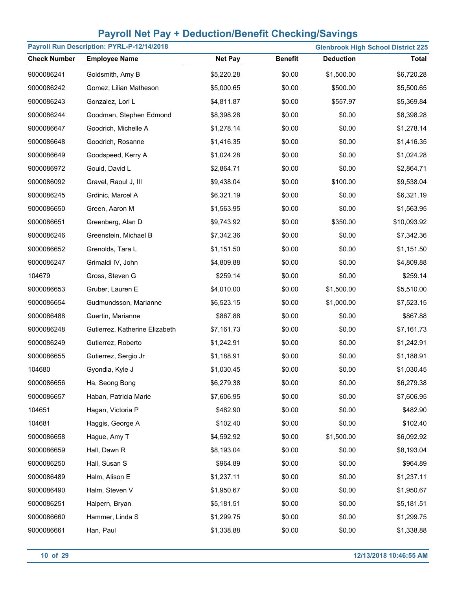| Payroll Run Description: PYRL-P-12/14/2018<br><b>Glenbrook High School District 225</b> |                                |                |                |                  |              |
|-----------------------------------------------------------------------------------------|--------------------------------|----------------|----------------|------------------|--------------|
| <b>Check Number</b>                                                                     | <b>Employee Name</b>           | <b>Net Pay</b> | <b>Benefit</b> | <b>Deduction</b> | <b>Total</b> |
| 9000086241                                                                              | Goldsmith, Amy B               | \$5,220.28     | \$0.00         | \$1,500.00       | \$6,720.28   |
| 9000086242                                                                              | Gomez, Lilian Matheson         | \$5,000.65     | \$0.00         | \$500.00         | \$5,500.65   |
| 9000086243                                                                              | Gonzalez, Lori L               | \$4,811.87     | \$0.00         | \$557.97         | \$5,369.84   |
| 9000086244                                                                              | Goodman, Stephen Edmond        | \$8,398.28     | \$0.00         | \$0.00           | \$8,398.28   |
| 9000086647                                                                              | Goodrich, Michelle A           | \$1,278.14     | \$0.00         | \$0.00           | \$1,278.14   |
| 9000086648                                                                              | Goodrich, Rosanne              | \$1,416.35     | \$0.00         | \$0.00           | \$1,416.35   |
| 9000086649                                                                              | Goodspeed, Kerry A             | \$1,024.28     | \$0.00         | \$0.00           | \$1,024.28   |
| 9000086972                                                                              | Gould, David L                 | \$2,864.71     | \$0.00         | \$0.00           | \$2,864.71   |
| 9000086092                                                                              | Gravel, Raoul J, III           | \$9,438.04     | \$0.00         | \$100.00         | \$9,538.04   |
| 9000086245                                                                              | Grdinic, Marcel A              | \$6,321.19     | \$0.00         | \$0.00           | \$6,321.19   |
| 9000086650                                                                              | Green, Aaron M                 | \$1,563.95     | \$0.00         | \$0.00           | \$1,563.95   |
| 9000086651                                                                              | Greenberg, Alan D              | \$9,743.92     | \$0.00         | \$350.00         | \$10,093.92  |
| 9000086246                                                                              | Greenstein, Michael B          | \$7,342.36     | \$0.00         | \$0.00           | \$7,342.36   |
| 9000086652                                                                              | Grenolds, Tara L               | \$1,151.50     | \$0.00         | \$0.00           | \$1,151.50   |
| 9000086247                                                                              | Grimaldi IV, John              | \$4,809.88     | \$0.00         | \$0.00           | \$4,809.88   |
| 104679                                                                                  | Gross, Steven G                | \$259.14       | \$0.00         | \$0.00           | \$259.14     |
| 9000086653                                                                              | Gruber, Lauren E               | \$4,010.00     | \$0.00         | \$1,500.00       | \$5,510.00   |
| 9000086654                                                                              | Gudmundsson, Marianne          | \$6,523.15     | \$0.00         | \$1,000.00       | \$7,523.15   |
| 9000086488                                                                              | Guertin, Marianne              | \$867.88       | \$0.00         | \$0.00           | \$867.88     |
| 9000086248                                                                              | Gutierrez, Katherine Elizabeth | \$7,161.73     | \$0.00         | \$0.00           | \$7,161.73   |
| 9000086249                                                                              | Gutierrez, Roberto             | \$1,242.91     | \$0.00         | \$0.00           | \$1,242.91   |
| 9000086655                                                                              | Gutierrez, Sergio Jr           | \$1,188.91     | \$0.00         | \$0.00           | \$1,188.91   |
| 104680                                                                                  | Gyondla, Kyle J                | \$1,030.45     | \$0.00         | \$0.00           | \$1,030.45   |
| 9000086656                                                                              | Ha, Seong Bong                 | \$6,279.38     | \$0.00         | \$0.00           | \$6,279.38   |
| 9000086657                                                                              | Haban, Patricia Marie          | \$7,606.95     | \$0.00         | \$0.00           | \$7,606.95   |
| 104651                                                                                  | Hagan, Victoria P              | \$482.90       | \$0.00         | \$0.00           | \$482.90     |
| 104681                                                                                  | Haggis, George A               | \$102.40       | \$0.00         | \$0.00           | \$102.40     |
| 9000086658                                                                              | Hague, Amy T                   | \$4,592.92     | \$0.00         | \$1,500.00       | \$6,092.92   |
| 9000086659                                                                              | Hall, Dawn R                   | \$8,193.04     | \$0.00         | \$0.00           | \$8,193.04   |
| 9000086250                                                                              | Hall, Susan S                  | \$964.89       | \$0.00         | \$0.00           | \$964.89     |
| 9000086489                                                                              | Halm, Alison E                 | \$1,237.11     | \$0.00         | \$0.00           | \$1,237.11   |
| 9000086490                                                                              | Halm, Steven V                 | \$1,950.67     | \$0.00         | \$0.00           | \$1,950.67   |
| 9000086251                                                                              | Halpern, Bryan                 | \$5,181.51     | \$0.00         | \$0.00           | \$5,181.51   |
| 9000086660                                                                              | Hammer, Linda S                | \$1,299.75     | \$0.00         | \$0.00           | \$1,299.75   |
| 9000086661                                                                              | Han, Paul                      | \$1,338.88     | \$0.00         | \$0.00           | \$1,338.88   |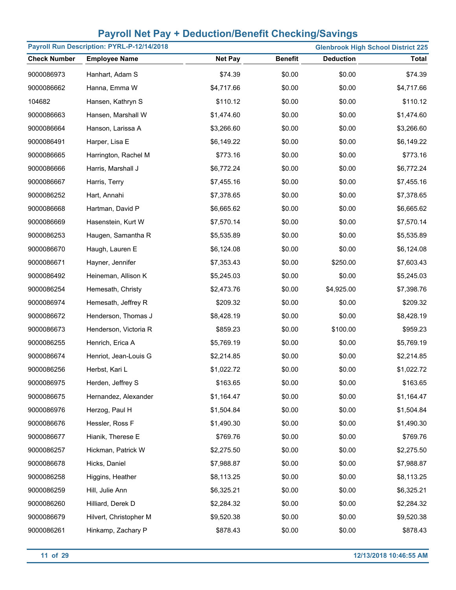| Payroll Run Description: PYRL-P-12/14/2018 |                        |                |                | <b>Glenbrook High School District 225</b> |              |
|--------------------------------------------|------------------------|----------------|----------------|-------------------------------------------|--------------|
| <b>Check Number</b>                        | <b>Employee Name</b>   | <b>Net Pay</b> | <b>Benefit</b> | <b>Deduction</b>                          | <b>Total</b> |
| 9000086973                                 | Hanhart, Adam S        | \$74.39        | \$0.00         | \$0.00                                    | \$74.39      |
| 9000086662                                 | Hanna, Emma W          | \$4,717.66     | \$0.00         | \$0.00                                    | \$4,717.66   |
| 104682                                     | Hansen, Kathryn S      | \$110.12       | \$0.00         | \$0.00                                    | \$110.12     |
| 9000086663                                 | Hansen, Marshall W     | \$1,474.60     | \$0.00         | \$0.00                                    | \$1,474.60   |
| 9000086664                                 | Hanson, Larissa A      | \$3,266.60     | \$0.00         | \$0.00                                    | \$3,266.60   |
| 9000086491                                 | Harper, Lisa E         | \$6,149.22     | \$0.00         | \$0.00                                    | \$6,149.22   |
| 9000086665                                 | Harrington, Rachel M   | \$773.16       | \$0.00         | \$0.00                                    | \$773.16     |
| 9000086666                                 | Harris, Marshall J     | \$6,772.24     | \$0.00         | \$0.00                                    | \$6,772.24   |
| 9000086667                                 | Harris, Terry          | \$7,455.16     | \$0.00         | \$0.00                                    | \$7,455.16   |
| 9000086252                                 | Hart, Annahi           | \$7,378.65     | \$0.00         | \$0.00                                    | \$7,378.65   |
| 9000086668                                 | Hartman, David P       | \$6,665.62     | \$0.00         | \$0.00                                    | \$6,665.62   |
| 9000086669                                 | Hasenstein, Kurt W     | \$7,570.14     | \$0.00         | \$0.00                                    | \$7,570.14   |
| 9000086253                                 | Haugen, Samantha R     | \$5,535.89     | \$0.00         | \$0.00                                    | \$5,535.89   |
| 9000086670                                 | Haugh, Lauren E        | \$6,124.08     | \$0.00         | \$0.00                                    | \$6,124.08   |
| 9000086671                                 | Hayner, Jennifer       | \$7,353.43     | \$0.00         | \$250.00                                  | \$7,603.43   |
| 9000086492                                 | Heineman, Allison K    | \$5,245.03     | \$0.00         | \$0.00                                    | \$5,245.03   |
| 9000086254                                 | Hemesath, Christy      | \$2,473.76     | \$0.00         | \$4,925.00                                | \$7,398.76   |
| 9000086974                                 | Hemesath, Jeffrey R    | \$209.32       | \$0.00         | \$0.00                                    | \$209.32     |
| 9000086672                                 | Henderson, Thomas J    | \$8,428.19     | \$0.00         | \$0.00                                    | \$8,428.19   |
| 9000086673                                 | Henderson, Victoria R  | \$859.23       | \$0.00         | \$100.00                                  | \$959.23     |
| 9000086255                                 | Henrich, Erica A       | \$5,769.19     | \$0.00         | \$0.00                                    | \$5,769.19   |
| 9000086674                                 | Henriot, Jean-Louis G  | \$2,214.85     | \$0.00         | \$0.00                                    | \$2,214.85   |
| 9000086256                                 | Herbst, Kari L         | \$1,022.72     | \$0.00         | \$0.00                                    | \$1,022.72   |
| 9000086975                                 | Herden, Jeffrey S      | \$163.65       | \$0.00         | \$0.00                                    | \$163.65     |
| 9000086675                                 | Hernandez, Alexander   | \$1,164.47     | \$0.00         | \$0.00                                    | \$1,164.47   |
| 9000086976                                 | Herzog, Paul H         | \$1,504.84     | \$0.00         | \$0.00                                    | \$1,504.84   |
| 9000086676                                 | Hessler, Ross F        | \$1,490.30     | \$0.00         | \$0.00                                    | \$1,490.30   |
| 9000086677                                 | Hianik, Therese E      | \$769.76       | \$0.00         | \$0.00                                    | \$769.76     |
| 9000086257                                 | Hickman, Patrick W     | \$2,275.50     | \$0.00         | \$0.00                                    | \$2,275.50   |
| 9000086678                                 | Hicks, Daniel          | \$7,988.87     | \$0.00         | \$0.00                                    | \$7,988.87   |
| 9000086258                                 | Higgins, Heather       | \$8,113.25     | \$0.00         | \$0.00                                    | \$8,113.25   |
| 9000086259                                 | Hill, Julie Ann        | \$6,325.21     | \$0.00         | \$0.00                                    | \$6,325.21   |
| 9000086260                                 | Hilliard, Derek D      | \$2,284.32     | \$0.00         | \$0.00                                    | \$2,284.32   |
| 9000086679                                 | Hilvert, Christopher M | \$9,520.38     | \$0.00         | \$0.00                                    | \$9,520.38   |
| 9000086261                                 | Hinkamp, Zachary P     | \$878.43       | \$0.00         | \$0.00                                    | \$878.43     |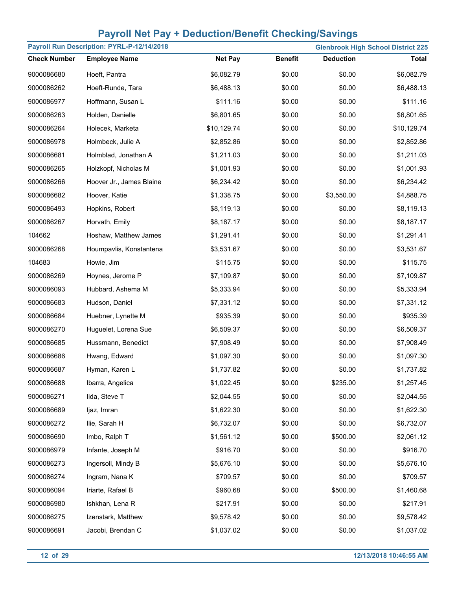| Payroll Run Description: PYRL-P-12/14/2018<br><b>Glenbrook High School District 225</b> |                          |                |                |                  |              |
|-----------------------------------------------------------------------------------------|--------------------------|----------------|----------------|------------------|--------------|
| <b>Check Number</b>                                                                     | <b>Employee Name</b>     | <b>Net Pay</b> | <b>Benefit</b> | <b>Deduction</b> | <b>Total</b> |
| 9000086680                                                                              | Hoeft, Pantra            | \$6,082.79     | \$0.00         | \$0.00           | \$6,082.79   |
| 9000086262                                                                              | Hoeft-Runde, Tara        | \$6,488.13     | \$0.00         | \$0.00           | \$6,488.13   |
| 9000086977                                                                              | Hoffmann, Susan L        | \$111.16       | \$0.00         | \$0.00           | \$111.16     |
| 9000086263                                                                              | Holden, Danielle         | \$6,801.65     | \$0.00         | \$0.00           | \$6,801.65   |
| 9000086264                                                                              | Holecek, Marketa         | \$10,129.74    | \$0.00         | \$0.00           | \$10,129.74  |
| 9000086978                                                                              | Holmbeck, Julie A        | \$2,852.86     | \$0.00         | \$0.00           | \$2,852.86   |
| 9000086681                                                                              | Holmblad, Jonathan A     | \$1,211.03     | \$0.00         | \$0.00           | \$1,211.03   |
| 9000086265                                                                              | Holzkopf, Nicholas M     | \$1,001.93     | \$0.00         | \$0.00           | \$1,001.93   |
| 9000086266                                                                              | Hoover Jr., James Blaine | \$6,234.42     | \$0.00         | \$0.00           | \$6,234.42   |
| 9000086682                                                                              | Hoover, Katie            | \$1,338.75     | \$0.00         | \$3,550.00       | \$4,888.75   |
| 9000086493                                                                              | Hopkins, Robert          | \$8,119.13     | \$0.00         | \$0.00           | \$8,119.13   |
| 9000086267                                                                              | Horvath, Emily           | \$8,187.17     | \$0.00         | \$0.00           | \$8,187.17   |
| 104662                                                                                  | Hoshaw, Matthew James    | \$1,291.41     | \$0.00         | \$0.00           | \$1,291.41   |
| 9000086268                                                                              | Houmpavlis, Konstantena  | \$3,531.67     | \$0.00         | \$0.00           | \$3,531.67   |
| 104683                                                                                  | Howie, Jim               | \$115.75       | \$0.00         | \$0.00           | \$115.75     |
| 9000086269                                                                              | Hoynes, Jerome P         | \$7,109.87     | \$0.00         | \$0.00           | \$7,109.87   |
| 9000086093                                                                              | Hubbard, Ashema M        | \$5,333.94     | \$0.00         | \$0.00           | \$5,333.94   |
| 9000086683                                                                              | Hudson, Daniel           | \$7,331.12     | \$0.00         | \$0.00           | \$7,331.12   |
| 9000086684                                                                              | Huebner, Lynette M       | \$935.39       | \$0.00         | \$0.00           | \$935.39     |
| 9000086270                                                                              | Huguelet, Lorena Sue     | \$6,509.37     | \$0.00         | \$0.00           | \$6,509.37   |
| 9000086685                                                                              | Hussmann, Benedict       | \$7,908.49     | \$0.00         | \$0.00           | \$7,908.49   |
| 9000086686                                                                              | Hwang, Edward            | \$1,097.30     | \$0.00         | \$0.00           | \$1,097.30   |
| 9000086687                                                                              | Hyman, Karen L           | \$1,737.82     | \$0.00         | \$0.00           | \$1,737.82   |
| 9000086688                                                                              | Ibarra, Angelica         | \$1,022.45     | \$0.00         | \$235.00         | \$1,257.45   |
| 9000086271                                                                              | lida, Steve T            | \$2,044.55     | \$0.00         | \$0.00           | \$2,044.55   |
| 9000086689                                                                              | ljaz, Imran              | \$1,622.30     | \$0.00         | \$0.00           | \$1,622.30   |
| 9000086272                                                                              | Ilie, Sarah H            | \$6,732.07     | \$0.00         | \$0.00           | \$6,732.07   |
| 9000086690                                                                              | Imbo, Ralph T            | \$1,561.12     | \$0.00         | \$500.00         | \$2,061.12   |
| 9000086979                                                                              | Infante, Joseph M        | \$916.70       | \$0.00         | \$0.00           | \$916.70     |
| 9000086273                                                                              | Ingersoll, Mindy B       | \$5,676.10     | \$0.00         | \$0.00           | \$5,676.10   |
| 9000086274                                                                              | Ingram, Nana K           | \$709.57       | \$0.00         | \$0.00           | \$709.57     |
| 9000086094                                                                              | Iriarte, Rafael B        | \$960.68       | \$0.00         | \$500.00         | \$1,460.68   |
| 9000086980                                                                              | Ishkhan, Lena R          | \$217.91       | \$0.00         | \$0.00           | \$217.91     |
| 9000086275                                                                              | Izenstark, Matthew       | \$9,578.42     | \$0.00         | \$0.00           | \$9,578.42   |
| 9000086691                                                                              | Jacobi, Brendan C        | \$1,037.02     | \$0.00         | \$0.00           | \$1,037.02   |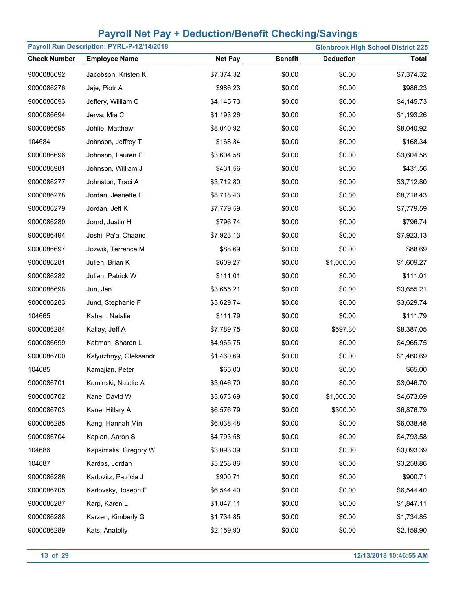| Payroll Run Description: PYRL-P-12/14/2018 |                       |                |                |                  | <b>Glenbrook High School District 225</b> |
|--------------------------------------------|-----------------------|----------------|----------------|------------------|-------------------------------------------|
| <b>Check Number</b>                        | <b>Employee Name</b>  | <b>Net Pay</b> | <b>Benefit</b> | <b>Deduction</b> | <b>Total</b>                              |
| 9000086692                                 | Jacobson, Kristen K   | \$7,374.32     | \$0.00         | \$0.00           | \$7,374.32                                |
| 9000086276                                 | Jaje, Piotr A         | \$986.23       | \$0.00         | \$0.00           | \$986.23                                  |
| 9000086693                                 | Jeffery, William C    | \$4,145.73     | \$0.00         | \$0.00           | \$4,145.73                                |
| 9000086694                                 | Jerva, Mia C          | \$1,193.26     | \$0.00         | \$0.00           | \$1,193.26                                |
| 9000086695                                 | Johlie, Matthew       | \$8,040.92     | \$0.00         | \$0.00           | \$8,040.92                                |
| 104684                                     | Johnson, Jeffrey T    | \$168.34       | \$0.00         | \$0.00           | \$168.34                                  |
| 9000086696                                 | Johnson, Lauren E     | \$3,604.58     | \$0.00         | \$0.00           | \$3,604.58                                |
| 9000086981                                 | Johnson, William J    | \$431.56       | \$0.00         | \$0.00           | \$431.56                                  |
| 9000086277                                 | Johnston, Traci A     | \$3,712.80     | \$0.00         | \$0.00           | \$3,712.80                                |
| 9000086278                                 | Jordan, Jeanette L    | \$8,718.43     | \$0.00         | \$0.00           | \$8,718.43                                |
| 9000086279                                 | Jordan, Jeff K        | \$7,779.59     | \$0.00         | \$0.00           | \$7,779.59                                |
| 9000086280                                 | Jornd, Justin H       | \$796.74       | \$0.00         | \$0.00           | \$796.74                                  |
| 9000086494                                 | Joshi, Pa'al Chaand   | \$7,923.13     | \$0.00         | \$0.00           | \$7,923.13                                |
| 9000086697                                 | Jozwik, Terrence M    | \$88.69        | \$0.00         | \$0.00           | \$88.69                                   |
| 9000086281                                 | Julien, Brian K       | \$609.27       | \$0.00         | \$1,000.00       | \$1,609.27                                |
| 9000086282                                 | Julien, Patrick W     | \$111.01       | \$0.00         | \$0.00           | \$111.01                                  |
| 9000086698                                 | Jun, Jen              | \$3,655.21     | \$0.00         | \$0.00           | \$3,655.21                                |
| 9000086283                                 | Jund, Stephanie F     | \$3,629.74     | \$0.00         | \$0.00           | \$3,629.74                                |
| 104665                                     | Kahan, Natalie        | \$111.79       | \$0.00         | \$0.00           | \$111.79                                  |
| 9000086284                                 | Kallay, Jeff A        | \$7,789.75     | \$0.00         | \$597.30         | \$8,387.05                                |
| 9000086699                                 | Kaltman, Sharon L     | \$4,965.75     | \$0.00         | \$0.00           | \$4,965.75                                |
| 9000086700                                 | Kalyuzhnyy, Oleksandr | \$1,460.69     | \$0.00         | \$0.00           | \$1,460.69                                |
| 104685                                     | Kamajian, Peter       | \$65.00        | \$0.00         | \$0.00           | \$65.00                                   |
| 9000086701                                 | Kaminski, Natalie A   | \$3,046.70     | \$0.00         | \$0.00           | \$3,046.70                                |
| 9000086702                                 | Kane, David W         | \$3,673.69     | \$0.00         | \$1,000.00       | \$4,673.69                                |
| 9000086703                                 | Kane, Hillary A       | \$6,576.79     | \$0.00         | \$300.00         | \$6,876.79                                |
| 9000086285                                 | Kang, Hannah Min      | \$6,038.48     | \$0.00         | \$0.00           | \$6,038.48                                |
| 9000086704                                 | Kaplan, Aaron S       | \$4,793.58     | \$0.00         | \$0.00           | \$4,793.58                                |
| 104686                                     | Kapsimalis, Gregory W | \$3,093.39     | \$0.00         | \$0.00           | \$3,093.39                                |
| 104687                                     | Kardos, Jordan        | \$3,258.86     | \$0.00         | \$0.00           | \$3,258.86                                |
| 9000086286                                 | Karlovitz, Patricia J | \$900.71       | \$0.00         | \$0.00           | \$900.71                                  |
| 9000086705                                 | Karlovsky, Joseph F   | \$6,544.40     | \$0.00         | \$0.00           | \$6,544.40                                |
| 9000086287                                 | Karp, Karen L         | \$1,847.11     | \$0.00         | \$0.00           | \$1,847.11                                |
| 9000086288                                 | Karzen, Kimberly G    | \$1,734.85     | \$0.00         | \$0.00           | \$1,734.85                                |
| 9000086289                                 | Kats, Anatoliy        | \$2,159.90     | \$0.00         | \$0.00           | \$2,159.90                                |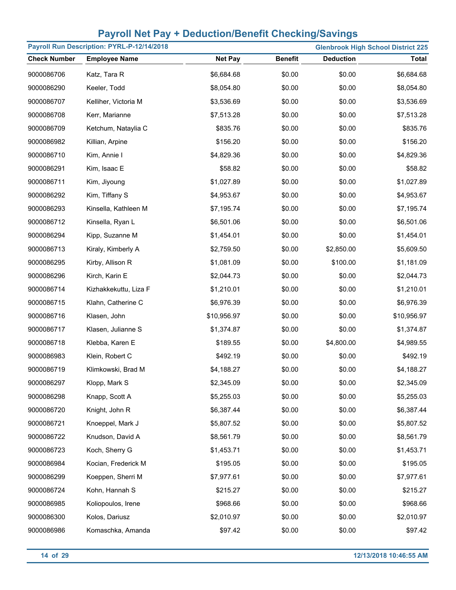| Payroll Run Description: PYRL-P-12/14/2018 |                       |                |                |                  | <b>Glenbrook High School District 225</b> |
|--------------------------------------------|-----------------------|----------------|----------------|------------------|-------------------------------------------|
| <b>Check Number</b>                        | <b>Employee Name</b>  | <b>Net Pay</b> | <b>Benefit</b> | <b>Deduction</b> | <b>Total</b>                              |
| 9000086706                                 | Katz, Tara R          | \$6,684.68     | \$0.00         | \$0.00           | \$6,684.68                                |
| 9000086290                                 | Keeler, Todd          | \$8,054.80     | \$0.00         | \$0.00           | \$8,054.80                                |
| 9000086707                                 | Kelliher, Victoria M  | \$3,536.69     | \$0.00         | \$0.00           | \$3,536.69                                |
| 9000086708                                 | Kerr, Marianne        | \$7,513.28     | \$0.00         | \$0.00           | \$7,513.28                                |
| 9000086709                                 | Ketchum, Nataylia C   | \$835.76       | \$0.00         | \$0.00           | \$835.76                                  |
| 9000086982                                 | Killian, Arpine       | \$156.20       | \$0.00         | \$0.00           | \$156.20                                  |
| 9000086710                                 | Kim, Annie I          | \$4,829.36     | \$0.00         | \$0.00           | \$4,829.36                                |
| 9000086291                                 | Kim, Isaac E          | \$58.82        | \$0.00         | \$0.00           | \$58.82                                   |
| 9000086711                                 | Kim, Jiyoung          | \$1,027.89     | \$0.00         | \$0.00           | \$1,027.89                                |
| 9000086292                                 | Kim, Tiffany S        | \$4,953.67     | \$0.00         | \$0.00           | \$4,953.67                                |
| 9000086293                                 | Kinsella, Kathleen M  | \$7,195.74     | \$0.00         | \$0.00           | \$7,195.74                                |
| 9000086712                                 | Kinsella, Ryan L      | \$6,501.06     | \$0.00         | \$0.00           | \$6,501.06                                |
| 9000086294                                 | Kipp, Suzanne M       | \$1,454.01     | \$0.00         | \$0.00           | \$1,454.01                                |
| 9000086713                                 | Kiraly, Kimberly A    | \$2,759.50     | \$0.00         | \$2,850.00       | \$5,609.50                                |
| 9000086295                                 | Kirby, Allison R      | \$1,081.09     | \$0.00         | \$100.00         | \$1,181.09                                |
| 9000086296                                 | Kirch, Karin E        | \$2,044.73     | \$0.00         | \$0.00           | \$2,044.73                                |
| 9000086714                                 | Kizhakkekuttu, Liza F | \$1,210.01     | \$0.00         | \$0.00           | \$1,210.01                                |
| 9000086715                                 | Klahn, Catherine C    | \$6,976.39     | \$0.00         | \$0.00           | \$6,976.39                                |
| 9000086716                                 | Klasen, John          | \$10,956.97    | \$0.00         | \$0.00           | \$10,956.97                               |
| 9000086717                                 | Klasen, Julianne S    | \$1,374.87     | \$0.00         | \$0.00           | \$1,374.87                                |
| 9000086718                                 | Klebba, Karen E       | \$189.55       | \$0.00         | \$4,800.00       | \$4,989.55                                |
| 9000086983                                 | Klein, Robert C       | \$492.19       | \$0.00         | \$0.00           | \$492.19                                  |
| 9000086719                                 | Klimkowski, Brad M    | \$4,188.27     | \$0.00         | \$0.00           | \$4,188.27                                |
| 9000086297                                 | Klopp, Mark S         | \$2,345.09     | \$0.00         | \$0.00           | \$2,345.09                                |
| 9000086298                                 | Knapp, Scott A        | \$5,255.03     | \$0.00         | \$0.00           | \$5,255.03                                |
| 9000086720                                 | Knight, John R        | \$6,387.44     | \$0.00         | \$0.00           | \$6,387.44                                |
| 9000086721                                 | Knoeppel, Mark J      | \$5,807.52     | \$0.00         | \$0.00           | \$5,807.52                                |
| 9000086722                                 | Knudson, David A      | \$8,561.79     | \$0.00         | \$0.00           | \$8,561.79                                |
| 9000086723                                 | Koch, Sherry G        | \$1,453.71     | \$0.00         | \$0.00           | \$1,453.71                                |
| 9000086984                                 | Kocian, Frederick M   | \$195.05       | \$0.00         | \$0.00           | \$195.05                                  |
| 9000086299                                 | Koeppen, Sherri M     | \$7,977.61     | \$0.00         | \$0.00           | \$7,977.61                                |
| 9000086724                                 | Kohn, Hannah S        | \$215.27       | \$0.00         | \$0.00           | \$215.27                                  |
| 9000086985                                 | Koliopoulos, Irene    | \$968.66       | \$0.00         | \$0.00           | \$968.66                                  |
| 9000086300                                 | Kolos, Dariusz        | \$2,010.97     | \$0.00         | \$0.00           | \$2,010.97                                |
| 9000086986                                 | Komaschka, Amanda     | \$97.42        | \$0.00         | \$0.00           | \$97.42                                   |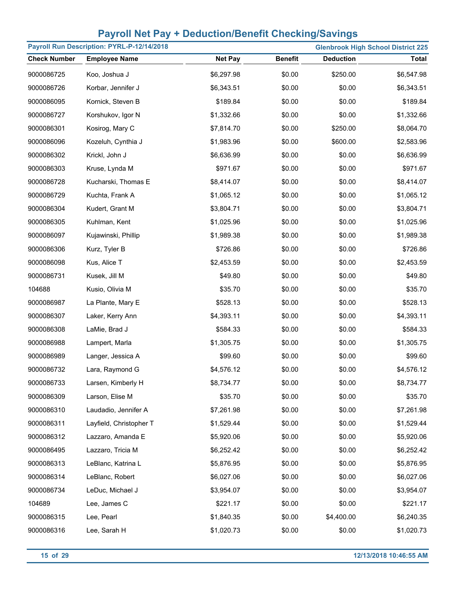| Payroll Run Description: PYRL-P-12/14/2018 |                         |                |                | <b>Glenbrook High School District 225</b> |            |
|--------------------------------------------|-------------------------|----------------|----------------|-------------------------------------------|------------|
| <b>Check Number</b>                        | <b>Employee Name</b>    | <b>Net Pay</b> | <b>Benefit</b> | <b>Deduction</b>                          | Total      |
| 9000086725                                 | Koo, Joshua J           | \$6,297.98     | \$0.00         | \$250.00                                  | \$6,547.98 |
| 9000086726                                 | Korbar, Jennifer J      | \$6,343.51     | \$0.00         | \$0.00                                    | \$6,343.51 |
| 9000086095                                 | Kornick, Steven B       | \$189.84       | \$0.00         | \$0.00                                    | \$189.84   |
| 9000086727                                 | Korshukov, Igor N       | \$1,332.66     | \$0.00         | \$0.00                                    | \$1,332.66 |
| 9000086301                                 | Kosirog, Mary C         | \$7,814.70     | \$0.00         | \$250.00                                  | \$8,064.70 |
| 9000086096                                 | Kozeluh, Cynthia J      | \$1,983.96     | \$0.00         | \$600.00                                  | \$2,583.96 |
| 9000086302                                 | Krickl, John J          | \$6,636.99     | \$0.00         | \$0.00                                    | \$6,636.99 |
| 9000086303                                 | Kruse, Lynda M          | \$971.67       | \$0.00         | \$0.00                                    | \$971.67   |
| 9000086728                                 | Kucharski, Thomas E     | \$8,414.07     | \$0.00         | \$0.00                                    | \$8,414.07 |
| 9000086729                                 | Kuchta, Frank A         | \$1,065.12     | \$0.00         | \$0.00                                    | \$1,065.12 |
| 9000086304                                 | Kudert, Grant M         | \$3,804.71     | \$0.00         | \$0.00                                    | \$3,804.71 |
| 9000086305                                 | Kuhlman, Kent           | \$1,025.96     | \$0.00         | \$0.00                                    | \$1,025.96 |
| 9000086097                                 | Kujawinski, Phillip     | \$1,989.38     | \$0.00         | \$0.00                                    | \$1,989.38 |
| 9000086306                                 | Kurz, Tyler B           | \$726.86       | \$0.00         | \$0.00                                    | \$726.86   |
| 9000086098                                 | Kus, Alice T            | \$2,453.59     | \$0.00         | \$0.00                                    | \$2,453.59 |
| 9000086731                                 | Kusek, Jill M           | \$49.80        | \$0.00         | \$0.00                                    | \$49.80    |
| 104688                                     | Kusio, Olivia M         | \$35.70        | \$0.00         | \$0.00                                    | \$35.70    |
| 9000086987                                 | La Plante, Mary E       | \$528.13       | \$0.00         | \$0.00                                    | \$528.13   |
| 9000086307                                 | Laker, Kerry Ann        | \$4,393.11     | \$0.00         | \$0.00                                    | \$4,393.11 |
| 9000086308                                 | LaMie, Brad J           | \$584.33       | \$0.00         | \$0.00                                    | \$584.33   |
| 9000086988                                 | Lampert, Marla          | \$1,305.75     | \$0.00         | \$0.00                                    | \$1,305.75 |
| 9000086989                                 | Langer, Jessica A       | \$99.60        | \$0.00         | \$0.00                                    | \$99.60    |
| 9000086732                                 | Lara, Raymond G         | \$4,576.12     | \$0.00         | \$0.00                                    | \$4,576.12 |
| 9000086733                                 | Larsen, Kimberly H      | \$8,734.77     | \$0.00         | \$0.00                                    | \$8,734.77 |
| 9000086309                                 | Larson, Elise M         | \$35.70        | \$0.00         | \$0.00                                    | \$35.70    |
| 9000086310                                 | Laudadio, Jennifer A    | \$7,261.98     | \$0.00         | \$0.00                                    | \$7,261.98 |
| 9000086311                                 | Layfield, Christopher T | \$1,529.44     | \$0.00         | \$0.00                                    | \$1,529.44 |
| 9000086312                                 | Lazzaro, Amanda E       | \$5,920.06     | \$0.00         | \$0.00                                    | \$5,920.06 |
| 9000086495                                 | Lazzaro, Tricia M       | \$6,252.42     | \$0.00         | \$0.00                                    | \$6,252.42 |
| 9000086313                                 | LeBlanc, Katrina L      | \$5,876.95     | \$0.00         | \$0.00                                    | \$5,876.95 |
| 9000086314                                 | LeBlanc, Robert         | \$6,027.06     | \$0.00         | \$0.00                                    | \$6,027.06 |
| 9000086734                                 | LeDuc, Michael J        | \$3,954.07     | \$0.00         | \$0.00                                    | \$3,954.07 |
| 104689                                     | Lee, James C            | \$221.17       | \$0.00         | \$0.00                                    | \$221.17   |
| 9000086315                                 | Lee, Pearl              | \$1,840.35     | \$0.00         | \$4,400.00                                | \$6,240.35 |
| 9000086316                                 | Lee, Sarah H            | \$1,020.73     | \$0.00         | \$0.00                                    | \$1,020.73 |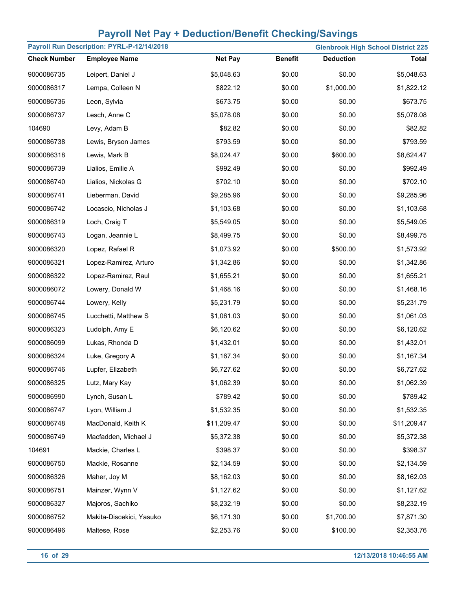| Payroll Run Description: PYRL-P-12/14/2018<br><b>Glenbrook High School District 225</b> |                          |                |                |                  |              |
|-----------------------------------------------------------------------------------------|--------------------------|----------------|----------------|------------------|--------------|
| <b>Check Number</b>                                                                     | <b>Employee Name</b>     | <b>Net Pay</b> | <b>Benefit</b> | <b>Deduction</b> | <b>Total</b> |
| 9000086735                                                                              | Leipert, Daniel J        | \$5,048.63     | \$0.00         | \$0.00           | \$5,048.63   |
| 9000086317                                                                              | Lempa, Colleen N         | \$822.12       | \$0.00         | \$1,000.00       | \$1,822.12   |
| 9000086736                                                                              | Leon, Sylvia             | \$673.75       | \$0.00         | \$0.00           | \$673.75     |
| 9000086737                                                                              | Lesch, Anne C            | \$5,078.08     | \$0.00         | \$0.00           | \$5,078.08   |
| 104690                                                                                  | Levy, Adam B             | \$82.82        | \$0.00         | \$0.00           | \$82.82      |
| 9000086738                                                                              | Lewis, Bryson James      | \$793.59       | \$0.00         | \$0.00           | \$793.59     |
| 9000086318                                                                              | Lewis, Mark B            | \$8,024.47     | \$0.00         | \$600.00         | \$8,624.47   |
| 9000086739                                                                              | Lialios, Emilie A        | \$992.49       | \$0.00         | \$0.00           | \$992.49     |
| 9000086740                                                                              | Lialios, Nickolas G      | \$702.10       | \$0.00         | \$0.00           | \$702.10     |
| 9000086741                                                                              | Lieberman, David         | \$9,285.96     | \$0.00         | \$0.00           | \$9,285.96   |
| 9000086742                                                                              | Locascio, Nicholas J     | \$1,103.68     | \$0.00         | \$0.00           | \$1,103.68   |
| 9000086319                                                                              | Loch, Craig T            | \$5,549.05     | \$0.00         | \$0.00           | \$5,549.05   |
| 9000086743                                                                              | Logan, Jeannie L         | \$8,499.75     | \$0.00         | \$0.00           | \$8,499.75   |
| 9000086320                                                                              | Lopez, Rafael R          | \$1,073.92     | \$0.00         | \$500.00         | \$1,573.92   |
| 9000086321                                                                              | Lopez-Ramirez, Arturo    | \$1,342.86     | \$0.00         | \$0.00           | \$1,342.86   |
| 9000086322                                                                              | Lopez-Ramirez, Raul      | \$1,655.21     | \$0.00         | \$0.00           | \$1,655.21   |
| 9000086072                                                                              | Lowery, Donald W         | \$1,468.16     | \$0.00         | \$0.00           | \$1,468.16   |
| 9000086744                                                                              | Lowery, Kelly            | \$5,231.79     | \$0.00         | \$0.00           | \$5,231.79   |
| 9000086745                                                                              | Lucchetti, Matthew S     | \$1,061.03     | \$0.00         | \$0.00           | \$1,061.03   |
| 9000086323                                                                              | Ludolph, Amy E           | \$6,120.62     | \$0.00         | \$0.00           | \$6,120.62   |
| 9000086099                                                                              | Lukas, Rhonda D          | \$1,432.01     | \$0.00         | \$0.00           | \$1,432.01   |
| 9000086324                                                                              | Luke, Gregory A          | \$1,167.34     | \$0.00         | \$0.00           | \$1,167.34   |
| 9000086746                                                                              | Lupfer, Elizabeth        | \$6,727.62     | \$0.00         | \$0.00           | \$6,727.62   |
| 9000086325                                                                              | Lutz, Mary Kay           | \$1,062.39     | \$0.00         | \$0.00           | \$1,062.39   |
| 9000086990                                                                              | Lynch, Susan L           | \$789.42       | \$0.00         | \$0.00           | \$789.42     |
| 9000086747                                                                              | Lyon, William J          | \$1,532.35     | \$0.00         | \$0.00           | \$1,532.35   |
| 9000086748                                                                              | MacDonald, Keith K       | \$11,209.47    | \$0.00         | \$0.00           | \$11,209.47  |
| 9000086749                                                                              | Macfadden, Michael J     | \$5,372.38     | \$0.00         | \$0.00           | \$5,372.38   |
| 104691                                                                                  | Mackie, Charles L        | \$398.37       | \$0.00         | \$0.00           | \$398.37     |
| 9000086750                                                                              | Mackie, Rosanne          | \$2,134.59     | \$0.00         | \$0.00           | \$2,134.59   |
| 9000086326                                                                              | Maher, Joy M             | \$8,162.03     | \$0.00         | \$0.00           | \$8,162.03   |
| 9000086751                                                                              | Mainzer, Wynn V          | \$1,127.62     | \$0.00         | \$0.00           | \$1,127.62   |
| 9000086327                                                                              | Majoros, Sachiko         | \$8,232.19     | \$0.00         | \$0.00           | \$8,232.19   |
| 9000086752                                                                              | Makita-Discekici, Yasuko | \$6,171.30     | \$0.00         | \$1,700.00       | \$7,871.30   |
| 9000086496                                                                              | Maltese, Rose            | \$2,253.76     | \$0.00         | \$100.00         | \$2,353.76   |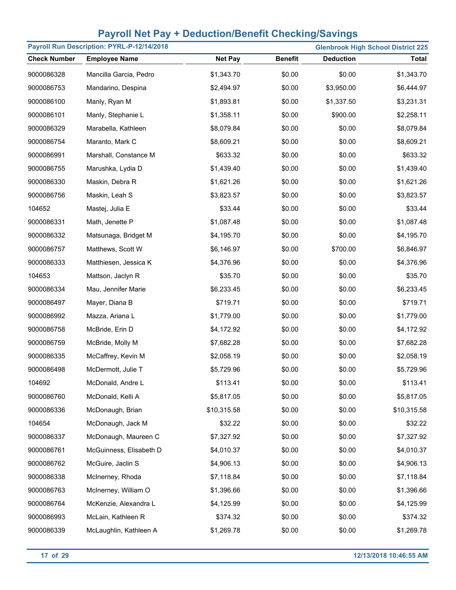| Payroll Run Description: PYRL-P-12/14/2018<br><b>Glenbrook High School District 225</b> |                         |                |                |                  |              |
|-----------------------------------------------------------------------------------------|-------------------------|----------------|----------------|------------------|--------------|
| <b>Check Number</b>                                                                     | <b>Employee Name</b>    | <b>Net Pay</b> | <b>Benefit</b> | <b>Deduction</b> | <b>Total</b> |
| 9000086328                                                                              | Mancilla Garcia, Pedro  | \$1,343.70     | \$0.00         | \$0.00           | \$1,343.70   |
| 9000086753                                                                              | Mandarino, Despina      | \$2,494.97     | \$0.00         | \$3,950.00       | \$6,444.97   |
| 9000086100                                                                              | Manly, Ryan M           | \$1,893.81     | \$0.00         | \$1,337.50       | \$3,231.31   |
| 9000086101                                                                              | Manly, Stephanie L      | \$1,358.11     | \$0.00         | \$900.00         | \$2,258.11   |
| 9000086329                                                                              | Marabella, Kathleen     | \$8,079.84     | \$0.00         | \$0.00           | \$8,079.84   |
| 9000086754                                                                              | Maranto, Mark C         | \$8,609.21     | \$0.00         | \$0.00           | \$8,609.21   |
| 9000086991                                                                              | Marshall, Constance M   | \$633.32       | \$0.00         | \$0.00           | \$633.32     |
| 9000086755                                                                              | Marushka, Lydia D       | \$1,439.40     | \$0.00         | \$0.00           | \$1,439.40   |
| 9000086330                                                                              | Maskin, Debra R         | \$1,621.26     | \$0.00         | \$0.00           | \$1,621.26   |
| 9000086756                                                                              | Maskin, Leah S          | \$3,823.57     | \$0.00         | \$0.00           | \$3,823.57   |
| 104652                                                                                  | Mastej, Julia E         | \$33.44        | \$0.00         | \$0.00           | \$33.44      |
| 9000086331                                                                              | Math, Jenette P         | \$1,087.48     | \$0.00         | \$0.00           | \$1,087.48   |
| 9000086332                                                                              | Matsunaga, Bridget M    | \$4,195.70     | \$0.00         | \$0.00           | \$4,195.70   |
| 9000086757                                                                              | Matthews, Scott W       | \$6,146.97     | \$0.00         | \$700.00         | \$6,846.97   |
| 9000086333                                                                              | Matthiesen, Jessica K   | \$4,376.96     | \$0.00         | \$0.00           | \$4,376.96   |
| 104653                                                                                  | Mattson, Jaclyn R       | \$35.70        | \$0.00         | \$0.00           | \$35.70      |
| 9000086334                                                                              | Mau, Jennifer Marie     | \$6,233.45     | \$0.00         | \$0.00           | \$6,233.45   |
| 9000086497                                                                              | Mayer, Diana B          | \$719.71       | \$0.00         | \$0.00           | \$719.71     |
| 9000086992                                                                              | Mazza, Ariana L         | \$1,779.00     | \$0.00         | \$0.00           | \$1,779.00   |
| 9000086758                                                                              | McBride, Erin D         | \$4,172.92     | \$0.00         | \$0.00           | \$4,172.92   |
| 9000086759                                                                              | McBride, Molly M        | \$7,682.28     | \$0.00         | \$0.00           | \$7,682.28   |
| 9000086335                                                                              | McCaffrey, Kevin M      | \$2,058.19     | \$0.00         | \$0.00           | \$2,058.19   |
| 9000086498                                                                              | McDermott, Julie T      | \$5,729.96     | \$0.00         | \$0.00           | \$5,729.96   |
| 104692                                                                                  | McDonald, Andre L       | \$113.41       | \$0.00         | \$0.00           | \$113.41     |
| 9000086760                                                                              | McDonald, Kelli A       | \$5,817.05     | \$0.00         | \$0.00           | \$5,817.05   |
| 9000086336                                                                              | McDonaugh, Brian        | \$10,315.58    | \$0.00         | \$0.00           | \$10,315.58  |
| 104654                                                                                  | McDonaugh, Jack M       | \$32.22        | \$0.00         | \$0.00           | \$32.22      |
| 9000086337                                                                              | McDonaugh, Maureen C    | \$7,327.92     | \$0.00         | \$0.00           | \$7,327.92   |
| 9000086761                                                                              | McGuinness, Elisabeth D | \$4,010.37     | \$0.00         | \$0.00           | \$4,010.37   |
| 9000086762                                                                              | McGuire, Jaclin S       | \$4,906.13     | \$0.00         | \$0.00           | \$4,906.13   |
| 9000086338                                                                              | McInerney, Rhoda        | \$7,118.84     | \$0.00         | \$0.00           | \$7,118.84   |
| 9000086763                                                                              | McInerney, William O    | \$1,396.66     | \$0.00         | \$0.00           | \$1,396.66   |
| 9000086764                                                                              | McKenzie, Alexandra L   | \$4,125.99     | \$0.00         | \$0.00           | \$4,125.99   |
| 9000086993                                                                              | McLain, Kathleen R      | \$374.32       | \$0.00         | \$0.00           | \$374.32     |
| 9000086339                                                                              | McLaughlin, Kathleen A  | \$1,269.78     | \$0.00         | \$0.00           | \$1,269.78   |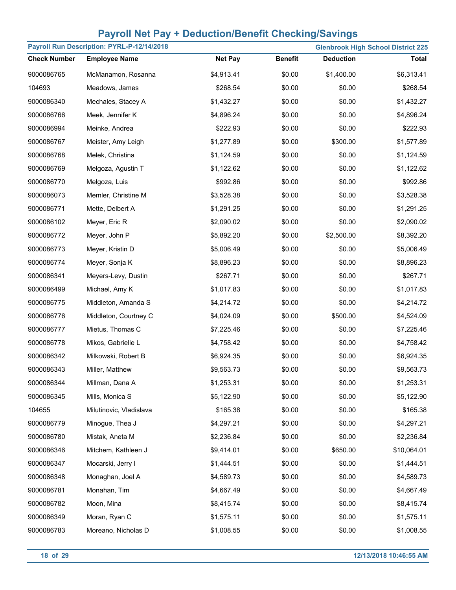| Payroll Run Description: PYRL-P-12/14/2018 |                         |                |                | <b>Glenbrook High School District 225</b> |              |
|--------------------------------------------|-------------------------|----------------|----------------|-------------------------------------------|--------------|
| <b>Check Number</b>                        | <b>Employee Name</b>    | <b>Net Pay</b> | <b>Benefit</b> | <b>Deduction</b>                          | <b>Total</b> |
| 9000086765                                 | McManamon, Rosanna      | \$4,913.41     | \$0.00         | \$1,400.00                                | \$6,313.41   |
| 104693                                     | Meadows, James          | \$268.54       | \$0.00         | \$0.00                                    | \$268.54     |
| 9000086340                                 | Mechales, Stacey A      | \$1,432.27     | \$0.00         | \$0.00                                    | \$1,432.27   |
| 9000086766                                 | Meek, Jennifer K        | \$4,896.24     | \$0.00         | \$0.00                                    | \$4,896.24   |
| 9000086994                                 | Meinke, Andrea          | \$222.93       | \$0.00         | \$0.00                                    | \$222.93     |
| 9000086767                                 | Meister, Amy Leigh      | \$1,277.89     | \$0.00         | \$300.00                                  | \$1,577.89   |
| 9000086768                                 | Melek, Christina        | \$1,124.59     | \$0.00         | \$0.00                                    | \$1,124.59   |
| 9000086769                                 | Melgoza, Agustin T      | \$1,122.62     | \$0.00         | \$0.00                                    | \$1,122.62   |
| 9000086770                                 | Melgoza, Luis           | \$992.86       | \$0.00         | \$0.00                                    | \$992.86     |
| 9000086073                                 | Memler, Christine M     | \$3,528.38     | \$0.00         | \$0.00                                    | \$3,528.38   |
| 9000086771                                 | Mette, Delbert A        | \$1,291.25     | \$0.00         | \$0.00                                    | \$1,291.25   |
| 9000086102                                 | Meyer, Eric R           | \$2,090.02     | \$0.00         | \$0.00                                    | \$2,090.02   |
| 9000086772                                 | Meyer, John P           | \$5,892.20     | \$0.00         | \$2,500.00                                | \$8,392.20   |
| 9000086773                                 | Meyer, Kristin D        | \$5,006.49     | \$0.00         | \$0.00                                    | \$5,006.49   |
| 9000086774                                 | Meyer, Sonja K          | \$8,896.23     | \$0.00         | \$0.00                                    | \$8,896.23   |
| 9000086341                                 | Meyers-Levy, Dustin     | \$267.71       | \$0.00         | \$0.00                                    | \$267.71     |
| 9000086499                                 | Michael, Amy K          | \$1,017.83     | \$0.00         | \$0.00                                    | \$1,017.83   |
| 9000086775                                 | Middleton, Amanda S     | \$4,214.72     | \$0.00         | \$0.00                                    | \$4,214.72   |
| 9000086776                                 | Middleton, Courtney C   | \$4,024.09     | \$0.00         | \$500.00                                  | \$4,524.09   |
| 9000086777                                 | Mietus, Thomas C        | \$7,225.46     | \$0.00         | \$0.00                                    | \$7,225.46   |
| 9000086778                                 | Mikos, Gabrielle L      | \$4,758.42     | \$0.00         | \$0.00                                    | \$4,758.42   |
| 9000086342                                 | Milkowski, Robert B     | \$6,924.35     | \$0.00         | \$0.00                                    | \$6,924.35   |
| 9000086343                                 | Miller, Matthew         | \$9,563.73     | \$0.00         | \$0.00                                    | \$9,563.73   |
| 9000086344                                 | Millman, Dana A         | \$1,253.31     | \$0.00         | \$0.00                                    | \$1,253.31   |
| 9000086345                                 | Mills, Monica S         | \$5,122.90     | \$0.00         | \$0.00                                    | \$5,122.90   |
| 104655                                     | Milutinovic, Vladislava | \$165.38       | \$0.00         | \$0.00                                    | \$165.38     |
| 9000086779                                 | Minogue, Thea J         | \$4,297.21     | \$0.00         | \$0.00                                    | \$4,297.21   |
| 9000086780                                 | Mistak, Aneta M         | \$2,236.84     | \$0.00         | \$0.00                                    | \$2,236.84   |
| 9000086346                                 | Mitchem, Kathleen J     | \$9,414.01     | \$0.00         | \$650.00                                  | \$10,064.01  |
| 9000086347                                 | Mocarski, Jerry I       | \$1,444.51     | \$0.00         | \$0.00                                    | \$1,444.51   |
| 9000086348                                 | Monaghan, Joel A        | \$4,589.73     | \$0.00         | \$0.00                                    | \$4,589.73   |
| 9000086781                                 | Monahan, Tim            | \$4,667.49     | \$0.00         | \$0.00                                    | \$4,667.49   |
| 9000086782                                 | Moon, Mina              | \$8,415.74     | \$0.00         | \$0.00                                    | \$8,415.74   |
| 9000086349                                 | Moran, Ryan C           | \$1,575.11     | \$0.00         | \$0.00                                    | \$1,575.11   |
| 9000086783                                 | Moreano, Nicholas D     | \$1,008.55     | \$0.00         | \$0.00                                    | \$1,008.55   |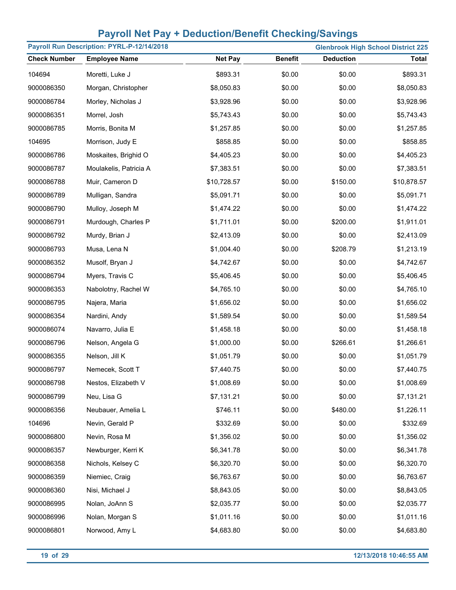| Payroll Run Description: PYRL-P-12/14/2018<br><b>Glenbrook High School District 225</b> |                        |                |                |                  |              |
|-----------------------------------------------------------------------------------------|------------------------|----------------|----------------|------------------|--------------|
| <b>Check Number</b>                                                                     | <b>Employee Name</b>   | <b>Net Pay</b> | <b>Benefit</b> | <b>Deduction</b> | <b>Total</b> |
| 104694                                                                                  | Moretti, Luke J        | \$893.31       | \$0.00         | \$0.00           | \$893.31     |
| 9000086350                                                                              | Morgan, Christopher    | \$8,050.83     | \$0.00         | \$0.00           | \$8,050.83   |
| 9000086784                                                                              | Morley, Nicholas J     | \$3,928.96     | \$0.00         | \$0.00           | \$3,928.96   |
| 9000086351                                                                              | Morrel, Josh           | \$5,743.43     | \$0.00         | \$0.00           | \$5,743.43   |
| 9000086785                                                                              | Morris, Bonita M       | \$1,257.85     | \$0.00         | \$0.00           | \$1,257.85   |
| 104695                                                                                  | Morrison, Judy E       | \$858.85       | \$0.00         | \$0.00           | \$858.85     |
| 9000086786                                                                              | Moskaites, Brighid O   | \$4,405.23     | \$0.00         | \$0.00           | \$4,405.23   |
| 9000086787                                                                              | Moulakelis, Patricia A | \$7,383.51     | \$0.00         | \$0.00           | \$7,383.51   |
| 9000086788                                                                              | Muir, Cameron D        | \$10,728.57    | \$0.00         | \$150.00         | \$10,878.57  |
| 9000086789                                                                              | Mulligan, Sandra       | \$5,091.71     | \$0.00         | \$0.00           | \$5,091.71   |
| 9000086790                                                                              | Mulloy, Joseph M       | \$1,474.22     | \$0.00         | \$0.00           | \$1,474.22   |
| 9000086791                                                                              | Murdough, Charles P    | \$1,711.01     | \$0.00         | \$200.00         | \$1,911.01   |
| 9000086792                                                                              | Murdy, Brian J         | \$2,413.09     | \$0.00         | \$0.00           | \$2,413.09   |
| 9000086793                                                                              | Musa, Lena N           | \$1,004.40     | \$0.00         | \$208.79         | \$1,213.19   |
| 9000086352                                                                              | Musolf, Bryan J        | \$4,742.67     | \$0.00         | \$0.00           | \$4,742.67   |
| 9000086794                                                                              | Myers, Travis C        | \$5,406.45     | \$0.00         | \$0.00           | \$5,406.45   |
| 9000086353                                                                              | Nabolotny, Rachel W    | \$4,765.10     | \$0.00         | \$0.00           | \$4,765.10   |
| 9000086795                                                                              | Najera, Maria          | \$1,656.02     | \$0.00         | \$0.00           | \$1,656.02   |
| 9000086354                                                                              | Nardini, Andy          | \$1,589.54     | \$0.00         | \$0.00           | \$1,589.54   |
| 9000086074                                                                              | Navarro, Julia E       | \$1,458.18     | \$0.00         | \$0.00           | \$1,458.18   |
| 9000086796                                                                              | Nelson, Angela G       | \$1,000.00     | \$0.00         | \$266.61         | \$1,266.61   |
| 9000086355                                                                              | Nelson, Jill K         | \$1,051.79     | \$0.00         | \$0.00           | \$1,051.79   |
| 9000086797                                                                              | Nemecek, Scott T       | \$7,440.75     | \$0.00         | \$0.00           | \$7,440.75   |
| 9000086798                                                                              | Nestos, Elizabeth V    | \$1,008.69     | \$0.00         | \$0.00           | \$1,008.69   |
| 9000086799                                                                              | Neu, Lisa G            | \$7,131.21     | \$0.00         | \$0.00           | \$7,131.21   |
| 9000086356                                                                              | Neubauer, Amelia L     | \$746.11       | \$0.00         | \$480.00         | \$1,226.11   |
| 104696                                                                                  | Nevin, Gerald P        | \$332.69       | \$0.00         | \$0.00           | \$332.69     |
| 9000086800                                                                              | Nevin, Rosa M          | \$1,356.02     | \$0.00         | \$0.00           | \$1,356.02   |
| 9000086357                                                                              | Newburger, Kerri K     | \$6,341.78     | \$0.00         | \$0.00           | \$6,341.78   |
| 9000086358                                                                              | Nichols, Kelsey C      | \$6,320.70     | \$0.00         | \$0.00           | \$6,320.70   |
| 9000086359                                                                              | Niemiec, Craig         | \$6,763.67     | \$0.00         | \$0.00           | \$6,763.67   |
| 9000086360                                                                              | Nisi, Michael J        | \$8,843.05     | \$0.00         | \$0.00           | \$8,843.05   |
| 9000086995                                                                              | Nolan, JoAnn S         | \$2,035.77     | \$0.00         | \$0.00           | \$2,035.77   |
| 9000086996                                                                              | Nolan, Morgan S        | \$1,011.16     | \$0.00         | \$0.00           | \$1,011.16   |
| 9000086801                                                                              | Norwood, Amy L         | \$4,683.80     | \$0.00         | \$0.00           | \$4,683.80   |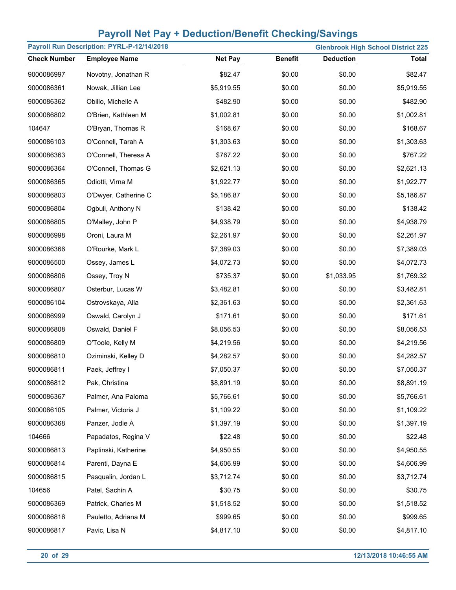| Payroll Run Description: PYRL-P-12/14/2018 |                      |                |                | <b>Glenbrook High School District 225</b> |              |  |
|--------------------------------------------|----------------------|----------------|----------------|-------------------------------------------|--------------|--|
| <b>Check Number</b>                        | <b>Employee Name</b> | <b>Net Pay</b> | <b>Benefit</b> | <b>Deduction</b>                          | <b>Total</b> |  |
| 9000086997                                 | Novotny, Jonathan R  | \$82.47        | \$0.00         | \$0.00                                    | \$82.47      |  |
| 9000086361                                 | Nowak, Jillian Lee   | \$5,919.55     | \$0.00         | \$0.00                                    | \$5,919.55   |  |
| 9000086362                                 | Obillo, Michelle A   | \$482.90       | \$0.00         | \$0.00                                    | \$482.90     |  |
| 9000086802                                 | O'Brien, Kathleen M  | \$1,002.81     | \$0.00         | \$0.00                                    | \$1,002.81   |  |
| 104647                                     | O'Bryan, Thomas R    | \$168.67       | \$0.00         | \$0.00                                    | \$168.67     |  |
| 9000086103                                 | O'Connell, Tarah A   | \$1,303.63     | \$0.00         | \$0.00                                    | \$1,303.63   |  |
| 9000086363                                 | O'Connell, Theresa A | \$767.22       | \$0.00         | \$0.00                                    | \$767.22     |  |
| 9000086364                                 | O'Connell, Thomas G  | \$2,621.13     | \$0.00         | \$0.00                                    | \$2,621.13   |  |
| 9000086365                                 | Odiotti, Virna M     | \$1,922.77     | \$0.00         | \$0.00                                    | \$1,922.77   |  |
| 9000086803                                 | O'Dwyer, Catherine C | \$5,186.87     | \$0.00         | \$0.00                                    | \$5,186.87   |  |
| 9000086804                                 | Ogbuli, Anthony N    | \$138.42       | \$0.00         | \$0.00                                    | \$138.42     |  |
| 9000086805                                 | O'Malley, John P     | \$4,938.79     | \$0.00         | \$0.00                                    | \$4,938.79   |  |
| 9000086998                                 | Oroni, Laura M       | \$2,261.97     | \$0.00         | \$0.00                                    | \$2,261.97   |  |
| 9000086366                                 | O'Rourke, Mark L     | \$7,389.03     | \$0.00         | \$0.00                                    | \$7,389.03   |  |
| 9000086500                                 | Ossey, James L       | \$4,072.73     | \$0.00         | \$0.00                                    | \$4,072.73   |  |
| 9000086806                                 | Ossey, Troy N        | \$735.37       | \$0.00         | \$1,033.95                                | \$1,769.32   |  |
| 9000086807                                 | Osterbur, Lucas W    | \$3,482.81     | \$0.00         | \$0.00                                    | \$3,482.81   |  |
| 9000086104                                 | Ostrovskaya, Alla    | \$2,361.63     | \$0.00         | \$0.00                                    | \$2,361.63   |  |
| 9000086999                                 | Oswald, Carolyn J    | \$171.61       | \$0.00         | \$0.00                                    | \$171.61     |  |
| 9000086808                                 | Oswald, Daniel F     | \$8,056.53     | \$0.00         | \$0.00                                    | \$8,056.53   |  |
| 9000086809                                 | O'Toole, Kelly M     | \$4,219.56     | \$0.00         | \$0.00                                    | \$4,219.56   |  |
| 9000086810                                 | Oziminski, Kelley D  | \$4,282.57     | \$0.00         | \$0.00                                    | \$4,282.57   |  |
| 9000086811                                 | Paek, Jeffrey I      | \$7,050.37     | \$0.00         | \$0.00                                    | \$7,050.37   |  |
| 9000086812                                 | Pak, Christina       | \$8,891.19     | \$0.00         | \$0.00                                    | \$8,891.19   |  |
| 9000086367                                 | Palmer, Ana Paloma   | \$5,766.61     | \$0.00         | \$0.00                                    | \$5,766.61   |  |
| 9000086105                                 | Palmer, Victoria J   | \$1,109.22     | \$0.00         | \$0.00                                    | \$1,109.22   |  |
| 9000086368                                 | Panzer, Jodie A      | \$1,397.19     | \$0.00         | \$0.00                                    | \$1,397.19   |  |
| 104666                                     | Papadatos, Regina V  | \$22.48        | \$0.00         | \$0.00                                    | \$22.48      |  |
| 9000086813                                 | Paplinski, Katherine | \$4,950.55     | \$0.00         | \$0.00                                    | \$4,950.55   |  |
| 9000086814                                 | Parenti, Dayna E     | \$4,606.99     | \$0.00         | \$0.00                                    | \$4,606.99   |  |
| 9000086815                                 | Pasqualin, Jordan L  | \$3,712.74     | \$0.00         | \$0.00                                    | \$3,712.74   |  |
| 104656                                     | Patel, Sachin A      | \$30.75        | \$0.00         | \$0.00                                    | \$30.75      |  |
| 9000086369                                 | Patrick, Charles M   | \$1,518.52     | \$0.00         | \$0.00                                    | \$1,518.52   |  |
| 9000086816                                 | Pauletto, Adriana M  | \$999.65       | \$0.00         | \$0.00                                    | \$999.65     |  |
| 9000086817                                 | Pavic, Lisa N        | \$4,817.10     | \$0.00         | \$0.00                                    | \$4,817.10   |  |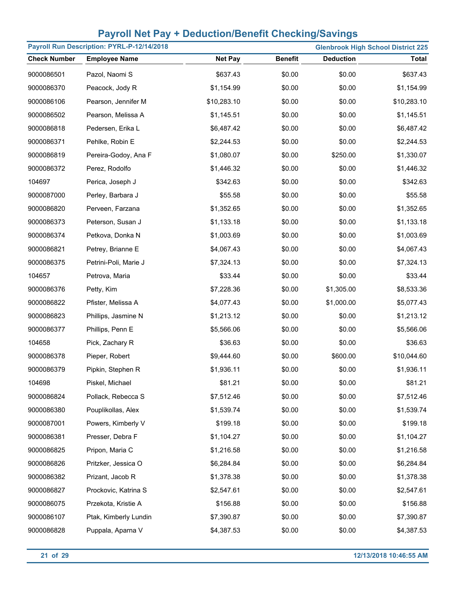| Payroll Run Description: PYRL-P-12/14/2018<br><b>Glenbrook High School District 225</b> |                       |                |                |                  |              |
|-----------------------------------------------------------------------------------------|-----------------------|----------------|----------------|------------------|--------------|
| <b>Check Number</b>                                                                     | <b>Employee Name</b>  | <b>Net Pay</b> | <b>Benefit</b> | <b>Deduction</b> | <b>Total</b> |
| 9000086501                                                                              | Pazol, Naomi S        | \$637.43       | \$0.00         | \$0.00           | \$637.43     |
| 9000086370                                                                              | Peacock, Jody R       | \$1,154.99     | \$0.00         | \$0.00           | \$1,154.99   |
| 9000086106                                                                              | Pearson, Jennifer M   | \$10,283.10    | \$0.00         | \$0.00           | \$10,283.10  |
| 9000086502                                                                              | Pearson, Melissa A    | \$1,145.51     | \$0.00         | \$0.00           | \$1,145.51   |
| 9000086818                                                                              | Pedersen, Erika L     | \$6,487.42     | \$0.00         | \$0.00           | \$6,487.42   |
| 9000086371                                                                              | Pehlke, Robin E       | \$2,244.53     | \$0.00         | \$0.00           | \$2,244.53   |
| 9000086819                                                                              | Pereira-Godoy, Ana F  | \$1,080.07     | \$0.00         | \$250.00         | \$1,330.07   |
| 9000086372                                                                              | Perez, Rodolfo        | \$1,446.32     | \$0.00         | \$0.00           | \$1,446.32   |
| 104697                                                                                  | Perica, Joseph J      | \$342.63       | \$0.00         | \$0.00           | \$342.63     |
| 9000087000                                                                              | Perley, Barbara J     | \$55.58        | \$0.00         | \$0.00           | \$55.58      |
| 9000086820                                                                              | Perveen, Farzana      | \$1,352.65     | \$0.00         | \$0.00           | \$1,352.65   |
| 9000086373                                                                              | Peterson, Susan J     | \$1,133.18     | \$0.00         | \$0.00           | \$1,133.18   |
| 9000086374                                                                              | Petkova, Donka N      | \$1,003.69     | \$0.00         | \$0.00           | \$1,003.69   |
| 9000086821                                                                              | Petrey, Brianne E     | \$4,067.43     | \$0.00         | \$0.00           | \$4,067.43   |
| 9000086375                                                                              | Petrini-Poli, Marie J | \$7,324.13     | \$0.00         | \$0.00           | \$7,324.13   |
| 104657                                                                                  | Petrova, Maria        | \$33.44        | \$0.00         | \$0.00           | \$33.44      |
| 9000086376                                                                              | Petty, Kim            | \$7,228.36     | \$0.00         | \$1,305.00       | \$8,533.36   |
| 9000086822                                                                              | Pfister, Melissa A    | \$4,077.43     | \$0.00         | \$1,000.00       | \$5,077.43   |
| 9000086823                                                                              | Phillips, Jasmine N   | \$1,213.12     | \$0.00         | \$0.00           | \$1,213.12   |
| 9000086377                                                                              | Phillips, Penn E      | \$5,566.06     | \$0.00         | \$0.00           | \$5,566.06   |
| 104658                                                                                  | Pick, Zachary R       | \$36.63        | \$0.00         | \$0.00           | \$36.63      |
| 9000086378                                                                              | Pieper, Robert        | \$9,444.60     | \$0.00         | \$600.00         | \$10,044.60  |
| 9000086379                                                                              | Pipkin, Stephen R     | \$1,936.11     | \$0.00         | \$0.00           | \$1,936.11   |
| 104698                                                                                  | Piskel, Michael       | \$81.21        | \$0.00         | \$0.00           | \$81.21      |
| 9000086824                                                                              | Pollack, Rebecca S    | \$7,512.46     | \$0.00         | \$0.00           | \$7,512.46   |
| 9000086380                                                                              | Pouplikollas, Alex    | \$1,539.74     | \$0.00         | \$0.00           | \$1,539.74   |
| 9000087001                                                                              | Powers, Kimberly V    | \$199.18       | \$0.00         | \$0.00           | \$199.18     |
| 9000086381                                                                              | Presser, Debra F      | \$1,104.27     | \$0.00         | \$0.00           | \$1,104.27   |
| 9000086825                                                                              | Pripon, Maria C       | \$1,216.58     | \$0.00         | \$0.00           | \$1,216.58   |
| 9000086826                                                                              | Pritzker, Jessica O   | \$6,284.84     | \$0.00         | \$0.00           | \$6,284.84   |
| 9000086382                                                                              | Prizant, Jacob R      | \$1,378.38     | \$0.00         | \$0.00           | \$1,378.38   |
| 9000086827                                                                              | Prockovic, Katrina S  | \$2,547.61     | \$0.00         | \$0.00           | \$2,547.61   |
| 9000086075                                                                              | Przekota, Kristie A   | \$156.88       | \$0.00         | \$0.00           | \$156.88     |
| 9000086107                                                                              | Ptak, Kimberly Lundin | \$7,390.87     | \$0.00         | \$0.00           | \$7,390.87   |
| 9000086828                                                                              | Puppala, Aparna V     | \$4,387.53     | \$0.00         | \$0.00           | \$4,387.53   |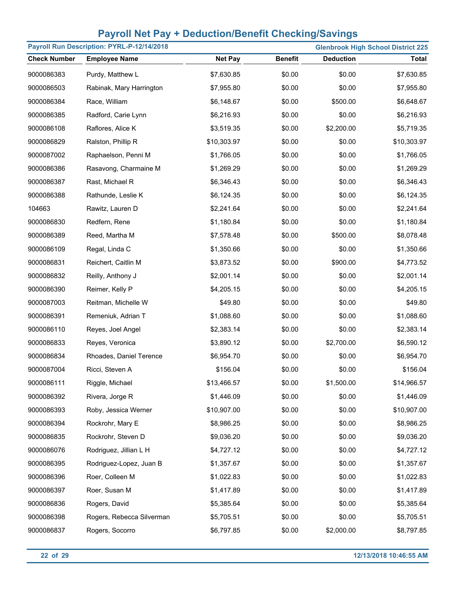| Payroll Run Description: PYRL-P-12/14/2018<br><b>Glenbrook High School District 225</b> |                           |                |                |                  |              |
|-----------------------------------------------------------------------------------------|---------------------------|----------------|----------------|------------------|--------------|
| <b>Check Number</b>                                                                     | <b>Employee Name</b>      | <b>Net Pay</b> | <b>Benefit</b> | <b>Deduction</b> | <b>Total</b> |
| 9000086383                                                                              | Purdy, Matthew L          | \$7,630.85     | \$0.00         | \$0.00           | \$7,630.85   |
| 9000086503                                                                              | Rabinak, Mary Harrington  | \$7,955.80     | \$0.00         | \$0.00           | \$7,955.80   |
| 9000086384                                                                              | Race, William             | \$6,148.67     | \$0.00         | \$500.00         | \$6,648.67   |
| 9000086385                                                                              | Radford, Carie Lynn       | \$6,216.93     | \$0.00         | \$0.00           | \$6,216.93   |
| 9000086108                                                                              | Raflores, Alice K         | \$3,519.35     | \$0.00         | \$2,200.00       | \$5,719.35   |
| 9000086829                                                                              | Ralston, Phillip R        | \$10,303.97    | \$0.00         | \$0.00           | \$10,303.97  |
| 9000087002                                                                              | Raphaelson, Penni M       | \$1,766.05     | \$0.00         | \$0.00           | \$1,766.05   |
| 9000086386                                                                              | Rasavong, Charmaine M     | \$1,269.29     | \$0.00         | \$0.00           | \$1,269.29   |
| 9000086387                                                                              | Rast, Michael R           | \$6,346.43     | \$0.00         | \$0.00           | \$6,346.43   |
| 9000086388                                                                              | Rathunde, Leslie K        | \$6,124.35     | \$0.00         | \$0.00           | \$6,124.35   |
| 104663                                                                                  | Rawitz, Lauren D          | \$2,241.64     | \$0.00         | \$0.00           | \$2,241.64   |
| 9000086830                                                                              | Redfern, Rene             | \$1,180.84     | \$0.00         | \$0.00           | \$1,180.84   |
| 9000086389                                                                              | Reed, Martha M            | \$7,578.48     | \$0.00         | \$500.00         | \$8,078.48   |
| 9000086109                                                                              | Regal, Linda C            | \$1,350.66     | \$0.00         | \$0.00           | \$1,350.66   |
| 9000086831                                                                              | Reichert, Caitlin M       | \$3,873.52     | \$0.00         | \$900.00         | \$4,773.52   |
| 9000086832                                                                              | Reilly, Anthony J         | \$2,001.14     | \$0.00         | \$0.00           | \$2,001.14   |
| 9000086390                                                                              | Reimer, Kelly P           | \$4,205.15     | \$0.00         | \$0.00           | \$4,205.15   |
| 9000087003                                                                              | Reitman, Michelle W       | \$49.80        | \$0.00         | \$0.00           | \$49.80      |
| 9000086391                                                                              | Remeniuk, Adrian T        | \$1,088.60     | \$0.00         | \$0.00           | \$1,088.60   |
| 9000086110                                                                              | Reyes, Joel Angel         | \$2,383.14     | \$0.00         | \$0.00           | \$2,383.14   |
| 9000086833                                                                              | Reyes, Veronica           | \$3,890.12     | \$0.00         | \$2,700.00       | \$6,590.12   |
| 9000086834                                                                              | Rhoades, Daniel Terence   | \$6,954.70     | \$0.00         | \$0.00           | \$6,954.70   |
| 9000087004                                                                              | Ricci, Steven A           | \$156.04       | \$0.00         | \$0.00           | \$156.04     |
| 9000086111                                                                              | Riggle, Michael           | \$13,466.57    | \$0.00         | \$1,500.00       | \$14,966.57  |
| 9000086392                                                                              | Rivera, Jorge R           | \$1,446.09     | \$0.00         | \$0.00           | \$1,446.09   |
| 9000086393                                                                              | Roby, Jessica Werner      | \$10,907.00    | \$0.00         | \$0.00           | \$10,907.00  |
| 9000086394                                                                              | Rockrohr, Mary E          | \$8,986.25     | \$0.00         | \$0.00           | \$8,986.25   |
| 9000086835                                                                              | Rockrohr, Steven D        | \$9,036.20     | \$0.00         | \$0.00           | \$9,036.20   |
| 9000086076                                                                              | Rodriguez, Jillian L H    | \$4,727.12     | \$0.00         | \$0.00           | \$4,727.12   |
| 9000086395                                                                              | Rodriguez-Lopez, Juan B   | \$1,357.67     | \$0.00         | \$0.00           | \$1,357.67   |
| 9000086396                                                                              | Roer, Colleen M           | \$1,022.83     | \$0.00         | \$0.00           | \$1,022.83   |
| 9000086397                                                                              | Roer, Susan M             | \$1,417.89     | \$0.00         | \$0.00           | \$1,417.89   |
| 9000086836                                                                              | Rogers, David             | \$5,385.64     | \$0.00         | \$0.00           | \$5,385.64   |
| 9000086398                                                                              | Rogers, Rebecca Silverman | \$5,705.51     | \$0.00         | \$0.00           | \$5,705.51   |
| 9000086837                                                                              | Rogers, Socorro           | \$6,797.85     | \$0.00         | \$2,000.00       | \$8,797.85   |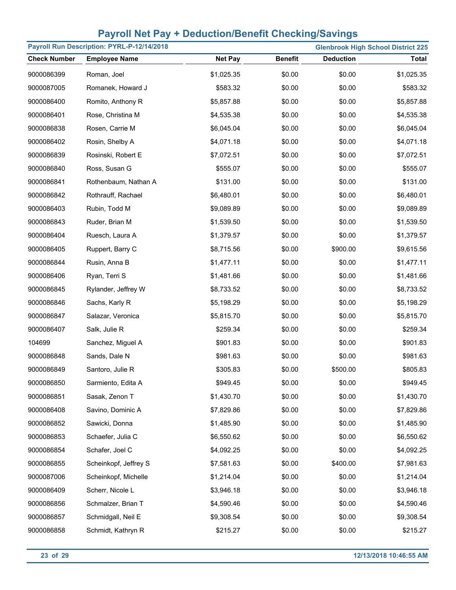|                     | Payroll Run Description: PYRL-P-12/14/2018 |                |                |                  | <b>Glenbrook High School District 225</b> |
|---------------------|--------------------------------------------|----------------|----------------|------------------|-------------------------------------------|
| <b>Check Number</b> | <b>Employee Name</b>                       | <b>Net Pay</b> | <b>Benefit</b> | <b>Deduction</b> | <b>Total</b>                              |
| 9000086399          | Roman, Joel                                | \$1,025.35     | \$0.00         | \$0.00           | \$1,025.35                                |
| 9000087005          | Romanek, Howard J                          | \$583.32       | \$0.00         | \$0.00           | \$583.32                                  |
| 9000086400          | Romito, Anthony R                          | \$5,857.88     | \$0.00         | \$0.00           | \$5,857.88                                |
| 9000086401          | Rose, Christina M                          | \$4,535.38     | \$0.00         | \$0.00           | \$4,535.38                                |
| 9000086838          | Rosen, Carrie M                            | \$6,045.04     | \$0.00         | \$0.00           | \$6,045.04                                |
| 9000086402          | Rosin, Shelby A                            | \$4,071.18     | \$0.00         | \$0.00           | \$4,071.18                                |
| 9000086839          | Rosinski, Robert E                         | \$7,072.51     | \$0.00         | \$0.00           | \$7,072.51                                |
| 9000086840          | Ross, Susan G                              | \$555.07       | \$0.00         | \$0.00           | \$555.07                                  |
| 9000086841          | Rothenbaum, Nathan A                       | \$131.00       | \$0.00         | \$0.00           | \$131.00                                  |
| 9000086842          | Rothrauff, Rachael                         | \$6,480.01     | \$0.00         | \$0.00           | \$6,480.01                                |
| 9000086403          | Rubin, Todd M                              | \$9,089.89     | \$0.00         | \$0.00           | \$9,089.89                                |
| 9000086843          | Ruder, Brian M                             | \$1,539.50     | \$0.00         | \$0.00           | \$1,539.50                                |
| 9000086404          | Ruesch, Laura A                            | \$1,379.57     | \$0.00         | \$0.00           | \$1,379.57                                |
| 9000086405          | Ruppert, Barry C                           | \$8,715.56     | \$0.00         | \$900.00         | \$9,615.56                                |
| 9000086844          | Rusin, Anna B                              | \$1,477.11     | \$0.00         | \$0.00           | \$1,477.11                                |
| 9000086406          | Ryan, Terri S                              | \$1,481.66     | \$0.00         | \$0.00           | \$1,481.66                                |
| 9000086845          | Rylander, Jeffrey W                        | \$8,733.52     | \$0.00         | \$0.00           | \$8,733.52                                |
| 9000086846          | Sachs, Karly R                             | \$5,198.29     | \$0.00         | \$0.00           | \$5,198.29                                |
| 9000086847          | Salazar, Veronica                          | \$5,815.70     | \$0.00         | \$0.00           | \$5,815.70                                |
| 9000086407          | Salk, Julie R                              | \$259.34       | \$0.00         | \$0.00           | \$259.34                                  |
| 104699              | Sanchez, Miguel A                          | \$901.83       | \$0.00         | \$0.00           | \$901.83                                  |
| 9000086848          | Sands, Dale N                              | \$981.63       | \$0.00         | \$0.00           | \$981.63                                  |
| 9000086849          | Santoro, Julie R                           | \$305.83       | \$0.00         | \$500.00         | \$805.83                                  |
| 9000086850          | Sarmiento, Edita A                         | \$949.45       | \$0.00         | \$0.00           | \$949.45                                  |
| 9000086851          | Sasak, Zenon T                             | \$1,430.70     | \$0.00         | \$0.00           | \$1,430.70                                |
| 9000086408          | Savino, Dominic A                          | \$7,829.86     | \$0.00         | \$0.00           | \$7,829.86                                |
| 9000086852          | Sawicki, Donna                             | \$1,485.90     | \$0.00         | \$0.00           | \$1,485.90                                |
| 9000086853          | Schaefer, Julia C                          | \$6,550.62     | \$0.00         | \$0.00           | \$6,550.62                                |
| 9000086854          | Schafer, Joel C                            | \$4,092.25     | \$0.00         | \$0.00           | \$4,092.25                                |
| 9000086855          | Scheinkopf, Jeffrey S                      | \$7,581.63     | \$0.00         | \$400.00         | \$7,981.63                                |
| 9000087006          | Scheinkopf, Michelle                       | \$1,214.04     | \$0.00         | \$0.00           | \$1,214.04                                |
| 9000086409          | Scherr, Nicole L                           | \$3,946.18     | \$0.00         | \$0.00           | \$3,946.18                                |
| 9000086856          | Schmalzer, Brian T                         | \$4,590.46     | \$0.00         | \$0.00           | \$4,590.46                                |
| 9000086857          | Schmidgall, Neil E                         | \$9,308.54     | \$0.00         | \$0.00           | \$9,308.54                                |
| 9000086858          | Schmidt, Kathryn R                         | \$215.27       | \$0.00         | \$0.00           | \$215.27                                  |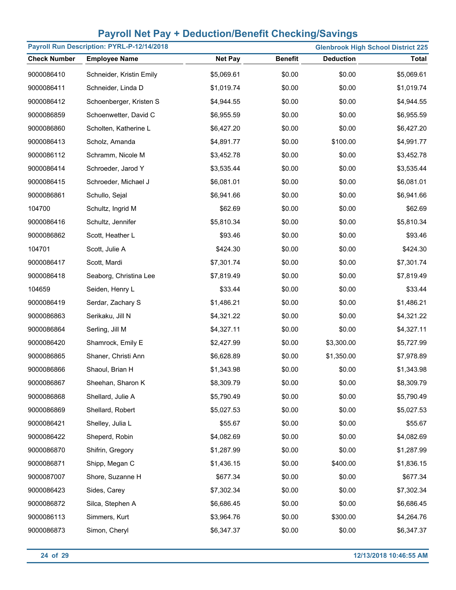|                     | Payroll Run Description: PYRL-P-12/14/2018 |                |                |                  | <b>Glenbrook High School District 225</b> |
|---------------------|--------------------------------------------|----------------|----------------|------------------|-------------------------------------------|
| <b>Check Number</b> | <b>Employee Name</b>                       | <b>Net Pay</b> | <b>Benefit</b> | <b>Deduction</b> | <b>Total</b>                              |
| 9000086410          | Schneider, Kristin Emily                   | \$5,069.61     | \$0.00         | \$0.00           | \$5,069.61                                |
| 9000086411          | Schneider, Linda D                         | \$1,019.74     | \$0.00         | \$0.00           | \$1,019.74                                |
| 9000086412          | Schoenberger, Kristen S                    | \$4,944.55     | \$0.00         | \$0.00           | \$4,944.55                                |
| 9000086859          | Schoenwetter, David C                      | \$6,955.59     | \$0.00         | \$0.00           | \$6,955.59                                |
| 9000086860          | Scholten, Katherine L                      | \$6,427.20     | \$0.00         | \$0.00           | \$6,427.20                                |
| 9000086413          | Scholz, Amanda                             | \$4,891.77     | \$0.00         | \$100.00         | \$4,991.77                                |
| 9000086112          | Schramm, Nicole M                          | \$3,452.78     | \$0.00         | \$0.00           | \$3,452.78                                |
| 9000086414          | Schroeder, Jarod Y                         | \$3,535.44     | \$0.00         | \$0.00           | \$3,535.44                                |
| 9000086415          | Schroeder, Michael J                       | \$6,081.01     | \$0.00         | \$0.00           | \$6,081.01                                |
| 9000086861          | Schullo, Sejal                             | \$6,941.66     | \$0.00         | \$0.00           | \$6,941.66                                |
| 104700              | Schultz, Ingrid M                          | \$62.69        | \$0.00         | \$0.00           | \$62.69                                   |
| 9000086416          | Schultz, Jennifer                          | \$5,810.34     | \$0.00         | \$0.00           | \$5,810.34                                |
| 9000086862          | Scott, Heather L                           | \$93.46        | \$0.00         | \$0.00           | \$93.46                                   |
| 104701              | Scott, Julie A                             | \$424.30       | \$0.00         | \$0.00           | \$424.30                                  |
| 9000086417          | Scott, Mardi                               | \$7,301.74     | \$0.00         | \$0.00           | \$7,301.74                                |
| 9000086418          | Seaborg, Christina Lee                     | \$7,819.49     | \$0.00         | \$0.00           | \$7,819.49                                |
| 104659              | Seiden, Henry L                            | \$33.44        | \$0.00         | \$0.00           | \$33.44                                   |
| 9000086419          | Serdar, Zachary S                          | \$1,486.21     | \$0.00         | \$0.00           | \$1,486.21                                |
| 9000086863          | Serikaku, Jill N                           | \$4,321.22     | \$0.00         | \$0.00           | \$4,321.22                                |
| 9000086864          | Serling, Jill M                            | \$4,327.11     | \$0.00         | \$0.00           | \$4,327.11                                |
| 9000086420          | Shamrock, Emily E                          | \$2,427.99     | \$0.00         | \$3,300.00       | \$5,727.99                                |
| 9000086865          | Shaner, Christi Ann                        | \$6,628.89     | \$0.00         | \$1,350.00       | \$7,978.89                                |
| 9000086866          | Shaoul, Brian H                            | \$1,343.98     | \$0.00         | \$0.00           | \$1,343.98                                |
| 9000086867          | Sheehan, Sharon K                          | \$8,309.79     | \$0.00         | \$0.00           | \$8,309.79                                |
| 9000086868          | Shellard, Julie A                          | \$5,790.49     | \$0.00         | \$0.00           | \$5,790.49                                |
| 9000086869          | Shellard, Robert                           | \$5,027.53     | \$0.00         | \$0.00           | \$5,027.53                                |
| 9000086421          | Shelley, Julia L                           | \$55.67        | \$0.00         | \$0.00           | \$55.67                                   |
| 9000086422          | Sheperd, Robin                             | \$4,082.69     | \$0.00         | \$0.00           | \$4,082.69                                |
| 9000086870          | Shifrin, Gregory                           | \$1,287.99     | \$0.00         | \$0.00           | \$1,287.99                                |
| 9000086871          | Shipp, Megan C                             | \$1,436.15     | \$0.00         | \$400.00         | \$1,836.15                                |
| 9000087007          | Shore, Suzanne H                           | \$677.34       | \$0.00         | \$0.00           | \$677.34                                  |
| 9000086423          | Sides, Carey                               | \$7,302.34     | \$0.00         | \$0.00           | \$7,302.34                                |
| 9000086872          | Silca, Stephen A                           | \$6,686.45     | \$0.00         | \$0.00           | \$6,686.45                                |
| 9000086113          | Simmers, Kurt                              | \$3,964.76     | \$0.00         | \$300.00         | \$4,264.76                                |
| 9000086873          | Simon, Cheryl                              | \$6,347.37     | \$0.00         | \$0.00           | \$6,347.37                                |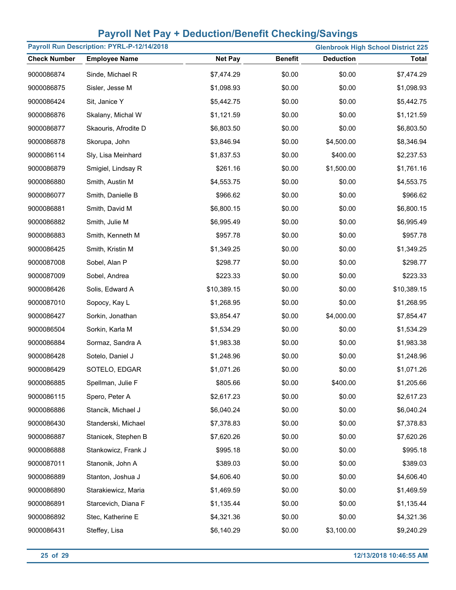| Payroll Run Description: PYRL-P-12/14/2018<br><b>Glenbrook High School District 225</b> |                      |                |                |                  |              |  |  |
|-----------------------------------------------------------------------------------------|----------------------|----------------|----------------|------------------|--------------|--|--|
| <b>Check Number</b>                                                                     | <b>Employee Name</b> | <b>Net Pay</b> | <b>Benefit</b> | <b>Deduction</b> | <b>Total</b> |  |  |
| 9000086874                                                                              | Sinde, Michael R     | \$7,474.29     | \$0.00         | \$0.00           | \$7,474.29   |  |  |
| 9000086875                                                                              | Sisler, Jesse M      | \$1,098.93     | \$0.00         | \$0.00           | \$1,098.93   |  |  |
| 9000086424                                                                              | Sit, Janice Y        | \$5,442.75     | \$0.00         | \$0.00           | \$5,442.75   |  |  |
| 9000086876                                                                              | Skalany, Michal W    | \$1,121.59     | \$0.00         | \$0.00           | \$1,121.59   |  |  |
| 9000086877                                                                              | Skaouris, Afrodite D | \$6,803.50     | \$0.00         | \$0.00           | \$6,803.50   |  |  |
| 9000086878                                                                              | Skorupa, John        | \$3,846.94     | \$0.00         | \$4,500.00       | \$8,346.94   |  |  |
| 9000086114                                                                              | Sly, Lisa Meinhard   | \$1,837.53     | \$0.00         | \$400.00         | \$2,237.53   |  |  |
| 9000086879                                                                              | Smigiel, Lindsay R   | \$261.16       | \$0.00         | \$1,500.00       | \$1,761.16   |  |  |
| 9000086880                                                                              | Smith, Austin M      | \$4,553.75     | \$0.00         | \$0.00           | \$4,553.75   |  |  |
| 9000086077                                                                              | Smith, Danielle B    | \$966.62       | \$0.00         | \$0.00           | \$966.62     |  |  |
| 9000086881                                                                              | Smith, David M       | \$6,800.15     | \$0.00         | \$0.00           | \$6,800.15   |  |  |
| 9000086882                                                                              | Smith, Julie M       | \$6,995.49     | \$0.00         | \$0.00           | \$6,995.49   |  |  |
| 9000086883                                                                              | Smith, Kenneth M     | \$957.78       | \$0.00         | \$0.00           | \$957.78     |  |  |
| 9000086425                                                                              | Smith, Kristin M     | \$1,349.25     | \$0.00         | \$0.00           | \$1,349.25   |  |  |
| 9000087008                                                                              | Sobel, Alan P        | \$298.77       | \$0.00         | \$0.00           | \$298.77     |  |  |
| 9000087009                                                                              | Sobel, Andrea        | \$223.33       | \$0.00         | \$0.00           | \$223.33     |  |  |
| 9000086426                                                                              | Solis, Edward A      | \$10,389.15    | \$0.00         | \$0.00           | \$10,389.15  |  |  |
| 9000087010                                                                              | Sopocy, Kay L        | \$1,268.95     | \$0.00         | \$0.00           | \$1,268.95   |  |  |
| 9000086427                                                                              | Sorkin, Jonathan     | \$3,854.47     | \$0.00         | \$4,000.00       | \$7,854.47   |  |  |
| 9000086504                                                                              | Sorkin, Karla M      | \$1,534.29     | \$0.00         | \$0.00           | \$1,534.29   |  |  |
| 9000086884                                                                              | Sormaz, Sandra A     | \$1,983.38     | \$0.00         | \$0.00           | \$1,983.38   |  |  |
| 9000086428                                                                              | Sotelo, Daniel J     | \$1,248.96     | \$0.00         | \$0.00           | \$1,248.96   |  |  |
| 9000086429                                                                              | SOTELO, EDGAR        | \$1,071.26     | \$0.00         | \$0.00           | \$1,071.26   |  |  |
| 9000086885                                                                              | Spellman, Julie F    | \$805.66       | \$0.00         | \$400.00         | \$1,205.66   |  |  |
| 9000086115                                                                              | Spero, Peter A       | \$2,617.23     | \$0.00         | \$0.00           | \$2,617.23   |  |  |
| 9000086886                                                                              | Stancik, Michael J   | \$6,040.24     | \$0.00         | \$0.00           | \$6,040.24   |  |  |
| 9000086430                                                                              | Standerski, Michael  | \$7,378.83     | \$0.00         | \$0.00           | \$7,378.83   |  |  |
| 9000086887                                                                              | Stanicek, Stephen B  | \$7,620.26     | \$0.00         | \$0.00           | \$7,620.26   |  |  |
| 9000086888                                                                              | Stankowicz, Frank J  | \$995.18       | \$0.00         | \$0.00           | \$995.18     |  |  |
| 9000087011                                                                              | Stanonik, John A     | \$389.03       | \$0.00         | \$0.00           | \$389.03     |  |  |
| 9000086889                                                                              | Stanton, Joshua J    | \$4,606.40     | \$0.00         | \$0.00           | \$4,606.40   |  |  |
| 9000086890                                                                              | Starakiewicz, Maria  | \$1,469.59     | \$0.00         | \$0.00           | \$1,469.59   |  |  |
| 9000086891                                                                              | Starcevich, Diana F  | \$1,135.44     | \$0.00         | \$0.00           | \$1,135.44   |  |  |
| 9000086892                                                                              | Stec, Katherine E    | \$4,321.36     | \$0.00         | \$0.00           | \$4,321.36   |  |  |
| 9000086431                                                                              | Steffey, Lisa        | \$6,140.29     | \$0.00         | \$3,100.00       | \$9,240.29   |  |  |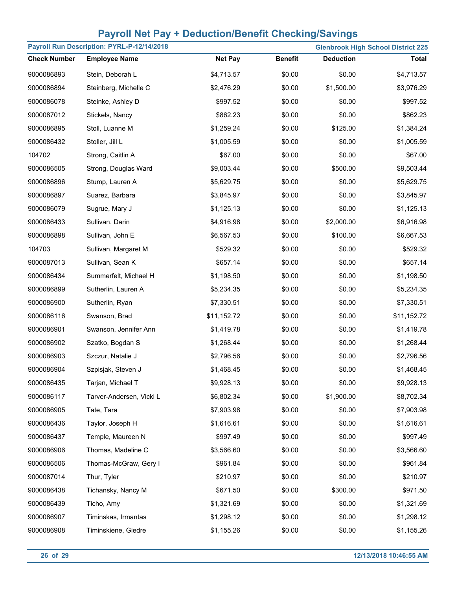|                     | Payroll Run Description: PYRL-P-12/14/2018 |                |                |                  | <b>Glenbrook High School District 225</b> |
|---------------------|--------------------------------------------|----------------|----------------|------------------|-------------------------------------------|
| <b>Check Number</b> | <b>Employee Name</b>                       | <b>Net Pay</b> | <b>Benefit</b> | <b>Deduction</b> | <b>Total</b>                              |
| 9000086893          | Stein, Deborah L                           | \$4,713.57     | \$0.00         | \$0.00           | \$4,713.57                                |
| 9000086894          | Steinberg, Michelle C                      | \$2,476.29     | \$0.00         | \$1,500.00       | \$3,976.29                                |
| 9000086078          | Steinke, Ashley D                          | \$997.52       | \$0.00         | \$0.00           | \$997.52                                  |
| 9000087012          | Stickels, Nancy                            | \$862.23       | \$0.00         | \$0.00           | \$862.23                                  |
| 9000086895          | Stoll, Luanne M                            | \$1,259.24     | \$0.00         | \$125.00         | \$1,384.24                                |
| 9000086432          | Stoller, Jill L                            | \$1,005.59     | \$0.00         | \$0.00           | \$1,005.59                                |
| 104702              | Strong, Caitlin A                          | \$67.00        | \$0.00         | \$0.00           | \$67.00                                   |
| 9000086505          | Strong, Douglas Ward                       | \$9,003.44     | \$0.00         | \$500.00         | \$9,503.44                                |
| 9000086896          | Stump, Lauren A                            | \$5,629.75     | \$0.00         | \$0.00           | \$5,629.75                                |
| 9000086897          | Suarez, Barbara                            | \$3,845.97     | \$0.00         | \$0.00           | \$3,845.97                                |
| 9000086079          | Sugrue, Mary J                             | \$1,125.13     | \$0.00         | \$0.00           | \$1,125.13                                |
| 9000086433          | Sullivan, Darin                            | \$4,916.98     | \$0.00         | \$2,000.00       | \$6,916.98                                |
| 9000086898          | Sullivan, John E                           | \$6,567.53     | \$0.00         | \$100.00         | \$6,667.53                                |
| 104703              | Sullivan, Margaret M                       | \$529.32       | \$0.00         | \$0.00           | \$529.32                                  |
| 9000087013          | Sullivan, Sean K                           | \$657.14       | \$0.00         | \$0.00           | \$657.14                                  |
| 9000086434          | Summerfelt, Michael H                      | \$1,198.50     | \$0.00         | \$0.00           | \$1,198.50                                |
| 9000086899          | Sutherlin, Lauren A                        | \$5,234.35     | \$0.00         | \$0.00           | \$5,234.35                                |
| 9000086900          | Sutherlin, Ryan                            | \$7,330.51     | \$0.00         | \$0.00           | \$7,330.51                                |
| 9000086116          | Swanson, Brad                              | \$11,152.72    | \$0.00         | \$0.00           | \$11,152.72                               |
| 9000086901          | Swanson, Jennifer Ann                      | \$1,419.78     | \$0.00         | \$0.00           | \$1,419.78                                |
| 9000086902          | Szatko, Bogdan S                           | \$1,268.44     | \$0.00         | \$0.00           | \$1,268.44                                |
| 9000086903          | Szczur, Natalie J                          | \$2,796.56     | \$0.00         | \$0.00           | \$2,796.56                                |
| 9000086904          | Szpisjak, Steven J                         | \$1,468.45     | \$0.00         | \$0.00           | \$1,468.45                                |
| 9000086435          | Tarjan, Michael T                          | \$9,928.13     | \$0.00         | \$0.00           | \$9,928.13                                |
| 9000086117          | Tarver-Andersen, Vicki L                   | \$6,802.34     | \$0.00         | \$1,900.00       | \$8,702.34                                |
| 9000086905          | Tate, Tara                                 | \$7,903.98     | \$0.00         | \$0.00           | \$7,903.98                                |
| 9000086436          | Taylor, Joseph H                           | \$1,616.61     | \$0.00         | \$0.00           | \$1,616.61                                |
| 9000086437          | Temple, Maureen N                          | \$997.49       | \$0.00         | \$0.00           | \$997.49                                  |
| 9000086906          | Thomas, Madeline C                         | \$3,566.60     | \$0.00         | \$0.00           | \$3,566.60                                |
| 9000086506          | Thomas-McGraw, Gery I                      | \$961.84       | \$0.00         | \$0.00           | \$961.84                                  |
| 9000087014          | Thur, Tyler                                | \$210.97       | \$0.00         | \$0.00           | \$210.97                                  |
| 9000086438          | Tichansky, Nancy M                         | \$671.50       | \$0.00         | \$300.00         | \$971.50                                  |
| 9000086439          | Ticho, Amy                                 | \$1,321.69     | \$0.00         | \$0.00           | \$1,321.69                                |
| 9000086907          | Timinskas, Irmantas                        | \$1,298.12     | \$0.00         | \$0.00           | \$1,298.12                                |
| 9000086908          | Timinskiene, Giedre                        | \$1,155.26     | \$0.00         | \$0.00           | \$1,155.26                                |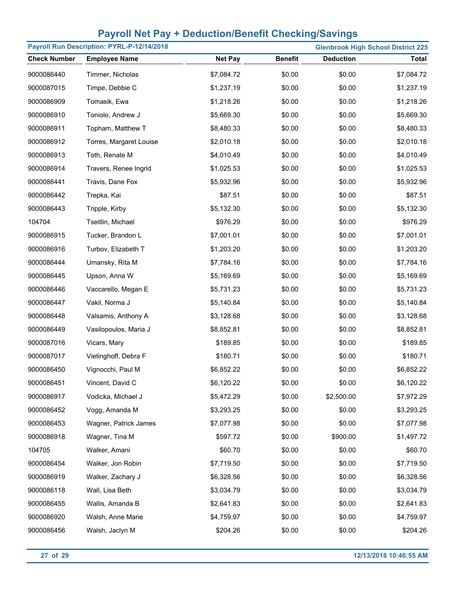|                     | Payroll Run Description: PYRL-P-12/14/2018 |                |                |                  | <b>Glenbrook High School District 225</b> |
|---------------------|--------------------------------------------|----------------|----------------|------------------|-------------------------------------------|
| <b>Check Number</b> | <b>Employee Name</b>                       | <b>Net Pay</b> | <b>Benefit</b> | <b>Deduction</b> | <b>Total</b>                              |
| 9000086440          | Timmer, Nicholas                           | \$7,084.72     | \$0.00         | \$0.00           | \$7,084.72                                |
| 9000087015          | Timpe, Debbie C                            | \$1,237.19     | \$0.00         | \$0.00           | \$1,237.19                                |
| 9000086909          | Tomasik, Ewa                               | \$1,218.26     | \$0.00         | \$0.00           | \$1,218.26                                |
| 9000086910          | Toniolo, Andrew J                          | \$5,669.30     | \$0.00         | \$0.00           | \$5,669.30                                |
| 9000086911          | Topham, Matthew T                          | \$8,480.33     | \$0.00         | \$0.00           | \$8,480.33                                |
| 9000086912          | Torres, Margaret Louise                    | \$2,010.18     | \$0.00         | \$0.00           | \$2,010.18                                |
| 9000086913          | Toth, Renate M                             | \$4,010.49     | \$0.00         | \$0.00           | \$4,010.49                                |
| 9000086914          | Travers, Renee Ingrid                      | \$1,025.53     | \$0.00         | \$0.00           | \$1,025.53                                |
| 9000086441          | Travis, Dane Fox                           | \$5,932.96     | \$0.00         | \$0.00           | \$5,932.96                                |
| 9000086442          | Trepka, Kai                                | \$87.51        | \$0.00         | \$0.00           | \$87.51                                   |
| 9000086443          | Tripple, Kirby                             | \$5,132.30     | \$0.00         | \$0.00           | \$5,132.30                                |
| 104704              | Tseitlin, Michael                          | \$976.29       | \$0.00         | \$0.00           | \$976.29                                  |
| 9000086915          | Tucker, Brandon L                          | \$7,001.01     | \$0.00         | \$0.00           | \$7,001.01                                |
| 9000086916          | Turbov, Elizabeth T                        | \$1,203.20     | \$0.00         | \$0.00           | \$1,203.20                                |
| 9000086444          | Umansky, Rita M                            | \$7,784.16     | \$0.00         | \$0.00           | \$7,784.16                                |
| 9000086445          | Upson, Anna W                              | \$5,169.69     | \$0.00         | \$0.00           | \$5,169.69                                |
| 9000086446          | Vaccarello, Megan E                        | \$5,731.23     | \$0.00         | \$0.00           | \$5,731.23                                |
| 9000086447          | Vakil, Norma J                             | \$5,140.84     | \$0.00         | \$0.00           | \$5,140.84                                |
| 9000086448          | Valsamis, Anthony A                        | \$3,128.68     | \$0.00         | \$0.00           | \$3,128.68                                |
| 9000086449          | Vasilopoulos, Maria J                      | \$8,852.81     | \$0.00         | \$0.00           | \$8,852.81                                |
| 9000087016          | Vicars, Mary                               | \$189.85       | \$0.00         | \$0.00           | \$189.85                                  |
| 9000087017          | Vietinghoff, Debra F                       | \$180.71       | \$0.00         | \$0.00           | \$180.71                                  |
| 9000086450          | Vignocchi, Paul M                          | \$6,852.22     | \$0.00         | \$0.00           | \$6,852.22                                |
| 9000086451          | Vincent, David C                           | \$6,120.22     | \$0.00         | \$0.00           | \$6,120.22                                |
| 9000086917          | Vodicka, Michael J                         | \$5,472.29     | \$0.00         | \$2,500.00       | \$7,972.29                                |
| 9000086452          | Vogg, Amanda M                             | \$3,293.25     | \$0.00         | \$0.00           | \$3,293.25                                |
| 9000086453          | Wagner, Patrick James                      | \$7,077.98     | \$0.00         | \$0.00           | \$7,077.98                                |
| 9000086918          | Wagner, Tina M                             | \$597.72       | \$0.00         | \$900.00         | \$1,497.72                                |
| 104705              | Walker, Amani                              | \$60.70        | \$0.00         | \$0.00           | \$60.70                                   |
| 9000086454          | Walker, Jon Robin                          | \$7,719.50     | \$0.00         | \$0.00           | \$7,719.50                                |
| 9000086919          | Walker, Zachary J                          | \$6,328.56     | \$0.00         | \$0.00           | \$6,328.56                                |
| 9000086118          | Wall, Lisa Beth                            | \$3,034.79     | \$0.00         | \$0.00           | \$3,034.79                                |
| 9000086455          | Wallis, Amanda B                           | \$2,641.83     | \$0.00         | \$0.00           | \$2,641.83                                |
| 9000086920          | Walsh, Anne Marie                          | \$4,759.97     | \$0.00         | \$0.00           | \$4,759.97                                |
| 9000086456          | Walsh, Jaclyn M                            | \$204.26       | \$0.00         | \$0.00           | \$204.26                                  |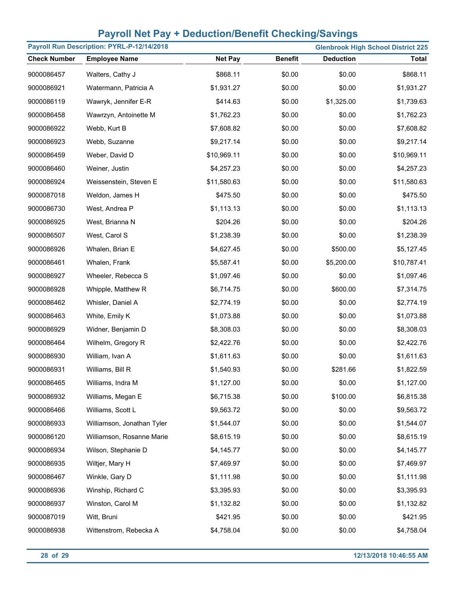|                     | Payroll Run Description: PYRL-P-12/14/2018 |                |                |                  | <b>Glenbrook High School District 225</b> |
|---------------------|--------------------------------------------|----------------|----------------|------------------|-------------------------------------------|
| <b>Check Number</b> | <b>Employee Name</b>                       | <b>Net Pay</b> | <b>Benefit</b> | <b>Deduction</b> | <b>Total</b>                              |
| 9000086457          | Walters, Cathy J                           | \$868.11       | \$0.00         | \$0.00           | \$868.11                                  |
| 9000086921          | Watermann, Patricia A                      | \$1,931.27     | \$0.00         | \$0.00           | \$1,931.27                                |
| 9000086119          | Wawryk, Jennifer E-R                       | \$414.63       | \$0.00         | \$1,325.00       | \$1,739.63                                |
| 9000086458          | Wawrzyn, Antoinette M                      | \$1,762.23     | \$0.00         | \$0.00           | \$1,762.23                                |
| 9000086922          | Webb, Kurt B                               | \$7,608.82     | \$0.00         | \$0.00           | \$7,608.82                                |
| 9000086923          | Webb, Suzanne                              | \$9,217.14     | \$0.00         | \$0.00           | \$9,217.14                                |
| 9000086459          | Weber, David D                             | \$10,969.11    | \$0.00         | \$0.00           | \$10,969.11                               |
| 9000086460          | Weiner, Justin                             | \$4,257.23     | \$0.00         | \$0.00           | \$4,257.23                                |
| 9000086924          | Weissenstein, Steven E                     | \$11,580.63    | \$0.00         | \$0.00           | \$11,580.63                               |
| 9000087018          | Weldon, James H                            | \$475.50       | \$0.00         | \$0.00           | \$475.50                                  |
| 9000086730          | West, Andrea P                             | \$1,113.13     | \$0.00         | \$0.00           | \$1,113.13                                |
| 9000086925          | West, Brianna N                            | \$204.26       | \$0.00         | \$0.00           | \$204.26                                  |
| 9000086507          | West, Carol S                              | \$1,238.39     | \$0.00         | \$0.00           | \$1,238.39                                |
| 9000086926          | Whalen, Brian E                            | \$4,627.45     | \$0.00         | \$500.00         | \$5,127.45                                |
| 9000086461          | Whalen, Frank                              | \$5,587.41     | \$0.00         | \$5,200.00       | \$10,787.41                               |
| 9000086927          | Wheeler, Rebecca S                         | \$1,097.46     | \$0.00         | \$0.00           | \$1,097.46                                |
| 9000086928          | Whipple, Matthew R                         | \$6,714.75     | \$0.00         | \$600.00         | \$7,314.75                                |
| 9000086462          | Whisler, Daniel A                          | \$2,774.19     | \$0.00         | \$0.00           | \$2,774.19                                |
| 9000086463          | White, Emily K                             | \$1,073.88     | \$0.00         | \$0.00           | \$1,073.88                                |
| 9000086929          | Widner, Benjamin D                         | \$8,308.03     | \$0.00         | \$0.00           | \$8,308.03                                |
| 9000086464          | Wilhelm, Gregory R                         | \$2,422.76     | \$0.00         | \$0.00           | \$2,422.76                                |
| 9000086930          | William, Ivan A                            | \$1,611.63     | \$0.00         | \$0.00           | \$1,611.63                                |
| 9000086931          | Williams, Bill R                           | \$1,540.93     | \$0.00         | \$281.66         | \$1,822.59                                |
| 9000086465          | Williams, Indra M                          | \$1,127.00     | \$0.00         | \$0.00           | \$1,127.00                                |
| 9000086932          | Williams, Megan E                          | \$6,715.38     | \$0.00         | \$100.00         | \$6,815.38                                |
| 9000086466          | Williams, Scott L                          | \$9,563.72     | \$0.00         | \$0.00           | \$9,563.72                                |
| 9000086933          | Williamson, Jonathan Tyler                 | \$1,544.07     | \$0.00         | \$0.00           | \$1,544.07                                |
| 9000086120          | Williamson, Rosanne Marie                  | \$8,615.19     | \$0.00         | \$0.00           | \$8,615.19                                |
| 9000086934          | Wilson, Stephanie D                        | \$4,145.77     | \$0.00         | \$0.00           | \$4,145.77                                |
| 9000086935          | Wiltjer, Mary H                            | \$7,469.97     | \$0.00         | \$0.00           | \$7,469.97                                |
| 9000086467          | Winkle, Gary D                             | \$1,111.98     | \$0.00         | \$0.00           | \$1,111.98                                |
| 9000086936          | Winship, Richard C                         | \$3,395.93     | \$0.00         | \$0.00           | \$3,395.93                                |
| 9000086937          | Winston, Carol M                           | \$1,132.82     | \$0.00         | \$0.00           | \$1,132.82                                |
| 9000087019          | Witt, Bruni                                | \$421.95       | \$0.00         | \$0.00           | \$421.95                                  |
| 9000086938          | Wittenstrom, Rebecka A                     | \$4,758.04     | \$0.00         | \$0.00           | \$4,758.04                                |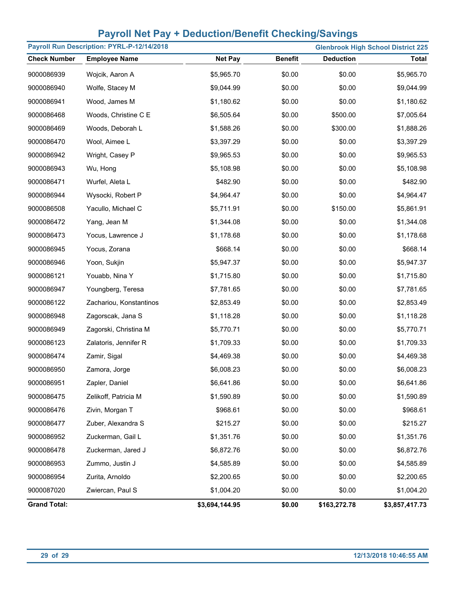|                     | Payroll Run Description: PYRL-P-12/14/2018 |                |                |                  | <b>Glenbrook High School District 225</b> |
|---------------------|--------------------------------------------|----------------|----------------|------------------|-------------------------------------------|
| <b>Check Number</b> | <b>Employee Name</b>                       | <b>Net Pay</b> | <b>Benefit</b> | <b>Deduction</b> | <b>Total</b>                              |
| 9000086939          | Wojcik, Aaron A                            | \$5,965.70     | \$0.00         | \$0.00           | \$5,965.70                                |
| 9000086940          | Wolfe, Stacey M                            | \$9,044.99     | \$0.00         | \$0.00           | \$9,044.99                                |
| 9000086941          | Wood, James M                              | \$1,180.62     | \$0.00         | \$0.00           | \$1,180.62                                |
| 9000086468          | Woods, Christine C E                       | \$6,505.64     | \$0.00         | \$500.00         | \$7,005.64                                |
| 9000086469          | Woods, Deborah L                           | \$1,588.26     | \$0.00         | \$300.00         | \$1,888.26                                |
| 9000086470          | Wool, Aimee L                              | \$3,397.29     | \$0.00         | \$0.00           | \$3,397.29                                |
| 9000086942          | Wright, Casey P                            | \$9,965.53     | \$0.00         | \$0.00           | \$9,965.53                                |
| 9000086943          | Wu, Hong                                   | \$5,108.98     | \$0.00         | \$0.00           | \$5,108.98                                |
| 9000086471          | Wurfel, Aleta L                            | \$482.90       | \$0.00         | \$0.00           | \$482.90                                  |
| 9000086944          | Wysocki, Robert P                          | \$4,964.47     | \$0.00         | \$0.00           | \$4,964.47                                |
| 9000086508          | Yacullo, Michael C                         | \$5,711.91     | \$0.00         | \$150.00         | \$5,861.91                                |
| 9000086472          | Yang, Jean M                               | \$1,344.08     | \$0.00         | \$0.00           | \$1,344.08                                |
| 9000086473          | Yocus, Lawrence J                          | \$1,178.68     | \$0.00         | \$0.00           | \$1,178.68                                |
| 9000086945          | Yocus, Zorana                              | \$668.14       | \$0.00         | \$0.00           | \$668.14                                  |
| 9000086946          | Yoon, Sukjin                               | \$5,947.37     | \$0.00         | \$0.00           | \$5,947.37                                |
| 9000086121          | Youabb, Nina Y                             | \$1,715.80     | \$0.00         | \$0.00           | \$1,715.80                                |
| 9000086947          | Youngberg, Teresa                          | \$7,781.65     | \$0.00         | \$0.00           | \$7,781.65                                |
| 9000086122          | Zachariou, Konstantinos                    | \$2,853.49     | \$0.00         | \$0.00           | \$2,853.49                                |
| 9000086948          | Zagorscak, Jana S                          | \$1,118.28     | \$0.00         | \$0.00           | \$1,118.28                                |
| 9000086949          | Zagorski, Christina M                      | \$5,770.71     | \$0.00         | \$0.00           | \$5,770.71                                |
| 9000086123          | Zalatoris, Jennifer R                      | \$1,709.33     | \$0.00         | \$0.00           | \$1,709.33                                |
| 9000086474          | Zamir, Sigal                               | \$4,469.38     | \$0.00         | \$0.00           | \$4,469.38                                |
| 9000086950          | Zamora, Jorge                              | \$6,008.23     | \$0.00         | \$0.00           | \$6,008.23                                |
| 9000086951          | Zapler, Daniel                             | \$6,641.86     | \$0.00         | \$0.00           | \$6,641.86                                |
| 9000086475          | Zelikoff, Patricia M                       | \$1,590.89     | \$0.00         | \$0.00           | \$1,590.89                                |
| 9000086476          | Zivin, Morgan T                            | \$968.61       | \$0.00         | \$0.00           | \$968.61                                  |
| 9000086477          | Zuber, Alexandra S                         | \$215.27       | \$0.00         | \$0.00           | \$215.27                                  |
| 9000086952          | Zuckerman, Gail L                          | \$1,351.76     | \$0.00         | \$0.00           | \$1,351.76                                |
| 9000086478          | Zuckerman, Jared J                         | \$6,872.76     | \$0.00         | \$0.00           | \$6,872.76                                |
| 9000086953          | Zummo, Justin J                            | \$4,585.89     | \$0.00         | \$0.00           | \$4,585.89                                |
| 9000086954          | Zurita, Arnoldo                            | \$2,200.65     | \$0.00         | \$0.00           | \$2,200.65                                |
| 9000087020          | Zwiercan, Paul S                           | \$1,004.20     | \$0.00         | \$0.00           | \$1,004.20                                |
| <b>Grand Total:</b> |                                            | \$3,694,144.95 | \$0.00         | \$163,272.78     | \$3,857,417.73                            |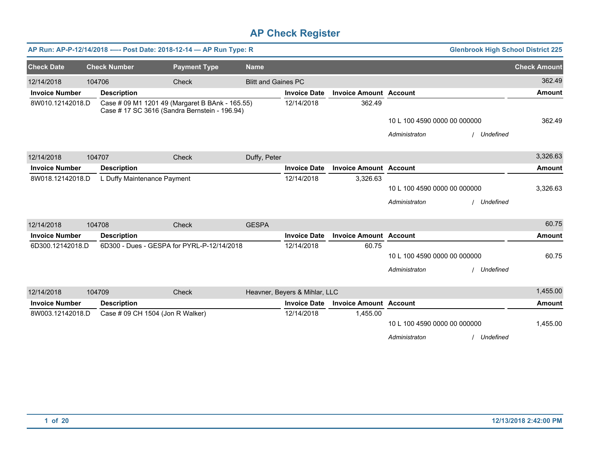| AP Run: AP-P-12/14/2018 ---- Post Date: 2018-12-14 - AP Run Type: R<br><b>Glenbrook High School District 225</b>     |        |                                  |                                            |                            |                               |                               |                              |             |                     |
|----------------------------------------------------------------------------------------------------------------------|--------|----------------------------------|--------------------------------------------|----------------------------|-------------------------------|-------------------------------|------------------------------|-------------|---------------------|
| <b>Check Date</b>                                                                                                    |        | <b>Check Number</b>              | <b>Payment Type</b>                        | <b>Name</b>                |                               |                               |                              |             | <b>Check Amount</b> |
| 12/14/2018                                                                                                           | 104706 |                                  | Check                                      | <b>Blitt and Gaines PC</b> |                               |                               |                              |             | 362.49              |
| <b>Invoice Number</b>                                                                                                |        | <b>Description</b>               |                                            |                            | <b>Invoice Date</b>           | <b>Invoice Amount Account</b> |                              |             | <b>Amount</b>       |
| 8W010.12142018.D<br>Case # 09 M1 1201 49 (Margaret B BAnk - 165.55)<br>Case # 17 SC 3616 (Sandra Bernstein - 196.94) |        |                                  | 12/14/2018                                 | 362.49                     |                               |                               |                              |             |                     |
|                                                                                                                      |        |                                  |                                            |                            |                               |                               | 10 L 100 4590 0000 00 000000 |             | 362.49              |
|                                                                                                                      |        |                                  |                                            |                            |                               |                               | Administraton                | Undefined   |                     |
| 12/14/2018                                                                                                           | 104707 |                                  | Check                                      | Duffy, Peter               |                               |                               |                              |             | 3,326.63            |
| <b>Invoice Number</b>                                                                                                |        | <b>Description</b>               |                                            |                            | <b>Invoice Date</b>           | <b>Invoice Amount Account</b> |                              |             | <b>Amount</b>       |
| 8W018.12142018.D                                                                                                     |        | L Duffy Maintenance Payment      |                                            |                            | 12/14/2018                    | 3,326.63                      |                              |             |                     |
|                                                                                                                      |        |                                  |                                            |                            |                               |                               | 10 L 100 4590 0000 00 000000 |             | 3,326.63            |
|                                                                                                                      |        |                                  |                                            |                            |                               |                               | Administraton                | / Undefined |                     |
| 12/14/2018                                                                                                           | 104708 |                                  | Check                                      | <b>GESPA</b>               |                               |                               |                              |             | 60.75               |
| <b>Invoice Number</b>                                                                                                |        | <b>Description</b>               |                                            |                            | <b>Invoice Date</b>           | <b>Invoice Amount Account</b> |                              |             | Amount              |
| 6D300.12142018.D                                                                                                     |        |                                  | 6D300 - Dues - GESPA for PYRL-P-12/14/2018 |                            | 12/14/2018                    | 60.75                         |                              |             |                     |
|                                                                                                                      |        |                                  |                                            |                            |                               |                               | 10 L 100 4590 0000 00 000000 |             | 60.75               |
|                                                                                                                      |        |                                  |                                            |                            |                               |                               | Administraton                | Undefined   |                     |
| 12/14/2018                                                                                                           | 104709 |                                  | Check                                      |                            | Heavner, Beyers & Mihlar, LLC |                               |                              |             | 1,455.00            |
| <b>Invoice Number</b>                                                                                                |        | <b>Description</b>               |                                            |                            | <b>Invoice Date</b>           | <b>Invoice Amount Account</b> |                              |             | <b>Amount</b>       |
| 8W003.12142018.D                                                                                                     |        | Case # 09 CH 1504 (Jon R Walker) |                                            |                            | 12/14/2018                    | 1,455.00                      |                              |             |                     |
|                                                                                                                      |        |                                  |                                            |                            |                               |                               | 10 L 100 4590 0000 00 000000 |             | 1,455.00            |
|                                                                                                                      |        |                                  |                                            |                            |                               |                               | Administraton                | Undefined   |                     |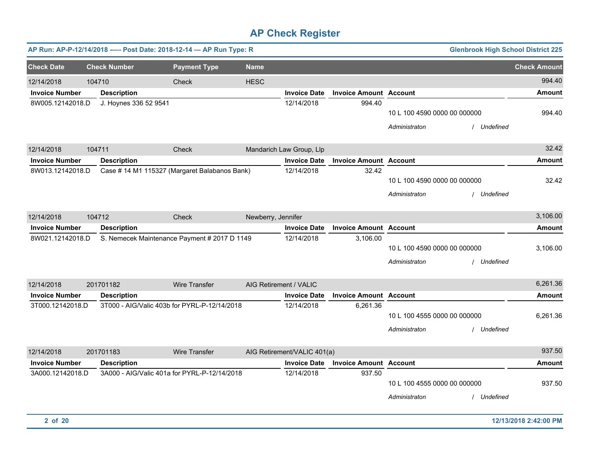|                       | AP Run: AP-P-12/14/2018 ---- Post Date: 2018-12-14 - AP Run Type: R |                                               |                    |                             |                               |                                               | <b>Glenbrook High School District 225</b> |                     |
|-----------------------|---------------------------------------------------------------------|-----------------------------------------------|--------------------|-----------------------------|-------------------------------|-----------------------------------------------|-------------------------------------------|---------------------|
| <b>Check Date</b>     | <b>Check Number</b>                                                 | <b>Payment Type</b>                           | <b>Name</b>        |                             |                               |                                               |                                           | <b>Check Amount</b> |
| 12/14/2018            | 104710                                                              | Check                                         | <b>HESC</b>        |                             |                               |                                               |                                           | 994.40              |
| <b>Invoice Number</b> | <b>Description</b>                                                  |                                               |                    | <b>Invoice Date</b>         | <b>Invoice Amount Account</b> |                                               |                                           | <b>Amount</b>       |
| 8W005.12142018.D      | J. Hoynes 336 52 9541                                               |                                               |                    | 12/14/2018                  | 994.40                        | 10 L 100 4590 0000 00 000000<br>Administraton | Undefined                                 | 994.40              |
| 12/14/2018            | 104711                                                              | Check                                         |                    | Mandarich Law Group, Llp    |                               |                                               |                                           | 32.42               |
| <b>Invoice Number</b> | <b>Description</b>                                                  |                                               |                    | <b>Invoice Date</b>         | <b>Invoice Amount Account</b> |                                               |                                           | <b>Amount</b>       |
| 8W013.12142018.D      |                                                                     | Case # 14 M1 115327 (Margaret Balabanos Bank) |                    | 12/14/2018                  | 32.42                         | 10 L 100 4590 0000 00 000000<br>Administraton | / Undefined                               | 32.42               |
| 12/14/2018            | 104712                                                              | Check                                         | Newberry, Jennifer |                             |                               |                                               |                                           | 3,106.00            |
| <b>Invoice Number</b> | <b>Description</b>                                                  |                                               |                    | <b>Invoice Date</b>         | <b>Invoice Amount Account</b> |                                               |                                           | <b>Amount</b>       |
| 8W021.12142018.D      |                                                                     | S. Nemecek Maintenance Payment # 2017 D 1149  |                    | 12/14/2018                  | 3,106.00                      | 10 L 100 4590 0000 00 000000<br>Administraton | Undefined                                 | 3,106.00            |
| 12/14/2018            | 201701182                                                           | Wire Transfer                                 |                    | AIG Retirement / VALIC      |                               |                                               |                                           | 6,261.36            |
| <b>Invoice Number</b> | <b>Description</b>                                                  |                                               |                    | <b>Invoice Date</b>         | <b>Invoice Amount Account</b> |                                               |                                           | Amount              |
| 3T000.12142018.D      |                                                                     | 3T000 - AIG/Valic 403b for PYRL-P-12/14/2018  |                    | 12/14/2018                  | 6,261.36                      | 10 L 100 4555 0000 00 000000<br>Administraton | / Undefined                               | 6,261.36            |
| 12/14/2018            | 201701183                                                           | Wire Transfer                                 |                    | AIG Retirement/VALIC 401(a) |                               |                                               |                                           | 937.50              |
| <b>Invoice Number</b> | <b>Description</b>                                                  |                                               |                    | <b>Invoice Date</b>         | <b>Invoice Amount Account</b> |                                               |                                           | <b>Amount</b>       |
| 3A000.12142018.D      |                                                                     | 3A000 - AIG/Valic 401a for PYRL-P-12/14/2018  |                    | 12/14/2018                  | 937.50                        | 10 L 100 4555 0000 00 000000<br>Administraton | Undefined                                 | 937.50              |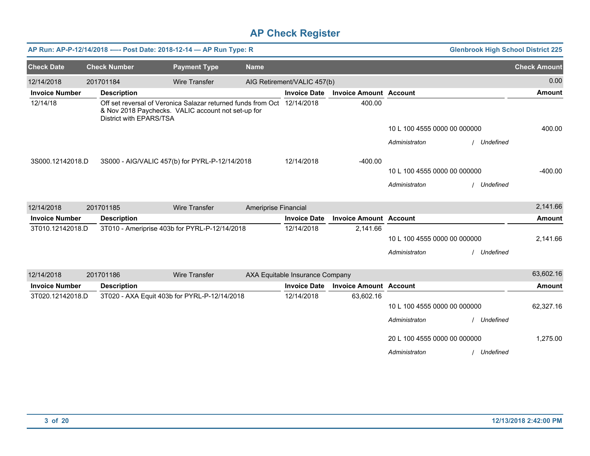|                       |                         | AP Run: AP-P-12/14/2018 ---- Post Date: 2018-12-14 - AP Run Type: R                                                           |                      |                                 | <b>Glenbrook High School District 225</b> |                              |             |                     |
|-----------------------|-------------------------|-------------------------------------------------------------------------------------------------------------------------------|----------------------|---------------------------------|-------------------------------------------|------------------------------|-------------|---------------------|
| <b>Check Date</b>     | <b>Check Number</b>     | <b>Payment Type</b>                                                                                                           | <b>Name</b>          |                                 |                                           |                              |             | <b>Check Amount</b> |
| 12/14/2018            | 201701184               | <b>Wire Transfer</b>                                                                                                          |                      | AIG Retirement/VALIC 457(b)     |                                           |                              |             | 0.00                |
| <b>Invoice Number</b> | <b>Description</b>      |                                                                                                                               |                      | <b>Invoice Date</b>             | <b>Invoice Amount Account</b>             |                              |             | <b>Amount</b>       |
| 12/14/18              | District with EPARS/TSA | Off set reversal of Veronica Salazar returned funds from Oct 12/14/2018<br>& Nov 2018 Paychecks. VALIC account not set-up for |                      |                                 | 400.00                                    |                              |             |                     |
|                       |                         |                                                                                                                               |                      |                                 |                                           | 10 L 100 4555 0000 00 000000 |             | 400.00              |
|                       |                         |                                                                                                                               |                      |                                 |                                           | Administraton                | Undefined   |                     |
| 3S000.12142018.D      |                         | 3S000 - AIG/VALIC 457(b) for PYRL-P-12/14/2018                                                                                |                      | 12/14/2018                      | $-400.00$                                 |                              |             |                     |
|                       |                         |                                                                                                                               |                      |                                 |                                           | 10 L 100 4555 0000 00 000000 |             | $-400.00$           |
|                       |                         |                                                                                                                               |                      |                                 |                                           | Administraton                | Undefined   |                     |
| 12/14/2018            | 201701185               | <b>Wire Transfer</b>                                                                                                          | Ameriprise Financial |                                 |                                           |                              |             | 2,141.66            |
| <b>Invoice Number</b> | <b>Description</b>      |                                                                                                                               |                      | <b>Invoice Date</b>             | <b>Invoice Amount Account</b>             |                              |             | <b>Amount</b>       |
| 3T010.12142018.D      |                         | 3T010 - Ameriprise 403b for PYRL-P-12/14/2018                                                                                 |                      | 12/14/2018                      | 2,141.66                                  |                              |             |                     |
|                       |                         |                                                                                                                               |                      |                                 |                                           | 10 L 100 4555 0000 00 000000 |             | 2,141.66            |
|                       |                         |                                                                                                                               |                      |                                 |                                           | Administraton                | Undefined   |                     |
| 12/14/2018            | 201701186               | Wire Transfer                                                                                                                 |                      | AXA Equitable Insurance Company |                                           |                              |             | 63,602.16           |
| <b>Invoice Number</b> | <b>Description</b>      |                                                                                                                               |                      | <b>Invoice Date</b>             | <b>Invoice Amount Account</b>             |                              |             | <b>Amount</b>       |
| 3T020.12142018.D      |                         | 3T020 - AXA Equit 403b for PYRL-P-12/14/2018                                                                                  |                      | 12/14/2018                      | 63,602.16                                 |                              |             |                     |
|                       |                         |                                                                                                                               |                      |                                 |                                           | 10 L 100 4555 0000 00 000000 |             | 62,327.16           |
|                       |                         |                                                                                                                               |                      |                                 |                                           | Administraton                | Undefined   |                     |
|                       |                         |                                                                                                                               |                      |                                 |                                           | 20 L 100 4555 0000 00 000000 |             | 1,275.00            |
|                       |                         |                                                                                                                               |                      |                                 |                                           | Administraton                | / Undefined |                     |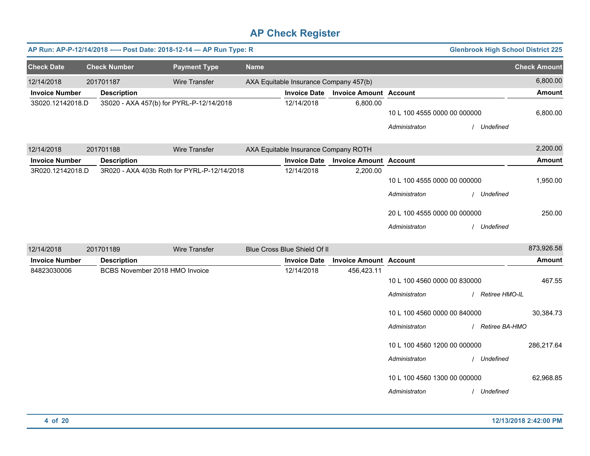|                       | <b>Glenbrook High School District 225</b><br>AP Run: AP-P-12/14/2018 ---- Post Date: 2018-12-14 - AP Run Type: R |                                             |             |                                        |                               |                              |  |                     |  |
|-----------------------|------------------------------------------------------------------------------------------------------------------|---------------------------------------------|-------------|----------------------------------------|-------------------------------|------------------------------|--|---------------------|--|
| <b>Check Date</b>     | <b>Check Number</b>                                                                                              | <b>Payment Type</b>                         | <b>Name</b> |                                        |                               |                              |  | <b>Check Amount</b> |  |
| 12/14/2018            | 201701187                                                                                                        | Wire Transfer                               |             | AXA Equitable Insurance Company 457(b) |                               |                              |  | 6,800.00            |  |
| <b>Invoice Number</b> | <b>Description</b>                                                                                               |                                             |             | <b>Invoice Date</b>                    | <b>Invoice Amount Account</b> |                              |  | <b>Amount</b>       |  |
| 3S020.12142018.D      |                                                                                                                  | 3S020 - AXA 457(b) for PYRL-P-12/14/2018    |             | 12/14/2018                             | 6,800.00                      |                              |  |                     |  |
|                       |                                                                                                                  |                                             |             |                                        |                               | 10 L 100 4555 0000 00 000000 |  | 6,800.00            |  |
|                       |                                                                                                                  |                                             |             |                                        |                               | Administraton                |  | Undefined           |  |
| 12/14/2018            | 201701188                                                                                                        | <b>Wire Transfer</b>                        |             | AXA Equitable Insurance Company ROTH   |                               |                              |  | 2,200.00            |  |
| <b>Invoice Number</b> | <b>Description</b>                                                                                               |                                             |             | <b>Invoice Date</b>                    | <b>Invoice Amount Account</b> |                              |  | <b>Amount</b>       |  |
| 3R020.12142018.D      |                                                                                                                  | 3R020 - AXA 403b Roth for PYRL-P-12/14/2018 |             | 12/14/2018                             | 2,200.00                      |                              |  |                     |  |
|                       |                                                                                                                  |                                             |             |                                        |                               | 10 L 100 4555 0000 00 000000 |  | 1,950.00            |  |
|                       |                                                                                                                  |                                             |             |                                        |                               | Administraton                |  | / Undefined         |  |
|                       |                                                                                                                  |                                             |             |                                        |                               | 20 L 100 4555 0000 00 000000 |  | 250.00              |  |
|                       |                                                                                                                  |                                             |             |                                        |                               | Administraton                |  | Undefined           |  |
| 12/14/2018            | 201701189                                                                                                        | Wire Transfer                               |             | Blue Cross Blue Shield Of II           |                               |                              |  | 873,926.58          |  |
| <b>Invoice Number</b> | <b>Description</b>                                                                                               |                                             |             | <b>Invoice Date</b>                    | <b>Invoice Amount Account</b> |                              |  | <b>Amount</b>       |  |
| 84823030006           |                                                                                                                  | BCBS November 2018 HMO Invoice              |             | 12/14/2018                             | 456,423.11                    |                              |  |                     |  |
|                       |                                                                                                                  |                                             |             |                                        |                               | 10 L 100 4560 0000 00 830000 |  | 467.55              |  |
|                       |                                                                                                                  |                                             |             |                                        |                               | Administraton                |  | / Retiree HMO-IL    |  |
|                       |                                                                                                                  |                                             |             |                                        |                               | 10 L 100 4560 0000 00 840000 |  | 30,384.73           |  |
|                       |                                                                                                                  |                                             |             |                                        |                               | Administraton                |  | / Retiree BA-HMO    |  |
|                       |                                                                                                                  |                                             |             |                                        |                               | 10 L 100 4560 1200 00 000000 |  | 286,217.64          |  |
|                       |                                                                                                                  |                                             |             |                                        |                               | Administraton                |  | Undefined           |  |
|                       |                                                                                                                  |                                             |             |                                        |                               | 10 L 100 4560 1300 00 000000 |  | 62,968.85           |  |
|                       |                                                                                                                  |                                             |             |                                        |                               | Administraton                |  | / Undefined         |  |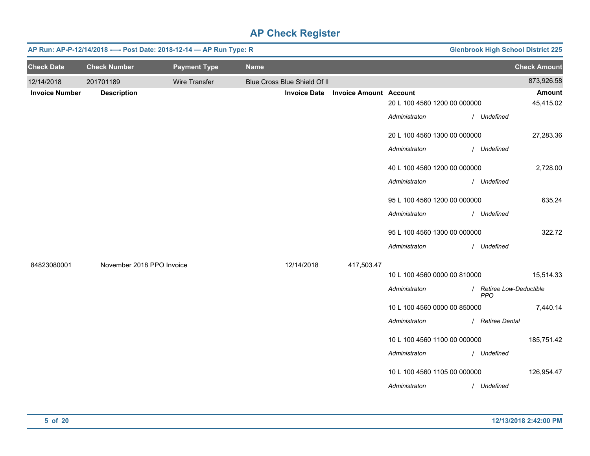|                       | AP Run: AP-P-12/14/2018 ---- Post Date: 2018-12-14 - AP Run Type: R |                      |             |                              |                               |                              | <b>Glenbrook High School District 225</b> |                                        |                     |  |
|-----------------------|---------------------------------------------------------------------|----------------------|-------------|------------------------------|-------------------------------|------------------------------|-------------------------------------------|----------------------------------------|---------------------|--|
| <b>Check Date</b>     | <b>Check Number</b>                                                 | <b>Payment Type</b>  | <b>Name</b> |                              |                               |                              |                                           |                                        | <b>Check Amount</b> |  |
| 12/14/2018            | 201701189                                                           | <b>Wire Transfer</b> |             | Blue Cross Blue Shield Of II |                               |                              |                                           |                                        | 873,926.58          |  |
| <b>Invoice Number</b> | <b>Description</b>                                                  |                      |             | <b>Invoice Date</b>          | <b>Invoice Amount Account</b> |                              |                                           |                                        | <b>Amount</b>       |  |
|                       |                                                                     |                      |             |                              |                               | 20 L 100 4560 1200 00 000000 |                                           |                                        | 45,415.02           |  |
|                       |                                                                     |                      |             |                              |                               | Administraton                |                                           | / Undefined                            |                     |  |
|                       |                                                                     |                      |             |                              |                               | 20 L 100 4560 1300 00 000000 |                                           |                                        | 27,283.36           |  |
|                       |                                                                     |                      |             |                              |                               | Administraton                |                                           | / Undefined                            |                     |  |
|                       |                                                                     |                      |             |                              |                               | 40 L 100 4560 1200 00 000000 |                                           |                                        | 2,728.00            |  |
|                       |                                                                     |                      |             |                              |                               | Administraton                |                                           | / Undefined                            |                     |  |
|                       |                                                                     |                      |             |                              |                               | 95 L 100 4560 1200 00 000000 |                                           |                                        | 635.24              |  |
|                       |                                                                     |                      |             |                              |                               | Administraton                |                                           | / Undefined                            |                     |  |
|                       |                                                                     |                      |             |                              |                               | 95 L 100 4560 1300 00 000000 |                                           |                                        | 322.72              |  |
|                       |                                                                     |                      |             |                              |                               | Administraton                |                                           | / Undefined                            |                     |  |
| 84823080001           | November 2018 PPO Invoice                                           |                      |             | 12/14/2018                   | 417,503.47                    |                              |                                           |                                        |                     |  |
|                       |                                                                     |                      |             |                              |                               | 10 L 100 4560 0000 00 810000 |                                           |                                        | 15,514.33           |  |
|                       |                                                                     |                      |             |                              |                               | Administraton                |                                           | / Retiree Low-Deductible<br><b>PPO</b> |                     |  |
|                       |                                                                     |                      |             |                              |                               | 10 L 100 4560 0000 00 850000 |                                           |                                        | 7,440.14            |  |
|                       |                                                                     |                      |             |                              |                               | Administraton                |                                           | / Retiree Dental                       |                     |  |
|                       |                                                                     |                      |             |                              |                               | 10 L 100 4560 1100 00 000000 |                                           |                                        | 185,751.42          |  |
|                       |                                                                     |                      |             |                              |                               | Administraton                |                                           | / Undefined                            |                     |  |
|                       |                                                                     |                      |             |                              |                               | 10 L 100 4560 1105 00 000000 |                                           |                                        | 126,954.47          |  |
|                       |                                                                     |                      |             |                              |                               | Administraton                |                                           | / Undefined                            |                     |  |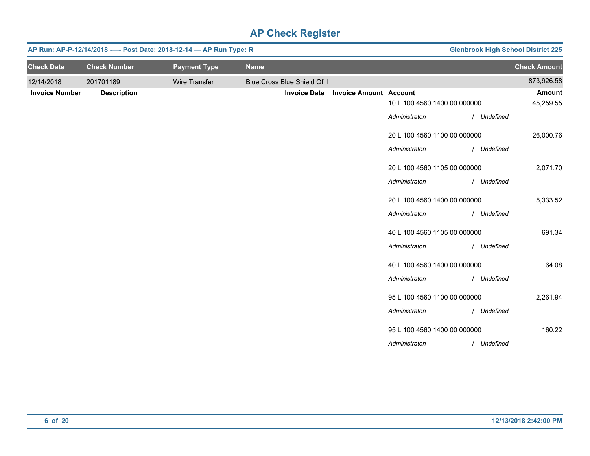|                       | AP Run: AP-P-12/14/2018 ---- Post Date: 2018-12-14 - AP Run Type: R |                      | <b>Glenbrook High School District 225</b> |                              |                               |                              |             |                     |
|-----------------------|---------------------------------------------------------------------|----------------------|-------------------------------------------|------------------------------|-------------------------------|------------------------------|-------------|---------------------|
| <b>Check Date</b>     | <b>Check Number</b>                                                 | <b>Payment Type</b>  | <b>Name</b>                               |                              |                               |                              |             | <b>Check Amount</b> |
| 12/14/2018            | 201701189                                                           | <b>Wire Transfer</b> |                                           | Blue Cross Blue Shield Of II |                               |                              |             | 873,926.58          |
| <b>Invoice Number</b> | <b>Description</b>                                                  |                      |                                           | <b>Invoice Date</b>          | <b>Invoice Amount Account</b> |                              |             | Amount              |
|                       |                                                                     |                      |                                           |                              |                               | 10 L 100 4560 1400 00 000000 |             | 45,259.55           |
|                       |                                                                     |                      |                                           |                              |                               | Administraton                | / Undefined |                     |
|                       |                                                                     |                      |                                           |                              |                               | 20 L 100 4560 1100 00 000000 |             | 26,000.76           |
|                       |                                                                     |                      |                                           |                              |                               | Administraton                | / Undefined |                     |
|                       |                                                                     |                      |                                           |                              |                               | 20 L 100 4560 1105 00 000000 |             | 2,071.70            |
|                       |                                                                     |                      |                                           |                              |                               | Administraton                | / Undefined |                     |
|                       |                                                                     |                      |                                           |                              |                               | 20 L 100 4560 1400 00 000000 |             | 5,333.52            |
|                       |                                                                     |                      |                                           |                              |                               | Administraton                | / Undefined |                     |
|                       |                                                                     |                      |                                           |                              |                               | 40 L 100 4560 1105 00 000000 |             | 691.34              |
|                       |                                                                     |                      |                                           |                              |                               | Administraton                | / Undefined |                     |
|                       |                                                                     |                      |                                           |                              |                               | 40 L 100 4560 1400 00 000000 |             | 64.08               |
|                       |                                                                     |                      |                                           |                              |                               | Administraton                | / Undefined |                     |
|                       |                                                                     |                      |                                           |                              |                               | 95 L 100 4560 1100 00 000000 |             | 2,261.94            |
|                       |                                                                     |                      |                                           |                              |                               | Administraton                | / Undefined |                     |
|                       |                                                                     |                      |                                           |                              |                               | 95 L 100 4560 1400 00 000000 |             | 160.22              |
|                       |                                                                     |                      |                                           |                              |                               | Administraton                | / Undefined |                     |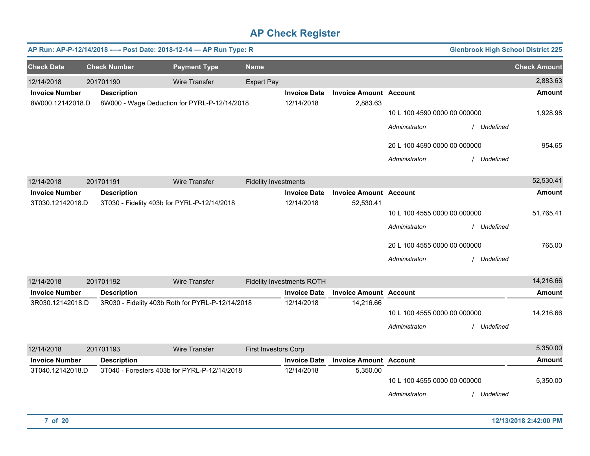| <b>Glenbrook High School District 225</b> |             |                                               |                               |                                  |                             | AP Run: AP-P-12/14/2018 ---- Post Date: 2018-12-14 - AP Run Type: R |                     |                       |
|-------------------------------------------|-------------|-----------------------------------------------|-------------------------------|----------------------------------|-----------------------------|---------------------------------------------------------------------|---------------------|-----------------------|
| <b>Check Amount</b>                       |             |                                               |                               |                                  | <b>Name</b>                 | <b>Payment Type</b>                                                 | <b>Check Number</b> | <b>Check Date</b>     |
| 2,883.63                                  |             |                                               |                               |                                  | <b>Expert Pay</b>           | Wire Transfer                                                       | 201701190           | 12/14/2018            |
| Amount                                    |             |                                               | <b>Invoice Amount Account</b> | <b>Invoice Date</b>              |                             |                                                                     | <b>Description</b>  | <b>Invoice Number</b> |
| 1,928.98                                  | / Undefined | 10 L 100 4590 0000 00 000000<br>Administraton | 2,883.63                      | 12/14/2018                       |                             | 8W000 - Wage Deduction for PYRL-P-12/14/2018                        |                     | 8W000.12142018.D      |
| 954.65                                    | / Undefined | 20 L 100 4590 0000 00 000000<br>Administraton |                               |                                  |                             |                                                                     |                     |                       |
| 52,530.41                                 |             |                                               |                               |                                  | <b>Fidelity Investments</b> | Wire Transfer                                                       | 201701191           | 12/14/2018            |
| <b>Amount</b>                             |             | <b>Account</b>                                | <b>Invoice Amount</b>         | <b>Invoice Date</b>              |                             |                                                                     | <b>Description</b>  | <b>Invoice Number</b> |
|                                           |             |                                               | 52,530.41                     | 12/14/2018                       |                             | 3T030 - Fidelity 403b for PYRL-P-12/14/2018                         |                     | 3T030.12142018.D      |
| 51,765.41                                 |             | 10 L 100 4555 0000 00 000000                  |                               |                                  |                             |                                                                     |                     |                       |
|                                           | / Undefined | Administraton                                 |                               |                                  |                             |                                                                     |                     |                       |
| 765.00                                    |             | 20 L 100 4555 0000 00 000000                  |                               |                                  |                             |                                                                     |                     |                       |
|                                           | / Undefined | Administraton                                 |                               |                                  |                             |                                                                     |                     |                       |
| 14,216.66                                 |             |                                               |                               | <b>Fidelity Investments ROTH</b> |                             | <b>Wire Transfer</b>                                                | 201701192           | 12/14/2018            |
| <b>Amount</b>                             |             |                                               | <b>Invoice Amount Account</b> | <b>Invoice Date</b>              |                             |                                                                     | <b>Description</b>  | <b>Invoice Number</b> |
|                                           |             |                                               | 14,216.66                     | 12/14/2018                       |                             | 3R030 - Fidelity 403b Roth for PYRL-P-12/14/2018                    |                     | 3R030.12142018.D      |
| 14,216.66                                 |             | 10 L 100 4555 0000 00 000000                  |                               |                                  |                             |                                                                     |                     |                       |
|                                           | Undefined   | Administraton                                 |                               |                                  |                             |                                                                     |                     |                       |
| 5,350.00                                  |             |                                               |                               |                                  | First Investors Corp        | Wire Transfer                                                       | 201701193           | 12/14/2018            |
| <b>Amount</b>                             |             |                                               | <b>Invoice Amount Account</b> | <b>Invoice Date</b>              |                             |                                                                     | <b>Description</b>  | <b>Invoice Number</b> |
| 5,350.00                                  | Undefined   | 10 L 100 4555 0000 00 000000<br>Administraton | 5,350.00                      | 12/14/2018                       |                             | 3T040 - Foresters 403b for PYRL-P-12/14/2018                        |                     | 3T040.12142018.D      |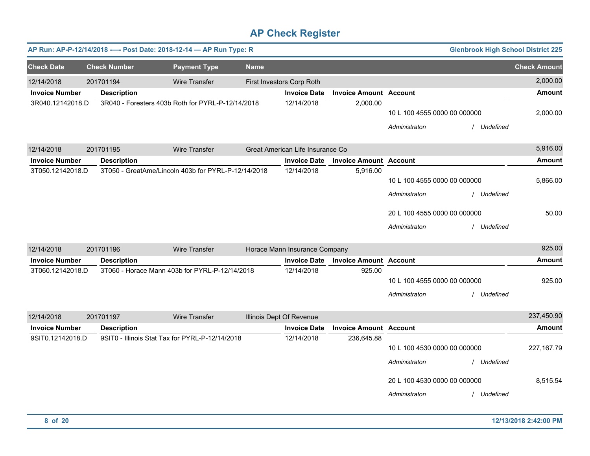|                       |                     | AP Run: AP-P-12/14/2018 ---- Post Date: 2018-12-14 - AP Run Type: R |             |                                  |                               |                              | <b>Glenbrook High School District 225</b> |                     |
|-----------------------|---------------------|---------------------------------------------------------------------|-------------|----------------------------------|-------------------------------|------------------------------|-------------------------------------------|---------------------|
| <b>Check Date</b>     | <b>Check Number</b> | <b>Payment Type</b>                                                 | <b>Name</b> |                                  |                               |                              |                                           | <b>Check Amount</b> |
| 12/14/2018            | 201701194           | Wire Transfer                                                       |             | First Investors Corp Roth        |                               |                              |                                           | 2,000.00            |
| <b>Invoice Number</b> | <b>Description</b>  |                                                                     |             | <b>Invoice Date</b>              | <b>Invoice Amount Account</b> |                              |                                           | <b>Amount</b>       |
| 3R040.12142018.D      |                     | 3R040 - Foresters 403b Roth for PYRL-P-12/14/2018                   |             | 12/14/2018                       | 2,000.00                      |                              |                                           |                     |
|                       |                     |                                                                     |             |                                  |                               | 10 L 100 4555 0000 00 000000 |                                           | 2,000.00            |
|                       |                     |                                                                     |             |                                  |                               | Administraton                | Undefined                                 |                     |
| 12/14/2018            | 201701195           | Wire Transfer                                                       |             | Great American Life Insurance Co |                               |                              |                                           | 5,916.00            |
| <b>Invoice Number</b> | <b>Description</b>  |                                                                     |             | <b>Invoice Date</b>              | <b>Invoice Amount Account</b> |                              |                                           | <b>Amount</b>       |
| 3T050.12142018.D      |                     | 3T050 - GreatAme/Lincoln 403b for PYRL-P-12/14/2018                 |             | 12/14/2018                       | 5,916.00                      |                              |                                           |                     |
|                       |                     |                                                                     |             |                                  |                               | 10 L 100 4555 0000 00 000000 |                                           | 5,866.00            |
|                       |                     |                                                                     |             |                                  |                               | Administraton                | / Undefined                               |                     |
|                       |                     |                                                                     |             |                                  |                               | 20 L 100 4555 0000 00 000000 |                                           | 50.00               |
|                       |                     |                                                                     |             |                                  |                               | Administraton                | / Undefined                               |                     |
| 12/14/2018            | 201701196           | Wire Transfer                                                       |             | Horace Mann Insurance Company    |                               |                              |                                           | 925.00              |
| <b>Invoice Number</b> | <b>Description</b>  |                                                                     |             | <b>Invoice Date</b>              | <b>Invoice Amount Account</b> |                              |                                           | <b>Amount</b>       |
| 3T060.12142018.D      |                     | 3T060 - Horace Mann 403b for PYRL-P-12/14/2018                      |             | 12/14/2018                       | 925.00                        |                              |                                           |                     |
|                       |                     |                                                                     |             |                                  |                               | 10 L 100 4555 0000 00 000000 |                                           | 925.00              |
|                       |                     |                                                                     |             |                                  |                               | Administraton                | / Undefined                               |                     |
| 12/14/2018            | 201701197           | Wire Transfer                                                       |             | Illinois Dept Of Revenue         |                               |                              |                                           | 237,450.90          |
| <b>Invoice Number</b> | <b>Description</b>  |                                                                     |             | <b>Invoice Date</b>              | <b>Invoice Amount Account</b> |                              |                                           | <b>Amount</b>       |
| 9SIT0.12142018.D      |                     | 9SIT0 - Illinois Stat Tax for PYRL-P-12/14/2018                     |             | 12/14/2018                       | 236,645.88                    |                              |                                           |                     |
|                       |                     |                                                                     |             |                                  |                               | 10 L 100 4530 0000 00 000000 |                                           | 227, 167.79         |
|                       |                     |                                                                     |             |                                  |                               | Administraton                | / Undefined                               |                     |
|                       |                     |                                                                     |             |                                  |                               | 20 L 100 4530 0000 00 000000 |                                           | 8,515.54            |
|                       |                     |                                                                     |             |                                  |                               | Administraton                | / Undefined                               |                     |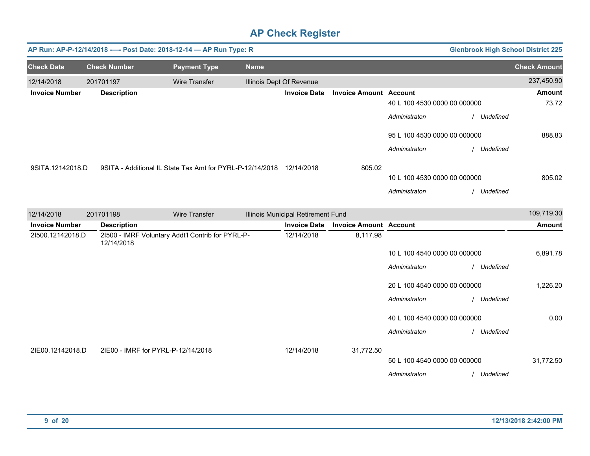|                       | AP Run: AP-P-12/14/2018 ---- Post Date: 2018-12-14 - AP Run Type: R<br><b>Glenbrook High School District 225</b> |                                                                      |             |                                    |                               |                              |             |                     |  |  |
|-----------------------|------------------------------------------------------------------------------------------------------------------|----------------------------------------------------------------------|-------------|------------------------------------|-------------------------------|------------------------------|-------------|---------------------|--|--|
| <b>Check Date</b>     | <b>Check Number</b>                                                                                              | <b>Payment Type</b>                                                  | <b>Name</b> |                                    |                               |                              |             | <b>Check Amount</b> |  |  |
| 12/14/2018            | 201701197                                                                                                        | <b>Wire Transfer</b>                                                 |             | Illinois Dept Of Revenue           |                               |                              |             | 237,450.90          |  |  |
| <b>Invoice Number</b> | <b>Description</b>                                                                                               |                                                                      |             | <b>Invoice Date</b>                | <b>Invoice Amount Account</b> |                              |             | Amount              |  |  |
|                       |                                                                                                                  |                                                                      |             |                                    |                               | 40 L 100 4530 0000 00 000000 |             | 73.72               |  |  |
|                       |                                                                                                                  |                                                                      |             |                                    |                               | Administraton                | / Undefined |                     |  |  |
|                       |                                                                                                                  |                                                                      |             |                                    |                               | 95 L 100 4530 0000 00 000000 |             | 888.83              |  |  |
|                       |                                                                                                                  |                                                                      |             |                                    |                               | Administraton                | / Undefined |                     |  |  |
| 9SITA.12142018.D      |                                                                                                                  | 9SITA - Additional IL State Tax Amt for PYRL-P-12/14/2018 12/14/2018 |             |                                    | 805.02                        |                              |             |                     |  |  |
|                       |                                                                                                                  |                                                                      |             |                                    |                               | 10 L 100 4530 0000 00 000000 |             | 805.02              |  |  |
|                       |                                                                                                                  |                                                                      |             |                                    |                               | Administraton                | / Undefined |                     |  |  |
| 12/14/2018            | 201701198                                                                                                        | Wire Transfer                                                        |             | Illinois Municipal Retirement Fund |                               |                              |             | 109,719.30          |  |  |
| <b>Invoice Number</b> | <b>Description</b>                                                                                               |                                                                      |             | <b>Invoice Date</b>                | <b>Invoice Amount Account</b> |                              |             | <b>Amount</b>       |  |  |
| 21500.12142018.D      | 12/14/2018                                                                                                       | 21500 - IMRF Voluntary Addt'l Contrib for PYRL-P-                    |             | 12/14/2018                         | 8,117.98                      |                              |             |                     |  |  |
|                       |                                                                                                                  |                                                                      |             |                                    |                               | 10 L 100 4540 0000 00 000000 |             | 6,891.78            |  |  |
|                       |                                                                                                                  |                                                                      |             |                                    |                               | Administraton                | / Undefined |                     |  |  |
|                       |                                                                                                                  |                                                                      |             |                                    |                               | 20 L 100 4540 0000 00 000000 |             | 1,226.20            |  |  |
|                       |                                                                                                                  |                                                                      |             |                                    |                               | Administraton                | / Undefined |                     |  |  |
|                       |                                                                                                                  |                                                                      |             |                                    |                               | 40 L 100 4540 0000 00 000000 |             | 0.00                |  |  |
|                       |                                                                                                                  |                                                                      |             |                                    |                               | Administraton                | / Undefined |                     |  |  |
| 2IE00.12142018.D      | 2IE00 - IMRF for PYRL-P-12/14/2018                                                                               |                                                                      |             | 12/14/2018                         | 31,772.50                     |                              |             |                     |  |  |
|                       |                                                                                                                  |                                                                      |             |                                    |                               | 50 L 100 4540 0000 00 000000 |             | 31,772.50           |  |  |
|                       |                                                                                                                  |                                                                      |             |                                    |                               | Administraton                | / Undefined |                     |  |  |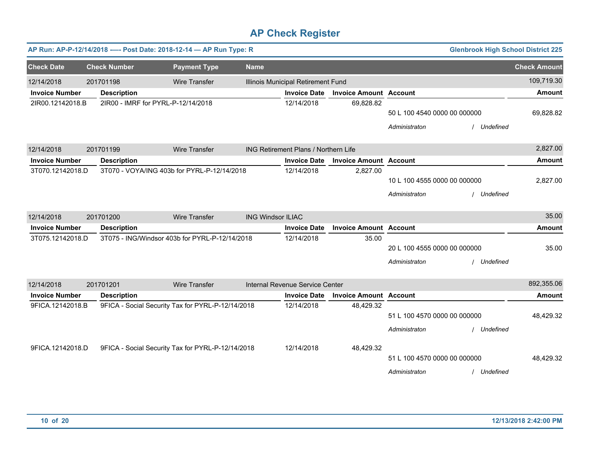|                       | <b>Glenbrook High School District 225</b><br>AP Run: AP-P-12/14/2018 ---- Post Date: 2018-12-14 - AP Run Type: R |                                                   |                          |                                             |                               |                                               |             |                     |  |  |  |
|-----------------------|------------------------------------------------------------------------------------------------------------------|---------------------------------------------------|--------------------------|---------------------------------------------|-------------------------------|-----------------------------------------------|-------------|---------------------|--|--|--|
| <b>Check Date</b>     | <b>Check Number</b>                                                                                              | <b>Payment Type</b>                               | <b>Name</b>              |                                             |                               |                                               |             | <b>Check Amount</b> |  |  |  |
| 12/14/2018            | 201701198                                                                                                        | <b>Wire Transfer</b>                              |                          | Illinois Municipal Retirement Fund          |                               |                                               |             | 109,719.30          |  |  |  |
| <b>Invoice Number</b> | <b>Description</b>                                                                                               |                                                   |                          | <b>Invoice Date</b>                         | <b>Invoice Amount Account</b> |                                               |             | <b>Amount</b>       |  |  |  |
| 2IR00.12142018.B      | 2IR00 - IMRF for PYRL-P-12/14/2018                                                                               |                                                   |                          | 12/14/2018                                  | 69,828.82                     | 50 L 100 4540 0000 00 000000<br>Administraton | Undefined   | 69,828.82           |  |  |  |
| 12/14/2018            | 201701199                                                                                                        | <b>Wire Transfer</b>                              |                          | <b>ING Retirement Plans / Northern Life</b> |                               |                                               |             | 2,827.00            |  |  |  |
| <b>Invoice Number</b> | <b>Description</b>                                                                                               |                                                   |                          | <b>Invoice Date</b>                         | <b>Invoice Amount Account</b> |                                               |             | <b>Amount</b>       |  |  |  |
| 3T070.12142018.D      |                                                                                                                  | 3T070 - VOYA/ING 403b for PYRL-P-12/14/2018       |                          | 12/14/2018                                  | 2,827.00                      | 10 L 100 4555 0000 00 000000<br>Administraton | / Undefined | 2,827.00            |  |  |  |
| 12/14/2018            | 201701200                                                                                                        | <b>Wire Transfer</b>                              | <b>ING Windsor ILIAC</b> |                                             |                               |                                               |             | 35.00               |  |  |  |
| <b>Invoice Number</b> | <b>Description</b>                                                                                               |                                                   |                          | <b>Invoice Date</b>                         | <b>Invoice Amount Account</b> |                                               |             | <b>Amount</b>       |  |  |  |
| 3T075.12142018.D      |                                                                                                                  | 3T075 - ING/Windsor 403b for PYRL-P-12/14/2018    |                          | 12/14/2018                                  | 35.00                         | 20 L 100 4555 0000 00 000000<br>Administraton | / Undefined | 35.00               |  |  |  |
| 12/14/2018            | 201701201                                                                                                        | <b>Wire Transfer</b>                              |                          | Internal Revenue Service Center             |                               |                                               |             | 892,355.06          |  |  |  |
| <b>Invoice Number</b> | <b>Description</b>                                                                                               |                                                   |                          | <b>Invoice Date</b>                         | <b>Invoice Amount Account</b> |                                               |             | <b>Amount</b>       |  |  |  |
| 9FICA.12142018.B      |                                                                                                                  | 9FICA - Social Security Tax for PYRL-P-12/14/2018 |                          | 12/14/2018                                  | 48,429.32                     | 51 L 100 4570 0000 00 000000<br>Administraton | Undefined   | 48,429.32           |  |  |  |
| 9FICA.12142018.D      |                                                                                                                  | 9FICA - Social Security Tax for PYRL-P-12/14/2018 |                          | 12/14/2018                                  | 48,429.32                     | 51 L 100 4570 0000 00 000000<br>Administraton | / Undefined | 48,429.32           |  |  |  |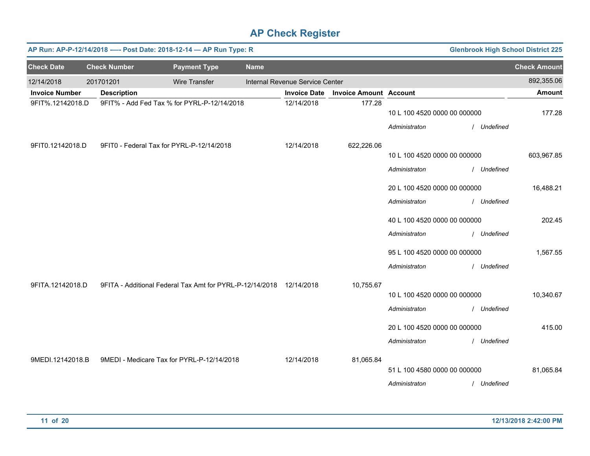|                       | AP Run: AP-P-12/14/2018 ---- Post Date: 2018-12-14 - AP Run Type: R<br><b>Glenbrook High School District 225</b> |                                                                     |             |                                 |                               |                              |             |                     |  |  |  |  |
|-----------------------|------------------------------------------------------------------------------------------------------------------|---------------------------------------------------------------------|-------------|---------------------------------|-------------------------------|------------------------------|-------------|---------------------|--|--|--|--|
| <b>Check Date</b>     | <b>Check Number</b>                                                                                              | <b>Payment Type</b>                                                 | <b>Name</b> |                                 |                               |                              |             | <b>Check Amount</b> |  |  |  |  |
| 12/14/2018            | 201701201                                                                                                        | <b>Wire Transfer</b>                                                |             | Internal Revenue Service Center |                               |                              |             | 892,355.06          |  |  |  |  |
| <b>Invoice Number</b> | <b>Description</b>                                                                                               |                                                                     |             | <b>Invoice Date</b>             | <b>Invoice Amount Account</b> |                              |             | <b>Amount</b>       |  |  |  |  |
| 9FIT%.12142018.D      |                                                                                                                  | 9FIT% - Add Fed Tax % for PYRL-P-12/14/2018                         |             | 12/14/2018                      | 177.28                        | 10 L 100 4520 0000 00 000000 |             | 177.28              |  |  |  |  |
|                       |                                                                                                                  |                                                                     |             |                                 |                               | Administraton                | / Undefined |                     |  |  |  |  |
| 9FIT0.12142018.D      |                                                                                                                  | 9FIT0 - Federal Tax for PYRL-P-12/14/2018                           |             | 12/14/2018                      | 622,226.06                    |                              |             |                     |  |  |  |  |
|                       |                                                                                                                  |                                                                     |             |                                 |                               | 10 L 100 4520 0000 00 000000 |             | 603,967.85          |  |  |  |  |
|                       |                                                                                                                  |                                                                     |             |                                 |                               | Administraton                | / Undefined |                     |  |  |  |  |
|                       |                                                                                                                  |                                                                     |             |                                 |                               | 20 L 100 4520 0000 00 000000 |             | 16,488.21           |  |  |  |  |
|                       |                                                                                                                  |                                                                     |             |                                 |                               | Administraton                | / Undefined |                     |  |  |  |  |
|                       |                                                                                                                  |                                                                     |             |                                 |                               | 40 L 100 4520 0000 00 000000 |             | 202.45              |  |  |  |  |
|                       |                                                                                                                  |                                                                     |             |                                 |                               | Administraton                | / Undefined |                     |  |  |  |  |
|                       |                                                                                                                  |                                                                     |             |                                 |                               | 95 L 100 4520 0000 00 000000 |             | 1,567.55            |  |  |  |  |
|                       |                                                                                                                  |                                                                     |             |                                 |                               | Administraton                | / Undefined |                     |  |  |  |  |
| 9FITA.12142018.D      |                                                                                                                  | 9FITA - Additional Federal Tax Amt for PYRL-P-12/14/2018 12/14/2018 |             |                                 | 10,755.67                     |                              |             |                     |  |  |  |  |
|                       |                                                                                                                  |                                                                     |             |                                 |                               | 10 L 100 4520 0000 00 000000 |             | 10,340.67           |  |  |  |  |
|                       |                                                                                                                  |                                                                     |             |                                 |                               | Administraton                | / Undefined |                     |  |  |  |  |
|                       |                                                                                                                  |                                                                     |             |                                 |                               | 20 L 100 4520 0000 00 000000 |             | 415.00              |  |  |  |  |
|                       |                                                                                                                  |                                                                     |             |                                 |                               | Administraton                | / Undefined |                     |  |  |  |  |
| 9MEDI.12142018.B      |                                                                                                                  | 9MEDI - Medicare Tax for PYRL-P-12/14/2018                          |             | 12/14/2018                      | 81,065.84                     |                              |             |                     |  |  |  |  |
|                       |                                                                                                                  |                                                                     |             |                                 |                               | 51 L 100 4580 0000 00 000000 |             | 81,065.84           |  |  |  |  |
|                       |                                                                                                                  |                                                                     |             |                                 |                               | Administraton                | / Undefined |                     |  |  |  |  |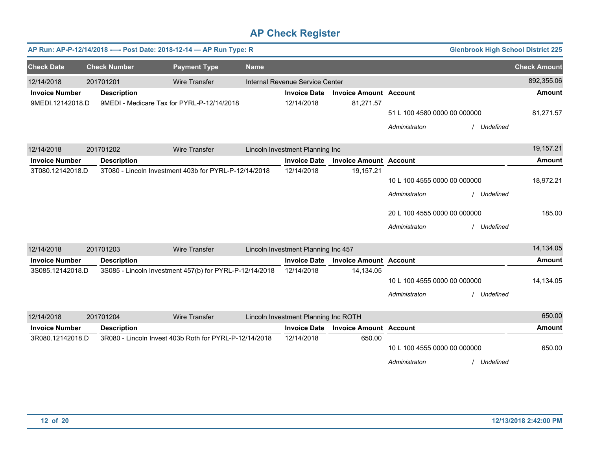|                       |                     | AP Run: AP-P-12/14/2018 ---- Post Date: 2018-12-14 - AP Run Type: R |             |                                      |                               |                              | <b>Glenbrook High School District 225</b> |                     |
|-----------------------|---------------------|---------------------------------------------------------------------|-------------|--------------------------------------|-------------------------------|------------------------------|-------------------------------------------|---------------------|
| <b>Check Date</b>     | <b>Check Number</b> | <b>Payment Type</b>                                                 | <b>Name</b> |                                      |                               |                              |                                           | <b>Check Amount</b> |
| 12/14/2018            | 201701201           | <b>Wire Transfer</b>                                                |             | Internal Revenue Service Center      |                               |                              |                                           | 892,355.06          |
| <b>Invoice Number</b> | <b>Description</b>  |                                                                     |             | <b>Invoice Date</b>                  | <b>Invoice Amount Account</b> |                              |                                           | <b>Amount</b>       |
| 9MEDI.12142018.D      |                     | 9MEDI - Medicare Tax for PYRL-P-12/14/2018                          |             | 12/14/2018                           | 81,271.57                     |                              |                                           |                     |
|                       |                     |                                                                     |             |                                      |                               | 51 L 100 4580 0000 00 000000 |                                           | 81,271.57           |
|                       |                     |                                                                     |             |                                      |                               | Administraton                | / Undefined                               |                     |
| 12/14/2018            | 201701202           | <b>Wire Transfer</b>                                                |             | Lincoln Investment Planning Inc      |                               |                              |                                           | 19,157.21           |
| <b>Invoice Number</b> | <b>Description</b>  |                                                                     |             | <b>Invoice Date</b>                  | <b>Invoice Amount Account</b> |                              |                                           | <b>Amount</b>       |
| 3T080.12142018.D      |                     | 3T080 - Lincoln Investment 403b for PYRL-P-12/14/2018               |             | 12/14/2018                           | 19,157.21                     |                              |                                           |                     |
|                       |                     |                                                                     |             |                                      |                               | 10 L 100 4555 0000 00 000000 |                                           | 18,972.21           |
|                       |                     |                                                                     |             |                                      |                               | Administraton                | / Undefined                               |                     |
|                       |                     |                                                                     |             |                                      |                               | 20 L 100 4555 0000 00 000000 |                                           | 185.00              |
|                       |                     |                                                                     |             |                                      |                               | Administraton                | / Undefined                               |                     |
| 12/14/2018            | 201701203           | <b>Wire Transfer</b>                                                |             | Lincoln Investment Planning Inc 457  |                               |                              |                                           | 14,134.05           |
| <b>Invoice Number</b> | <b>Description</b>  |                                                                     |             | <b>Invoice Date</b>                  | <b>Invoice Amount Account</b> |                              |                                           | <b>Amount</b>       |
| 3S085.12142018.D      |                     | 3S085 - Lincoln Investment 457(b) for PYRL-P-12/14/2018             |             | 12/14/2018                           | 14,134.05                     |                              |                                           |                     |
|                       |                     |                                                                     |             |                                      |                               | 10 L 100 4555 0000 00 000000 |                                           | 14,134.05           |
|                       |                     |                                                                     |             |                                      |                               | Administraton                | / Undefined                               |                     |
|                       |                     |                                                                     |             |                                      |                               |                              |                                           |                     |
| 12/14/2018            | 201701204           | Wire Transfer                                                       |             | Lincoln Investment Planning Inc ROTH |                               |                              |                                           | 650.00              |
| <b>Invoice Number</b> | <b>Description</b>  |                                                                     |             | <b>Invoice Date</b>                  | <b>Invoice Amount Account</b> |                              |                                           | Amount              |
| 3R080.12142018.D      |                     | 3R080 - Lincoln Invest 403b Roth for PYRL-P-12/14/2018              |             | 12/14/2018                           | 650.00                        |                              |                                           |                     |
|                       |                     |                                                                     |             |                                      |                               | 10 L 100 4555 0000 00 000000 |                                           | 650.00              |
|                       |                     |                                                                     |             |                                      |                               | Administraton                | Undefined                                 |                     |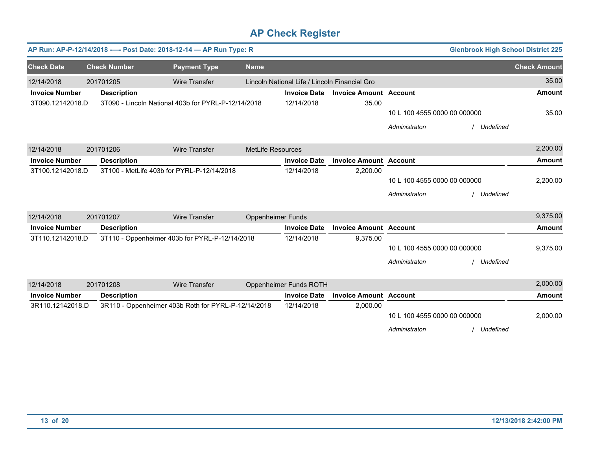|                       |                     | AP Run: AP-P-12/14/2018 ---- Post Date: 2018-12-14 - AP Run Type: R |                   |                                               |                               |                              | <b>Glenbrook High School District 225</b> |                     |
|-----------------------|---------------------|---------------------------------------------------------------------|-------------------|-----------------------------------------------|-------------------------------|------------------------------|-------------------------------------------|---------------------|
| <b>Check Date</b>     | <b>Check Number</b> | <b>Payment Type</b>                                                 | <b>Name</b>       |                                               |                               |                              |                                           | <b>Check Amount</b> |
| 12/14/2018            | 201701205           | <b>Wire Transfer</b>                                                |                   | Lincoln National Life / Lincoln Financial Gro |                               |                              |                                           | 35.00               |
| <b>Invoice Number</b> | <b>Description</b>  |                                                                     |                   | <b>Invoice Date</b>                           | <b>Invoice Amount Account</b> |                              |                                           | <b>Amount</b>       |
| 3T090.12142018.D      |                     | 3T090 - Lincoln National 403b for PYRL-P-12/14/2018                 |                   | 12/14/2018                                    | 35.00                         |                              |                                           |                     |
|                       |                     |                                                                     |                   |                                               |                               | 10 L 100 4555 0000 00 000000 |                                           | 35.00               |
|                       |                     |                                                                     |                   |                                               |                               | Administraton                | Undefined                                 |                     |
| 12/14/2018            | 201701206           | <b>Wire Transfer</b>                                                | MetLife Resources |                                               |                               |                              |                                           | 2,200.00            |
| <b>Invoice Number</b> | <b>Description</b>  |                                                                     |                   | <b>Invoice Date</b>                           | <b>Invoice Amount Account</b> |                              |                                           | <b>Amount</b>       |
| 3T100.12142018.D      |                     | 3T100 - MetLife 403b for PYRL-P-12/14/2018                          |                   | 12/14/2018                                    | 2,200.00                      |                              |                                           |                     |
|                       |                     |                                                                     |                   |                                               |                               | 10 L 100 4555 0000 00 000000 |                                           | 2,200.00            |
|                       |                     |                                                                     |                   |                                               |                               | Administraton                | Undefined                                 |                     |
| 12/14/2018            | 201701207           | <b>Wire Transfer</b>                                                | Oppenheimer Funds |                                               |                               |                              |                                           | 9,375.00            |
| <b>Invoice Number</b> | <b>Description</b>  |                                                                     |                   | <b>Invoice Date</b>                           | <b>Invoice Amount Account</b> |                              |                                           | <b>Amount</b>       |
| 3T110.12142018.D      |                     | 3T110 - Oppenheimer 403b for PYRL-P-12/14/2018                      |                   | 12/14/2018                                    | 9,375.00                      |                              |                                           |                     |
|                       |                     |                                                                     |                   |                                               |                               | 10 L 100 4555 0000 00 000000 |                                           | 9,375.00            |
|                       |                     |                                                                     |                   |                                               |                               | Administraton                | Undefined                                 |                     |
| 12/14/2018            | 201701208           | <b>Wire Transfer</b>                                                |                   | Oppenheimer Funds ROTH                        |                               |                              |                                           | 2,000.00            |
| <b>Invoice Number</b> | <b>Description</b>  |                                                                     |                   | <b>Invoice Date</b>                           | <b>Invoice Amount Account</b> |                              |                                           | <b>Amount</b>       |
| 3R110.12142018.D      |                     | 3R110 - Oppenheimer 403b Roth for PYRL-P-12/14/2018                 |                   | 12/14/2018                                    | 2,000.00                      |                              |                                           |                     |
|                       |                     |                                                                     |                   |                                               |                               | 10 L 100 4555 0000 00 000000 |                                           | 2,000.00            |
|                       |                     |                                                                     |                   |                                               |                               | Administraton                | Undefined                                 |                     |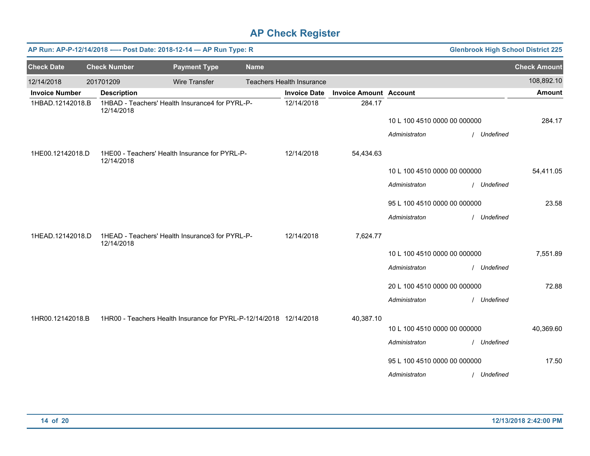|                       | AP Run: AP-P-12/14/2018 ---- Post Date: 2018-12-14 - AP Run Type: R<br><b>Glenbrook High School District 225</b> |                     |                                                                    |             |                                  |                               |                              |             |                     |  |  |  |
|-----------------------|------------------------------------------------------------------------------------------------------------------|---------------------|--------------------------------------------------------------------|-------------|----------------------------------|-------------------------------|------------------------------|-------------|---------------------|--|--|--|
| <b>Check Date</b>     |                                                                                                                  | <b>Check Number</b> | <b>Payment Type</b>                                                | <b>Name</b> |                                  |                               |                              |             | <b>Check Amount</b> |  |  |  |
| 12/14/2018            |                                                                                                                  | 201701209           | <b>Wire Transfer</b>                                               |             | <b>Teachers Health Insurance</b> |                               |                              |             | 108,892.10          |  |  |  |
| <b>Invoice Number</b> |                                                                                                                  | <b>Description</b>  |                                                                    |             | <b>Invoice Date</b>              | <b>Invoice Amount Account</b> |                              |             | <b>Amount</b>       |  |  |  |
| 1HBAD.12142018.B      |                                                                                                                  | 12/14/2018          | 1HBAD - Teachers' Health Insurance4 for PYRL-P-                    |             | 12/14/2018                       | 284.17                        |                              |             |                     |  |  |  |
|                       |                                                                                                                  |                     |                                                                    |             |                                  |                               | 10 L 100 4510 0000 00 000000 |             | 284.17              |  |  |  |
|                       |                                                                                                                  |                     |                                                                    |             |                                  |                               | Administraton                | / Undefined |                     |  |  |  |
| 1HE00.12142018.D      |                                                                                                                  | 12/14/2018          | 1HE00 - Teachers' Health Insurance for PYRL-P-                     |             | 12/14/2018                       | 54,434.63                     |                              |             |                     |  |  |  |
|                       |                                                                                                                  |                     |                                                                    |             |                                  |                               | 10 L 100 4510 0000 00 000000 |             | 54,411.05           |  |  |  |
|                       |                                                                                                                  |                     |                                                                    |             |                                  |                               | Administraton                | / Undefined |                     |  |  |  |
|                       |                                                                                                                  |                     |                                                                    |             |                                  |                               | 95 L 100 4510 0000 00 000000 |             | 23.58               |  |  |  |
|                       |                                                                                                                  |                     |                                                                    |             |                                  |                               | Administraton                | / Undefined |                     |  |  |  |
| 1HEAD.12142018.D      |                                                                                                                  | 12/14/2018          | 1HEAD - Teachers' Health Insurance3 for PYRL-P-                    |             | 12/14/2018                       | 7,624.77                      |                              |             |                     |  |  |  |
|                       |                                                                                                                  |                     |                                                                    |             |                                  |                               | 10 L 100 4510 0000 00 000000 |             | 7,551.89            |  |  |  |
|                       |                                                                                                                  |                     |                                                                    |             |                                  |                               | Administraton                | / Undefined |                     |  |  |  |
|                       |                                                                                                                  |                     |                                                                    |             |                                  |                               | 20 L 100 4510 0000 00 000000 |             | 72.88               |  |  |  |
|                       |                                                                                                                  |                     |                                                                    |             |                                  |                               | Administraton                | / Undefined |                     |  |  |  |
| 1HR00.12142018.B      |                                                                                                                  |                     | 1HR00 - Teachers Health Insurance for PYRL-P-12/14/2018 12/14/2018 |             |                                  | 40,387.10                     |                              |             |                     |  |  |  |
|                       |                                                                                                                  |                     |                                                                    |             |                                  |                               | 10 L 100 4510 0000 00 000000 |             | 40,369.60           |  |  |  |
|                       |                                                                                                                  |                     |                                                                    |             |                                  |                               | Administraton                | / Undefined |                     |  |  |  |
|                       |                                                                                                                  |                     |                                                                    |             |                                  |                               | 95 L 100 4510 0000 00 000000 |             | 17.50               |  |  |  |
|                       |                                                                                                                  |                     |                                                                    |             |                                  |                               | Administraton                | / Undefined |                     |  |  |  |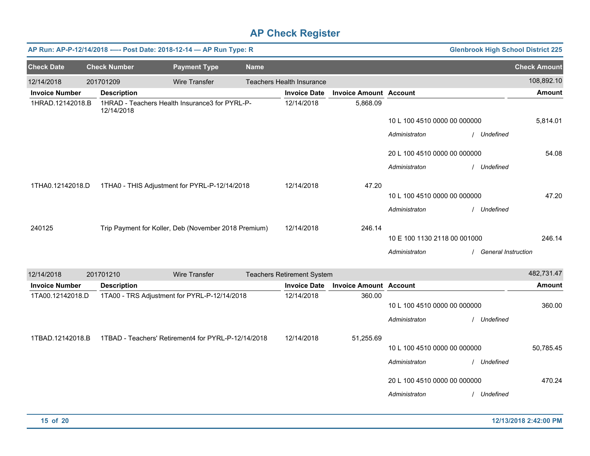| AP Run: AP-P-12/14/2018 ---- Post Date: 2018-12-14 - AP Run Type: R |                     |                                                      |             |                                   |                               |                              |             | <b>Glenbrook High School District 225</b> |
|---------------------------------------------------------------------|---------------------|------------------------------------------------------|-------------|-----------------------------------|-------------------------------|------------------------------|-------------|-------------------------------------------|
| <b>Check Date</b>                                                   | <b>Check Number</b> | <b>Payment Type</b>                                  | <b>Name</b> |                                   |                               |                              |             | <b>Check Amount</b>                       |
| 12/14/2018                                                          | 201701209           | <b>Wire Transfer</b>                                 |             | <b>Teachers Health Insurance</b>  |                               |                              |             | 108,892.10                                |
| <b>Invoice Number</b>                                               | <b>Description</b>  |                                                      |             | <b>Invoice Date</b>               | <b>Invoice Amount Account</b> |                              |             | <b>Amount</b>                             |
| 1HRAD.12142018.B                                                    | 12/14/2018          | 1HRAD - Teachers Health Insurance3 for PYRL-P-       |             | 12/14/2018                        | 5,868.09                      |                              |             |                                           |
|                                                                     |                     |                                                      |             |                                   |                               | 10 L 100 4510 0000 00 000000 |             | 5,814.01                                  |
|                                                                     |                     |                                                      |             |                                   |                               | Administraton                |             | Undefined                                 |
|                                                                     |                     |                                                      |             |                                   |                               | 20 L 100 4510 0000 00 000000 |             | 54.08                                     |
|                                                                     |                     |                                                      |             |                                   |                               | Administraton                | / Undefined |                                           |
| 1THA0.12142018.D                                                    |                     | 1THA0 - THIS Adjustment for PYRL-P-12/14/2018        |             | 12/14/2018                        | 47.20                         |                              |             |                                           |
|                                                                     |                     |                                                      |             |                                   |                               | 10 L 100 4510 0000 00 000000 |             | 47.20                                     |
|                                                                     |                     |                                                      |             |                                   |                               | Administraton                | / Undefined |                                           |
| 240125                                                              |                     | Trip Payment for Koller, Deb (November 2018 Premium) |             | 12/14/2018                        | 246.14                        |                              |             |                                           |
|                                                                     |                     |                                                      |             |                                   |                               | 10 E 100 1130 2118 00 001000 |             | 246.14                                    |
|                                                                     |                     |                                                      |             |                                   |                               | Administraton                |             | <b>General Instruction</b>                |
| 12/14/2018                                                          | 201701210           | <b>Wire Transfer</b>                                 |             | <b>Teachers Retirement System</b> |                               |                              |             | 482,731.47                                |
| <b>Invoice Number</b>                                               | <b>Description</b>  |                                                      |             | <b>Invoice Date</b>               | <b>Invoice Amount Account</b> |                              |             | <b>Amount</b>                             |
| 1TA00.12142018.D                                                    |                     | 1TA00 - TRS Adjustment for PYRL-P-12/14/2018         |             | 12/14/2018                        | 360.00                        |                              |             |                                           |
|                                                                     |                     |                                                      |             |                                   |                               | 10 L 100 4510 0000 00 000000 |             | 360.00                                    |
|                                                                     |                     |                                                      |             |                                   |                               | Administraton                |             | Undefined                                 |
| 1TBAD.12142018.B                                                    |                     | 1TBAD - Teachers' Retirement4 for PYRL-P-12/14/2018  |             | 12/14/2018                        | 51,255.69                     |                              |             |                                           |

50,785.45

470.24

10 L 100 4510 0000 00 000000

20 L 100 4510 0000 00 000000

*Administraton* / *Undefined*

*Administraton* / *Undefined*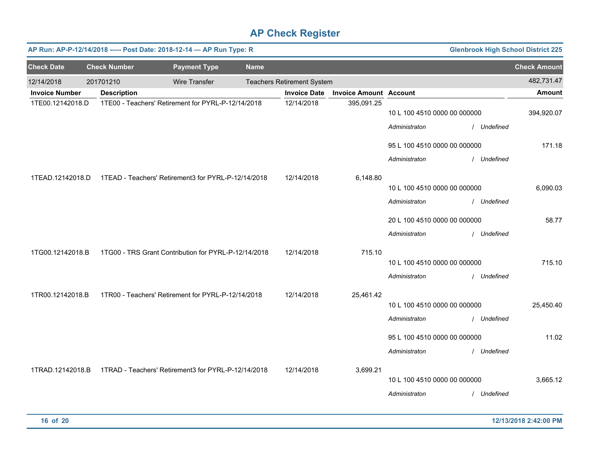|                       | <b>Glenbrook High School District 225</b><br>AP Run: AP-P-12/14/2018 ---- Post Date: 2018-12-14 - AP Run Type: R |                                                      |             |                                   |                               |                              |  |             |                     |  |  |
|-----------------------|------------------------------------------------------------------------------------------------------------------|------------------------------------------------------|-------------|-----------------------------------|-------------------------------|------------------------------|--|-------------|---------------------|--|--|
| <b>Check Date</b>     | <b>Check Number</b>                                                                                              | <b>Payment Type</b>                                  | <b>Name</b> |                                   |                               |                              |  |             | <b>Check Amount</b> |  |  |
| 12/14/2018            | 201701210                                                                                                        | <b>Wire Transfer</b>                                 |             | <b>Teachers Retirement System</b> |                               |                              |  |             | 482,731.47          |  |  |
| <b>Invoice Number</b> | <b>Description</b>                                                                                               |                                                      |             | <b>Invoice Date</b>               | <b>Invoice Amount Account</b> |                              |  |             | <b>Amount</b>       |  |  |
| 1TE00.12142018.D      |                                                                                                                  | 1TE00 - Teachers' Retirement for PYRL-P-12/14/2018   |             | 12/14/2018                        | 395,091.25                    | 10 L 100 4510 0000 00 000000 |  |             | 394,920.07          |  |  |
|                       |                                                                                                                  |                                                      |             |                                   |                               | Administraton                |  | / Undefined |                     |  |  |
|                       |                                                                                                                  |                                                      |             |                                   |                               | 95 L 100 4510 0000 00 000000 |  |             | 171.18              |  |  |
|                       |                                                                                                                  |                                                      |             |                                   |                               | Administraton                |  | / Undefined |                     |  |  |
| 1TEAD.12142018.D      |                                                                                                                  | 1TEAD - Teachers' Retirement3 for PYRL-P-12/14/2018  |             | 12/14/2018                        | 6,148.80                      |                              |  |             |                     |  |  |
|                       |                                                                                                                  |                                                      |             |                                   |                               | 10 L 100 4510 0000 00 000000 |  |             | 6,090.03            |  |  |
|                       |                                                                                                                  |                                                      |             |                                   |                               | Administraton                |  | / Undefined |                     |  |  |
|                       |                                                                                                                  |                                                      |             |                                   |                               | 20 L 100 4510 0000 00 000000 |  |             | 58.77               |  |  |
|                       |                                                                                                                  |                                                      |             |                                   |                               | Administraton                |  | / Undefined |                     |  |  |
| 1TG00.12142018.B      |                                                                                                                  | 1TG00 - TRS Grant Contribution for PYRL-P-12/14/2018 |             | 12/14/2018                        | 715.10                        |                              |  |             |                     |  |  |
|                       |                                                                                                                  |                                                      |             |                                   |                               | 10 L 100 4510 0000 00 000000 |  |             | 715.10              |  |  |
|                       |                                                                                                                  |                                                      |             |                                   |                               | Administraton                |  | / Undefined |                     |  |  |
| 1TR00.12142018.B      |                                                                                                                  | 1TR00 - Teachers' Retirement for PYRL-P-12/14/2018   |             | 12/14/2018                        | 25,461.42                     |                              |  |             |                     |  |  |
|                       |                                                                                                                  |                                                      |             |                                   |                               | 10 L 100 4510 0000 00 000000 |  |             | 25,450.40           |  |  |
|                       |                                                                                                                  |                                                      |             |                                   |                               | Administraton                |  | / Undefined |                     |  |  |
|                       |                                                                                                                  |                                                      |             |                                   |                               | 95 L 100 4510 0000 00 000000 |  |             | 11.02               |  |  |
|                       |                                                                                                                  |                                                      |             |                                   |                               | Administraton                |  | / Undefined |                     |  |  |
| 1TRAD.12142018.B      |                                                                                                                  | 1TRAD - Teachers' Retirement3 for PYRL-P-12/14/2018  |             | 12/14/2018                        | 3,699.21                      |                              |  |             |                     |  |  |
|                       |                                                                                                                  |                                                      |             |                                   |                               | 10 L 100 4510 0000 00 000000 |  |             | 3,665.12            |  |  |
|                       |                                                                                                                  |                                                      |             |                                   |                               | Administraton                |  | / Undefined |                     |  |  |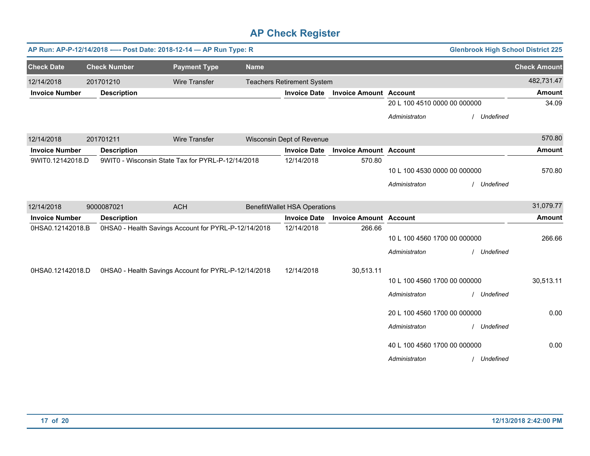|                       |            |                     | AP Run: AP-P-12/14/2018 ---- Post Date: 2018-12-14 - AP Run Type: R |             |                                     |                               |                              |           | <b>Glenbrook High School District 225</b> |
|-----------------------|------------|---------------------|---------------------------------------------------------------------|-------------|-------------------------------------|-------------------------------|------------------------------|-----------|-------------------------------------------|
| <b>Check Date</b>     |            | <b>Check Number</b> | <b>Payment Type</b>                                                 | <b>Name</b> |                                     |                               |                              |           | <b>Check Amount</b>                       |
| 12/14/2018            | 201701210  |                     | <b>Wire Transfer</b>                                                |             | <b>Teachers Retirement System</b>   |                               |                              |           | 482,731.47                                |
| <b>Invoice Number</b> |            | <b>Description</b>  |                                                                     |             | <b>Invoice Date</b>                 | <b>Invoice Amount Account</b> |                              |           | <b>Amount</b>                             |
|                       |            |                     |                                                                     |             |                                     |                               | 20 L 100 4510 0000 00 000000 |           | 34.09                                     |
|                       |            |                     |                                                                     |             |                                     |                               | Administraton                | Undefined |                                           |
| 12/14/2018            | 201701211  |                     | <b>Wire Transfer</b>                                                |             | Wisconsin Dept of Revenue           |                               |                              |           | 570.80                                    |
| <b>Invoice Number</b> |            | <b>Description</b>  |                                                                     |             | <b>Invoice Date</b>                 | <b>Invoice Amount Account</b> |                              |           | <b>Amount</b>                             |
| 9WIT0.12142018.D      |            |                     | 9WIT0 - Wisconsin State Tax for PYRL-P-12/14/2018                   |             | 12/14/2018                          | 570.80                        |                              |           |                                           |
|                       |            |                     |                                                                     |             |                                     |                               | 10 L 100 4530 0000 00 000000 |           | 570.80                                    |
|                       |            |                     |                                                                     |             |                                     |                               | Administraton                | Undefined |                                           |
| 12/14/2018            | 9000087021 |                     | <b>ACH</b>                                                          |             | <b>BenefitWallet HSA Operations</b> |                               |                              |           | 31,079.77                                 |
| <b>Invoice Number</b> |            | <b>Description</b>  |                                                                     |             | <b>Invoice Date</b>                 | <b>Invoice Amount Account</b> |                              |           | <b>Amount</b>                             |
| 0HSA0.12142018.B      |            |                     | 0HSA0 - Health Savings Account for PYRL-P-12/14/2018                |             | 12/14/2018                          | 266.66                        |                              |           |                                           |
|                       |            |                     |                                                                     |             |                                     |                               | 10 L 100 4560 1700 00 000000 |           | 266.66                                    |
|                       |            |                     |                                                                     |             |                                     |                               | Administraton                | Undefined |                                           |
| 0HSA0.12142018.D      |            |                     | 0HSA0 - Health Savings Account for PYRL-P-12/14/2018                |             | 12/14/2018                          | 30,513.11                     |                              |           |                                           |
|                       |            |                     |                                                                     |             |                                     |                               | 10 L 100 4560 1700 00 000000 |           | 30,513.11                                 |
|                       |            |                     |                                                                     |             |                                     |                               | Administraton                | Undefined |                                           |
|                       |            |                     |                                                                     |             |                                     |                               | 20 L 100 4560 1700 00 000000 |           | 0.00                                      |
|                       |            |                     |                                                                     |             |                                     |                               | Administraton                | Undefined |                                           |
|                       |            |                     |                                                                     |             |                                     |                               | 40 L 100 4560 1700 00 000000 |           | 0.00                                      |
|                       |            |                     |                                                                     |             |                                     |                               | Administraton                | Undefined |                                           |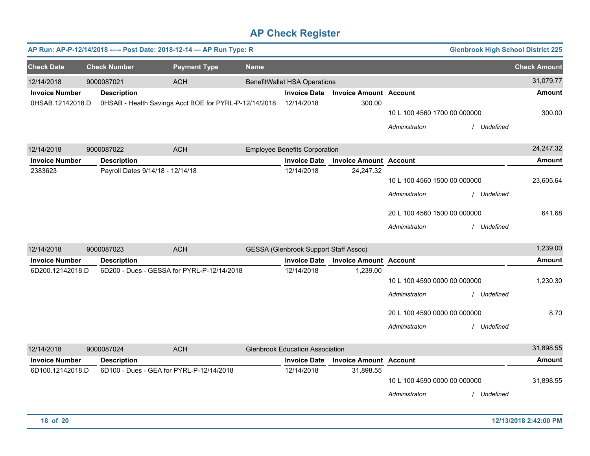|                                           |                                                                | AP Run: AP-P-12/14/2018 ---- Post Date: 2018-12-14 - AP Run Type: R |             |                                                            |                                            |                                                                                                | <b>Glenbrook High School District 225</b> |                            |
|-------------------------------------------|----------------------------------------------------------------|---------------------------------------------------------------------|-------------|------------------------------------------------------------|--------------------------------------------|------------------------------------------------------------------------------------------------|-------------------------------------------|----------------------------|
| <b>Check Date</b>                         | <b>Check Number</b>                                            | <b>Payment Type</b>                                                 | <b>Name</b> |                                                            |                                            |                                                                                                |                                           | <b>Check Amount</b>        |
| 12/14/2018<br><b>Invoice Number</b>       | 9000087021<br><b>Description</b>                               | <b>ACH</b>                                                          |             | <b>BenefitWallet HSA Operations</b><br><b>Invoice Date</b> | <b>Invoice Amount Account</b>              |                                                                                                |                                           | 31,079.77<br><b>Amount</b> |
| 0HSAB.12142018.D                          |                                                                | 0HSAB - Health Savings Acct BOE for PYRL-P-12/14/2018               |             | 12/14/2018                                                 | 300.00                                     | 10 L 100 4560 1700 00 000000<br>Administraton                                                  | / Undefined                               | 300.00                     |
| 12/14/2018                                | 9000087022                                                     | <b>ACH</b>                                                          |             | <b>Employee Benefits Corporation</b>                       |                                            |                                                                                                |                                           | 24,247.32                  |
| <b>Invoice Number</b>                     | <b>Description</b>                                             |                                                                     |             | <b>Invoice Date</b>                                        | <b>Invoice Amount Account</b>              |                                                                                                |                                           | <b>Amount</b>              |
| 2383623                                   | Payroll Dates 9/14/18 - 12/14/18                               |                                                                     |             | 12/14/2018                                                 | 24,247.32                                  | 10 L 100 4560 1500 00 000000<br>Administraton                                                  | / Undefined                               | 23,605.64                  |
|                                           |                                                                |                                                                     |             |                                                            |                                            | 20 L 100 4560 1500 00 000000<br>Administraton                                                  | / Undefined                               | 641.68                     |
| 12/14/2018                                | 9000087023                                                     | <b>ACH</b>                                                          |             | <b>GESSA (Glenbrook Support Staff Assoc)</b>               |                                            |                                                                                                |                                           | 1,239.00                   |
| <b>Invoice Number</b>                     | <b>Description</b>                                             |                                                                     |             | <b>Invoice Date</b>                                        | <b>Invoice Amount Account</b>              |                                                                                                |                                           | <b>Amount</b>              |
| 6D200.12142018.D                          |                                                                | 6D200 - Dues - GESSA for PYRL-P-12/14/2018                          |             | 12/14/2018                                                 | 1,239.00                                   | 10 L 100 4590 0000 00 000000<br>Administraton<br>20 L 100 4590 0000 00 000000<br>Administraton | / Undefined<br>/ Undefined                | 1.230.30<br>8.70           |
|                                           |                                                                |                                                                     |             |                                                            |                                            |                                                                                                |                                           | 31,898.55                  |
| 12/14/2018                                | 9000087024                                                     | <b>ACH</b>                                                          |             | <b>Glenbrook Education Association</b>                     |                                            |                                                                                                |                                           | <b>Amount</b>              |
| <b>Invoice Number</b><br>6D100.12142018.D | <b>Description</b><br>6D100 - Dues - GEA for PYRL-P-12/14/2018 |                                                                     |             | <b>Invoice Date</b><br>12/14/2018                          | <b>Invoice Amount Account</b><br>31,898.55 | 10 L 100 4590 0000 00 000000<br>Administraton                                                  | / Undefined                               | 31,898.55                  |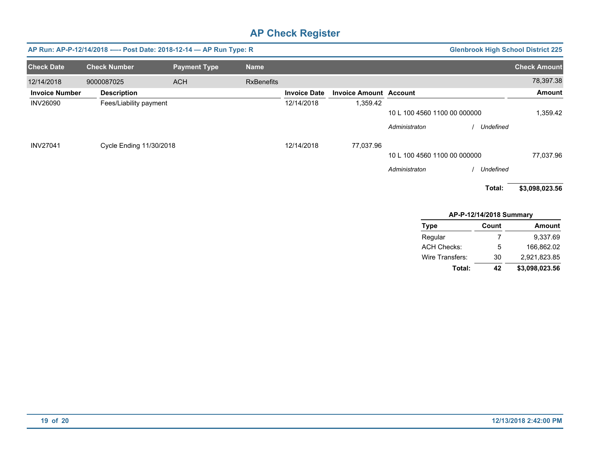| AP Run: AP-P-12/14/2018 ---- Post Date: 2018-12-14 - AP Run Type: R<br><b>Glenbrook High School District 225</b> |                         |                     |                   |                     |                               |                              |           |                     |
|------------------------------------------------------------------------------------------------------------------|-------------------------|---------------------|-------------------|---------------------|-------------------------------|------------------------------|-----------|---------------------|
| <b>Check Date</b>                                                                                                | <b>Check Number</b>     | <b>Payment Type</b> | <b>Name</b>       |                     |                               |                              |           | <b>Check Amount</b> |
| 12/14/2018                                                                                                       | 9000087025              | <b>ACH</b>          | <b>RxBenefits</b> |                     |                               |                              |           | 78,397.38           |
| <b>Invoice Number</b>                                                                                            | <b>Description</b>      |                     |                   | <b>Invoice Date</b> | <b>Invoice Amount Account</b> |                              |           | <b>Amount</b>       |
| <b>INV26090</b>                                                                                                  | Fees/Liability payment  |                     |                   | 12/14/2018          | 1,359.42                      |                              |           |                     |
|                                                                                                                  |                         |                     |                   |                     |                               | 10 L 100 4560 1100 00 000000 |           | 1,359.42            |
|                                                                                                                  |                         |                     |                   |                     |                               | Administraton                | Undefined |                     |
| <b>INV27041</b>                                                                                                  | Cycle Ending 11/30/2018 |                     |                   | 12/14/2018          | 77,037.96                     |                              |           |                     |
|                                                                                                                  |                         |                     |                   |                     |                               | 10 L 100 4560 1100 00 000000 |           | 77,037.96           |
|                                                                                                                  |                         |                     |                   |                     |                               | Administraton                | Undefined |                     |
|                                                                                                                  |                         |                     |                   |                     |                               |                              | Total:    | \$3,098,023.56      |
|                                                                                                                  |                         |                     |                   |                     |                               |                              |           |                     |

#### **APP12/14/2018 Summary**

| Type            | Count | <b>Amount</b>  |
|-----------------|-------|----------------|
| Regular         | 7     | 9.337.69       |
| ACH Checks:     | 5     | 166.862.02     |
| Wire Transfers: | 30    | 2.921.823.85   |
| Total:          | 42    | \$3,098,023.56 |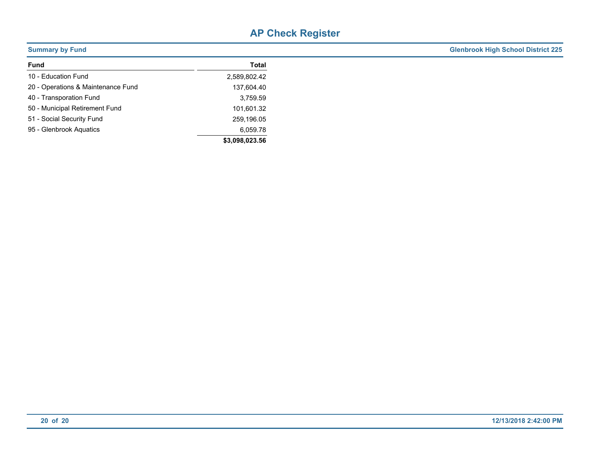| <b>Summary by Fund</b>             |                | <b>Glenbrook High School District 225</b> |
|------------------------------------|----------------|-------------------------------------------|
| <b>Fund</b>                        | <b>Total</b>   |                                           |
| 10 - Education Fund                | 2,589,802.42   |                                           |
| 20 - Operations & Maintenance Fund | 137,604.40     |                                           |
| 40 - Transporation Fund            | 3,759.59       |                                           |
| 50 - Municipal Retirement Fund     | 101,601.32     |                                           |
| 51 - Social Security Fund          | 259,196.05     |                                           |
| 95 - Glenbrook Aquatics            | 6,059.78       |                                           |
|                                    | \$3,098,023.56 |                                           |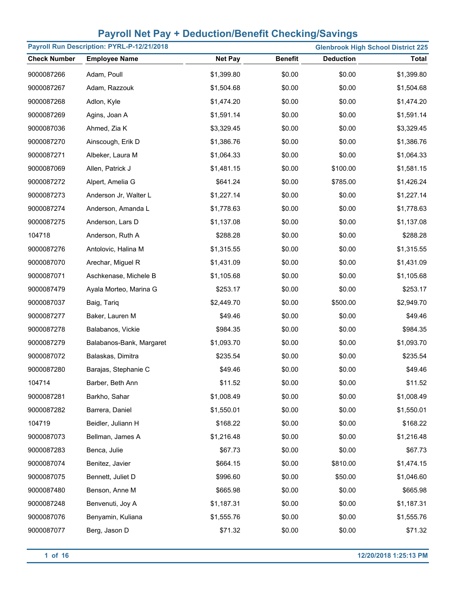|                     | Payroll Run Description: PYRL-P-12/21/2018 |                |                |                  | <b>Glenbrook High School District 225</b> |
|---------------------|--------------------------------------------|----------------|----------------|------------------|-------------------------------------------|
| <b>Check Number</b> | <b>Employee Name</b>                       | <b>Net Pay</b> | <b>Benefit</b> | <b>Deduction</b> | <b>Total</b>                              |
| 9000087266          | Adam, Poull                                | \$1,399.80     | \$0.00         | \$0.00           | \$1,399.80                                |
| 9000087267          | Adam, Razzouk                              | \$1,504.68     | \$0.00         | \$0.00           | \$1,504.68                                |
| 9000087268          | Adlon, Kyle                                | \$1,474.20     | \$0.00         | \$0.00           | \$1,474.20                                |
| 9000087269          | Agins, Joan A                              | \$1,591.14     | \$0.00         | \$0.00           | \$1,591.14                                |
| 9000087036          | Ahmed, Zia K                               | \$3,329.45     | \$0.00         | \$0.00           | \$3,329.45                                |
| 9000087270          | Ainscough, Erik D                          | \$1,386.76     | \$0.00         | \$0.00           | \$1,386.76                                |
| 9000087271          | Albeker, Laura M                           | \$1,064.33     | \$0.00         | \$0.00           | \$1,064.33                                |
| 9000087069          | Allen, Patrick J                           | \$1,481.15     | \$0.00         | \$100.00         | \$1,581.15                                |
| 9000087272          | Alpert, Amelia G                           | \$641.24       | \$0.00         | \$785.00         | \$1,426.24                                |
| 9000087273          | Anderson Jr, Walter L                      | \$1,227.14     | \$0.00         | \$0.00           | \$1,227.14                                |
| 9000087274          | Anderson, Amanda L                         | \$1,778.63     | \$0.00         | \$0.00           | \$1,778.63                                |
| 9000087275          | Anderson, Lars D                           | \$1,137.08     | \$0.00         | \$0.00           | \$1,137.08                                |
| 104718              | Anderson, Ruth A                           | \$288.28       | \$0.00         | \$0.00           | \$288.28                                  |
| 9000087276          | Antolovic, Halina M                        | \$1,315.55     | \$0.00         | \$0.00           | \$1,315.55                                |
| 9000087070          | Arechar, Miguel R                          | \$1,431.09     | \$0.00         | \$0.00           | \$1,431.09                                |
| 9000087071          | Aschkenase, Michele B                      | \$1,105.68     | \$0.00         | \$0.00           | \$1,105.68                                |
| 9000087479          | Ayala Morteo, Marina G                     | \$253.17       | \$0.00         | \$0.00           | \$253.17                                  |
| 9000087037          | Baig, Tariq                                | \$2,449.70     | \$0.00         | \$500.00         | \$2,949.70                                |
| 9000087277          | Baker, Lauren M                            | \$49.46        | \$0.00         | \$0.00           | \$49.46                                   |
| 9000087278          | Balabanos, Vickie                          | \$984.35       | \$0.00         | \$0.00           | \$984.35                                  |
| 9000087279          | Balabanos-Bank, Margaret                   | \$1,093.70     | \$0.00         | \$0.00           | \$1,093.70                                |
| 9000087072          | Balaskas, Dimitra                          | \$235.54       | \$0.00         | \$0.00           | \$235.54                                  |
| 9000087280          | Barajas, Stephanie C                       | \$49.46        | \$0.00         | \$0.00           | \$49.46                                   |
| 104714              | Barber, Beth Ann                           | \$11.52        | \$0.00         | \$0.00           | \$11.52                                   |
| 9000087281          | Barkho, Sahar                              | \$1,008.49     | \$0.00         | \$0.00           | \$1,008.49                                |
| 9000087282          | Barrera, Daniel                            | \$1,550.01     | \$0.00         | \$0.00           | \$1,550.01                                |
| 104719              | Beidler, Juliann H                         | \$168.22       | \$0.00         | \$0.00           | \$168.22                                  |
| 9000087073          | Bellman, James A                           | \$1,216.48     | \$0.00         | \$0.00           | \$1,216.48                                |
| 9000087283          | Benca, Julie                               | \$67.73        | \$0.00         | \$0.00           | \$67.73                                   |
| 9000087074          | Benitez, Javier                            | \$664.15       | \$0.00         | \$810.00         | \$1,474.15                                |
| 9000087075          | Bennett, Juliet D                          | \$996.60       | \$0.00         | \$50.00          | \$1,046.60                                |
| 9000087480          | Benson, Anne M                             | \$665.98       | \$0.00         | \$0.00           | \$665.98                                  |
| 9000087248          | Benvenuti, Joy A                           | \$1,187.31     | \$0.00         | \$0.00           | \$1,187.31                                |
| 9000087076          | Benyamin, Kuliana                          | \$1,555.76     | \$0.00         | \$0.00           | \$1,555.76                                |
| 9000087077          | Berg, Jason D                              | \$71.32        | \$0.00         | \$0.00           | \$71.32                                   |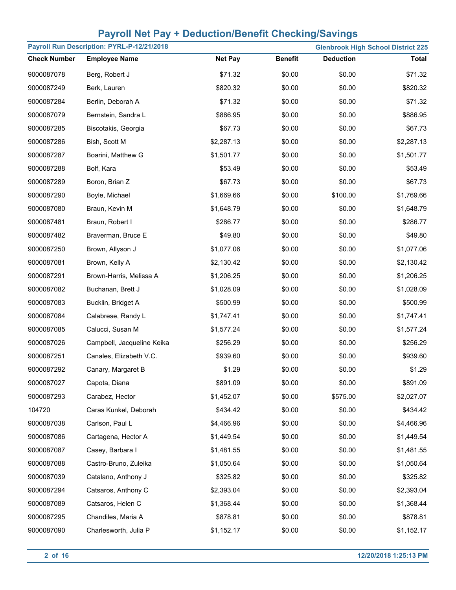| Payroll Run Description: PYRL-P-12/21/2018 |                            |                |                |                  | <b>Glenbrook High School District 225</b> |
|--------------------------------------------|----------------------------|----------------|----------------|------------------|-------------------------------------------|
| <b>Check Number</b>                        | <b>Employee Name</b>       | <b>Net Pay</b> | <b>Benefit</b> | <b>Deduction</b> | <b>Total</b>                              |
| 9000087078                                 | Berg, Robert J             | \$71.32        | \$0.00         | \$0.00           | \$71.32                                   |
| 9000087249                                 | Berk, Lauren               | \$820.32       | \$0.00         | \$0.00           | \$820.32                                  |
| 9000087284                                 | Berlin, Deborah A          | \$71.32        | \$0.00         | \$0.00           | \$71.32                                   |
| 9000087079                                 | Bernstein, Sandra L        | \$886.95       | \$0.00         | \$0.00           | \$886.95                                  |
| 9000087285                                 | Biscotakis, Georgia        | \$67.73        | \$0.00         | \$0.00           | \$67.73                                   |
| 9000087286                                 | Bish, Scott M              | \$2,287.13     | \$0.00         | \$0.00           | \$2,287.13                                |
| 9000087287                                 | Boarini, Matthew G         | \$1,501.77     | \$0.00         | \$0.00           | \$1,501.77                                |
| 9000087288                                 | Bolf, Kara                 | \$53.49        | \$0.00         | \$0.00           | \$53.49                                   |
| 9000087289                                 | Boron, Brian Z             | \$67.73        | \$0.00         | \$0.00           | \$67.73                                   |
| 9000087290                                 | Boyle, Michael             | \$1,669.66     | \$0.00         | \$100.00         | \$1,769.66                                |
| 9000087080                                 | Braun, Kevin M             | \$1,648.79     | \$0.00         | \$0.00           | \$1,648.79                                |
| 9000087481                                 | Braun, Robert I            | \$286.77       | \$0.00         | \$0.00           | \$286.77                                  |
| 9000087482                                 | Braverman, Bruce E         | \$49.80        | \$0.00         | \$0.00           | \$49.80                                   |
| 9000087250                                 | Brown, Allyson J           | \$1,077.06     | \$0.00         | \$0.00           | \$1,077.06                                |
| 9000087081                                 | Brown, Kelly A             | \$2,130.42     | \$0.00         | \$0.00           | \$2,130.42                                |
| 9000087291                                 | Brown-Harris, Melissa A    | \$1,206.25     | \$0.00         | \$0.00           | \$1,206.25                                |
| 9000087082                                 | Buchanan, Brett J          | \$1,028.09     | \$0.00         | \$0.00           | \$1,028.09                                |
| 9000087083                                 | Bucklin, Bridget A         | \$500.99       | \$0.00         | \$0.00           | \$500.99                                  |
| 9000087084                                 | Calabrese, Randy L         | \$1,747.41     | \$0.00         | \$0.00           | \$1,747.41                                |
| 9000087085                                 | Calucci, Susan M           | \$1,577.24     | \$0.00         | \$0.00           | \$1,577.24                                |
| 9000087026                                 | Campbell, Jacqueline Keika | \$256.29       | \$0.00         | \$0.00           | \$256.29                                  |
| 9000087251                                 | Canales, Elizabeth V.C.    | \$939.60       | \$0.00         | \$0.00           | \$939.60                                  |
| 9000087292                                 | Canary, Margaret B         | \$1.29         | \$0.00         | \$0.00           | \$1.29                                    |
| 9000087027                                 | Capota, Diana              | \$891.09       | \$0.00         | \$0.00           | \$891.09                                  |
| 9000087293                                 | Carabez, Hector            | \$1,452.07     | \$0.00         | \$575.00         | \$2,027.07                                |
| 104720                                     | Caras Kunkel, Deborah      | \$434.42       | \$0.00         | \$0.00           | \$434.42                                  |
| 9000087038                                 | Carlson, Paul L            | \$4,466.96     | \$0.00         | \$0.00           | \$4,466.96                                |
| 9000087086                                 | Cartagena, Hector A        | \$1,449.54     | \$0.00         | \$0.00           | \$1,449.54                                |
| 9000087087                                 | Casey, Barbara I           | \$1,481.55     | \$0.00         | \$0.00           | \$1,481.55                                |
| 9000087088                                 | Castro-Bruno, Zuleika      | \$1,050.64     | \$0.00         | \$0.00           | \$1,050.64                                |
| 9000087039                                 | Catalano, Anthony J        | \$325.82       | \$0.00         | \$0.00           | \$325.82                                  |
| 9000087294                                 | Catsaros, Anthony C        | \$2,393.04     | \$0.00         | \$0.00           | \$2,393.04                                |
| 9000087089                                 | Catsaros, Helen C          | \$1,368.44     | \$0.00         | \$0.00           | \$1,368.44                                |
| 9000087295                                 | Chandiles, Maria A         | \$878.81       | \$0.00         | \$0.00           | \$878.81                                  |
| 9000087090                                 | Charlesworth, Julia P      | \$1,152.17     | \$0.00         | \$0.00           | \$1,152.17                                |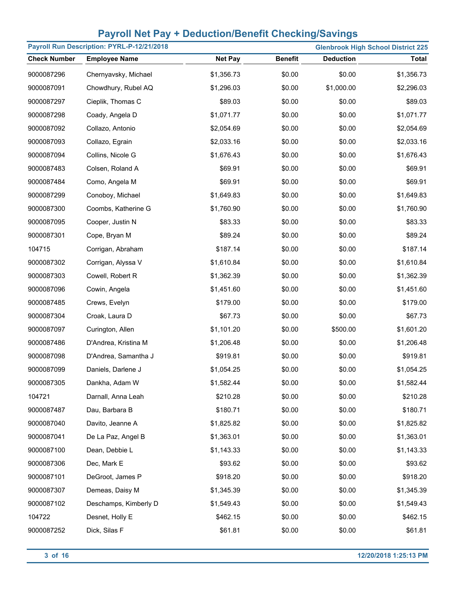|                     | Payroll Run Description: PYRL-P-12/21/2018 |                |                |                  | <b>Glenbrook High School District 225</b> |
|---------------------|--------------------------------------------|----------------|----------------|------------------|-------------------------------------------|
| <b>Check Number</b> | <b>Employee Name</b>                       | <b>Net Pay</b> | <b>Benefit</b> | <b>Deduction</b> | <b>Total</b>                              |
| 9000087296          | Chernyavsky, Michael                       | \$1,356.73     | \$0.00         | \$0.00           | \$1,356.73                                |
| 9000087091          | Chowdhury, Rubel AQ                        | \$1,296.03     | \$0.00         | \$1,000.00       | \$2,296.03                                |
| 9000087297          | Cieplik, Thomas C                          | \$89.03        | \$0.00         | \$0.00           | \$89.03                                   |
| 9000087298          | Coady, Angela D                            | \$1,071.77     | \$0.00         | \$0.00           | \$1,071.77                                |
| 9000087092          | Collazo, Antonio                           | \$2,054.69     | \$0.00         | \$0.00           | \$2,054.69                                |
| 9000087093          | Collazo, Egrain                            | \$2,033.16     | \$0.00         | \$0.00           | \$2,033.16                                |
| 9000087094          | Collins, Nicole G                          | \$1,676.43     | \$0.00         | \$0.00           | \$1,676.43                                |
| 9000087483          | Colsen, Roland A                           | \$69.91        | \$0.00         | \$0.00           | \$69.91                                   |
| 9000087484          | Como, Angela M                             | \$69.91        | \$0.00         | \$0.00           | \$69.91                                   |
| 9000087299          | Conoboy, Michael                           | \$1,649.83     | \$0.00         | \$0.00           | \$1,649.83                                |
| 9000087300          | Coombs, Katherine G                        | \$1,760.90     | \$0.00         | \$0.00           | \$1,760.90                                |
| 9000087095          | Cooper, Justin N                           | \$83.33        | \$0.00         | \$0.00           | \$83.33                                   |
| 9000087301          | Cope, Bryan M                              | \$89.24        | \$0.00         | \$0.00           | \$89.24                                   |
| 104715              | Corrigan, Abraham                          | \$187.14       | \$0.00         | \$0.00           | \$187.14                                  |
| 9000087302          | Corrigan, Alyssa V                         | \$1,610.84     | \$0.00         | \$0.00           | \$1,610.84                                |
| 9000087303          | Cowell, Robert R                           | \$1,362.39     | \$0.00         | \$0.00           | \$1,362.39                                |
| 9000087096          | Cowin, Angela                              | \$1,451.60     | \$0.00         | \$0.00           | \$1,451.60                                |
| 9000087485          | Crews, Evelyn                              | \$179.00       | \$0.00         | \$0.00           | \$179.00                                  |
| 9000087304          | Croak, Laura D                             | \$67.73        | \$0.00         | \$0.00           | \$67.73                                   |
| 9000087097          | Curington, Allen                           | \$1,101.20     | \$0.00         | \$500.00         | \$1,601.20                                |
| 9000087486          | D'Andrea, Kristina M                       | \$1,206.48     | \$0.00         | \$0.00           | \$1,206.48                                |
| 9000087098          | D'Andrea, Samantha J                       | \$919.81       | \$0.00         | \$0.00           | \$919.81                                  |
| 9000087099          | Daniels, Darlene J                         | \$1,054.25     | \$0.00         | \$0.00           | \$1,054.25                                |
| 9000087305          | Dankha, Adam W                             | \$1,582.44     | \$0.00         | \$0.00           | \$1,582.44                                |
| 104721              | Darnall, Anna Leah                         | \$210.28       | \$0.00         | \$0.00           | \$210.28                                  |
| 9000087487          | Dau, Barbara B                             | \$180.71       | \$0.00         | \$0.00           | \$180.71                                  |
| 9000087040          | Davito, Jeanne A                           | \$1,825.82     | \$0.00         | \$0.00           | \$1,825.82                                |
| 9000087041          | De La Paz, Angel B                         | \$1,363.01     | \$0.00         | \$0.00           | \$1,363.01                                |
| 9000087100          | Dean, Debbie L                             | \$1,143.33     | \$0.00         | \$0.00           | \$1,143.33                                |
| 9000087306          | Dec, Mark E                                | \$93.62        | \$0.00         | \$0.00           | \$93.62                                   |
| 9000087101          | DeGroot, James P                           | \$918.20       | \$0.00         | \$0.00           | \$918.20                                  |
| 9000087307          | Demeas, Daisy M                            | \$1,345.39     | \$0.00         | \$0.00           | \$1,345.39                                |
| 9000087102          | Deschamps, Kimberly D                      | \$1,549.43     | \$0.00         | \$0.00           | \$1,549.43                                |
| 104722              | Desnet, Holly E                            | \$462.15       | \$0.00         | \$0.00           | \$462.15                                  |
| 9000087252          | Dick, Silas F                              | \$61.81        | \$0.00         | \$0.00           | \$61.81                                   |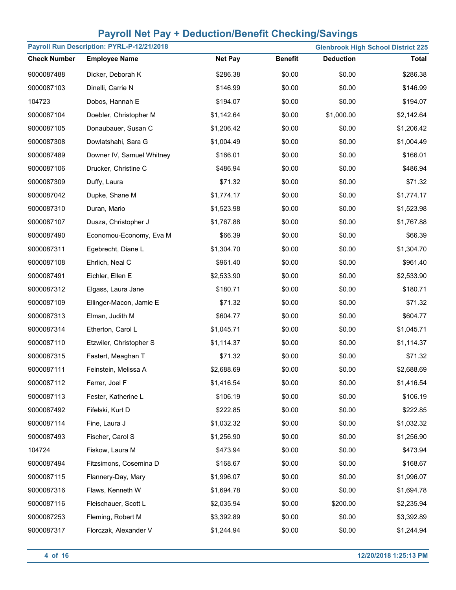| Payroll Run Description: PYRL-P-12/21/2018 |                           |                |                |                  | <b>Glenbrook High School District 225</b> |
|--------------------------------------------|---------------------------|----------------|----------------|------------------|-------------------------------------------|
| <b>Check Number</b>                        | <b>Employee Name</b>      | <b>Net Pay</b> | <b>Benefit</b> | <b>Deduction</b> | <b>Total</b>                              |
| 9000087488                                 | Dicker, Deborah K         | \$286.38       | \$0.00         | \$0.00           | \$286.38                                  |
| 9000087103                                 | Dinelli, Carrie N         | \$146.99       | \$0.00         | \$0.00           | \$146.99                                  |
| 104723                                     | Dobos, Hannah E           | \$194.07       | \$0.00         | \$0.00           | \$194.07                                  |
| 9000087104                                 | Doebler, Christopher M    | \$1,142.64     | \$0.00         | \$1,000.00       | \$2,142.64                                |
| 9000087105                                 | Donaubauer, Susan C       | \$1,206.42     | \$0.00         | \$0.00           | \$1,206.42                                |
| 9000087308                                 | Dowlatshahi, Sara G       | \$1,004.49     | \$0.00         | \$0.00           | \$1,004.49                                |
| 9000087489                                 | Downer IV, Samuel Whitney | \$166.01       | \$0.00         | \$0.00           | \$166.01                                  |
| 9000087106                                 | Drucker, Christine C      | \$486.94       | \$0.00         | \$0.00           | \$486.94                                  |
| 9000087309                                 | Duffy, Laura              | \$71.32        | \$0.00         | \$0.00           | \$71.32                                   |
| 9000087042                                 | Dupke, Shane M            | \$1,774.17     | \$0.00         | \$0.00           | \$1,774.17                                |
| 9000087310                                 | Duran, Mario              | \$1,523.98     | \$0.00         | \$0.00           | \$1,523.98                                |
| 9000087107                                 | Dusza, Christopher J      | \$1,767.88     | \$0.00         | \$0.00           | \$1,767.88                                |
| 9000087490                                 | Economou-Economy, Eva M   | \$66.39        | \$0.00         | \$0.00           | \$66.39                                   |
| 9000087311                                 | Egebrecht, Diane L        | \$1,304.70     | \$0.00         | \$0.00           | \$1,304.70                                |
| 9000087108                                 | Ehrlich, Neal C           | \$961.40       | \$0.00         | \$0.00           | \$961.40                                  |
| 9000087491                                 | Eichler, Ellen E          | \$2,533.90     | \$0.00         | \$0.00           | \$2,533.90                                |
| 9000087312                                 | Elgass, Laura Jane        | \$180.71       | \$0.00         | \$0.00           | \$180.71                                  |
| 9000087109                                 | Ellinger-Macon, Jamie E   | \$71.32        | \$0.00         | \$0.00           | \$71.32                                   |
| 9000087313                                 | Elman, Judith M           | \$604.77       | \$0.00         | \$0.00           | \$604.77                                  |
| 9000087314                                 | Etherton, Carol L         | \$1,045.71     | \$0.00         | \$0.00           | \$1,045.71                                |
| 9000087110                                 | Etzwiler, Christopher S   | \$1,114.37     | \$0.00         | \$0.00           | \$1,114.37                                |
| 9000087315                                 | Fastert, Meaghan T        | \$71.32        | \$0.00         | \$0.00           | \$71.32                                   |
| 9000087111                                 | Feinstein, Melissa A      | \$2,688.69     | \$0.00         | \$0.00           | \$2,688.69                                |
| 9000087112                                 | Ferrer, Joel F            | \$1,416.54     | \$0.00         | \$0.00           | \$1,416.54                                |
| 9000087113                                 | Fester, Katherine L       | \$106.19       | \$0.00         | \$0.00           | \$106.19                                  |
| 9000087492                                 | Fifelski, Kurt D          | \$222.85       | \$0.00         | \$0.00           | \$222.85                                  |
| 9000087114                                 | Fine, Laura J             | \$1,032.32     | \$0.00         | \$0.00           | \$1,032.32                                |
| 9000087493                                 | Fischer, Carol S          | \$1,256.90     | \$0.00         | \$0.00           | \$1,256.90                                |
| 104724                                     | Fiskow, Laura M           | \$473.94       | \$0.00         | \$0.00           | \$473.94                                  |
| 9000087494                                 | Fitzsimons, Cosemina D    | \$168.67       | \$0.00         | \$0.00           | \$168.67                                  |
| 9000087115                                 | Flannery-Day, Mary        | \$1,996.07     | \$0.00         | \$0.00           | \$1,996.07                                |
| 9000087316                                 | Flaws, Kenneth W          | \$1,694.78     | \$0.00         | \$0.00           | \$1,694.78                                |
| 9000087116                                 | Fleischauer, Scott L      | \$2,035.94     | \$0.00         | \$200.00         | \$2,235.94                                |
| 9000087253                                 | Fleming, Robert M         | \$3,392.89     | \$0.00         | \$0.00           | \$3,392.89                                |
| 9000087317                                 | Florczak, Alexander V     | \$1,244.94     | \$0.00         | \$0.00           | \$1,244.94                                |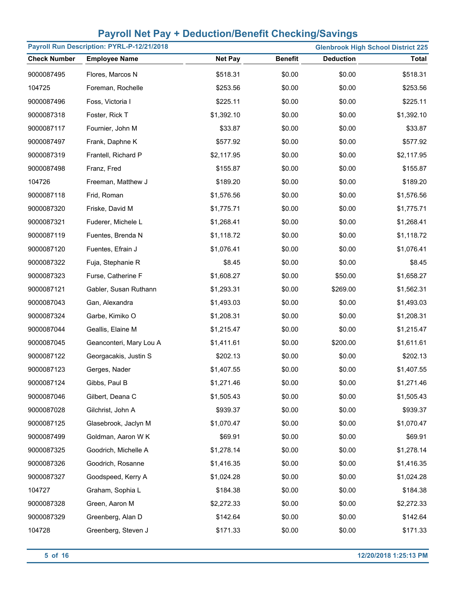|                     | Payroll Run Description: PYRL-P-12/21/2018 |                |                |                  | <b>Glenbrook High School District 225</b> |
|---------------------|--------------------------------------------|----------------|----------------|------------------|-------------------------------------------|
| <b>Check Number</b> | <b>Employee Name</b>                       | <b>Net Pay</b> | <b>Benefit</b> | <b>Deduction</b> | <b>Total</b>                              |
| 9000087495          | Flores, Marcos N                           | \$518.31       | \$0.00         | \$0.00           | \$518.31                                  |
| 104725              | Foreman, Rochelle                          | \$253.56       | \$0.00         | \$0.00           | \$253.56                                  |
| 9000087496          | Foss, Victoria I                           | \$225.11       | \$0.00         | \$0.00           | \$225.11                                  |
| 9000087318          | Foster, Rick T                             | \$1,392.10     | \$0.00         | \$0.00           | \$1,392.10                                |
| 9000087117          | Fournier, John M                           | \$33.87        | \$0.00         | \$0.00           | \$33.87                                   |
| 9000087497          | Frank, Daphne K                            | \$577.92       | \$0.00         | \$0.00           | \$577.92                                  |
| 9000087319          | Frantell, Richard P                        | \$2,117.95     | \$0.00         | \$0.00           | \$2,117.95                                |
| 9000087498          | Franz, Fred                                | \$155.87       | \$0.00         | \$0.00           | \$155.87                                  |
| 104726              | Freeman, Matthew J                         | \$189.20       | \$0.00         | \$0.00           | \$189.20                                  |
| 9000087118          | Frid, Roman                                | \$1,576.56     | \$0.00         | \$0.00           | \$1,576.56                                |
| 9000087320          | Friske, David M                            | \$1,775.71     | \$0.00         | \$0.00           | \$1,775.71                                |
| 9000087321          | Fuderer, Michele L                         | \$1,268.41     | \$0.00         | \$0.00           | \$1,268.41                                |
| 9000087119          | Fuentes, Brenda N                          | \$1,118.72     | \$0.00         | \$0.00           | \$1,118.72                                |
| 9000087120          | Fuentes, Efrain J                          | \$1,076.41     | \$0.00         | \$0.00           | \$1,076.41                                |
| 9000087322          | Fuja, Stephanie R                          | \$8.45         | \$0.00         | \$0.00           | \$8.45                                    |
| 9000087323          | Furse, Catherine F                         | \$1,608.27     | \$0.00         | \$50.00          | \$1,658.27                                |
| 9000087121          | Gabler, Susan Ruthann                      | \$1,293.31     | \$0.00         | \$269.00         | \$1,562.31                                |
| 9000087043          | Gan, Alexandra                             | \$1,493.03     | \$0.00         | \$0.00           | \$1,493.03                                |
| 9000087324          | Garbe, Kimiko O                            | \$1,208.31     | \$0.00         | \$0.00           | \$1,208.31                                |
| 9000087044          | Geallis, Elaine M                          | \$1,215.47     | \$0.00         | \$0.00           | \$1,215.47                                |
| 9000087045          | Geanconteri, Mary Lou A                    | \$1,411.61     | \$0.00         | \$200.00         | \$1,611.61                                |
| 9000087122          | Georgacakis, Justin S                      | \$202.13       | \$0.00         | \$0.00           | \$202.13                                  |
| 9000087123          | Gerges, Nader                              | \$1,407.55     | \$0.00         | \$0.00           | \$1,407.55                                |
| 9000087124          | Gibbs, Paul B                              | \$1,271.46     | \$0.00         | \$0.00           | \$1,271.46                                |
| 9000087046          | Gilbert, Deana C                           | \$1,505.43     | \$0.00         | \$0.00           | \$1,505.43                                |
| 9000087028          | Gilchrist, John A                          | \$939.37       | \$0.00         | \$0.00           | \$939.37                                  |
| 9000087125          | Glasebrook, Jaclyn M                       | \$1,070.47     | \$0.00         | \$0.00           | \$1,070.47                                |
| 9000087499          | Goldman, Aaron W K                         | \$69.91        | \$0.00         | \$0.00           | \$69.91                                   |
| 9000087325          | Goodrich, Michelle A                       | \$1,278.14     | \$0.00         | \$0.00           | \$1,278.14                                |
| 9000087326          | Goodrich, Rosanne                          | \$1,416.35     | \$0.00         | \$0.00           | \$1,416.35                                |
| 9000087327          | Goodspeed, Kerry A                         | \$1,024.28     | \$0.00         | \$0.00           | \$1,024.28                                |
| 104727              | Graham, Sophia L                           | \$184.38       | \$0.00         | \$0.00           | \$184.38                                  |
| 9000087328          | Green, Aaron M                             | \$2,272.33     | \$0.00         | \$0.00           | \$2,272.33                                |
| 9000087329          | Greenberg, Alan D                          | \$142.64       | \$0.00         | \$0.00           | \$142.64                                  |
| 104728              | Greenberg, Steven J                        | \$171.33       | \$0.00         | \$0.00           | \$171.33                                  |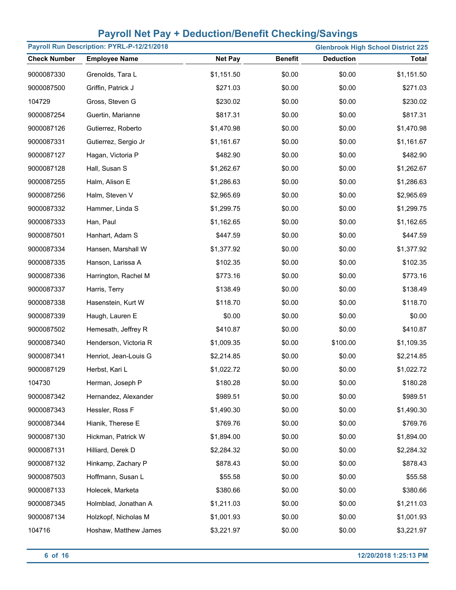|                     | Payroll Run Description: PYRL-P-12/21/2018 |                |                |                  | <b>Glenbrook High School District 225</b> |
|---------------------|--------------------------------------------|----------------|----------------|------------------|-------------------------------------------|
| <b>Check Number</b> | <b>Employee Name</b>                       | <b>Net Pay</b> | <b>Benefit</b> | <b>Deduction</b> | <b>Total</b>                              |
| 9000087330          | Grenolds, Tara L                           | \$1,151.50     | \$0.00         | \$0.00           | \$1,151.50                                |
| 9000087500          | Griffin, Patrick J                         | \$271.03       | \$0.00         | \$0.00           | \$271.03                                  |
| 104729              | Gross, Steven G                            | \$230.02       | \$0.00         | \$0.00           | \$230.02                                  |
| 9000087254          | Guertin, Marianne                          | \$817.31       | \$0.00         | \$0.00           | \$817.31                                  |
| 9000087126          | Gutierrez, Roberto                         | \$1,470.98     | \$0.00         | \$0.00           | \$1,470.98                                |
| 9000087331          | Gutierrez, Sergio Jr                       | \$1,161.67     | \$0.00         | \$0.00           | \$1,161.67                                |
| 9000087127          | Hagan, Victoria P                          | \$482.90       | \$0.00         | \$0.00           | \$482.90                                  |
| 9000087128          | Hall, Susan S                              | \$1,262.67     | \$0.00         | \$0.00           | \$1,262.67                                |
| 9000087255          | Halm, Alison E                             | \$1,286.63     | \$0.00         | \$0.00           | \$1,286.63                                |
| 9000087256          | Halm, Steven V                             | \$2,965.69     | \$0.00         | \$0.00           | \$2,965.69                                |
| 9000087332          | Hammer, Linda S                            | \$1,299.75     | \$0.00         | \$0.00           | \$1,299.75                                |
| 9000087333          | Han, Paul                                  | \$1,162.65     | \$0.00         | \$0.00           | \$1,162.65                                |
| 9000087501          | Hanhart, Adam S                            | \$447.59       | \$0.00         | \$0.00           | \$447.59                                  |
| 9000087334          | Hansen, Marshall W                         | \$1,377.92     | \$0.00         | \$0.00           | \$1,377.92                                |
| 9000087335          | Hanson, Larissa A                          | \$102.35       | \$0.00         | \$0.00           | \$102.35                                  |
| 9000087336          | Harrington, Rachel M                       | \$773.16       | \$0.00         | \$0.00           | \$773.16                                  |
| 9000087337          | Harris, Terry                              | \$138.49       | \$0.00         | \$0.00           | \$138.49                                  |
| 9000087338          | Hasenstein, Kurt W                         | \$118.70       | \$0.00         | \$0.00           | \$118.70                                  |
| 9000087339          | Haugh, Lauren E                            | \$0.00         | \$0.00         | \$0.00           | \$0.00                                    |
| 9000087502          | Hemesath, Jeffrey R                        | \$410.87       | \$0.00         | \$0.00           | \$410.87                                  |
| 9000087340          | Henderson, Victoria R                      | \$1,009.35     | \$0.00         | \$100.00         | \$1,109.35                                |
| 9000087341          | Henriot, Jean-Louis G                      | \$2,214.85     | \$0.00         | \$0.00           | \$2,214.85                                |
| 9000087129          | Herbst, Kari L                             | \$1,022.72     | \$0.00         | \$0.00           | \$1,022.72                                |
| 104730              | Herman, Joseph P                           | \$180.28       | \$0.00         | \$0.00           | \$180.28                                  |
| 9000087342          | Hernandez, Alexander                       | \$989.51       | \$0.00         | \$0.00           | \$989.51                                  |
| 9000087343          | Hessler, Ross F                            | \$1,490.30     | \$0.00         | \$0.00           | \$1,490.30                                |
| 9000087344          | Hianik, Therese E                          | \$769.76       | \$0.00         | \$0.00           | \$769.76                                  |
| 9000087130          | Hickman, Patrick W                         | \$1,894.00     | \$0.00         | \$0.00           | \$1,894.00                                |
| 9000087131          | Hilliard, Derek D                          | \$2,284.32     | \$0.00         | \$0.00           | \$2,284.32                                |
| 9000087132          | Hinkamp, Zachary P                         | \$878.43       | \$0.00         | \$0.00           | \$878.43                                  |
| 9000087503          | Hoffmann, Susan L                          | \$55.58        | \$0.00         | \$0.00           | \$55.58                                   |
| 9000087133          | Holecek, Marketa                           | \$380.66       | \$0.00         | \$0.00           | \$380.66                                  |
| 9000087345          | Holmblad, Jonathan A                       | \$1,211.03     | \$0.00         | \$0.00           | \$1,211.03                                |
| 9000087134          | Holzkopf, Nicholas M                       | \$1,001.93     | \$0.00         | \$0.00           | \$1,001.93                                |
| 104716              | Hoshaw, Matthew James                      | \$3,221.97     | \$0.00         | \$0.00           | \$3,221.97                                |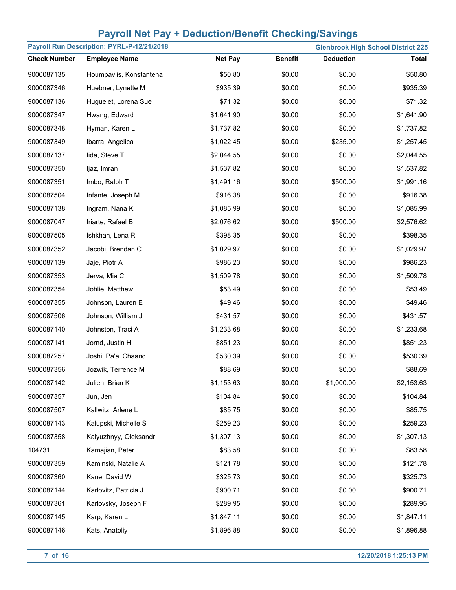| Payroll Run Description: PYRL-P-12/21/2018 |                         |                |                |                  | <b>Glenbrook High School District 225</b> |
|--------------------------------------------|-------------------------|----------------|----------------|------------------|-------------------------------------------|
| <b>Check Number</b>                        | <b>Employee Name</b>    | <b>Net Pay</b> | <b>Benefit</b> | <b>Deduction</b> | <b>Total</b>                              |
| 9000087135                                 | Houmpavlis, Konstantena | \$50.80        | \$0.00         | \$0.00           | \$50.80                                   |
| 9000087346                                 | Huebner, Lynette M      | \$935.39       | \$0.00         | \$0.00           | \$935.39                                  |
| 9000087136                                 | Huguelet, Lorena Sue    | \$71.32        | \$0.00         | \$0.00           | \$71.32                                   |
| 9000087347                                 | Hwang, Edward           | \$1,641.90     | \$0.00         | \$0.00           | \$1,641.90                                |
| 9000087348                                 | Hyman, Karen L          | \$1,737.82     | \$0.00         | \$0.00           | \$1,737.82                                |
| 9000087349                                 | Ibarra, Angelica        | \$1,022.45     | \$0.00         | \$235.00         | \$1,257.45                                |
| 9000087137                                 | lida, Steve T           | \$2,044.55     | \$0.00         | \$0.00           | \$2,044.55                                |
| 9000087350                                 | ljaz, Imran             | \$1,537.82     | \$0.00         | \$0.00           | \$1,537.82                                |
| 9000087351                                 | Imbo, Ralph T           | \$1,491.16     | \$0.00         | \$500.00         | \$1,991.16                                |
| 9000087504                                 | Infante, Joseph M       | \$916.38       | \$0.00         | \$0.00           | \$916.38                                  |
| 9000087138                                 | Ingram, Nana K          | \$1,085.99     | \$0.00         | \$0.00           | \$1,085.99                                |
| 9000087047                                 | Iriarte, Rafael B       | \$2,076.62     | \$0.00         | \$500.00         | \$2,576.62                                |
| 9000087505                                 | Ishkhan, Lena R         | \$398.35       | \$0.00         | \$0.00           | \$398.35                                  |
| 9000087352                                 | Jacobi, Brendan C       | \$1,029.97     | \$0.00         | \$0.00           | \$1,029.97                                |
| 9000087139                                 | Jaje, Piotr A           | \$986.23       | \$0.00         | \$0.00           | \$986.23                                  |
| 9000087353                                 | Jerva, Mia C            | \$1,509.78     | \$0.00         | \$0.00           | \$1,509.78                                |
| 9000087354                                 | Johlie, Matthew         | \$53.49        | \$0.00         | \$0.00           | \$53.49                                   |
| 9000087355                                 | Johnson, Lauren E       | \$49.46        | \$0.00         | \$0.00           | \$49.46                                   |
| 9000087506                                 | Johnson, William J      | \$431.57       | \$0.00         | \$0.00           | \$431.57                                  |
| 9000087140                                 | Johnston, Traci A       | \$1,233.68     | \$0.00         | \$0.00           | \$1,233.68                                |
| 9000087141                                 | Jornd, Justin H         | \$851.23       | \$0.00         | \$0.00           | \$851.23                                  |
| 9000087257                                 | Joshi, Pa'al Chaand     | \$530.39       | \$0.00         | \$0.00           | \$530.39                                  |
| 9000087356                                 | Jozwik, Terrence M      | \$88.69        | \$0.00         | \$0.00           | \$88.69                                   |
| 9000087142                                 | Julien, Brian K         | \$1,153.63     | \$0.00         | \$1,000.00       | \$2,153.63                                |
| 9000087357                                 | Jun, Jen                | \$104.84       | \$0.00         | \$0.00           | \$104.84                                  |
| 9000087507                                 | Kallwitz, Arlene L      | \$85.75        | \$0.00         | \$0.00           | \$85.75                                   |
| 9000087143                                 | Kalupski, Michelle S    | \$259.23       | \$0.00         | \$0.00           | \$259.23                                  |
| 9000087358                                 | Kalyuzhnyy, Oleksandr   | \$1,307.13     | \$0.00         | \$0.00           | \$1,307.13                                |
| 104731                                     | Kamajian, Peter         | \$83.58        | \$0.00         | \$0.00           | \$83.58                                   |
| 9000087359                                 | Kaminski, Natalie A     | \$121.78       | \$0.00         | \$0.00           | \$121.78                                  |
| 9000087360                                 | Kane, David W           | \$325.73       | \$0.00         | \$0.00           | \$325.73                                  |
| 9000087144                                 | Karlovitz, Patricia J   | \$900.71       | \$0.00         | \$0.00           | \$900.71                                  |
| 9000087361                                 | Karlovsky, Joseph F     | \$289.95       | \$0.00         | \$0.00           | \$289.95                                  |
| 9000087145                                 | Karp, Karen L           | \$1,847.11     | \$0.00         | \$0.00           | \$1,847.11                                |
| 9000087146                                 | Kats, Anatoliy          | \$1,896.88     | \$0.00         | \$0.00           | \$1,896.88                                |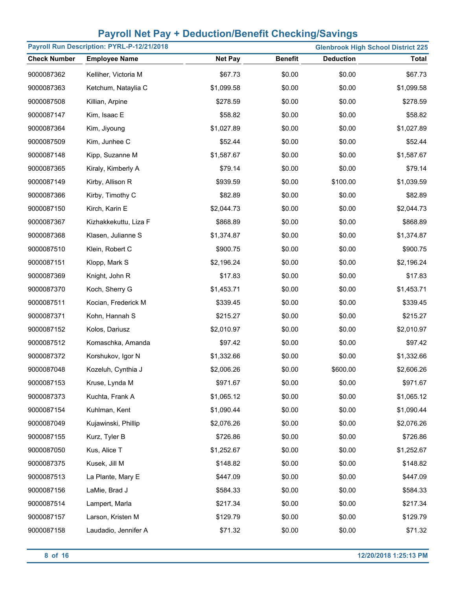|                     | Payroll Run Description: PYRL-P-12/21/2018 |                |                |                  | <b>Glenbrook High School District 225</b> |
|---------------------|--------------------------------------------|----------------|----------------|------------------|-------------------------------------------|
| <b>Check Number</b> | <b>Employee Name</b>                       | <b>Net Pay</b> | <b>Benefit</b> | <b>Deduction</b> | <b>Total</b>                              |
| 9000087362          | Kelliher, Victoria M                       | \$67.73        | \$0.00         | \$0.00           | \$67.73                                   |
| 9000087363          | Ketchum, Nataylia C                        | \$1,099.58     | \$0.00         | \$0.00           | \$1,099.58                                |
| 9000087508          | Killian, Arpine                            | \$278.59       | \$0.00         | \$0.00           | \$278.59                                  |
| 9000087147          | Kim, Isaac E                               | \$58.82        | \$0.00         | \$0.00           | \$58.82                                   |
| 9000087364          | Kim, Jiyoung                               | \$1,027.89     | \$0.00         | \$0.00           | \$1,027.89                                |
| 9000087509          | Kim, Junhee C                              | \$52.44        | \$0.00         | \$0.00           | \$52.44                                   |
| 9000087148          | Kipp, Suzanne M                            | \$1,587.67     | \$0.00         | \$0.00           | \$1,587.67                                |
| 9000087365          | Kiraly, Kimberly A                         | \$79.14        | \$0.00         | \$0.00           | \$79.14                                   |
| 9000087149          | Kirby, Allison R                           | \$939.59       | \$0.00         | \$100.00         | \$1,039.59                                |
| 9000087366          | Kirby, Timothy C                           | \$82.89        | \$0.00         | \$0.00           | \$82.89                                   |
| 9000087150          | Kirch, Karin E                             | \$2,044.73     | \$0.00         | \$0.00           | \$2,044.73                                |
| 9000087367          | Kizhakkekuttu, Liza F                      | \$868.89       | \$0.00         | \$0.00           | \$868.89                                  |
| 9000087368          | Klasen, Julianne S                         | \$1,374.87     | \$0.00         | \$0.00           | \$1,374.87                                |
| 9000087510          | Klein, Robert C                            | \$900.75       | \$0.00         | \$0.00           | \$900.75                                  |
| 9000087151          | Klopp, Mark S                              | \$2,196.24     | \$0.00         | \$0.00           | \$2,196.24                                |
| 9000087369          | Knight, John R                             | \$17.83        | \$0.00         | \$0.00           | \$17.83                                   |
| 9000087370          | Koch, Sherry G                             | \$1,453.71     | \$0.00         | \$0.00           | \$1,453.71                                |
| 9000087511          | Kocian, Frederick M                        | \$339.45       | \$0.00         | \$0.00           | \$339.45                                  |
| 9000087371          | Kohn, Hannah S                             | \$215.27       | \$0.00         | \$0.00           | \$215.27                                  |
| 9000087152          | Kolos, Dariusz                             | \$2,010.97     | \$0.00         | \$0.00           | \$2,010.97                                |
| 9000087512          | Komaschka, Amanda                          | \$97.42        | \$0.00         | \$0.00           | \$97.42                                   |
| 9000087372          | Korshukov, Igor N                          | \$1,332.66     | \$0.00         | \$0.00           | \$1,332.66                                |
| 9000087048          | Kozeluh, Cynthia J                         | \$2,006.26     | \$0.00         | \$600.00         | \$2,606.26                                |
| 9000087153          | Kruse, Lynda M                             | \$971.67       | \$0.00         | \$0.00           | \$971.67                                  |
| 9000087373          | Kuchta, Frank A                            | \$1,065.12     | \$0.00         | \$0.00           | \$1,065.12                                |
| 9000087154          | Kuhlman, Kent                              | \$1,090.44     | \$0.00         | \$0.00           | \$1,090.44                                |
| 9000087049          | Kujawinski, Phillip                        | \$2,076.26     | \$0.00         | \$0.00           | \$2,076.26                                |
| 9000087155          | Kurz, Tyler B                              | \$726.86       | \$0.00         | \$0.00           | \$726.86                                  |
| 9000087050          | Kus, Alice T                               | \$1,252.67     | \$0.00         | \$0.00           | \$1,252.67                                |
| 9000087375          | Kusek, Jill M                              | \$148.82       | \$0.00         | \$0.00           | \$148.82                                  |
| 9000087513          | La Plante, Mary E                          | \$447.09       | \$0.00         | \$0.00           | \$447.09                                  |
| 9000087156          | LaMie, Brad J                              | \$584.33       | \$0.00         | \$0.00           | \$584.33                                  |
| 9000087514          | Lampert, Marla                             | \$217.34       | \$0.00         | \$0.00           | \$217.34                                  |
| 9000087157          | Larson, Kristen M                          | \$129.79       | \$0.00         | \$0.00           | \$129.79                                  |
| 9000087158          | Laudadio, Jennifer A                       | \$71.32        | \$0.00         | \$0.00           | \$71.32                                   |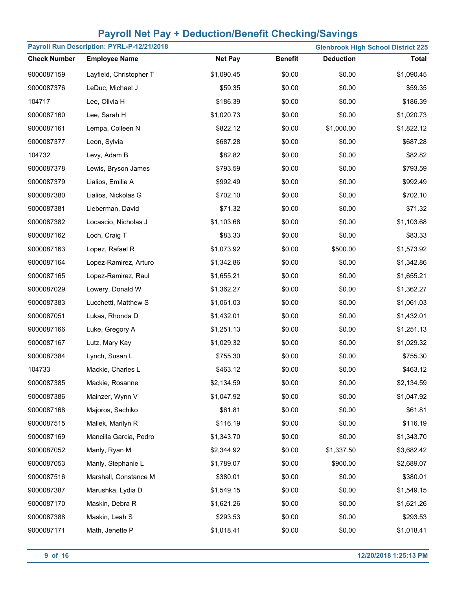| Payroll Run Description: PYRL-P-12/21/2018<br><b>Glenbrook High School District 225</b> |                         |                |                |                  |              |
|-----------------------------------------------------------------------------------------|-------------------------|----------------|----------------|------------------|--------------|
| <b>Check Number</b>                                                                     | <b>Employee Name</b>    | <b>Net Pay</b> | <b>Benefit</b> | <b>Deduction</b> | <b>Total</b> |
| 9000087159                                                                              | Layfield, Christopher T | \$1,090.45     | \$0.00         | \$0.00           | \$1,090.45   |
| 9000087376                                                                              | LeDuc, Michael J        | \$59.35        | \$0.00         | \$0.00           | \$59.35      |
| 104717                                                                                  | Lee, Olivia H           | \$186.39       | \$0.00         | \$0.00           | \$186.39     |
| 9000087160                                                                              | Lee, Sarah H            | \$1,020.73     | \$0.00         | \$0.00           | \$1,020.73   |
| 9000087161                                                                              | Lempa, Colleen N        | \$822.12       | \$0.00         | \$1,000.00       | \$1,822.12   |
| 9000087377                                                                              | Leon, Sylvia            | \$687.28       | \$0.00         | \$0.00           | \$687.28     |
| 104732                                                                                  | Levy, Adam B            | \$82.82        | \$0.00         | \$0.00           | \$82.82      |
| 9000087378                                                                              | Lewis, Bryson James     | \$793.59       | \$0.00         | \$0.00           | \$793.59     |
| 9000087379                                                                              | Lialios, Emilie A       | \$992.49       | \$0.00         | \$0.00           | \$992.49     |
| 9000087380                                                                              | Lialios, Nickolas G     | \$702.10       | \$0.00         | \$0.00           | \$702.10     |
| 9000087381                                                                              | Lieberman, David        | \$71.32        | \$0.00         | \$0.00           | \$71.32      |
| 9000087382                                                                              | Locascio, Nicholas J    | \$1,103.68     | \$0.00         | \$0.00           | \$1,103.68   |
| 9000087162                                                                              | Loch, Craig T           | \$83.33        | \$0.00         | \$0.00           | \$83.33      |
| 9000087163                                                                              | Lopez, Rafael R         | \$1,073.92     | \$0.00         | \$500.00         | \$1,573.92   |
| 9000087164                                                                              | Lopez-Ramirez, Arturo   | \$1,342.86     | \$0.00         | \$0.00           | \$1,342.86   |
| 9000087165                                                                              | Lopez-Ramirez, Raul     | \$1,655.21     | \$0.00         | \$0.00           | \$1,655.21   |
| 9000087029                                                                              | Lowery, Donald W        | \$1,362.27     | \$0.00         | \$0.00           | \$1,362.27   |
| 9000087383                                                                              | Lucchetti, Matthew S    | \$1,061.03     | \$0.00         | \$0.00           | \$1,061.03   |
| 9000087051                                                                              | Lukas, Rhonda D         | \$1,432.01     | \$0.00         | \$0.00           | \$1,432.01   |
| 9000087166                                                                              | Luke, Gregory A         | \$1,251.13     | \$0.00         | \$0.00           | \$1,251.13   |
| 9000087167                                                                              | Lutz, Mary Kay          | \$1,029.32     | \$0.00         | \$0.00           | \$1,029.32   |
| 9000087384                                                                              | Lynch, Susan L          | \$755.30       | \$0.00         | \$0.00           | \$755.30     |
| 104733                                                                                  | Mackie, Charles L       | \$463.12       | \$0.00         | \$0.00           | \$463.12     |
| 9000087385                                                                              | Mackie, Rosanne         | \$2,134.59     | \$0.00         | \$0.00           | \$2,134.59   |
| 9000087386                                                                              | Mainzer, Wynn V         | \$1,047.92     | \$0.00         | \$0.00           | \$1,047.92   |
| 9000087168                                                                              | Majoros, Sachiko        | \$61.81        | \$0.00         | \$0.00           | \$61.81      |
| 9000087515                                                                              | Mallek, Marilyn R       | \$116.19       | \$0.00         | \$0.00           | \$116.19     |
| 9000087169                                                                              | Mancilla Garcia, Pedro  | \$1,343.70     | \$0.00         | \$0.00           | \$1,343.70   |
| 9000087052                                                                              | Manly, Ryan M           | \$2,344.92     | \$0.00         | \$1,337.50       | \$3,682.42   |
| 9000087053                                                                              | Manly, Stephanie L      | \$1,789.07     | \$0.00         | \$900.00         | \$2,689.07   |
| 9000087516                                                                              | Marshall, Constance M   | \$380.01       | \$0.00         | \$0.00           | \$380.01     |
| 9000087387                                                                              | Marushka, Lydia D       | \$1,549.15     | \$0.00         | \$0.00           | \$1,549.15   |
| 9000087170                                                                              | Maskin, Debra R         | \$1,621.26     | \$0.00         | \$0.00           | \$1,621.26   |
| 9000087388                                                                              | Maskin, Leah S          | \$293.53       | \$0.00         | \$0.00           | \$293.53     |
| 9000087171                                                                              | Math, Jenette P         | \$1,018.41     | \$0.00         | \$0.00           | \$1,018.41   |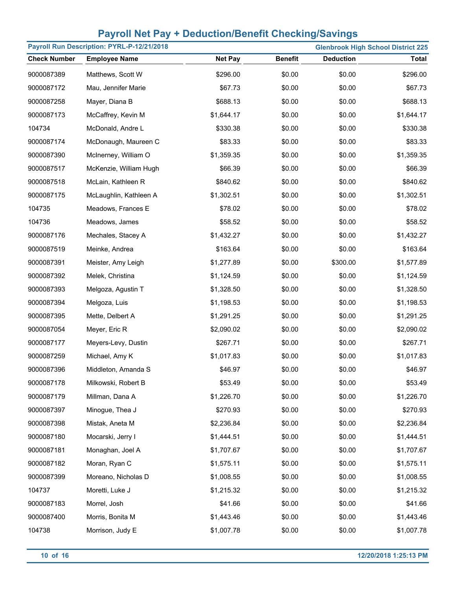|                     | Payroll Run Description: PYRL-P-12/21/2018 |                |                |                  | <b>Glenbrook High School District 225</b> |
|---------------------|--------------------------------------------|----------------|----------------|------------------|-------------------------------------------|
| <b>Check Number</b> | <b>Employee Name</b>                       | <b>Net Pay</b> | <b>Benefit</b> | <b>Deduction</b> | <b>Total</b>                              |
| 9000087389          | Matthews, Scott W                          | \$296.00       | \$0.00         | \$0.00           | \$296.00                                  |
| 9000087172          | Mau, Jennifer Marie                        | \$67.73        | \$0.00         | \$0.00           | \$67.73                                   |
| 9000087258          | Mayer, Diana B                             | \$688.13       | \$0.00         | \$0.00           | \$688.13                                  |
| 9000087173          | McCaffrey, Kevin M                         | \$1,644.17     | \$0.00         | \$0.00           | \$1,644.17                                |
| 104734              | McDonald, Andre L                          | \$330.38       | \$0.00         | \$0.00           | \$330.38                                  |
| 9000087174          | McDonaugh, Maureen C                       | \$83.33        | \$0.00         | \$0.00           | \$83.33                                   |
| 9000087390          | McInerney, William O                       | \$1,359.35     | \$0.00         | \$0.00           | \$1,359.35                                |
| 9000087517          | McKenzie, William Hugh                     | \$66.39        | \$0.00         | \$0.00           | \$66.39                                   |
| 9000087518          | McLain, Kathleen R                         | \$840.62       | \$0.00         | \$0.00           | \$840.62                                  |
| 9000087175          | McLaughlin, Kathleen A                     | \$1,302.51     | \$0.00         | \$0.00           | \$1,302.51                                |
| 104735              | Meadows, Frances E                         | \$78.02        | \$0.00         | \$0.00           | \$78.02                                   |
| 104736              | Meadows, James                             | \$58.52        | \$0.00         | \$0.00           | \$58.52                                   |
| 9000087176          | Mechales, Stacey A                         | \$1,432.27     | \$0.00         | \$0.00           | \$1,432.27                                |
| 9000087519          | Meinke, Andrea                             | \$163.64       | \$0.00         | \$0.00           | \$163.64                                  |
| 9000087391          | Meister, Amy Leigh                         | \$1,277.89     | \$0.00         | \$300.00         | \$1,577.89                                |
| 9000087392          | Melek, Christina                           | \$1,124.59     | \$0.00         | \$0.00           | \$1,124.59                                |
| 9000087393          | Melgoza, Agustin T                         | \$1,328.50     | \$0.00         | \$0.00           | \$1,328.50                                |
| 9000087394          | Melgoza, Luis                              | \$1,198.53     | \$0.00         | \$0.00           | \$1,198.53                                |
| 9000087395          | Mette, Delbert A                           | \$1,291.25     | \$0.00         | \$0.00           | \$1,291.25                                |
| 9000087054          | Meyer, Eric R                              | \$2,090.02     | \$0.00         | \$0.00           | \$2,090.02                                |
| 9000087177          | Meyers-Levy, Dustin                        | \$267.71       | \$0.00         | \$0.00           | \$267.71                                  |
| 9000087259          | Michael, Amy K                             | \$1,017.83     | \$0.00         | \$0.00           | \$1,017.83                                |
| 9000087396          | Middleton, Amanda S                        | \$46.97        | \$0.00         | \$0.00           | \$46.97                                   |
| 9000087178          | Milkowski, Robert B                        | \$53.49        | \$0.00         | \$0.00           | \$53.49                                   |
| 9000087179          | Millman, Dana A                            | \$1,226.70     | \$0.00         | \$0.00           | \$1,226.70                                |
| 9000087397          | Minogue, Thea J                            | \$270.93       | \$0.00         | \$0.00           | \$270.93                                  |
| 9000087398          | Mistak, Aneta M                            | \$2,236.84     | \$0.00         | \$0.00           | \$2,236.84                                |
| 9000087180          | Mocarski, Jerry I                          | \$1,444.51     | \$0.00         | \$0.00           | \$1,444.51                                |
| 9000087181          | Monaghan, Joel A                           | \$1,707.67     | \$0.00         | \$0.00           | \$1,707.67                                |
| 9000087182          | Moran, Ryan C                              | \$1,575.11     | \$0.00         | \$0.00           | \$1,575.11                                |
| 9000087399          | Moreano, Nicholas D                        | \$1,008.55     | \$0.00         | \$0.00           | \$1,008.55                                |
| 104737              | Moretti, Luke J                            | \$1,215.32     | \$0.00         | \$0.00           | \$1,215.32                                |
| 9000087183          | Morrel, Josh                               | \$41.66        | \$0.00         | \$0.00           | \$41.66                                   |
| 9000087400          | Morris, Bonita M                           | \$1,443.46     | \$0.00         | \$0.00           | \$1,443.46                                |
| 104738              | Morrison, Judy E                           | \$1,007.78     | \$0.00         | \$0.00           | \$1,007.78                                |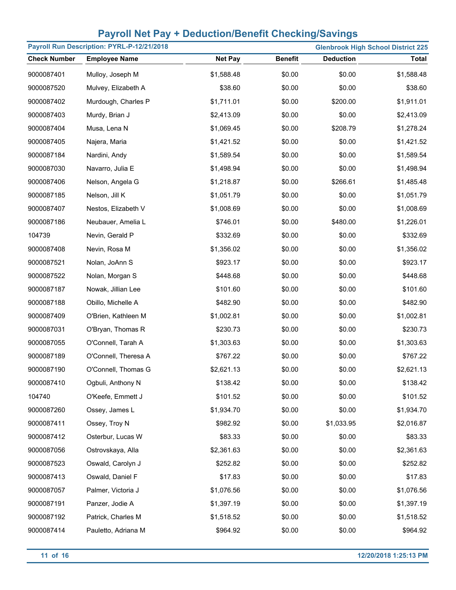|                     | Payroll Run Description: PYRL-P-12/21/2018 |                |                |                  | <b>Glenbrook High School District 225</b> |
|---------------------|--------------------------------------------|----------------|----------------|------------------|-------------------------------------------|
| <b>Check Number</b> | <b>Employee Name</b>                       | <b>Net Pay</b> | <b>Benefit</b> | <b>Deduction</b> | <b>Total</b>                              |
| 9000087401          | Mulloy, Joseph M                           | \$1,588.48     | \$0.00         | \$0.00           | \$1,588.48                                |
| 9000087520          | Mulvey, Elizabeth A                        | \$38.60        | \$0.00         | \$0.00           | \$38.60                                   |
| 9000087402          | Murdough, Charles P                        | \$1,711.01     | \$0.00         | \$200.00         | \$1,911.01                                |
| 9000087403          | Murdy, Brian J                             | \$2,413.09     | \$0.00         | \$0.00           | \$2,413.09                                |
| 9000087404          | Musa, Lena N                               | \$1,069.45     | \$0.00         | \$208.79         | \$1,278.24                                |
| 9000087405          | Najera, Maria                              | \$1,421.52     | \$0.00         | \$0.00           | \$1,421.52                                |
| 9000087184          | Nardini, Andy                              | \$1,589.54     | \$0.00         | \$0.00           | \$1,589.54                                |
| 9000087030          | Navarro, Julia E                           | \$1,498.94     | \$0.00         | \$0.00           | \$1,498.94                                |
| 9000087406          | Nelson, Angela G                           | \$1,218.87     | \$0.00         | \$266.61         | \$1,485.48                                |
| 9000087185          | Nelson, Jill K                             | \$1,051.79     | \$0.00         | \$0.00           | \$1,051.79                                |
| 9000087407          | Nestos, Elizabeth V                        | \$1,008.69     | \$0.00         | \$0.00           | \$1,008.69                                |
| 9000087186          | Neubauer, Amelia L                         | \$746.01       | \$0.00         | \$480.00         | \$1,226.01                                |
| 104739              | Nevin, Gerald P                            | \$332.69       | \$0.00         | \$0.00           | \$332.69                                  |
| 9000087408          | Nevin, Rosa M                              | \$1,356.02     | \$0.00         | \$0.00           | \$1,356.02                                |
| 9000087521          | Nolan, JoAnn S                             | \$923.17       | \$0.00         | \$0.00           | \$923.17                                  |
| 9000087522          | Nolan, Morgan S                            | \$448.68       | \$0.00         | \$0.00           | \$448.68                                  |
| 9000087187          | Nowak, Jillian Lee                         | \$101.60       | \$0.00         | \$0.00           | \$101.60                                  |
| 9000087188          | Obillo, Michelle A                         | \$482.90       | \$0.00         | \$0.00           | \$482.90                                  |
| 9000087409          | O'Brien, Kathleen M                        | \$1,002.81     | \$0.00         | \$0.00           | \$1,002.81                                |
| 9000087031          | O'Bryan, Thomas R                          | \$230.73       | \$0.00         | \$0.00           | \$230.73                                  |
| 9000087055          | O'Connell, Tarah A                         | \$1,303.63     | \$0.00         | \$0.00           | \$1,303.63                                |
| 9000087189          | O'Connell, Theresa A                       | \$767.22       | \$0.00         | \$0.00           | \$767.22                                  |
| 9000087190          | O'Connell, Thomas G                        | \$2,621.13     | \$0.00         | \$0.00           | \$2,621.13                                |
| 9000087410          | Ogbuli, Anthony N                          | \$138.42       | \$0.00         | \$0.00           | \$138.42                                  |
| 104740              | O'Keefe, Emmett J                          | \$101.52       | \$0.00         | \$0.00           | \$101.52                                  |
| 9000087260          | Ossey, James L                             | \$1,934.70     | \$0.00         | \$0.00           | \$1,934.70                                |
| 9000087411          | Ossey, Troy N                              | \$982.92       | \$0.00         | \$1,033.95       | \$2,016.87                                |
| 9000087412          | Osterbur, Lucas W                          | \$83.33        | \$0.00         | \$0.00           | \$83.33                                   |
| 9000087056          | Ostrovskaya, Alla                          | \$2,361.63     | \$0.00         | \$0.00           | \$2,361.63                                |
| 9000087523          | Oswald, Carolyn J                          | \$252.82       | \$0.00         | \$0.00           | \$252.82                                  |
| 9000087413          | Oswald, Daniel F                           | \$17.83        | \$0.00         | \$0.00           | \$17.83                                   |
| 9000087057          | Palmer, Victoria J                         | \$1,076.56     | \$0.00         | \$0.00           | \$1,076.56                                |
| 9000087191          | Panzer, Jodie A                            | \$1,397.19     | \$0.00         | \$0.00           | \$1,397.19                                |
| 9000087192          | Patrick, Charles M                         | \$1,518.52     | \$0.00         | \$0.00           | \$1,518.52                                |
| 9000087414          | Pauletto, Adriana M                        | \$964.92       | \$0.00         | \$0.00           | \$964.92                                  |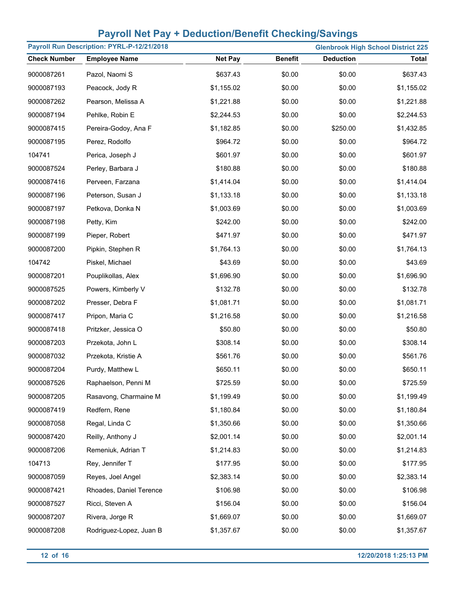| Payroll Run Description: PYRL-P-12/21/2018<br><b>Glenbrook High School District 225</b> |                         |                |                |                  |              |  |
|-----------------------------------------------------------------------------------------|-------------------------|----------------|----------------|------------------|--------------|--|
| <b>Check Number</b>                                                                     | <b>Employee Name</b>    | <b>Net Pay</b> | <b>Benefit</b> | <b>Deduction</b> | <b>Total</b> |  |
| 9000087261                                                                              | Pazol, Naomi S          | \$637.43       | \$0.00         | \$0.00           | \$637.43     |  |
| 9000087193                                                                              | Peacock, Jody R         | \$1,155.02     | \$0.00         | \$0.00           | \$1,155.02   |  |
| 9000087262                                                                              | Pearson, Melissa A      | \$1,221.88     | \$0.00         | \$0.00           | \$1,221.88   |  |
| 9000087194                                                                              | Pehlke, Robin E         | \$2,244.53     | \$0.00         | \$0.00           | \$2,244.53   |  |
| 9000087415                                                                              | Pereira-Godoy, Ana F    | \$1,182.85     | \$0.00         | \$250.00         | \$1,432.85   |  |
| 9000087195                                                                              | Perez, Rodolfo          | \$964.72       | \$0.00         | \$0.00           | \$964.72     |  |
| 104741                                                                                  | Perica, Joseph J        | \$601.97       | \$0.00         | \$0.00           | \$601.97     |  |
| 9000087524                                                                              | Perley, Barbara J       | \$180.88       | \$0.00         | \$0.00           | \$180.88     |  |
| 9000087416                                                                              | Perveen, Farzana        | \$1,414.04     | \$0.00         | \$0.00           | \$1,414.04   |  |
| 9000087196                                                                              | Peterson, Susan J       | \$1,133.18     | \$0.00         | \$0.00           | \$1,133.18   |  |
| 9000087197                                                                              | Petkova, Donka N        | \$1,003.69     | \$0.00         | \$0.00           | \$1,003.69   |  |
| 9000087198                                                                              | Petty, Kim              | \$242.00       | \$0.00         | \$0.00           | \$242.00     |  |
| 9000087199                                                                              | Pieper, Robert          | \$471.97       | \$0.00         | \$0.00           | \$471.97     |  |
| 9000087200                                                                              | Pipkin, Stephen R       | \$1,764.13     | \$0.00         | \$0.00           | \$1,764.13   |  |
| 104742                                                                                  | Piskel, Michael         | \$43.69        | \$0.00         | \$0.00           | \$43.69      |  |
| 9000087201                                                                              | Pouplikollas, Alex      | \$1,696.90     | \$0.00         | \$0.00           | \$1,696.90   |  |
| 9000087525                                                                              | Powers, Kimberly V      | \$132.78       | \$0.00         | \$0.00           | \$132.78     |  |
| 9000087202                                                                              | Presser, Debra F        | \$1,081.71     | \$0.00         | \$0.00           | \$1,081.71   |  |
| 9000087417                                                                              | Pripon, Maria C         | \$1,216.58     | \$0.00         | \$0.00           | \$1,216.58   |  |
| 9000087418                                                                              | Pritzker, Jessica O     | \$50.80        | \$0.00         | \$0.00           | \$50.80      |  |
| 9000087203                                                                              | Przekota, John L        | \$308.14       | \$0.00         | \$0.00           | \$308.14     |  |
| 9000087032                                                                              | Przekota, Kristie A     | \$561.76       | \$0.00         | \$0.00           | \$561.76     |  |
| 9000087204                                                                              | Purdy, Matthew L        | \$650.11       | \$0.00         | \$0.00           | \$650.11     |  |
| 9000087526                                                                              | Raphaelson, Penni M     | \$725.59       | \$0.00         | \$0.00           | \$725.59     |  |
| 9000087205                                                                              | Rasavong, Charmaine M   | \$1,199.49     | \$0.00         | \$0.00           | \$1,199.49   |  |
| 9000087419                                                                              | Redfern, Rene           | \$1,180.84     | \$0.00         | \$0.00           | \$1,180.84   |  |
| 9000087058                                                                              | Regal, Linda C          | \$1,350.66     | \$0.00         | \$0.00           | \$1,350.66   |  |
| 9000087420                                                                              | Reilly, Anthony J       | \$2,001.14     | \$0.00         | \$0.00           | \$2,001.14   |  |
| 9000087206                                                                              | Remeniuk, Adrian T      | \$1,214.83     | \$0.00         | \$0.00           | \$1,214.83   |  |
| 104713                                                                                  | Rey, Jennifer T         | \$177.95       | \$0.00         | \$0.00           | \$177.95     |  |
| 9000087059                                                                              | Reyes, Joel Angel       | \$2,383.14     | \$0.00         | \$0.00           | \$2,383.14   |  |
| 9000087421                                                                              | Rhoades, Daniel Terence | \$106.98       | \$0.00         | \$0.00           | \$106.98     |  |
| 9000087527                                                                              | Ricci, Steven A         | \$156.04       | \$0.00         | \$0.00           | \$156.04     |  |
| 9000087207                                                                              | Rivera, Jorge R         | \$1,669.07     | \$0.00         | \$0.00           | \$1,669.07   |  |
| 9000087208                                                                              | Rodriguez-Lopez, Juan B | \$1,357.67     | \$0.00         | \$0.00           | \$1,357.67   |  |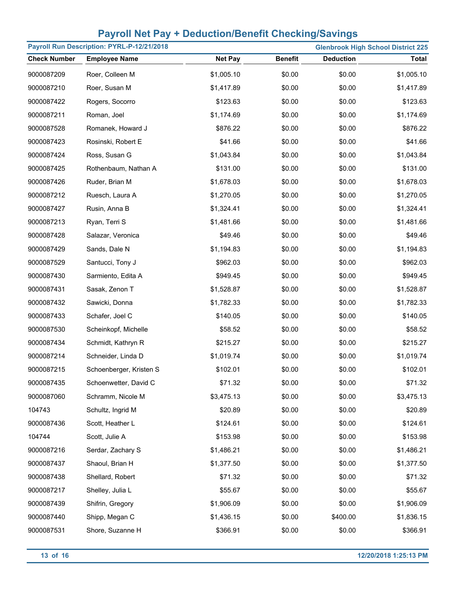| Payroll Run Description: PYRL-P-12/21/2018<br><b>Glenbrook High School District 225</b> |                         |                |                |                  |              |
|-----------------------------------------------------------------------------------------|-------------------------|----------------|----------------|------------------|--------------|
| <b>Check Number</b>                                                                     | <b>Employee Name</b>    | <b>Net Pay</b> | <b>Benefit</b> | <b>Deduction</b> | <b>Total</b> |
| 9000087209                                                                              | Roer, Colleen M         | \$1,005.10     | \$0.00         | \$0.00           | \$1,005.10   |
| 9000087210                                                                              | Roer, Susan M           | \$1,417.89     | \$0.00         | \$0.00           | \$1,417.89   |
| 9000087422                                                                              | Rogers, Socorro         | \$123.63       | \$0.00         | \$0.00           | \$123.63     |
| 9000087211                                                                              | Roman, Joel             | \$1,174.69     | \$0.00         | \$0.00           | \$1,174.69   |
| 9000087528                                                                              | Romanek, Howard J       | \$876.22       | \$0.00         | \$0.00           | \$876.22     |
| 9000087423                                                                              | Rosinski, Robert E      | \$41.66        | \$0.00         | \$0.00           | \$41.66      |
| 9000087424                                                                              | Ross, Susan G           | \$1,043.84     | \$0.00         | \$0.00           | \$1,043.84   |
| 9000087425                                                                              | Rothenbaum, Nathan A    | \$131.00       | \$0.00         | \$0.00           | \$131.00     |
| 9000087426                                                                              | Ruder, Brian M          | \$1,678.03     | \$0.00         | \$0.00           | \$1,678.03   |
| 9000087212                                                                              | Ruesch, Laura A         | \$1,270.05     | \$0.00         | \$0.00           | \$1,270.05   |
| 9000087427                                                                              | Rusin, Anna B           | \$1,324.41     | \$0.00         | \$0.00           | \$1,324.41   |
| 9000087213                                                                              | Ryan, Terri S           | \$1,481.66     | \$0.00         | \$0.00           | \$1,481.66   |
| 9000087428                                                                              | Salazar, Veronica       | \$49.46        | \$0.00         | \$0.00           | \$49.46      |
| 9000087429                                                                              | Sands, Dale N           | \$1,194.83     | \$0.00         | \$0.00           | \$1,194.83   |
| 9000087529                                                                              | Santucci, Tony J        | \$962.03       | \$0.00         | \$0.00           | \$962.03     |
| 9000087430                                                                              | Sarmiento, Edita A      | \$949.45       | \$0.00         | \$0.00           | \$949.45     |
| 9000087431                                                                              | Sasak, Zenon T          | \$1,528.87     | \$0.00         | \$0.00           | \$1,528.87   |
| 9000087432                                                                              | Sawicki, Donna          | \$1,782.33     | \$0.00         | \$0.00           | \$1,782.33   |
| 9000087433                                                                              | Schafer, Joel C         | \$140.05       | \$0.00         | \$0.00           | \$140.05     |
| 9000087530                                                                              | Scheinkopf, Michelle    | \$58.52        | \$0.00         | \$0.00           | \$58.52      |
| 9000087434                                                                              | Schmidt, Kathryn R      | \$215.27       | \$0.00         | \$0.00           | \$215.27     |
| 9000087214                                                                              | Schneider, Linda D      | \$1,019.74     | \$0.00         | \$0.00           | \$1,019.74   |
| 9000087215                                                                              | Schoenberger, Kristen S | \$102.01       | \$0.00         | \$0.00           | \$102.01     |
| 9000087435                                                                              | Schoenwetter, David C   | \$71.32        | \$0.00         | \$0.00           | \$71.32      |
| 9000087060                                                                              | Schramm, Nicole M       | \$3,475.13     | \$0.00         | \$0.00           | \$3,475.13   |
| 104743                                                                                  | Schultz, Ingrid M       | \$20.89        | \$0.00         | \$0.00           | \$20.89      |
| 9000087436                                                                              | Scott, Heather L        | \$124.61       | \$0.00         | \$0.00           | \$124.61     |
| 104744                                                                                  | Scott, Julie A          | \$153.98       | \$0.00         | \$0.00           | \$153.98     |
| 9000087216                                                                              | Serdar, Zachary S       | \$1,486.21     | \$0.00         | \$0.00           | \$1,486.21   |
| 9000087437                                                                              | Shaoul, Brian H         | \$1,377.50     | \$0.00         | \$0.00           | \$1,377.50   |
| 9000087438                                                                              | Shellard, Robert        | \$71.32        | \$0.00         | \$0.00           | \$71.32      |
| 9000087217                                                                              | Shelley, Julia L        | \$55.67        | \$0.00         | \$0.00           | \$55.67      |
| 9000087439                                                                              | Shifrin, Gregory        | \$1,906.09     | \$0.00         | \$0.00           | \$1,906.09   |
| 9000087440                                                                              | Shipp, Megan C          | \$1,436.15     | \$0.00         | \$400.00         | \$1,836.15   |
| 9000087531                                                                              | Shore, Suzanne H        | \$366.91       | \$0.00         | \$0.00           | \$366.91     |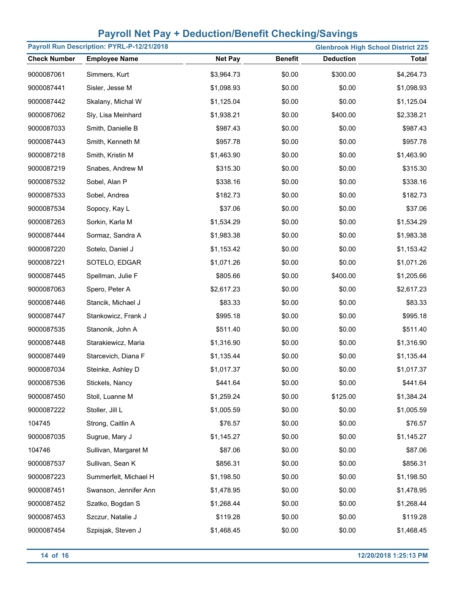|                     | Payroll Run Description: PYRL-P-12/21/2018 |                |                |                  | <b>Glenbrook High School District 225</b> |
|---------------------|--------------------------------------------|----------------|----------------|------------------|-------------------------------------------|
| <b>Check Number</b> | <b>Employee Name</b>                       | <b>Net Pay</b> | <b>Benefit</b> | <b>Deduction</b> | <b>Total</b>                              |
| 9000087061          | Simmers, Kurt                              | \$3,964.73     | \$0.00         | \$300.00         | \$4,264.73                                |
| 9000087441          | Sisler, Jesse M                            | \$1,098.93     | \$0.00         | \$0.00           | \$1,098.93                                |
| 9000087442          | Skalany, Michal W                          | \$1,125.04     | \$0.00         | \$0.00           | \$1,125.04                                |
| 9000087062          | Sly, Lisa Meinhard                         | \$1,938.21     | \$0.00         | \$400.00         | \$2,338.21                                |
| 9000087033          | Smith, Danielle B                          | \$987.43       | \$0.00         | \$0.00           | \$987.43                                  |
| 9000087443          | Smith, Kenneth M                           | \$957.78       | \$0.00         | \$0.00           | \$957.78                                  |
| 9000087218          | Smith, Kristin M                           | \$1,463.90     | \$0.00         | \$0.00           | \$1,463.90                                |
| 9000087219          | Snabes, Andrew M                           | \$315.30       | \$0.00         | \$0.00           | \$315.30                                  |
| 9000087532          | Sobel, Alan P                              | \$338.16       | \$0.00         | \$0.00           | \$338.16                                  |
| 9000087533          | Sobel, Andrea                              | \$182.73       | \$0.00         | \$0.00           | \$182.73                                  |
| 9000087534          | Sopocy, Kay L                              | \$37.06        | \$0.00         | \$0.00           | \$37.06                                   |
| 9000087263          | Sorkin, Karla M                            | \$1,534.29     | \$0.00         | \$0.00           | \$1,534.29                                |
| 9000087444          | Sormaz, Sandra A                           | \$1,983.38     | \$0.00         | \$0.00           | \$1,983.38                                |
| 9000087220          | Sotelo, Daniel J                           | \$1,153.42     | \$0.00         | \$0.00           | \$1,153.42                                |
| 9000087221          | SOTELO, EDGAR                              | \$1,071.26     | \$0.00         | \$0.00           | \$1,071.26                                |
| 9000087445          | Spellman, Julie F                          | \$805.66       | \$0.00         | \$400.00         | \$1,205.66                                |
| 9000087063          | Spero, Peter A                             | \$2,617.23     | \$0.00         | \$0.00           | \$2,617.23                                |
| 9000087446          | Stancik, Michael J                         | \$83.33        | \$0.00         | \$0.00           | \$83.33                                   |
| 9000087447          | Stankowicz, Frank J                        | \$995.18       | \$0.00         | \$0.00           | \$995.18                                  |
| 9000087535          | Stanonik, John A                           | \$511.40       | \$0.00         | \$0.00           | \$511.40                                  |
| 9000087448          | Starakiewicz, Maria                        | \$1,316.90     | \$0.00         | \$0.00           | \$1,316.90                                |
| 9000087449          | Starcevich, Diana F                        | \$1,135.44     | \$0.00         | \$0.00           | \$1,135.44                                |
| 9000087034          | Steinke, Ashley D                          | \$1,017.37     | \$0.00         | \$0.00           | \$1,017.37                                |
| 9000087536          | Stickels, Nancy                            | \$441.64       | \$0.00         | \$0.00           | \$441.64                                  |
| 9000087450          | Stoll, Luanne M                            | \$1,259.24     | \$0.00         | \$125.00         | \$1,384.24                                |
| 9000087222          | Stoller, Jill L                            | \$1,005.59     | \$0.00         | \$0.00           | \$1,005.59                                |
| 104745              | Strong, Caitlin A                          | \$76.57        | \$0.00         | \$0.00           | \$76.57                                   |
| 9000087035          | Sugrue, Mary J                             | \$1,145.27     | \$0.00         | \$0.00           | \$1,145.27                                |
| 104746              | Sullivan, Margaret M                       | \$87.06        | \$0.00         | \$0.00           | \$87.06                                   |
| 9000087537          | Sullivan, Sean K                           | \$856.31       | \$0.00         | \$0.00           | \$856.31                                  |
| 9000087223          | Summerfelt, Michael H                      | \$1,198.50     | \$0.00         | \$0.00           | \$1,198.50                                |
| 9000087451          | Swanson, Jennifer Ann                      | \$1,478.95     | \$0.00         | \$0.00           | \$1,478.95                                |
| 9000087452          | Szatko, Bogdan S                           | \$1,268.44     | \$0.00         | \$0.00           | \$1,268.44                                |
| 9000087453          | Szczur, Natalie J                          | \$119.28       | \$0.00         | \$0.00           | \$119.28                                  |
| 9000087454          | Szpisjak, Steven J                         | \$1,468.45     | \$0.00         | \$0.00           | \$1,468.45                                |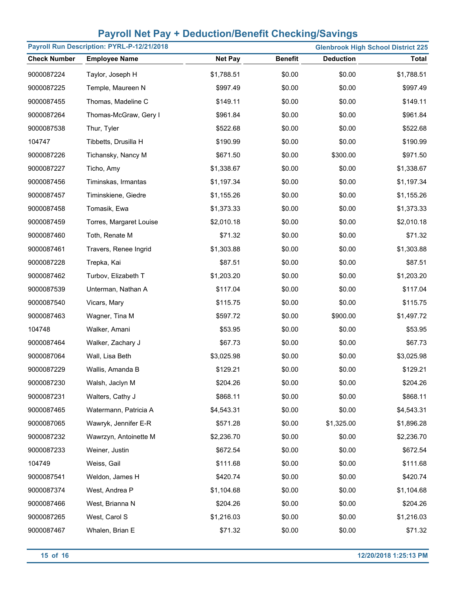|                     | Payroll Run Description: PYRL-P-12/21/2018 |                |                |                  | <b>Glenbrook High School District 225</b> |
|---------------------|--------------------------------------------|----------------|----------------|------------------|-------------------------------------------|
| <b>Check Number</b> | <b>Employee Name</b>                       | <b>Net Pay</b> | <b>Benefit</b> | <b>Deduction</b> | <b>Total</b>                              |
| 9000087224          | Taylor, Joseph H                           | \$1,788.51     | \$0.00         | \$0.00           | \$1,788.51                                |
| 9000087225          | Temple, Maureen N                          | \$997.49       | \$0.00         | \$0.00           | \$997.49                                  |
| 9000087455          | Thomas, Madeline C                         | \$149.11       | \$0.00         | \$0.00           | \$149.11                                  |
| 9000087264          | Thomas-McGraw, Gery I                      | \$961.84       | \$0.00         | \$0.00           | \$961.84                                  |
| 9000087538          | Thur, Tyler                                | \$522.68       | \$0.00         | \$0.00           | \$522.68                                  |
| 104747              | Tibbetts, Drusilla H                       | \$190.99       | \$0.00         | \$0.00           | \$190.99                                  |
| 9000087226          | Tichansky, Nancy M                         | \$671.50       | \$0.00         | \$300.00         | \$971.50                                  |
| 9000087227          | Ticho, Amy                                 | \$1,338.67     | \$0.00         | \$0.00           | \$1,338.67                                |
| 9000087456          | Timinskas, Irmantas                        | \$1,197.34     | \$0.00         | \$0.00           | \$1,197.34                                |
| 9000087457          | Timinskiene, Giedre                        | \$1,155.26     | \$0.00         | \$0.00           | \$1,155.26                                |
| 9000087458          | Tomasik, Ewa                               | \$1,373.33     | \$0.00         | \$0.00           | \$1,373.33                                |
| 9000087459          | Torres, Margaret Louise                    | \$2,010.18     | \$0.00         | \$0.00           | \$2,010.18                                |
| 9000087460          | Toth, Renate M                             | \$71.32        | \$0.00         | \$0.00           | \$71.32                                   |
| 9000087461          | Travers, Renee Ingrid                      | \$1,303.88     | \$0.00         | \$0.00           | \$1,303.88                                |
| 9000087228          | Trepka, Kai                                | \$87.51        | \$0.00         | \$0.00           | \$87.51                                   |
| 9000087462          | Turbov, Elizabeth T                        | \$1,203.20     | \$0.00         | \$0.00           | \$1,203.20                                |
| 9000087539          | Unterman, Nathan A                         | \$117.04       | \$0.00         | \$0.00           | \$117.04                                  |
| 9000087540          | Vicars, Mary                               | \$115.75       | \$0.00         | \$0.00           | \$115.75                                  |
| 9000087463          | Wagner, Tina M                             | \$597.72       | \$0.00         | \$900.00         | \$1,497.72                                |
| 104748              | Walker, Amani                              | \$53.95        | \$0.00         | \$0.00           | \$53.95                                   |
| 9000087464          | Walker, Zachary J                          | \$67.73        | \$0.00         | \$0.00           | \$67.73                                   |
| 9000087064          | Wall, Lisa Beth                            | \$3,025.98     | \$0.00         | \$0.00           | \$3,025.98                                |
| 9000087229          | Wallis, Amanda B                           | \$129.21       | \$0.00         | \$0.00           | \$129.21                                  |
| 9000087230          | Walsh, Jaclyn M                            | \$204.26       | \$0.00         | \$0.00           | \$204.26                                  |
| 9000087231          | Walters, Cathy J                           | \$868.11       | \$0.00         | \$0.00           | \$868.11                                  |
| 9000087465          | Watermann, Patricia A                      | \$4,543.31     | \$0.00         | \$0.00           | \$4,543.31                                |
| 9000087065          | Wawryk, Jennifer E-R                       | \$571.28       | \$0.00         | \$1,325.00       | \$1,896.28                                |
| 9000087232          | Wawrzyn, Antoinette M                      | \$2,236.70     | \$0.00         | \$0.00           | \$2,236.70                                |
| 9000087233          | Weiner, Justin                             | \$672.54       | \$0.00         | \$0.00           | \$672.54                                  |
| 104749              | Weiss, Gail                                | \$111.68       | \$0.00         | \$0.00           | \$111.68                                  |
| 9000087541          | Weldon, James H                            | \$420.74       | \$0.00         | \$0.00           | \$420.74                                  |
| 9000087374          | West, Andrea P                             | \$1,104.68     | \$0.00         | \$0.00           | \$1,104.68                                |
| 9000087466          | West, Brianna N                            | \$204.26       | \$0.00         | \$0.00           | \$204.26                                  |
| 9000087265          | West, Carol S                              | \$1,216.03     | \$0.00         | \$0.00           | \$1,216.03                                |
| 9000087467          | Whalen, Brian E                            | \$71.32        | \$0.00         | \$0.00           | \$71.32                                   |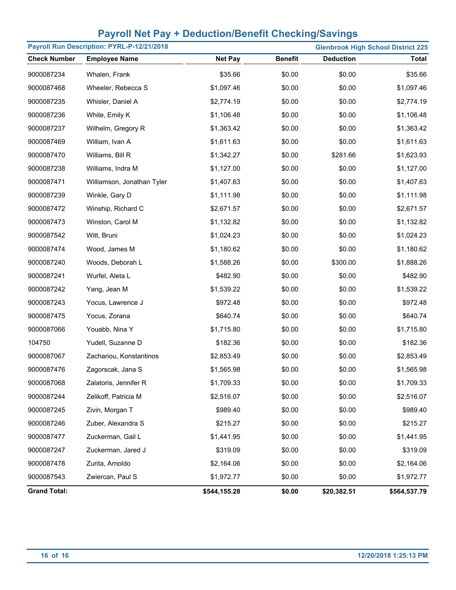|                     | Payroll Run Description: PYRL-P-12/21/2018<br><b>Glenbrook High School District 225</b> |                |                |                  |              |  |  |
|---------------------|-----------------------------------------------------------------------------------------|----------------|----------------|------------------|--------------|--|--|
| <b>Check Number</b> | <b>Employee Name</b>                                                                    | <b>Net Pay</b> | <b>Benefit</b> | <b>Deduction</b> | <b>Total</b> |  |  |
| 9000087234          | Whalen, Frank                                                                           | \$35.66        | \$0.00         | \$0.00           | \$35.66      |  |  |
| 9000087468          | Wheeler, Rebecca S                                                                      | \$1,097.46     | \$0.00         | \$0.00           | \$1,097.46   |  |  |
| 9000087235          | Whisler, Daniel A                                                                       | \$2,774.19     | \$0.00         | \$0.00           | \$2,774.19   |  |  |
| 9000087236          | White, Emily K                                                                          | \$1,106.48     | \$0.00         | \$0.00           | \$1,106.48   |  |  |
| 9000087237          | Wilhelm, Gregory R                                                                      | \$1,363.42     | \$0.00         | \$0.00           | \$1,363.42   |  |  |
| 9000087469          | William, Ivan A                                                                         | \$1,611.63     | \$0.00         | \$0.00           | \$1,611.63   |  |  |
| 9000087470          | Williams, Bill R                                                                        | \$1,342.27     | \$0.00         | \$281.66         | \$1,623.93   |  |  |
| 9000087238          | Williams, Indra M                                                                       | \$1,127.00     | \$0.00         | \$0.00           | \$1,127.00   |  |  |
| 9000087471          | Williamson, Jonathan Tyler                                                              | \$1,407.63     | \$0.00         | \$0.00           | \$1,407.63   |  |  |
| 9000087239          | Winkle, Gary D                                                                          | \$1,111.98     | \$0.00         | \$0.00           | \$1,111.98   |  |  |
| 9000087472          | Winship, Richard C                                                                      | \$2,671.57     | \$0.00         | \$0.00           | \$2,671.57   |  |  |
| 9000087473          | Winston, Carol M                                                                        | \$1,132.82     | \$0.00         | \$0.00           | \$1,132.82   |  |  |
| 9000087542          | Witt, Bruni                                                                             | \$1,024.23     | \$0.00         | \$0.00           | \$1,024.23   |  |  |
| 9000087474          | Wood, James M                                                                           | \$1,180.62     | \$0.00         | \$0.00           | \$1,180.62   |  |  |
| 9000087240          | Woods, Deborah L                                                                        | \$1,588.26     | \$0.00         | \$300.00         | \$1,888.26   |  |  |
| 9000087241          | Wurfel, Aleta L                                                                         | \$482.90       | \$0.00         | \$0.00           | \$482.90     |  |  |
| 9000087242          | Yang, Jean M                                                                            | \$1,539.22     | \$0.00         | \$0.00           | \$1,539.22   |  |  |
| 9000087243          | Yocus, Lawrence J                                                                       | \$972.48       | \$0.00         | \$0.00           | \$972.48     |  |  |
| 9000087475          | Yocus, Zorana                                                                           | \$640.74       | \$0.00         | \$0.00           | \$640.74     |  |  |
| 9000087066          | Youabb, Nina Y                                                                          | \$1,715.80     | \$0.00         | \$0.00           | \$1,715.80   |  |  |
| 104750              | Yudell, Suzanne D                                                                       | \$182.36       | \$0.00         | \$0.00           | \$182.36     |  |  |
| 9000087067          | Zachariou, Konstantinos                                                                 | \$2,853.49     | \$0.00         | \$0.00           | \$2,853.49   |  |  |
| 9000087476          | Zagorscak, Jana S                                                                       | \$1,565.98     | \$0.00         | \$0.00           | \$1,565.98   |  |  |
| 9000087068          | Zalatoris, Jennifer R                                                                   | \$1,709.33     | \$0.00         | \$0.00           | \$1,709.33   |  |  |
| 9000087244          | Zelikoff, Patricia M                                                                    | \$2,516.07     | \$0.00         | \$0.00           | \$2,516.07   |  |  |
| 9000087245          | Zivin, Morgan T                                                                         | \$989.40       | \$0.00         | \$0.00           | \$989.40     |  |  |
| 9000087246          | Zuber, Alexandra S                                                                      | \$215.27       | \$0.00         | \$0.00           | \$215.27     |  |  |
| 9000087477          | Zuckerman, Gail L                                                                       | \$1,441.95     | \$0.00         | \$0.00           | \$1,441.95   |  |  |
| 9000087247          | Zuckerman, Jared J                                                                      | \$319.09       | \$0.00         | \$0.00           | \$319.09     |  |  |
| 9000087478          | Zurita, Arnoldo                                                                         | \$2,164.06     | \$0.00         | \$0.00           | \$2,164.06   |  |  |
| 9000087543          | Zwiercan, Paul S                                                                        | \$1,972.77     | \$0.00         | \$0.00           | \$1,972.77   |  |  |
| <b>Grand Total:</b> |                                                                                         | \$544,155.28   | \$0.00         | \$20,382.51      | \$564,537.79 |  |  |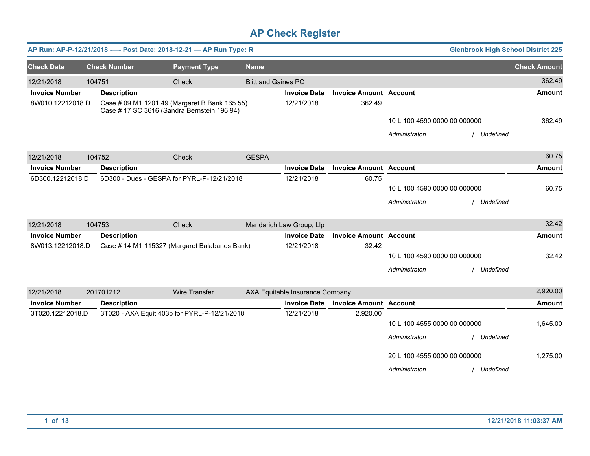|                       |        | AP Run: AP-P-12/21/2018 ---- Post Date: 2018-12-21 - AP Run Type: R |                                                                                              |                            |                                 |                               |                              | <b>Glenbrook High School District 225</b> |                     |
|-----------------------|--------|---------------------------------------------------------------------|----------------------------------------------------------------------------------------------|----------------------------|---------------------------------|-------------------------------|------------------------------|-------------------------------------------|---------------------|
| <b>Check Date</b>     |        | <b>Check Number</b>                                                 | <b>Payment Type</b>                                                                          | <b>Name</b>                |                                 |                               |                              |                                           | <b>Check Amount</b> |
| 12/21/2018            | 104751 |                                                                     | Check                                                                                        | <b>Blitt and Gaines PC</b> |                                 |                               |                              |                                           | 362.49              |
| <b>Invoice Number</b> |        | <b>Description</b>                                                  |                                                                                              |                            | <b>Invoice Date</b>             | <b>Invoice Amount Account</b> |                              |                                           | Amount              |
| 8W010.12212018.D      |        |                                                                     | Case # 09 M1 1201 49 (Margaret B Bank 165.55)<br>Case # 17 SC 3616 (Sandra Bernstein 196.94) |                            | 12/21/2018                      | 362.49                        |                              |                                           |                     |
|                       |        |                                                                     |                                                                                              |                            |                                 |                               | 10 L 100 4590 0000 00 000000 |                                           | 362.49              |
|                       |        |                                                                     |                                                                                              |                            |                                 |                               | Administraton                | Undefined                                 |                     |
| 12/21/2018            |        | 104752                                                              | Check                                                                                        | <b>GESPA</b>               |                                 |                               |                              |                                           | 60.75               |
| <b>Invoice Number</b> |        | <b>Description</b>                                                  |                                                                                              |                            | <b>Invoice Date</b>             | <b>Invoice Amount Account</b> |                              |                                           | <b>Amount</b>       |
| 6D300.12212018.D      |        |                                                                     | 6D300 - Dues - GESPA for PYRL-P-12/21/2018                                                   |                            | 12/21/2018                      | 60.75                         | 10 L 100 4590 0000 00 000000 |                                           | 60.75               |
|                       |        |                                                                     |                                                                                              |                            |                                 |                               | Administraton                | / Undefined                               |                     |
| 12/21/2018            |        | 104753                                                              | Check                                                                                        |                            | Mandarich Law Group, Llp        |                               |                              |                                           | 32.42               |
| <b>Invoice Number</b> |        | <b>Description</b>                                                  |                                                                                              |                            | <b>Invoice Date</b>             | <b>Invoice Amount Account</b> |                              |                                           | <b>Amount</b>       |
| 8W013.12212018.D      |        |                                                                     | Case # 14 M1 115327 (Margaret Balabanos Bank)                                                |                            | 12/21/2018                      | 32.42                         | 10 L 100 4590 0000 00 000000 |                                           | 32.42               |
|                       |        |                                                                     |                                                                                              |                            |                                 |                               | Administraton                | Undefined                                 |                     |
| 12/21/2018            |        | 201701212                                                           | <b>Wire Transfer</b>                                                                         |                            | AXA Equitable Insurance Company |                               |                              |                                           | 2,920.00            |
| <b>Invoice Number</b> |        | <b>Description</b>                                                  |                                                                                              |                            | <b>Invoice Date</b>             | <b>Invoice Amount Account</b> |                              |                                           | <b>Amount</b>       |
| 3T020.12212018.D      |        |                                                                     | 3T020 - AXA Equit 403b for PYRL-P-12/21/2018                                                 |                            | 12/21/2018                      | 2,920.00                      |                              |                                           |                     |
|                       |        |                                                                     |                                                                                              |                            |                                 |                               | 10 L 100 4555 0000 00 000000 |                                           | 1,645.00            |
|                       |        |                                                                     |                                                                                              |                            |                                 |                               | Administraton                | Undefined                                 |                     |
|                       |        |                                                                     |                                                                                              |                            |                                 |                               | 20 L 100 4555 0000 00 000000 |                                           | 1,275.00            |
|                       |        |                                                                     |                                                                                              |                            |                                 |                               | Administraton                | / Undefined                               |                     |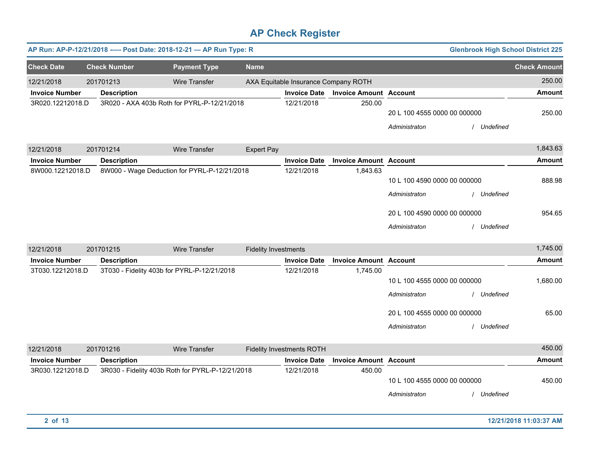|                                           | AP Run: AP-P-12/21/2018 ---- Post Date: 2018-12-21 - AP Run Type: R<br><b>Glenbrook High School District 225</b> |                                                  |                             |                                                             |                                 |                                                                                                |                          |                         |  |
|-------------------------------------------|------------------------------------------------------------------------------------------------------------------|--------------------------------------------------|-----------------------------|-------------------------------------------------------------|---------------------------------|------------------------------------------------------------------------------------------------|--------------------------|-------------------------|--|
| <b>Check Date</b>                         | <b>Check Number</b>                                                                                              | <b>Payment Type</b>                              | <b>Name</b>                 |                                                             |                                 |                                                                                                |                          | <b>Check Amount</b>     |  |
| 12/21/2018<br><b>Invoice Number</b>       | 201701213<br><b>Description</b>                                                                                  | <b>Wire Transfer</b>                             |                             | AXA Equitable Insurance Company ROTH<br><b>Invoice Date</b> | <b>Invoice Amount Account</b>   |                                                                                                |                          | 250.00<br><b>Amount</b> |  |
| 3R020.12212018.D                          |                                                                                                                  | 3R020 - AXA 403b Roth for PYRL-P-12/21/2018      |                             | 12/21/2018                                                  | 250.00                          | 20 L 100 4555 0000 00 000000<br>Administraton                                                  | / Undefined              | 250.00                  |  |
| 12/21/2018                                | 201701214                                                                                                        | Wire Transfer                                    | <b>Expert Pay</b>           |                                                             |                                 |                                                                                                |                          | 1,843.63                |  |
| <b>Invoice Number</b>                     | <b>Description</b>                                                                                               |                                                  |                             | <b>Invoice Date</b>                                         | <b>Invoice Amount Account</b>   |                                                                                                |                          | <b>Amount</b>           |  |
| 8W000.12212018.D                          |                                                                                                                  | 8W000 - Wage Deduction for PYRL-P-12/21/2018     |                             | 12/21/2018                                                  | 1,843.63                        | 10 L 100 4590 0000 00 000000<br>Administraton                                                  | / Undefined              | 888.98                  |  |
|                                           |                                                                                                                  |                                                  |                             |                                                             |                                 | 20 L 100 4590 0000 00 000000<br>Administraton                                                  | Undefined                | 954.65                  |  |
| 12/21/2018                                | 201701215                                                                                                        | <b>Wire Transfer</b>                             | <b>Fidelity Investments</b> |                                                             |                                 |                                                                                                |                          | 1,745.00                |  |
| <b>Invoice Number</b>                     | <b>Description</b>                                                                                               |                                                  |                             | <b>Invoice Date</b>                                         | <b>Invoice Amount Account</b>   |                                                                                                |                          | <b>Amount</b>           |  |
| 3T030.12212018.D                          |                                                                                                                  | 3T030 - Fidelity 403b for PYRL-P-12/21/2018      |                             | 12/21/2018                                                  | 1,745.00                        | 10 L 100 4555 0000 00 000000<br>Administraton<br>20 L 100 4555 0000 00 000000<br>Administraton | Undefined<br>/ Undefined | 1,680.00<br>65.00       |  |
|                                           |                                                                                                                  |                                                  |                             |                                                             |                                 |                                                                                                |                          |                         |  |
| 12/21/2018                                | 201701216                                                                                                        | <b>Wire Transfer</b>                             |                             | <b>Fidelity Investments ROTH</b>                            |                                 |                                                                                                |                          | 450.00                  |  |
| <b>Invoice Number</b><br>3R030.12212018.D | <b>Description</b>                                                                                               | 3R030 - Fidelity 403b Roth for PYRL-P-12/21/2018 |                             | <b>Invoice Date</b><br>12/21/2018                           | <b>Invoice Amount</b><br>450.00 | <b>Account</b><br>10 L 100 4555 0000 00 000000<br>Administraton                                | Undefined                | <b>Amount</b><br>450.00 |  |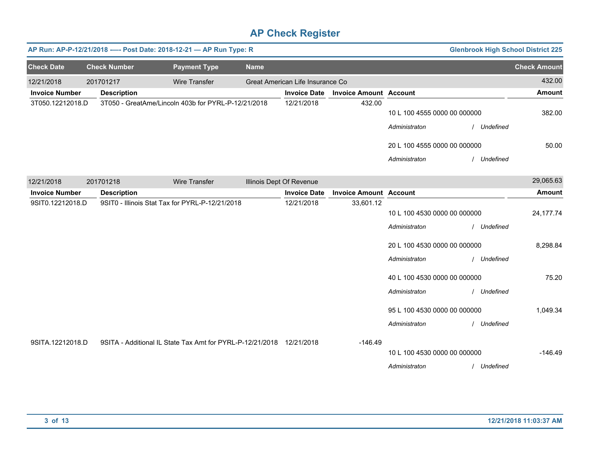|                       | <b>Glenbrook High School District 225</b><br>AP Run: AP-P-12/21/2018 ---- Post Date: 2018-12-21 - AP Run Type: R |                     |                                                                      |             |                                  |                               |                              |             |                     |
|-----------------------|------------------------------------------------------------------------------------------------------------------|---------------------|----------------------------------------------------------------------|-------------|----------------------------------|-------------------------------|------------------------------|-------------|---------------------|
| <b>Check Date</b>     |                                                                                                                  | <b>Check Number</b> | <b>Payment Type</b>                                                  | <b>Name</b> |                                  |                               |                              |             | <b>Check Amount</b> |
| 12/21/2018            |                                                                                                                  | 201701217           | <b>Wire Transfer</b>                                                 |             | Great American Life Insurance Co |                               |                              |             | 432.00              |
| <b>Invoice Number</b> |                                                                                                                  | <b>Description</b>  |                                                                      |             | <b>Invoice Date</b>              | <b>Invoice Amount Account</b> |                              |             | <b>Amount</b>       |
| 3T050.12212018.D      |                                                                                                                  |                     | 3T050 - GreatAme/Lincoln 403b for PYRL-P-12/21/2018                  |             | 12/21/2018                       | 432.00                        | 10 L 100 4555 0000 00 000000 |             | 382.00              |
|                       |                                                                                                                  |                     |                                                                      |             |                                  |                               | Administraton                | Undefined   |                     |
|                       |                                                                                                                  |                     |                                                                      |             |                                  |                               | 20 L 100 4555 0000 00 000000 |             | 50.00               |
|                       |                                                                                                                  |                     |                                                                      |             |                                  |                               | Administraton                | / Undefined |                     |
|                       |                                                                                                                  |                     |                                                                      |             |                                  |                               |                              |             |                     |
| 12/21/2018            |                                                                                                                  | 201701218           | Wire Transfer                                                        |             | Illinois Dept Of Revenue         |                               |                              |             | 29,065.63           |
| <b>Invoice Number</b> |                                                                                                                  | <b>Description</b>  |                                                                      |             | <b>Invoice Date</b>              | <b>Invoice Amount Account</b> |                              |             | <b>Amount</b>       |
| 9SIT0.12212018.D      |                                                                                                                  |                     | 9SIT0 - Illinois Stat Tax for PYRL-P-12/21/2018                      |             | 12/21/2018                       | 33,601.12                     | 10 L 100 4530 0000 00 000000 |             | 24,177.74           |
|                       |                                                                                                                  |                     |                                                                      |             |                                  |                               |                              |             |                     |
|                       |                                                                                                                  |                     |                                                                      |             |                                  |                               | Administraton                | / Undefined |                     |
|                       |                                                                                                                  |                     |                                                                      |             |                                  |                               | 20 L 100 4530 0000 00 000000 |             | 8,298.84            |
|                       |                                                                                                                  |                     |                                                                      |             |                                  |                               | Administraton                | Undefined   |                     |
|                       |                                                                                                                  |                     |                                                                      |             |                                  |                               | 40 L 100 4530 0000 00 000000 |             | 75.20               |
|                       |                                                                                                                  |                     |                                                                      |             |                                  |                               | Administraton                | / Undefined |                     |
|                       |                                                                                                                  |                     |                                                                      |             |                                  |                               | 95 L 100 4530 0000 00 000000 |             | 1,049.34            |
|                       |                                                                                                                  |                     |                                                                      |             |                                  |                               | Administraton                | / Undefined |                     |
|                       |                                                                                                                  |                     |                                                                      |             |                                  |                               |                              |             |                     |
| 9SITA.12212018.D      |                                                                                                                  |                     | 9SITA - Additional IL State Tax Amt for PYRL-P-12/21/2018 12/21/2018 |             |                                  | $-146.49$                     | 10 L 100 4530 0000 00 000000 |             | $-146.49$           |
|                       |                                                                                                                  |                     |                                                                      |             |                                  |                               |                              |             |                     |
|                       |                                                                                                                  |                     |                                                                      |             |                                  |                               | Administraton                | / Undefined |                     |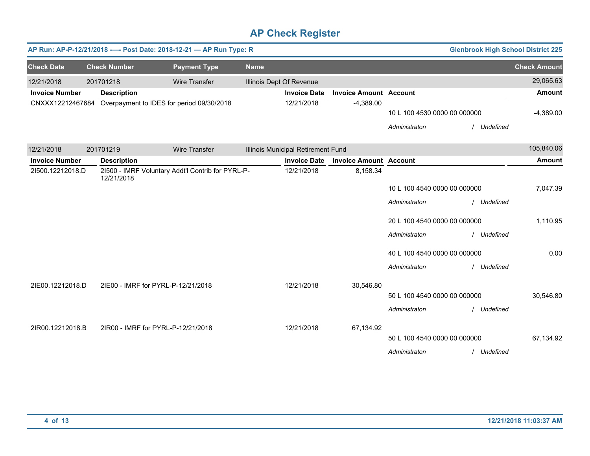|                       | AP Run: AP-P-12/21/2018 ---- Post Date: 2018-12-21 - AP Run Type: R<br><b>Glenbrook High School District 225</b> |                                                                 |                      |             |                                    |                               |                              |  |             |                     |
|-----------------------|------------------------------------------------------------------------------------------------------------------|-----------------------------------------------------------------|----------------------|-------------|------------------------------------|-------------------------------|------------------------------|--|-------------|---------------------|
| <b>Check Date</b>     |                                                                                                                  | <b>Check Number</b>                                             | <b>Payment Type</b>  | <b>Name</b> |                                    |                               |                              |  |             | <b>Check Amount</b> |
| 12/21/2018            |                                                                                                                  | 201701218                                                       | <b>Wire Transfer</b> |             | Illinois Dept Of Revenue           |                               |                              |  |             | 29,065.63           |
| <b>Invoice Number</b> |                                                                                                                  | <b>Description</b>                                              |                      |             | <b>Invoice Date</b>                | <b>Invoice Amount Account</b> |                              |  |             | <b>Amount</b>       |
| CNXXX12212467684      |                                                                                                                  | Overpayment to IDES for period 09/30/2018                       |                      |             | 12/21/2018                         | $-4,389.00$                   |                              |  |             |                     |
|                       |                                                                                                                  |                                                                 |                      |             |                                    |                               | 10 L 100 4530 0000 00 000000 |  |             | $-4,389.00$         |
|                       |                                                                                                                  |                                                                 |                      |             |                                    |                               | Administraton                |  | Undefined   |                     |
| 12/21/2018            |                                                                                                                  | 201701219                                                       | <b>Wire Transfer</b> |             | Illinois Municipal Retirement Fund |                               |                              |  |             | 105,840.06          |
| <b>Invoice Number</b> |                                                                                                                  | <b>Description</b>                                              |                      |             | <b>Invoice Date</b>                | <b>Invoice Amount Account</b> |                              |  |             | <b>Amount</b>       |
| 21500.12212018.D      |                                                                                                                  | 21500 - IMRF Voluntary Addt'l Contrib for PYRL-P-<br>12/21/2018 |                      |             | 12/21/2018                         | 8,158.34                      |                              |  |             |                     |
|                       |                                                                                                                  |                                                                 |                      |             |                                    |                               | 10 L 100 4540 0000 00 000000 |  |             | 7,047.39            |
|                       |                                                                                                                  |                                                                 |                      |             |                                    |                               | Administraton                |  | / Undefined |                     |
|                       |                                                                                                                  |                                                                 |                      |             |                                    |                               | 20 L 100 4540 0000 00 000000 |  |             | 1,110.95            |
|                       |                                                                                                                  |                                                                 |                      |             |                                    |                               | Administraton                |  | / Undefined |                     |
|                       |                                                                                                                  |                                                                 |                      |             |                                    |                               | 40 L 100 4540 0000 00 000000 |  |             | 0.00                |
|                       |                                                                                                                  |                                                                 |                      |             |                                    |                               | Administraton                |  | / Undefined |                     |
| 2IE00.12212018.D      |                                                                                                                  | 2IE00 - IMRF for PYRL-P-12/21/2018                              |                      |             | 12/21/2018                         | 30,546.80                     |                              |  |             |                     |
|                       |                                                                                                                  |                                                                 |                      |             |                                    |                               | 50 L 100 4540 0000 00 000000 |  |             | 30,546.80           |
|                       |                                                                                                                  |                                                                 |                      |             |                                    |                               | Administraton                |  | / Undefined |                     |
| 2IR00.12212018.B      |                                                                                                                  | 2IR00 - IMRF for PYRL-P-12/21/2018                              |                      |             | 12/21/2018                         | 67,134.92                     |                              |  |             |                     |
|                       |                                                                                                                  |                                                                 |                      |             |                                    |                               | 50 L 100 4540 0000 00 000000 |  |             | 67,134.92           |
|                       |                                                                                                                  |                                                                 |                      |             |                                    |                               | Administraton                |  | / Undefined |                     |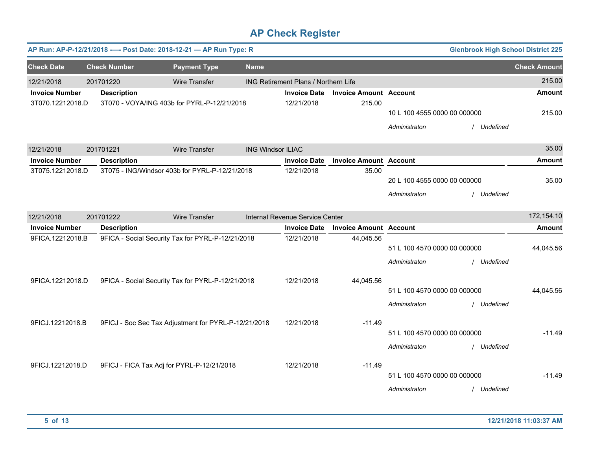|                                                 |                     | AP Run: AP-P-12/21/2018 ---- Post Date: 2018-12-21 - AP Run Type: R |                          |                                      |                               |                              | <b>Glenbrook High School District 225</b> |                     |
|-------------------------------------------------|---------------------|---------------------------------------------------------------------|--------------------------|--------------------------------------|-------------------------------|------------------------------|-------------------------------------------|---------------------|
| <b>Check Date</b>                               | <b>Check Number</b> | <b>Payment Type</b>                                                 | <b>Name</b>              |                                      |                               |                              |                                           | <b>Check Amount</b> |
| 12/21/2018                                      | 201701220           | <b>Wire Transfer</b>                                                |                          | ING Retirement Plans / Northern Life |                               |                              |                                           | 215.00              |
| <b>Invoice Number</b>                           | <b>Description</b>  |                                                                     |                          | <b>Invoice Date</b>                  | <b>Invoice Amount Account</b> |                              |                                           | <b>Amount</b>       |
| 3T070.12212018.D                                |                     | 3T070 - VOYA/ING 403b for PYRL-P-12/21/2018                         |                          |                                      | 215.00                        |                              |                                           |                     |
|                                                 |                     |                                                                     |                          |                                      |                               | 10 L 100 4555 0000 00 000000 |                                           | 215.00              |
|                                                 |                     |                                                                     |                          |                                      |                               | Administraton                | Undefined                                 |                     |
| 12/21/2018                                      | 201701221           | <b>Wire Transfer</b>                                                | <b>ING Windsor ILIAC</b> |                                      |                               |                              |                                           | 35.00               |
| <b>Invoice Number</b>                           | <b>Description</b>  |                                                                     |                          | <b>Invoice Date</b>                  | <b>Invoice Amount Account</b> |                              |                                           | <b>Amount</b>       |
| 3T075.12212018.D                                |                     | 3T075 - ING/Windsor 403b for PYRL-P-12/21/2018                      |                          | 12/21/2018                           | 35.00                         |                              |                                           |                     |
|                                                 |                     |                                                                     |                          |                                      |                               | 20 L 100 4555 0000 00 000000 |                                           | 35.00               |
|                                                 |                     |                                                                     |                          |                                      |                               | Administraton                | Undefined                                 |                     |
| 12/21/2018<br>201701222<br><b>Wire Transfer</b> |                     |                                                                     |                          | Internal Revenue Service Center      |                               |                              |                                           | 172,154.10          |
| <b>Invoice Number</b>                           | <b>Description</b>  |                                                                     |                          | <b>Invoice Date</b>                  | <b>Invoice Amount Account</b> |                              |                                           | <b>Amount</b>       |
| 9FICA.12212018.B                                |                     | 9FICA - Social Security Tax for PYRL-P-12/21/2018                   |                          |                                      | 44,045.56                     |                              |                                           |                     |
|                                                 |                     |                                                                     |                          |                                      |                               | 51 L 100 4570 0000 00 000000 |                                           | 44,045.56           |
|                                                 |                     |                                                                     |                          |                                      |                               | Administraton                | Undefined                                 |                     |
| 9FICA.12212018.D                                |                     |                                                                     |                          | 12/21/2018                           | 44,045.56                     |                              |                                           |                     |
|                                                 |                     | 9FICA - Social Security Tax for PYRL-P-12/21/2018                   |                          |                                      |                               | 51 L 100 4570 0000 00 000000 |                                           | 44,045.56           |
|                                                 |                     |                                                                     |                          |                                      |                               | Administraton                | Undefined                                 |                     |
|                                                 |                     |                                                                     |                          |                                      |                               |                              |                                           |                     |
| 9FICJ.12212018.B                                |                     | 9FICJ - Soc Sec Tax Adjustment for PYRL-P-12/21/2018                |                          |                                      | $-11.49$                      |                              |                                           |                     |
|                                                 |                     |                                                                     |                          |                                      |                               | 51 L 100 4570 0000 00 000000 |                                           | $-11.49$            |
|                                                 |                     |                                                                     |                          |                                      |                               | Administraton                | / Undefined                               |                     |
|                                                 |                     |                                                                     |                          | 12/21/2018                           |                               |                              |                                           |                     |
| 9FICJ.12212018.D                                |                     | 9FICJ - FICA Tax Adj for PYRL-P-12/21/2018                          |                          |                                      | $-11.49$                      | 51 L 100 4570 0000 00 000000 |                                           | $-11.49$            |
|                                                 |                     |                                                                     |                          |                                      |                               |                              |                                           |                     |
|                                                 |                     |                                                                     |                          |                                      |                               | Administraton                | / Undefined                               |                     |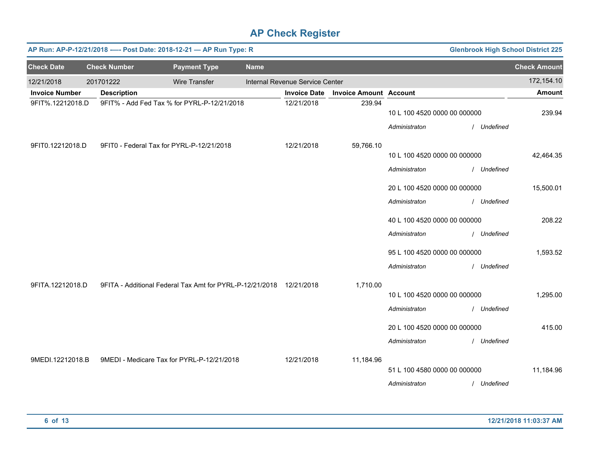| <b>Glenbrook High School District 225</b><br>AP Run: AP-P-12/21/2018 ---- Post Date: 2018-12-21 - AP Run Type: R |                     |                                                                     |             |                                 |                               |                                               |             |                     |
|------------------------------------------------------------------------------------------------------------------|---------------------|---------------------------------------------------------------------|-------------|---------------------------------|-------------------------------|-----------------------------------------------|-------------|---------------------|
| <b>Check Date</b>                                                                                                | <b>Check Number</b> | <b>Payment Type</b>                                                 | <b>Name</b> |                                 |                               |                                               |             | <b>Check Amount</b> |
| 12/21/2018                                                                                                       | 201701222           | Wire Transfer                                                       |             | Internal Revenue Service Center |                               |                                               |             | 172,154.10          |
| <b>Invoice Number</b>                                                                                            | <b>Description</b>  |                                                                     |             | <b>Invoice Date</b>             | <b>Invoice Amount Account</b> |                                               |             | <b>Amount</b>       |
| 9FIT%.12212018.D                                                                                                 |                     | 9FIT% - Add Fed Tax % for PYRL-P-12/21/2018                         |             | 12/21/2018                      | 239.94                        | 10 L 100 4520 0000 00 000000<br>Administraton | / Undefined | 239.94              |
|                                                                                                                  |                     |                                                                     |             |                                 |                               |                                               |             |                     |
| 9FIT0.12212018.D                                                                                                 |                     | 9FIT0 - Federal Tax for PYRL-P-12/21/2018                           |             | 12/21/2018                      | 59,766.10                     |                                               |             |                     |
|                                                                                                                  |                     |                                                                     |             |                                 |                               | 10 L 100 4520 0000 00 000000                  |             | 42,464.35           |
|                                                                                                                  |                     |                                                                     |             |                                 |                               | Administraton                                 | / Undefined |                     |
|                                                                                                                  |                     |                                                                     |             |                                 |                               | 20 L 100 4520 0000 00 000000                  |             | 15,500.01           |
|                                                                                                                  |                     |                                                                     |             |                                 |                               | Administraton                                 | / Undefined |                     |
|                                                                                                                  |                     |                                                                     |             |                                 |                               | 40 L 100 4520 0000 00 000000                  |             | 208.22              |
|                                                                                                                  |                     |                                                                     |             |                                 |                               | Administraton                                 | / Undefined |                     |
|                                                                                                                  |                     |                                                                     |             |                                 |                               | 95 L 100 4520 0000 00 000000                  |             | 1,593.52            |
|                                                                                                                  |                     |                                                                     |             |                                 |                               | Administraton                                 | / Undefined |                     |
| 9FITA.12212018.D                                                                                                 |                     | 9FITA - Additional Federal Tax Amt for PYRL-P-12/21/2018 12/21/2018 |             |                                 | 1,710.00                      |                                               |             |                     |
|                                                                                                                  |                     |                                                                     |             |                                 |                               | 10 L 100 4520 0000 00 000000                  |             | 1,295.00            |
|                                                                                                                  |                     |                                                                     |             |                                 |                               | Administraton                                 | / Undefined |                     |
|                                                                                                                  |                     |                                                                     |             |                                 |                               | 20 L 100 4520 0000 00 000000                  |             | 415.00              |
|                                                                                                                  |                     |                                                                     |             |                                 |                               | Administraton                                 | / Undefined |                     |
| 9MEDI.12212018.B                                                                                                 |                     | 9MEDI - Medicare Tax for PYRL-P-12/21/2018                          |             | 12/21/2018                      | 11,184.96                     |                                               |             |                     |
|                                                                                                                  |                     |                                                                     |             |                                 |                               | 51 L 100 4580 0000 00 000000                  |             | 11,184.96           |
|                                                                                                                  |                     |                                                                     |             |                                 |                               | Administraton                                 | / Undefined |                     |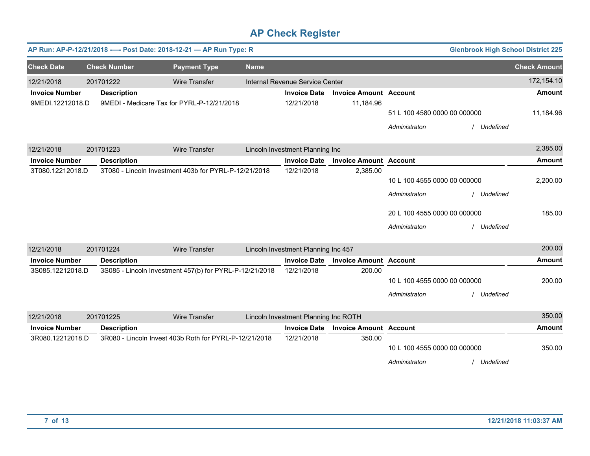|                       |                     | AP Run: AP-P-12/21/2018 ---- Post Date: 2018-12-21 - AP Run Type: R |             |                                      |                               |                              | <b>Glenbrook High School District 225</b> |                     |
|-----------------------|---------------------|---------------------------------------------------------------------|-------------|--------------------------------------|-------------------------------|------------------------------|-------------------------------------------|---------------------|
| <b>Check Date</b>     | <b>Check Number</b> | <b>Payment Type</b>                                                 | <b>Name</b> |                                      |                               |                              |                                           | <b>Check Amount</b> |
| 12/21/2018            | 201701222           | <b>Wire Transfer</b>                                                |             | Internal Revenue Service Center      |                               |                              |                                           | 172,154.10          |
| <b>Invoice Number</b> | <b>Description</b>  |                                                                     |             | <b>Invoice Date</b>                  | <b>Invoice Amount Account</b> |                              |                                           | <b>Amount</b>       |
| 9MEDI.12212018.D      |                     | 9MEDI - Medicare Tax for PYRL-P-12/21/2018                          |             | 12/21/2018                           | 11,184.96                     | 51 L 100 4580 0000 00 000000 |                                           | 11,184.96           |
|                       |                     |                                                                     |             |                                      |                               | Administraton                | / Undefined                               |                     |
| 12/21/2018            | 201701223           | <b>Wire Transfer</b>                                                |             | Lincoln Investment Planning Inc      |                               |                              |                                           | 2,385.00            |
| <b>Invoice Number</b> | <b>Description</b>  |                                                                     |             | <b>Invoice Date</b>                  | <b>Invoice Amount Account</b> |                              |                                           | <b>Amount</b>       |
| 3T080.12212018.D      |                     | 3T080 - Lincoln Investment 403b for PYRL-P-12/21/2018               |             | 12/21/2018                           | 2,385.00                      |                              |                                           |                     |
|                       |                     |                                                                     |             |                                      |                               | 10 L 100 4555 0000 00 000000 |                                           | 2,200.00            |
|                       |                     |                                                                     |             |                                      |                               | Administraton                | Undefined                                 |                     |
|                       |                     |                                                                     |             |                                      |                               | 20 L 100 4555 0000 00 000000 |                                           | 185.00              |
|                       |                     |                                                                     |             |                                      |                               | Administraton                | / Undefined                               |                     |
| 12/21/2018            | 201701224           | <b>Wire Transfer</b>                                                |             | Lincoln Investment Planning Inc 457  |                               |                              |                                           | 200.00              |
| <b>Invoice Number</b> | <b>Description</b>  |                                                                     |             | <b>Invoice Date</b>                  | <b>Invoice Amount Account</b> |                              |                                           | <b>Amount</b>       |
| 3S085.12212018.D      |                     | 3S085 - Lincoln Investment 457(b) for PYRL-P-12/21/2018             |             | 12/21/2018                           | 200.00                        |                              |                                           |                     |
|                       |                     |                                                                     |             |                                      |                               | 10 L 100 4555 0000 00 000000 |                                           | 200.00              |
|                       |                     |                                                                     |             |                                      |                               | Administraton                | <b>Undefined</b>                          |                     |
| 12/21/2018            | 201701225           | <b>Wire Transfer</b>                                                |             | Lincoln Investment Planning Inc ROTH |                               |                              |                                           | 350.00              |
| <b>Invoice Number</b> | <b>Description</b>  |                                                                     |             | <b>Invoice Date</b>                  | <b>Invoice Amount Account</b> |                              |                                           | <b>Amount</b>       |
| 3R080.12212018.D      |                     | 3R080 - Lincoln Invest 403b Roth for PYRL-P-12/21/2018              |             | 12/21/2018                           | 350.00                        |                              |                                           |                     |
|                       |                     |                                                                     |             |                                      |                               | 10 L 100 4555 0000 00 000000 |                                           | 350.00              |
|                       |                     |                                                                     |             |                                      |                               | Administraton                | Undefined                                 |                     |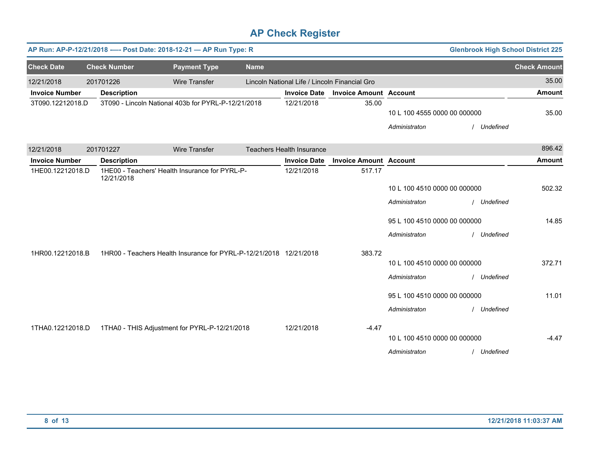| AP Run: AP-P-12/21/2018 ---- Post Date: 2018-12-21 - AP Run Type: R<br><b>Glenbrook High School District 225</b> |  |                     |                                                                    |             |                                               |                               |                              |             |                     |
|------------------------------------------------------------------------------------------------------------------|--|---------------------|--------------------------------------------------------------------|-------------|-----------------------------------------------|-------------------------------|------------------------------|-------------|---------------------|
| <b>Check Date</b>                                                                                                |  | <b>Check Number</b> | <b>Payment Type</b>                                                | <b>Name</b> |                                               |                               |                              |             | <b>Check Amount</b> |
| 12/21/2018                                                                                                       |  | 201701226           | <b>Wire Transfer</b>                                               |             | Lincoln National Life / Lincoln Financial Gro |                               |                              |             | 35.00               |
| <b>Invoice Number</b>                                                                                            |  | <b>Description</b>  |                                                                    |             | <b>Invoice Date</b>                           | <b>Invoice Amount Account</b> |                              |             | <b>Amount</b>       |
| 3T090.12212018.D                                                                                                 |  |                     | 3T090 - Lincoln National 403b for PYRL-P-12/21/2018                |             | 12/21/2018                                    | 35.00                         |                              |             |                     |
|                                                                                                                  |  |                     |                                                                    |             |                                               |                               | 10 L 100 4555 0000 00 000000 |             | 35.00               |
|                                                                                                                  |  |                     |                                                                    |             |                                               |                               | Administraton                | / Undefined |                     |
| 12/21/2018                                                                                                       |  | 201701227           | <b>Wire Transfer</b>                                               |             | <b>Teachers Health Insurance</b>              |                               |                              |             | 896.42              |
| <b>Invoice Number</b>                                                                                            |  | <b>Description</b>  |                                                                    |             | <b>Invoice Date</b>                           | <b>Invoice Amount Account</b> |                              |             | <b>Amount</b>       |
| 1HE00.12212018.D                                                                                                 |  | 12/21/2018          | 1HE00 - Teachers' Health Insurance for PYRL-P-                     |             | 12/21/2018                                    | 517.17                        |                              |             |                     |
|                                                                                                                  |  |                     |                                                                    |             |                                               |                               | 10 L 100 4510 0000 00 000000 |             | 502.32              |
|                                                                                                                  |  |                     |                                                                    |             |                                               |                               | Administraton                | / Undefined |                     |
|                                                                                                                  |  |                     |                                                                    |             |                                               |                               | 95 L 100 4510 0000 00 000000 |             | 14.85               |
|                                                                                                                  |  |                     |                                                                    |             |                                               |                               | Administraton                | / Undefined |                     |
| 1HR00.12212018.B                                                                                                 |  |                     | 1HR00 - Teachers Health Insurance for PYRL-P-12/21/2018 12/21/2018 |             |                                               | 383.72                        |                              |             |                     |
|                                                                                                                  |  |                     |                                                                    |             |                                               |                               | 10 L 100 4510 0000 00 000000 |             | 372.71              |
|                                                                                                                  |  |                     |                                                                    |             |                                               |                               | Administraton                | / Undefined |                     |
|                                                                                                                  |  |                     |                                                                    |             |                                               |                               | 95 L 100 4510 0000 00 000000 |             | 11.01               |
|                                                                                                                  |  |                     |                                                                    |             |                                               |                               | Administraton                | / Undefined |                     |
| 1THA0.12212018.D                                                                                                 |  |                     | 1THA0 - THIS Adjustment for PYRL-P-12/21/2018                      |             | 12/21/2018                                    | $-4.47$                       |                              |             |                     |
|                                                                                                                  |  |                     |                                                                    |             |                                               |                               | 10 L 100 4510 0000 00 000000 |             | $-4.47$             |
|                                                                                                                  |  |                     |                                                                    |             |                                               |                               | Administraton                | / Undefined |                     |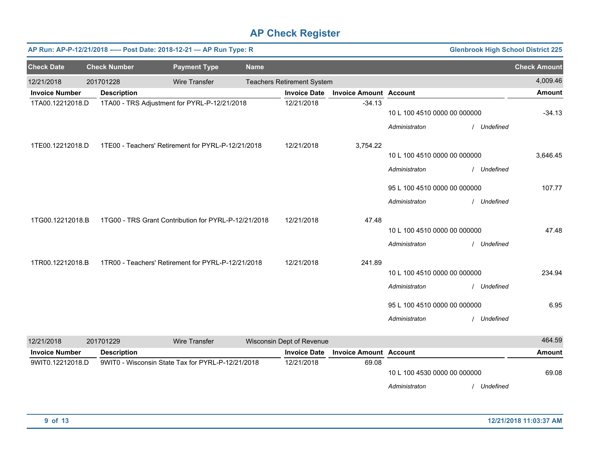|                       |                     | AP Run: AP-P-12/21/2018 ---- Post Date: 2018-12-21 - AP Run Type: R |             |                                   |                               |                              | <b>Glenbrook High School District 225</b> |                     |
|-----------------------|---------------------|---------------------------------------------------------------------|-------------|-----------------------------------|-------------------------------|------------------------------|-------------------------------------------|---------------------|
| <b>Check Date</b>     | <b>Check Number</b> | <b>Payment Type</b>                                                 | <b>Name</b> |                                   |                               |                              |                                           | <b>Check Amount</b> |
| 12/21/2018            | 201701228           | <b>Wire Transfer</b>                                                |             | <b>Teachers Retirement System</b> |                               |                              |                                           | 4,009.46            |
| <b>Invoice Number</b> | <b>Description</b>  |                                                                     |             | <b>Invoice Date</b>               | <b>Invoice Amount Account</b> |                              |                                           | <b>Amount</b>       |
| 1TA00.12212018.D      |                     | 1TA00 - TRS Adjustment for PYRL-P-12/21/2018                        |             | 12/21/2018                        | $-34.13$                      | 10 L 100 4510 0000 00 000000 |                                           | $-34.13$            |
|                       |                     |                                                                     |             |                                   |                               | Administraton                | / Undefined                               |                     |
| 1TE00.12212018.D      |                     | 1TE00 - Teachers' Retirement for PYRL-P-12/21/2018                  |             | 12/21/2018                        | 3,754.22                      |                              |                                           |                     |
|                       |                     |                                                                     |             |                                   |                               | 10 L 100 4510 0000 00 000000 |                                           | 3,646.45            |
|                       |                     |                                                                     |             |                                   |                               | Administraton                | / Undefined                               |                     |
|                       |                     |                                                                     |             |                                   |                               | 95 L 100 4510 0000 00 000000 |                                           | 107.77              |
|                       |                     |                                                                     |             |                                   |                               | Administraton                | / Undefined                               |                     |
| 1TG00.12212018.B      |                     | 1TG00 - TRS Grant Contribution for PYRL-P-12/21/2018                |             | 12/21/2018                        | 47.48                         |                              |                                           |                     |
|                       |                     |                                                                     |             |                                   |                               | 10 L 100 4510 0000 00 000000 |                                           | 47.48               |
|                       |                     |                                                                     |             |                                   |                               | Administraton                | / Undefined                               |                     |
| 1TR00.12212018.B      |                     | 1TR00 - Teachers' Retirement for PYRL-P-12/21/2018                  |             | 12/21/2018                        | 241.89                        |                              |                                           |                     |
|                       |                     |                                                                     |             |                                   |                               | 10 L 100 4510 0000 00 000000 |                                           | 234.94              |
|                       |                     |                                                                     |             |                                   |                               | Administraton                | / Undefined                               |                     |
|                       |                     |                                                                     |             |                                   |                               | 95 L 100 4510 0000 00 000000 |                                           | 6.95                |
|                       |                     |                                                                     |             |                                   |                               | Administraton                | / Undefined                               |                     |
| 12/21/2018            | 201701229           | <b>Wire Transfer</b>                                                |             | Wisconsin Dept of Revenue         |                               |                              |                                           | 464.59              |
| <b>Invoice Number</b> | <b>Description</b>  |                                                                     |             | <b>Invoice Date</b>               | <b>Invoice Amount Account</b> |                              |                                           | <b>Amount</b>       |
| 9WIT0.12212018.D      |                     | 9WIT0 - Wisconsin State Tax for PYRL-P-12/21/2018                   |             | 12/21/2018                        | 69.08                         |                              |                                           |                     |
|                       |                     |                                                                     |             |                                   |                               | 10 L 100 4530 0000 00 000000 |                                           | 69.08               |
|                       |                     |                                                                     |             |                                   |                               | Administraton                | / Undefined                               |                     |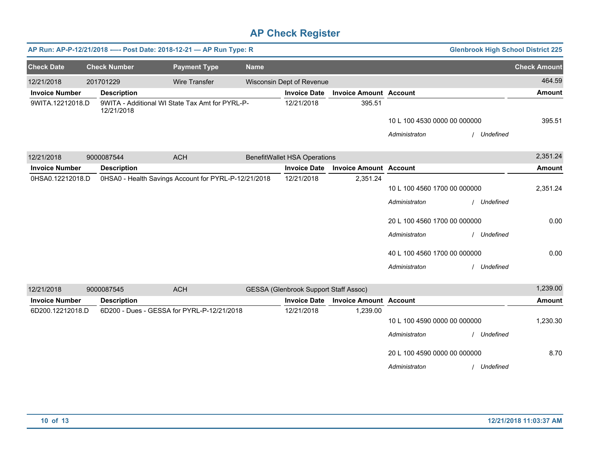|                       |                     | AP Run: AP-P-12/21/2018 ---- Post Date: 2018-12-21 - AP Run Type: R |             |                                              |                               |                                               |             | <b>Glenbrook High School District 225</b> |
|-----------------------|---------------------|---------------------------------------------------------------------|-------------|----------------------------------------------|-------------------------------|-----------------------------------------------|-------------|-------------------------------------------|
| <b>Check Date</b>     | <b>Check Number</b> | <b>Payment Type</b>                                                 | <b>Name</b> |                                              |                               |                                               |             | <b>Check Amount</b>                       |
| 12/21/2018            | 201701229           | <b>Wire Transfer</b>                                                |             | Wisconsin Dept of Revenue                    |                               |                                               |             | 464.59                                    |
| <b>Invoice Number</b> | <b>Description</b>  |                                                                     |             | <b>Invoice Date</b>                          | <b>Invoice Amount Account</b> |                                               |             | <b>Amount</b>                             |
| 9WITA.12212018.D      | 12/21/2018          | 9WITA - Additional WI State Tax Amt for PYRL-P-                     |             | 12/21/2018                                   | 395.51                        |                                               |             |                                           |
|                       |                     |                                                                     |             |                                              |                               | 10 L 100 4530 0000 00 000000                  |             | 395.51                                    |
|                       |                     |                                                                     |             |                                              |                               | Administraton                                 | Undefined   |                                           |
| 12/21/2018            | 9000087544          | <b>ACH</b>                                                          |             | <b>BenefitWallet HSA Operations</b>          |                               |                                               |             | 2,351.24                                  |
| <b>Invoice Number</b> | <b>Description</b>  |                                                                     |             | <b>Invoice Date</b>                          | <b>Invoice Amount Account</b> |                                               |             | <b>Amount</b>                             |
| 0HSA0.12212018.D      |                     | 0HSA0 - Health Savings Account for PYRL-P-12/21/2018                |             | 12/21/2018                                   | 2,351.24                      | 10 L 100 4560 1700 00 000000                  |             | 2,351.24                                  |
|                       |                     |                                                                     |             |                                              |                               | Administraton                                 | / Undefined |                                           |
|                       |                     |                                                                     |             |                                              |                               | 20 L 100 4560 1700 00 000000                  |             | 0.00                                      |
|                       |                     |                                                                     |             |                                              |                               | Administraton                                 | / Undefined |                                           |
|                       |                     |                                                                     |             |                                              |                               | 40 L 100 4560 1700 00 000000                  |             | 0.00                                      |
|                       |                     |                                                                     |             |                                              |                               | Administraton                                 | / Undefined |                                           |
| 12/21/2018            | 9000087545          | <b>ACH</b>                                                          |             | <b>GESSA (Glenbrook Support Staff Assoc)</b> |                               |                                               |             | 1,239.00                                  |
| <b>Invoice Number</b> | <b>Description</b>  |                                                                     |             | <b>Invoice Date</b>                          | <b>Invoice Amount Account</b> |                                               |             | <b>Amount</b>                             |
| 6D200.12212018.D      |                     | 6D200 - Dues - GESSA for PYRL-P-12/21/2018                          |             | 12/21/2018                                   | 1,239.00                      | 10 L 100 4590 0000 00 000000<br>Administraton | / Undefined | 1,230.30                                  |
|                       |                     |                                                                     |             |                                              |                               | 20 L 100 4590 0000 00 000000<br>Administraton | / Undefined | 8.70                                      |
|                       |                     |                                                                     |             |                                              |                               |                                               |             |                                           |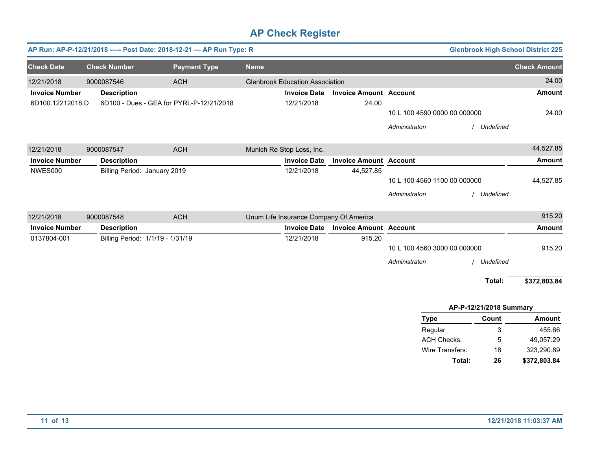|                       |                                  | AP Run: AP-P-12/21/2018 ---- Post Date: 2018-12-21 - AP Run Type: R |             |                                        |                               |                              |                         | <b>Glenbrook High School District 225</b> |
|-----------------------|----------------------------------|---------------------------------------------------------------------|-------------|----------------------------------------|-------------------------------|------------------------------|-------------------------|-------------------------------------------|
| <b>Check Date</b>     | <b>Check Number</b>              | <b>Payment Type</b>                                                 | <b>Name</b> |                                        |                               |                              |                         | <b>Check Amount</b>                       |
| 12/21/2018            | 9000087546                       | <b>ACH</b>                                                          |             | <b>Glenbrook Education Association</b> |                               |                              |                         | 24.00                                     |
| <b>Invoice Number</b> | <b>Description</b>               |                                                                     |             | <b>Invoice Date</b>                    | <b>Invoice Amount Account</b> |                              |                         | <b>Amount</b>                             |
| 6D100.12212018.D      |                                  | 6D100 - Dues - GEA for PYRL-P-12/21/2018                            |             | 12/21/2018                             | 24.00                         |                              |                         |                                           |
|                       |                                  |                                                                     |             |                                        |                               | 10 L 100 4590 0000 00 000000 |                         | 24.00                                     |
|                       |                                  |                                                                     |             |                                        |                               | Administraton                | / Undefined             |                                           |
| 12/21/2018            | 9000087547                       | <b>ACH</b>                                                          |             | Munich Re Stop Loss, Inc.              |                               |                              |                         | 44,527.85                                 |
| <b>Invoice Number</b> | <b>Description</b>               |                                                                     |             | <b>Invoice Date</b>                    | <b>Invoice Amount Account</b> |                              |                         | <b>Amount</b>                             |
| NWES000               | Billing Period: January 2019     |                                                                     |             | 12/21/2018                             | 44,527.85                     |                              |                         |                                           |
|                       |                                  |                                                                     |             |                                        |                               | 10 L 100 4560 1100 00 000000 |                         | 44,527.85                                 |
|                       |                                  |                                                                     |             |                                        |                               | Administraton                | / Undefined             |                                           |
| 12/21/2018            | 9000087548                       | <b>ACH</b>                                                          |             | Unum Life Insurance Company Of America |                               |                              |                         | 915.20                                    |
| <b>Invoice Number</b> | <b>Description</b>               |                                                                     |             | <b>Invoice Date</b>                    | <b>Invoice Amount Account</b> |                              |                         | <b>Amount</b>                             |
| 0137804-001           | Billing Period: 1/1/19 - 1/31/19 |                                                                     |             | 12/21/2018                             | 915.20                        |                              |                         |                                           |
|                       |                                  |                                                                     |             |                                        |                               | 10 L 100 4560 3000 00 000000 |                         | 915.20                                    |
|                       |                                  |                                                                     |             |                                        |                               | Administraton                | / Undefined             |                                           |
|                       |                                  |                                                                     |             |                                        |                               |                              | Total:                  | \$372,803.84                              |
|                       |                                  |                                                                     |             |                                        |                               |                              | AP-P-12/21/2018 Summary |                                           |
|                       |                                  |                                                                     |             |                                        |                               | <b>Type</b>                  | Count                   | <b>Amount</b>                             |
|                       |                                  |                                                                     |             |                                        |                               | Regular                      | 3                       | 455.66                                    |
|                       |                                  |                                                                     |             |                                        |                               | <b>ACH Checks:</b>           | 5                       | 49,057.29                                 |
|                       |                                  |                                                                     |             |                                        |                               | Wire Transfers:              | 18                      | 323,290.89                                |
|                       |                                  |                                                                     |             |                                        |                               | Total:                       | 26                      | \$372,803.84                              |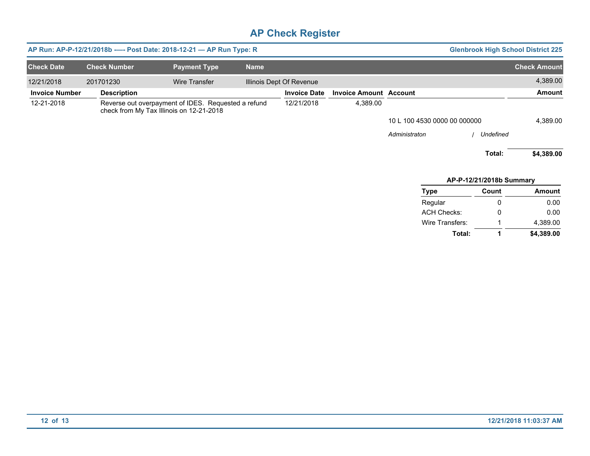| <b>Glenbrook High School District 225</b> |                          |                              | AP Run: AP-P-12/21/2018b ---- Post Date: 2018-12-21 - AP Run Type: R |                          |             |                                                                                                 |                     |                       |  |
|-------------------------------------------|--------------------------|------------------------------|----------------------------------------------------------------------|--------------------------|-------------|-------------------------------------------------------------------------------------------------|---------------------|-----------------------|--|
| <b>Check Amount</b>                       |                          |                              |                                                                      |                          | <b>Name</b> | <b>Payment Type</b>                                                                             | <b>Check Number</b> | <b>Check Date</b>     |  |
| 4,389.00                                  |                          |                              |                                                                      | Illinois Dept Of Revenue |             | Wire Transfer                                                                                   | 201701230           | 12/21/2018            |  |
| Amount                                    |                          |                              | <b>Invoice Amount Account</b>                                        | <b>Invoice Date</b>      |             |                                                                                                 | <b>Description</b>  | <b>Invoice Number</b> |  |
|                                           |                          |                              | 4,389.00                                                             | 12/21/2018               |             | Reverse out overpayment of IDES. Requested a refund<br>check from My Tax Illinois on 12-21-2018 |                     | 12-21-2018            |  |
| 4,389.00                                  |                          | 10 L 100 4530 0000 00 000000 |                                                                      |                          |             |                                                                                                 |                     |                       |  |
|                                           | Undefined                | Administraton                |                                                                      |                          |             |                                                                                                 |                     |                       |  |
| \$4,389.00                                | Total:                   |                              |                                                                      |                          |             |                                                                                                 |                     |                       |  |
|                                           | AP-P-12/21/2018b Summary |                              |                                                                      |                          |             |                                                                                                 |                     |                       |  |
| Amount                                    | Count                    | <b>Type</b>                  |                                                                      |                          |             |                                                                                                 |                     |                       |  |
| 0.00                                      | $\Omega$                 | Regular                      |                                                                      |                          |             |                                                                                                 |                     |                       |  |
| 0.00                                      | 0                        | <b>ACH Checks:</b>           |                                                                      |                          |             |                                                                                                 |                     |                       |  |
| 4,389.00                                  |                          | Wire Transfers:              |                                                                      |                          |             |                                                                                                 |                     |                       |  |
| \$4,389.00                                | 1                        | Total:                       |                                                                      |                          |             |                                                                                                 |                     |                       |  |